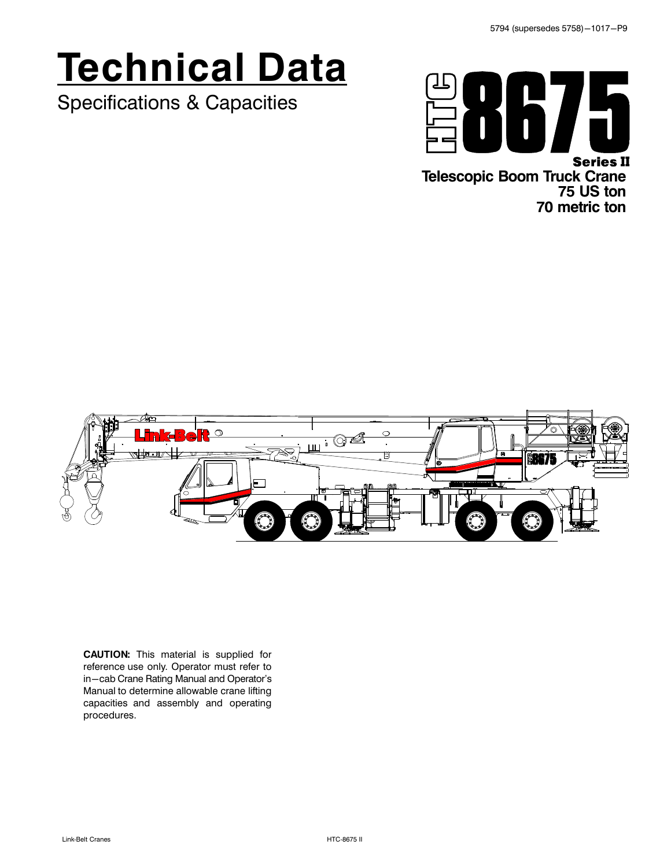# **Technical Data**

Specifications & Capacities





**CAUTION:** This material is supplied for reference use only. Operator must refer to in-cab Crane Rating Manual and Operator's Manual to determine allowable crane lifting capacities and assembly and operating procedures.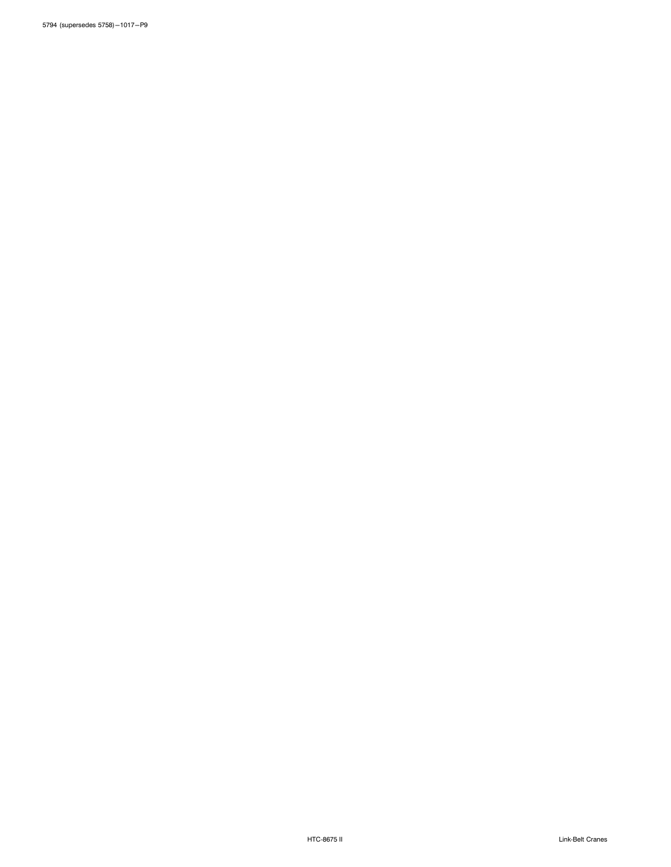5794 (supersedes 5758)-1017-P9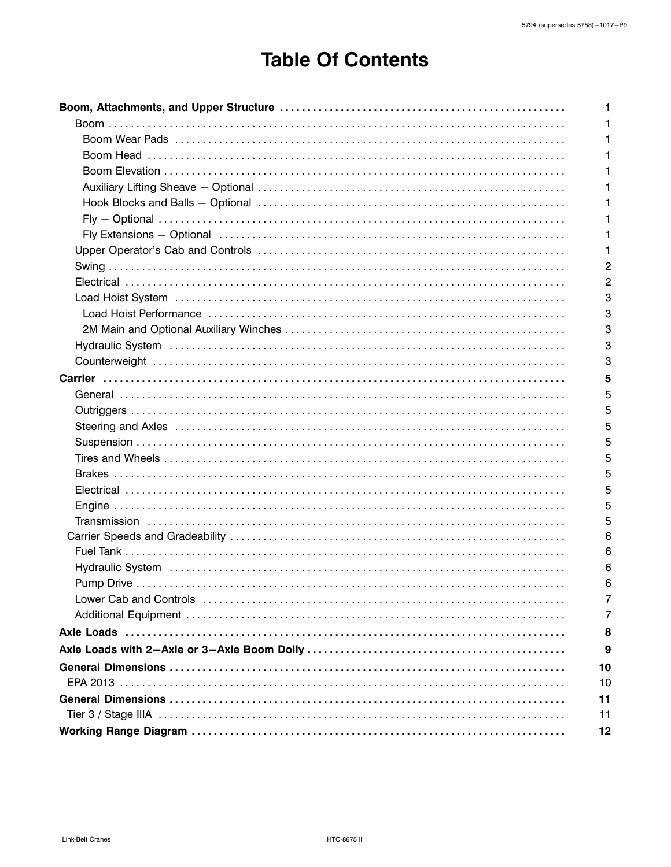## **Table Of Contents**

|                                                                                                                | 1  |
|----------------------------------------------------------------------------------------------------------------|----|
|                                                                                                                |    |
|                                                                                                                |    |
|                                                                                                                |    |
|                                                                                                                |    |
|                                                                                                                |    |
|                                                                                                                |    |
| Fly Extensions - Optional material contracts and contact the contract of the contract of the contract of the c |    |
|                                                                                                                | 1  |
|                                                                                                                | 2  |
|                                                                                                                | 2  |
|                                                                                                                | 3  |
|                                                                                                                | 3  |
|                                                                                                                | 3  |
|                                                                                                                | 3  |
|                                                                                                                | 3  |
|                                                                                                                | 5  |
|                                                                                                                | 5  |
|                                                                                                                | 5  |
|                                                                                                                | 5  |
|                                                                                                                | 5  |
|                                                                                                                | 5  |
|                                                                                                                | 5  |
|                                                                                                                | 5  |
|                                                                                                                | 5  |
|                                                                                                                | 5  |
|                                                                                                                | 6  |
|                                                                                                                | 6  |
|                                                                                                                | 6  |
|                                                                                                                | 6  |
|                                                                                                                | 7  |
|                                                                                                                | 7  |
|                                                                                                                | 8  |
|                                                                                                                | 9  |
|                                                                                                                | 10 |
|                                                                                                                | 10 |
|                                                                                                                | 11 |
|                                                                                                                | 11 |
|                                                                                                                | 12 |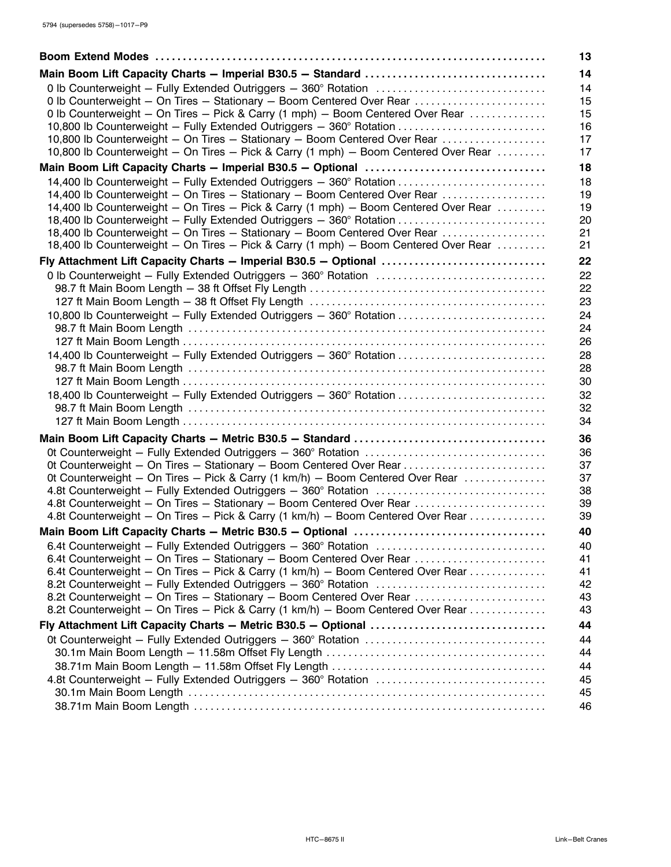|                                                                                                                                                                  | 13       |
|------------------------------------------------------------------------------------------------------------------------------------------------------------------|----------|
|                                                                                                                                                                  | 14       |
|                                                                                                                                                                  | 14       |
| 0 lb Counterweight - On Tires - Stationary - Boom Centered Over Rear                                                                                             | 15       |
| 0 lb Counterweight - On Tires - Pick & Carry (1 mph) - Boom Centered Over Rear                                                                                   | 15       |
| 10,800 lb Counterweight - Fully Extended Outriggers - 360° Rotation                                                                                              | 16       |
| 10,800 lb Counterweight - On Tires - Stationary - Boom Centered Over Rear<br>10,800 lb Counterweight - On Tires - Pick & Carry (1 mph) - Boom Centered Over Rear | 17<br>17 |
|                                                                                                                                                                  | 18       |
| 14,400 lb Counterweight - Fully Extended Outriggers - 360° Rotation                                                                                              | 18       |
| 14,400 lb Counterweight - On Tires - Stationary - Boom Centered Over Rear                                                                                        | 19       |
| 14,400 lb Counterweight - On Tires - Pick & Carry (1 mph) - Boom Centered Over Rear                                                                              | 19       |
| 18,400 lb Counterweight - Fully Extended Outriggers - 360° Rotation                                                                                              | 20       |
| 18,400 lb Counterweight - On Tires - Stationary - Boom Centered Over Rear                                                                                        | 21       |
| 18,400 lb Counterweight - On Tires - Pick & Carry (1 mph) - Boom Centered Over Rear                                                                              | 21       |
| Fly Attachment Lift Capacity Charts - Imperial B30.5 - Optional                                                                                                  | 22       |
|                                                                                                                                                                  | 22       |
|                                                                                                                                                                  | 22       |
|                                                                                                                                                                  | 23       |
| 10,800 lb Counterweight - Fully Extended Outriggers - 360° Rotation                                                                                              | 24       |
|                                                                                                                                                                  | 24       |
|                                                                                                                                                                  | 26       |
| 14,400 lb Counterweight - Fully Extended Outriggers - 360° Rotation                                                                                              | 28       |
|                                                                                                                                                                  | 28       |
|                                                                                                                                                                  | 30       |
| 18,400 lb Counterweight - Fully Extended Outriggers - 360° Rotation                                                                                              | 32       |
|                                                                                                                                                                  | 32       |
|                                                                                                                                                                  | 34       |
|                                                                                                                                                                  | 36       |
|                                                                                                                                                                  | 36       |
|                                                                                                                                                                  | 37       |
| 0t Counterweight - On Tires - Pick & Carry (1 km/h) - Boom Centered Over Rear                                                                                    | 37<br>38 |
| 4.8t Counterweight - On Tires - Stationary - Boom Centered Over Rear                                                                                             | 39       |
| 4.8t Counterweight - On Tires - Pick & Carry (1 km/h) - Boom Centered Over Rear                                                                                  | 39       |
|                                                                                                                                                                  | 40       |
|                                                                                                                                                                  | 40       |
| 6.4t Counterweight - On Tires - Stationary - Boom Centered Over Rear                                                                                             | 41       |
| 6.4t Counterweight - On Tires - Pick & Carry (1 km/h) - Boom Centered Over Rear                                                                                  | 41       |
|                                                                                                                                                                  | 42       |
| 8.2t Counterweight - On Tires - Stationary - Boom Centered Over Rear                                                                                             | 43       |
| 8.2t Counterweight - On Tires - Pick & Carry (1 km/h) - Boom Centered Over Rear                                                                                  | 43       |
|                                                                                                                                                                  | 44       |
|                                                                                                                                                                  | 44       |
|                                                                                                                                                                  | 44       |
|                                                                                                                                                                  | 44       |
|                                                                                                                                                                  | 45       |
|                                                                                                                                                                  | 45       |
|                                                                                                                                                                  | 46       |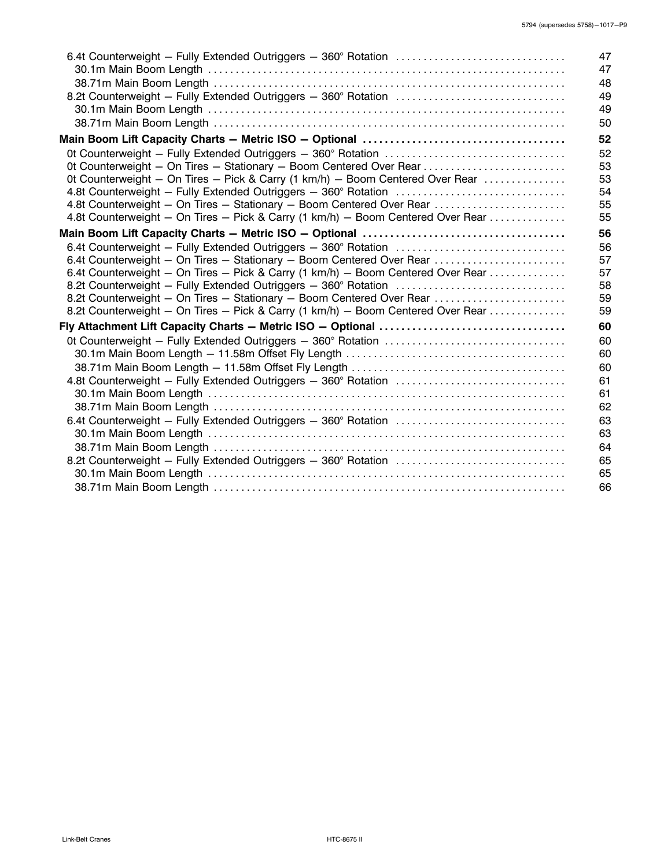|                                                                                 | 47<br>47 |
|---------------------------------------------------------------------------------|----------|
|                                                                                 | 48       |
|                                                                                 | 49       |
|                                                                                 | 49       |
|                                                                                 | 50       |
|                                                                                 | 52       |
|                                                                                 | 52       |
| 0t Counterweight - On Tires - Stationary - Boom Centered Over Rear              | 53       |
| 0t Counterweight - On Tires - Pick & Carry (1 km/h) - Boom Centered Over Rear   | 53       |
|                                                                                 | 54       |
| 4.8t Counterweight - On Tires - Stationary - Boom Centered Over Rear            | 55       |
| 4.8t Counterweight - On Tires - Pick & Carry (1 km/h) - Boom Centered Over Rear | 55       |
|                                                                                 | 56       |
|                                                                                 | 56       |
| 6.4t Counterweight - On Tires - Stationary - Boom Centered Over Rear            | 57       |
| 6.4t Counterweight - On Tires - Pick & Carry (1 km/h) - Boom Centered Over Rear | 57       |
|                                                                                 | 58       |
| 8.2t Counterweight - On Tires - Stationary - Boom Centered Over Rear            | 59<br>59 |
| 8.2t Counterweight - On Tires - Pick & Carry (1 km/h) - Boom Centered Over Rear |          |
|                                                                                 | 60       |
|                                                                                 | 60       |
|                                                                                 | 60       |
|                                                                                 | 60       |
|                                                                                 | 61<br>61 |
|                                                                                 | 62       |
|                                                                                 | 63       |
|                                                                                 | 63       |
|                                                                                 | 64       |
|                                                                                 | 65       |
|                                                                                 | 65       |
|                                                                                 | 66       |
|                                                                                 |          |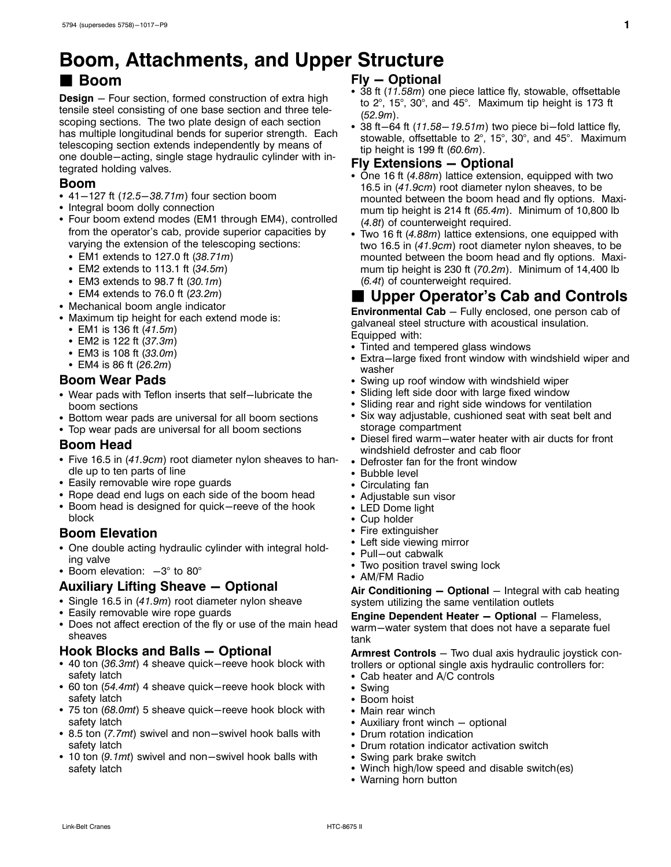## <span id="page-5-0"></span>**Boom, Attachments, and Upper Structure**

## - **Boom**

**Design** - Four section, formed construction of extra high tensile steel consisting of one base section and three telescoping sections. The two plate design of each section has multiple longitudinal bends for superior strength. Each telescoping section extends independently by means of one double-acting, single stage hydraulic cylinder with integrated holding valves.

#### **Boom**

- 41–127 ft (*12.5–38.71m*) four section boom<br>■ Integral boom dolly connection
- Integral boom dolly connection
- Four boom extend modes (EM1 through EM4), controlled from the operator's cab, provide superior capacities by varying the extension of the telescoping sections:
	- EM1 extends to 127.0 ft (*38.71m*)
	- EM2 extends to 113.1 ft (*34.5m*)
	- EM3 extends to 98.7 ft (*30.1m*)
	- EM4 extends to 76.0 ft (*23.2m*)
- Mechanical boom angle indicator
- Maximum tip height for each extend mode is:
	- EM1 is 136 ft (*41.5m*)
	- EM2 is 122 ft (*37.3m*)
	- EM3 is 108 ft (*33.0m*)
	- EM4 is 86 ft (*26.2m*)

#### **Boom Wear Pads**

- Wear pads with Teflon inserts that self-lubricate the boom sections
- Bottom wear pads are universal for all boom sections
- Top wear pads are universal for all boom sections

#### **Boom Head**

- Five 16.5 in (*41.9cm*) root diameter nylon sheaves to handle up to ten parts of line
- Easily removable wire rope guards
- Rope dead end lugs on each side of the boom head
- Boom head is designed for quick-reeve of the hook block

### **Boom Elevation**

- One double acting hydraulic cylinder with integral holding valve
- Boom elevation: -3° to 80°

#### **Auxiliary Lifting Sheave – Optional**

- Single 16.5 in (*41.9m*) root diameter nylon sheave
- Easily removable wire rope guards
- Does not affect erection of the fly or use of the main head sheaves

#### **Hook Blocks and Balls - Optional**

- 40 ton (*36.3mt*) 4 sheave quick-reeve hook block with safety latch
- 60 ton (*54.4mt*) 4 sheave quick-reeve hook block with safety latch
- 75 ton (*68.0mt*) 5 sheave quick-reeve hook block with safety latch
- 8.5 ton (*7.7mt*) swivel and non-swivel hook balls with safety latch
- 10 ton (*9.1mt*) swivel and non-swivel hook balls with safety latch

#### **Fly - Optional**

- 38 ft (11.58*m*) one piece lattice fly, stowable, offsettable<br>to 2° 15° 30° and 45° Maximum tip height is 173 ft to 2°, 15°, 30°, and 45°. Maximum tip height is 173 ft (*52.9m*).
- $38$  ft-64 ft (*11.58-19.51m*) two piece bi-fold lattice fly,<br>stowable, offsettable to 2° 15° 30° and 45°. Maximur stowable, offsettable to 2°, 15°, 30°, and 45°. Maximum tip height is 199 ft (*60.6m*).

#### **Fly Extensions - Optional**

- One 16 ft (*4.88m*) lattice extension, equipped with two 16.5 in (*41.9cm*) root diameter nylon sheaves, to be mounted between the boom head and fly options. Maximum tip height is 214 ft (*65.4m*). Minimum of 10,800 lb (*4.8t*) of counterweight required.
- Two 16 ft (*4.88m*) lattice extensions, one equipped with two 16.5 in (*41.9cm*) root diameter nylon sheaves, to be mounted between the boom head and fly options. Maximum tip height is 230 ft (*70.2m*). Minimum of 14,400 lb (*6.4t*) of counterweight required.

## $\blacksquare$  **Upper Operator's Cab and Controls**

**Environmental Cab** - Fully enclosed, one person cab of galvaneal steel structure with acoustical insulation. Equipped with:

- Tinted and tempered glass windows
- Extra-large fixed front window with windshield wiper and washer
- $\bullet$ Swing up roof window with windshield wiper
- $\bullet$ Sliding left side door with large fixed window
- Sliding rear and right side windows for ventilation
- Six way adjustable, cushioned seat with seat belt and storage compartment
- - Diesel fired warm-water heater with air ducts for front windshield defroster and cab floor
- -Defroster fan for the front window
- Bubble level
- Circulating fan
- Adjustable sun visor
- LED Dome light
- Cup holder
- Fire extinguisher
- Left side viewing mirror
- Pull-out cabwalk
- Two position travel swing lock
- AM/FM Radio

Air Conditioning - Optional - Integral with cab heating system utilizing the same ventilation outlets

**Engine Dependent Heater - Optional** - Flameless, warm-water system that does not have a separate fuel tank

**Armrest Controls** - Two dual axis hydraulic joystick controllers or optional single axis hydraulic controllers for:

- Cab heater and A/C controls
- Swing
- Boom hoist
- Main rear winch
- Auxiliary front winch optional
- Drum rotation indication
- Drum rotation indicator activation switch
- Swing park brake switch
- Winch high/low speed and disable switch(es)
- Warning horn button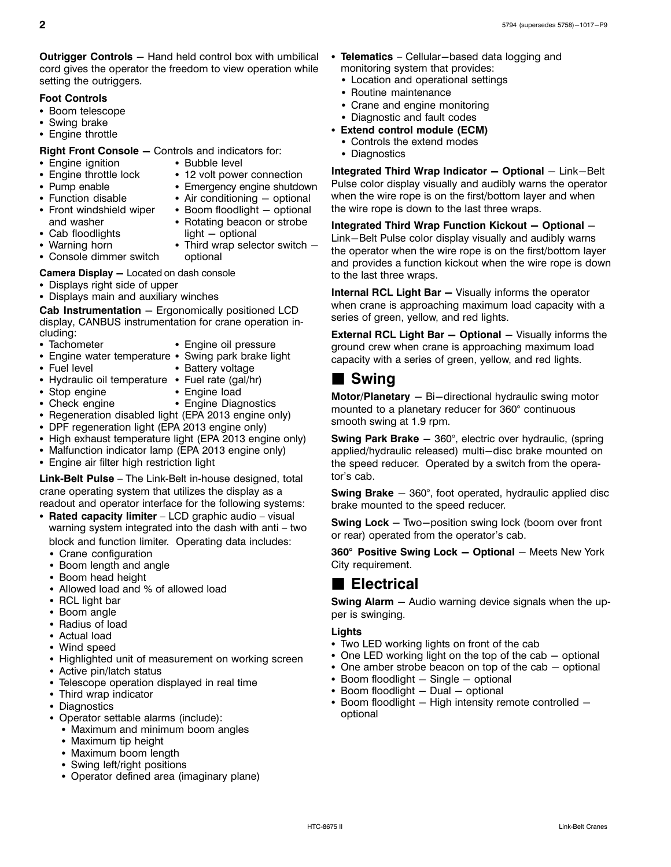<span id="page-6-0"></span>**Outrigger Controls** - Hand held control box with umbilical cord gives the operator the freedom to view operation while setting the outriggers.

#### **Foot Controls**

- Boom telescope
- Swing brake
- Engine throttle

**Right Front Console - Controls and indicators for:** 

- Engine ignition •
- Bubble level • Engine throttle lock • • 12 volt power connection
- Pump enable Emergency engine shutdown
- Function disable •
- Front windshield wiper and washer
- $\bullet$  Boom floodlight  $-$  optional • Rotating beacon or strobe • Cab floodlights light - optional

 $\bullet$  Air conditioning  $-$  optional

- Warning horn
	- $\bullet$  Third wrap selector switch  $-$
- Console dimmer switch optional
	-
- **Camera Display Located on dash console** - Displays right side of upper
- Displays main and auxiliary winches

**Cab Instrumentation** - Ergonomically positioned LCD display, CANBUS instrumentation for crane operation including:

- Tachometer •
	- Engine oil pressure
- 
- Engine water temperature Swing park brake light
- Fuel level -
	- Battery voltage
- Hydraulic oil temperature Fuel rate (gal/hr) • Stop engine • •
	- Engine load
- Check engine •
- Engine Diagnostics
- Regeneration disabled light (EPA 2013 engine only)
- DPF regeneration light (EPA 2013 engine only)
- High exhaust temperature light (EPA 2013 engine only)
- Malfunction indicator lamp (EPA 2013 engine only)
- Engine air filter high restriction light

**Link-Belt Pulse** – The Link-Belt in-house designed, total crane operating system that utilizes the display as a readout and operator interface for the following systems:

- **Rated capacity limiter** LCD graphic audio visual warning system integrated into the dash with anti – two block and function limiter. Operating data includes:
	- Crane configuration
	- Boom length and angle
	- -Boom head height
	- -Allowed load and % of allowed load
	- -RCL light bar
	- $\bullet$ Boom angle
	- -Radius of load
	- -Actual load
	- -Wind speed
	- Highlighted unit of measurement on working screen
	- Active pin/latch status
	- -Telescope operation displayed in real time
	- Third wrap indicator
	- Diagnostics -
	- Operator settable alarms (include):
	- Maximum and minimum boom angles
	- Maximum tip height
	- Maximum boom length
	- Swing left/right positions
	- Operator defined area (imaginary plane)
- **Telematics** Cellular-based data logging and monitoring system that provides:
	- Location and operational settings
	- Routine maintenance
	- Crane and engine monitoring
	- Diagnostic and fault codes
- **Extend control module (ECM)**
	- Controls the extend modes
	- Diagnostics

**Integrated Third Wrap Indicator - Optional** - Link-Belt Pulse color display visually and audibly warns the operator when the wire rope is on the first/bottom layer and when the wire rope is down to the last three wraps.

**Integrated Third Wrap Function Kickout - Optional -**Link-Belt Pulse color display visually and audibly warns the operator when the wire rope is on the first/bottom layer and provides a function kickout when the wire rope is down to the last three wraps.

**Internal RCL Light Bar - Visually informs the operator** when crane is approaching maximum load capacity with a series of green, yellow, and red lights.

**External RCL Light Bar - Optional** - Visually informs the ground crew when crane is approaching maximum load capacity with a series of green, yellow, and red lights.

## $\blacksquare$  Swing

**Motor/Planetary** - Bi-directional hydraulic swing motor mounted to a planetary reducer for 360° continuous smooth swing at 1.9 rpm.

**Swing Park Brake** – 360°, electric over hydraulic, (spring applied/hydraulic released) multi-disc brake mounted on the speed reducer. Operated by a switch from the operator's cab.

**Swing Brake** – 360°, foot operated, hydraulic applied disc brake mounted to the speed reducer.

**Swing Lock** – Two-position swing lock (boom over front or rear) operated from the operator's cab.

**360° Positive Swing Lock - Optional** - Meets New York City requirement.

## - **Electrical**

**Swing Alarm** – Audio warning device signals when the upper is swinging.

#### **Lights**

- Two LED working lights on front of the cab
- One LED working light on the top of the cab optional
- One amber strobe beacon on top of the cab optional
- Boom floodlight Single optional
- Boom floodlight Dual optional
- Boom floodlight High intensity remote controlled optional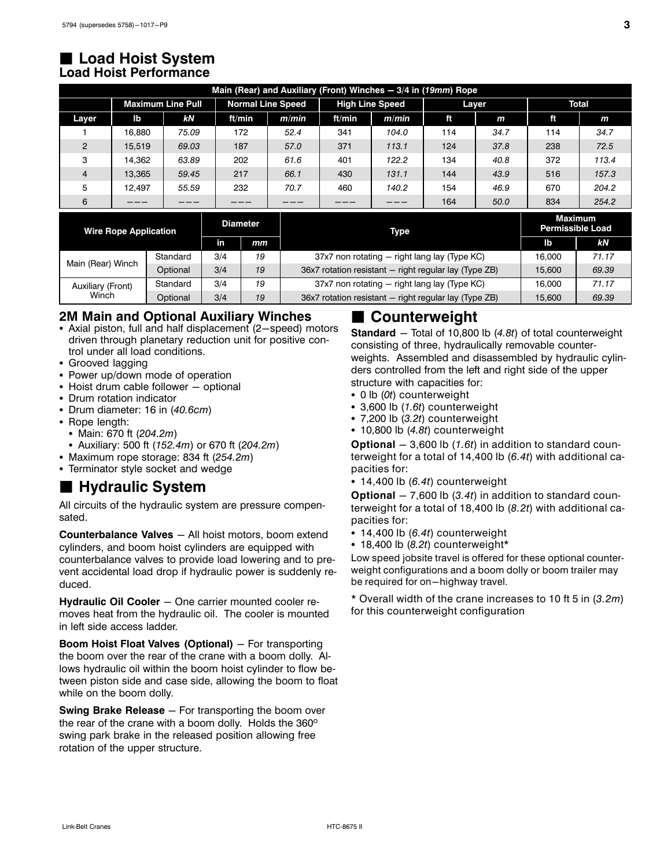### <span id="page-7-0"></span>- **Load Hoist System Load Hoist Performance**

|                   | Main (Rear) and Auxiliary (Front) Winches $-3/4$ in (19mm) Rope                         |          |     |                 |       |                                              |                                                       |     |              |        |                                           |  |  |
|-------------------|-----------------------------------------------------------------------------------------|----------|-----|-----------------|-------|----------------------------------------------|-------------------------------------------------------|-----|--------------|--------|-------------------------------------------|--|--|
|                   | <b>Normal Line Speed</b><br><b>High Line Speed</b><br><b>Maximum Line Pull</b><br>Layer |          |     |                 |       |                                              |                                                       |     |              | Total  |                                           |  |  |
| Layer             | lb                                                                                      | kΝ       |     | ft/min          | m/min | ft/min                                       | m/min                                                 | ft  | $\mathbf{m}$ | ft     | $\mathbf{m}$                              |  |  |
|                   | 16,880                                                                                  | 75.09    |     | 172             | 52.4  | 341                                          | 104.0                                                 | 114 | 34.7         | 114    | 34.7                                      |  |  |
| 2                 | 15,519                                                                                  | 69.03    |     | 187             | 57.0  | 371                                          | 113.1                                                 | 124 | 37.8         | 238    | 72.5                                      |  |  |
| 3                 | 14,362                                                                                  | 63.89    |     | 202             | 61.6  | 401                                          | 122.2                                                 | 134 | 40.8         | 372    | 113.4                                     |  |  |
| 4                 | 13,365                                                                                  | 59.45    |     | 217             | 66.1  | 430                                          | 131.1                                                 | 144 | 43.9         | 516    | 157.3                                     |  |  |
| 5                 | 12,497                                                                                  | 55.59    |     | 232             | 70.7  | 460                                          | 140.2                                                 | 154 | 46.9         | 670    | 204.2                                     |  |  |
| 6                 |                                                                                         |          |     |                 |       |                                              |                                                       | 164 | 50.0         | 834    | 254.2                                     |  |  |
|                   | <b>Wire Rope Application</b>                                                            |          |     | <b>Diameter</b> |       | <b>Type</b>                                  |                                                       |     |              |        | <b>Maximum</b><br><b>Permissible Load</b> |  |  |
|                   |                                                                                         |          | in  | mm              |       |                                              |                                                       |     |              | Ib     | <b>kN</b>                                 |  |  |
| Main (Rear) Winch |                                                                                         | Standard | 3/4 | 19              |       |                                              | 37x7 non rotating – right lang lay (Type KC)          |     |              | 16,000 | 71.17                                     |  |  |
|                   |                                                                                         | Optional | 3/4 | 19              |       |                                              | 36x7 rotation resistant – right regular lay (Type ZB) |     |              | 15,600 | 69.39                                     |  |  |
| Auxiliary (Front) |                                                                                         | Standard | 3/4 | 19              |       | 37x7 non rotating – right lang lay (Type KC) |                                                       |     | 16.000       | 71.17  |                                           |  |  |
| Winch             |                                                                                         | Optional | 3/4 | 19              |       |                                              | 36x7 rotation resistant – right regular lay (Type ZB) |     |              | 15,600 | 69.39                                     |  |  |

### **2M Main and Optional Auxiliary Winches**

- Axial piston, full and half displacement (2-speed) motors driven through planetary reduction unit for positive control under all load conditions.
- Grooved lagging
- Power up/down mode of operation
- Hoist drum cable follower optional
- -Drum rotation indicator
- Drum diameter: 16 in (*40.6cm*)
- Rope length:
	- Main: 670 ft (*204.2m*)
- Auxiliary: 500 ft (*152.4m*) or 670 ft (*204.2m*)
- Maximum rope storage: 834 ft (*254.2m*)
- Terminator style socket and wedge

### $\blacksquare$  **Hydraulic System**

All circuits of the hydraulic system are pressure compensated.

**Counterbalance Valves** - All hoist motors, boom extend cylinders, and boom hoist cylinders are equipped with counterbalance valves to provide load lowering and to prevent accidental load drop if hydraulic power is suddenly reduced.

Hydraulic Oil Cooler - One carrier mounted cooler removes heat from the hydraulic oil. The cooler is mounted in left side access ladder.

**Boom Hoist Float Valves (Optional)** - For transporting the boom over the rear of the crane with a boom dolly. Allows hydraulic oil within the boom hoist cylinder to flow between piston side and case side, allowing the boom to float while on the boom dolly.

**Swing Brake Release** – For transporting the boom over the rear of the crane with a boom dolly. Holds the 360º swing park brake in the released position allowing free rotation of the upper structure.

## $\blacksquare$  Counterweight

**Standard** - Total of 10,800 lb (4.8t) of total counterweight consisting of three, hydraulically removable counterweights. Assembled and disassembled by hydraulic cylinders controlled from the left and right side of the upper structure with capacities for:

- 0 lb (0t) counterweight<br>• 3 600 lb (1 6t) countery
- 3,600 lb (*1.6t*) counterweight
- 7,200 lb (*3.2t*) counterweight
- 10,800 lb (*4.8t*) counterweight

**Optional** - 3,600 lb (*1.6t*) in addition to standard counterweight for a total of 14,400 lb (*6.4t*) with additional capacities for:

• 14,400 lb (6.4t) counterweight<br>Ontional 7,600 lb (2.4t) in add

**Optional** - 7,600 lb (*3.4t*) in addition to standard counterweight for a total of 18,400 lb (*8.2t*) with additional capacities for:

- 14,400 lb (*6.4t*) counterweight
- 18,400 lb (*8.2t*) counterweight\*

Low speed jobsite travel is offered for these optional counterweight configurations and a boom dolly or boom trailer may be required for on-highway travel.

\* Overall width of the crane increases to 10 ft 5 in (*3.2m*) for this counterweight configuration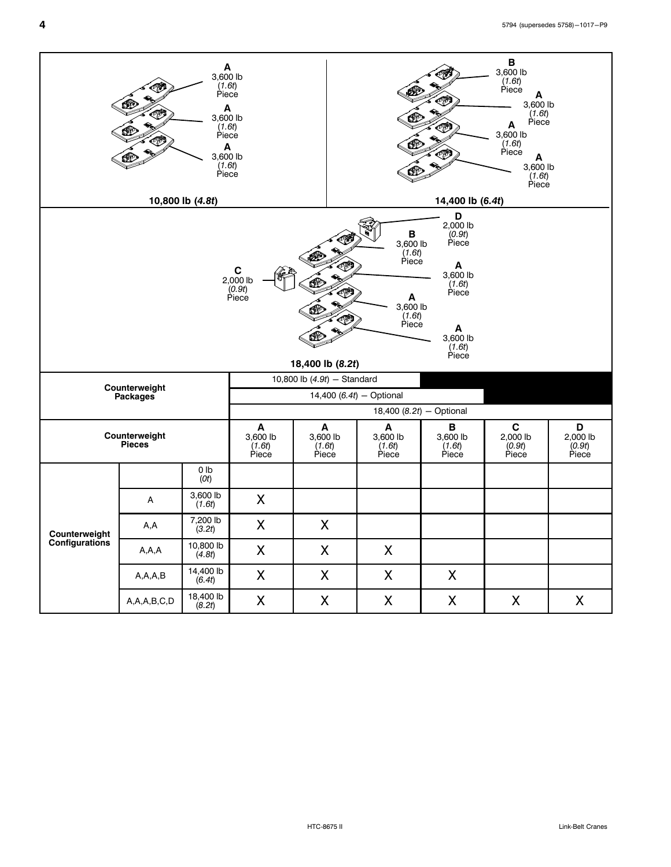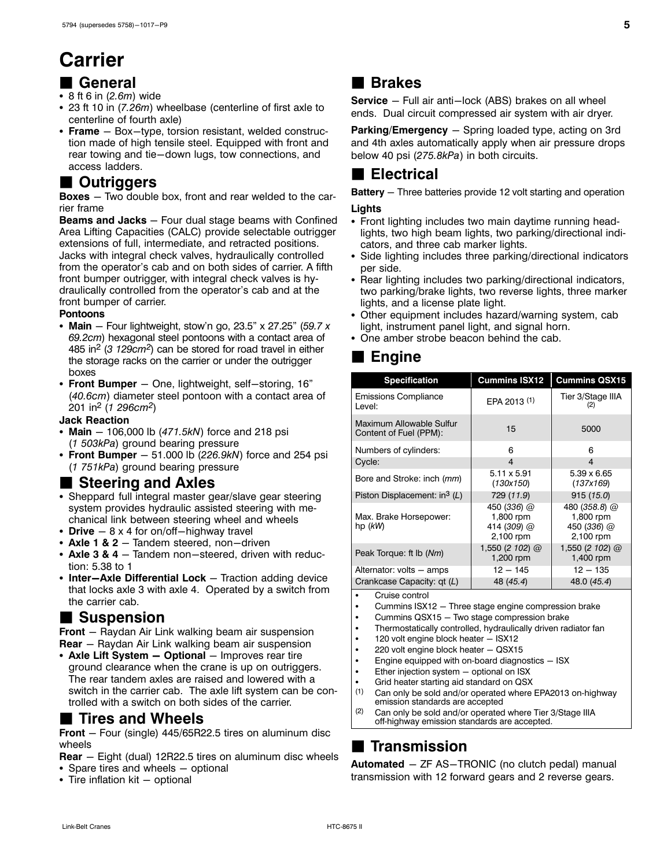## <span id="page-9-0"></span>**Carrier**

#### ■ General **General**<br>• 8 ft 6 in (2.6m)

- 8 ft 6 in (*2.6m*) wide • 23 ft 10 in (7.26*m*) wheelbase (centerline of first axle to<br>centerline of fourth axle) centerline of fourth axle)
- **Frame** Box-type, torsion resistant, welded construction made of high tensile steel. Equipped with front and rear towing and tie-down lugs, tow connections, and access ladders.

## $\blacksquare$  Outriggers

**Boxes** - Two double box, front and rear welded to the carrier frame

**Beams and Jacks** - Four dual stage beams with Confined Area Lifting Capacities (CALC) provide selectable outrigger extensions of full, intermediate, and retracted positions. Jacks with integral check valves, hydraulically controlled from the operator's cab and on both sides of carrier. A fifth front bumper outrigger, with integral check valves is hydraulically controlled from the operator's cab and at the front bumper of carrier.

#### **Pontoons**

- **Main** Four lightweight, stow'n go, 23.5" x 27.25" (59.7 x 69.7 x 27.25") *69.2cm*) hexagonal steel pontoons with a contact area of 485 in2 (*3 129cm2*) can be stored for road travel in either the storage racks on the carrier or under the outrigger boxes
- Front Bumper One, lightweight, self-storing, 16" (*40.6cm*) diameter steel pontoon with a contact area of 201 in2 (*1 296cm2*)

#### **Jack Reaction**

- **Main** 106,000 lb (471.5kN) force and 218 psi<br>(1.503kPa) ground bearing pressure (*1 503kPa*) ground bearing pressure
- **Front Bumper** 51.000 lb (*226.9kN*) force and 254 psi (*1 751kPa*) ground bearing pressure

## **Steering and Axles**<br>• Sheppard full integral master g

- Sheppard full integral master gear/slave gear steering system provides hydraulic assisted steering with mechanical link between steering wheel and wheels
- Drive 8 x 4 for on/off-highway travel
- Axle 1 & 2 Tandem steered, non-driven
- -Axle 3 & 4 - Tandem non-steered, driven with reduction: 5.38 to 1
- Inter-Axle Differential Lock Traction adding device that locks axle 3 with axle 4. Operated by a switch from the carrier cab.

### - **Suspension**

**Front** - Raydan Air Link walking beam air suspension **Rear** - Raydan Air Link walking beam air suspension

• Axle Lift System - Optional - Improves rear tire ground clearance when the crane is up on outriggers. The rear tandem axles are raised and lowered with a switch in the carrier cab. The axle lift system can be controlled with a switch on both sides of the carrier.

### $\blacksquare$  **Tires and Wheels**

**Front** - Four (single) 445/65R22.5 tires on aluminum disc wheels

- **Rear** Eight (dual) 12R22.5 tires on aluminum disc wheels
- Spare tires and wheels optional
- Tire inflation kit optional

## - **Brakes**

**Service** - Full air anti-lock (ABS) brakes on all wheel ends. Dual circuit compressed air system with air dryer.

Parking/Emergency - Spring loaded type, acting on 3rd and 4th axles automatically apply when air pressure drops below 40 psi (*275.8kPa*) in both circuits.

### - **Electrical**

**Battery** - Three batteries provide 12 volt starting and operation

#### **Lights**

- Front lighting includes two main daytime running headlights, two high beam lights, two parking/directional indicators, and three cab marker lights.
- Side lighting includes three parking/directional indicators per side.
- Rear lighting includes two parking/directional indicators, two parking/brake lights, two reverse lights, three marker lights, and a license plate light.
- Other equipment includes hazard/warning system, cab light, instrument panel light, and signal horn.
- One amber strobe beacon behind the cab.

### **Engine**

| <b>Specification</b>                               | <b>Cummins ISX12</b>                                 | <b>Cummins QSX15</b>                                   |
|----------------------------------------------------|------------------------------------------------------|--------------------------------------------------------|
| <b>Emissions Compliance</b><br>Level:              | EPA 2013 <sup>(1)</sup>                              | Tier 3/Stage IIIA<br>(2)                               |
| Maximum Allowable Sulfur<br>Content of Fuel (PPM): | 15                                                   | 5000                                                   |
| Numbers of cylinders:                              | 6                                                    | 6                                                      |
| Cycle:                                             | 4                                                    | 4                                                      |
| Bore and Stroke: inch (mm)                         | $5.11 \times 5.91$<br>(130x150)                      | $5.39 \times 6.65$<br>(137x169)                        |
| Piston Displacement: in <sup>3</sup> (L)           | 729 (11.9)                                           | 915(15.0)                                              |
| Max. Brake Horsepower:<br>hp $(kW)$                | 450 (336) @<br>1,800 rpm<br>414 (309) @<br>2,100 rpm | 480 (358.8) @<br>1,800 rpm<br>450 (336) @<br>2,100 rpm |
| Peak Torque: ft lb (Nm)                            | 1,550 (2 102) @<br>1,200 rpm                         | 1,550 (2 102) @<br>1,400 rpm                           |
| Alternator: volts - amps                           | $12 - 145$                                           | $12 - 135$                                             |
| Crankcase Capacity: qt (L)                         | 48 (45.4)                                            | 48.0 (45.4)                                            |

-Cruise control

- -Cummins ISX12 - Three stage engine compression brake
- $\bullet$ Cummins QSX15 - Two stage compression brake
- -Thermostatically controlled, hydraulically driven radiator fan
- -120 volt engine block heater  $-$  ISX12
- -220 volt engine block heater  $-$  QSX15
- -Engine equipped with on-board diagnostics  $-$  ISX
- -Ether injection system  $-$  optional on ISX
- -Grid heater starting aid standard on QSX<br>(1) Can only be sold and/or operated where
- Can only be sold and/or operated where EPA2013 on-highway emission standards are accepted
- (2) Can only be sold and/or operated where Tier 3/Stage IIIA off‐highway emission standards are accepted.

## - **Transmission**

Automated - ZF AS-TRONIC (no clutch pedal) manual transmission with 12 forward gears and 2 reverse gears.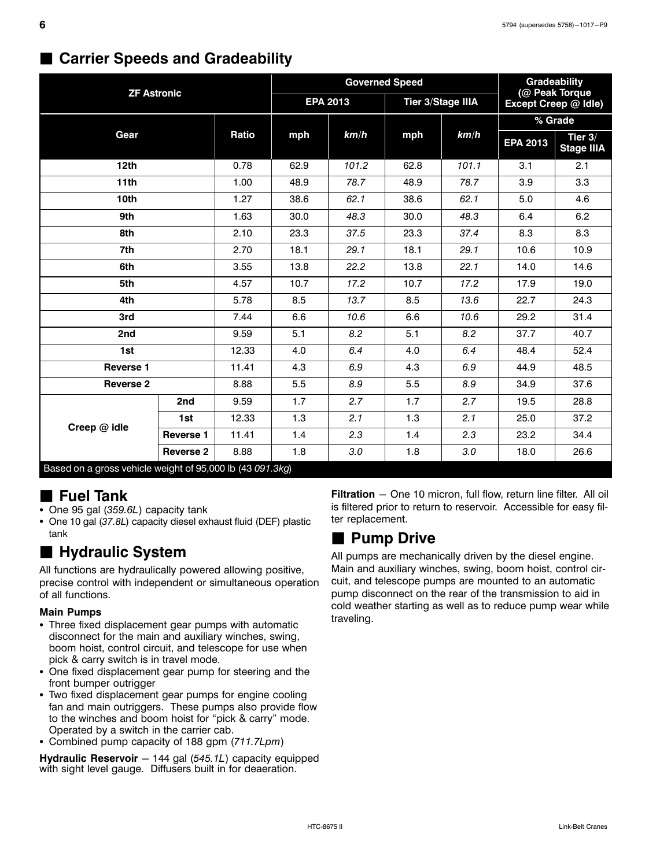|                                                           |                  |       |      | <b>Governed Speed</b> | Gradeability<br>(@ Peak Torque |                          |                      |                                |
|-----------------------------------------------------------|------------------|-------|------|-----------------------|--------------------------------|--------------------------|----------------------|--------------------------------|
| <b>ZF Astronic</b>                                        |                  |       |      | <b>EPA 2013</b>       |                                | <b>Tier 3/Stage IIIA</b> | Except Creep @ Idle) |                                |
|                                                           |                  |       |      |                       |                                |                          | % Grade              |                                |
| Gear                                                      |                  | Ratio | mph  | km/h                  | mph                            | km/h                     | <b>EPA 2013</b>      | Tier $3/$<br><b>Stage IIIA</b> |
| 12 <sub>th</sub>                                          |                  | 0.78  | 62.9 | 101.2                 | 62.8                           | 101.1                    | 3.1                  | 2.1                            |
| 11th                                                      |                  | 1.00  | 48.9 | 78.7                  | 48.9                           | 78.7                     | 3.9                  | 3.3                            |
| 10th                                                      |                  | 1.27  | 38.6 | 62.1                  | 38.6                           | 62.1                     | 5.0                  | 4.6                            |
| 9th                                                       |                  | 1.63  | 30.0 | 48.3                  | 30.0                           | 48.3                     | 6.4                  | 6.2                            |
| 8th                                                       |                  | 2.10  | 23.3 | 37.5                  | 23.3                           | 37.4                     | 8.3                  | 8.3                            |
| 7th                                                       |                  | 2.70  | 18.1 | 29.1                  | 18.1                           | 29.1                     | 10.6                 | 10.9                           |
| 6th                                                       |                  | 3.55  | 13.8 | 22.2                  | 13.8                           | 22.1                     | 14.0                 | 14.6                           |
| 5th                                                       |                  | 4.57  | 10.7 | 17.2                  | 10.7                           | 17.2                     | 17.9                 | 19.0                           |
| 4th                                                       |                  | 5.78  | 8.5  | 13.7                  | 8.5                            | 13.6                     | 22.7                 | 24.3                           |
| 3rd                                                       |                  | 7.44  | 6.6  | 10.6                  | 6.6                            | 10.6                     | 29.2                 | 31.4                           |
| 2nd                                                       |                  | 9.59  | 5.1  | 8.2                   | 5.1                            | 8.2                      | 37.7                 | 40.7                           |
| 1st                                                       |                  | 12.33 | 4.0  | 6.4                   | 4.0                            | 6.4                      | 48.4                 | 52.4                           |
| <b>Reverse 1</b>                                          |                  | 11.41 | 4.3  | 6.9                   | 4.3                            | 6.9                      | 44.9                 | 48.5                           |
| <b>Reverse 2</b>                                          |                  | 8.88  | 5.5  | 8.9                   | 5.5                            | 8.9                      | 34.9                 | 37.6                           |
|                                                           | 2nd              | 9.59  | 1.7  | 2.7                   | 1.7                            | 2.7                      | 19.5                 | 28.8                           |
|                                                           | 1st              | 12.33 | 1.3  | 2.1                   | 1.3                            | 2.1                      | 25.0                 | 37.2                           |
| Creep $@$ idle                                            | Reverse 1        | 11.41 | 1.4  | 2.3                   | 1.4                            | 2.3                      | 23.2                 | 34.4                           |
|                                                           | <b>Reverse 2</b> | 8.88  | 1.8  | 3.0                   | 1.8                            | 3.0                      | 18.0                 | 26.6                           |
| Based on a gross vehicle weight of 95,000 lb (43,091,3kg) |                  |       |      |                       |                                |                          |                      |                                |

### <span id="page-10-0"></span>**Carrier Speeds and Gradeability**

Based on a gross vehicle weight of 95,000 lb (43 *091.3kg*)

## **Fuel Tank**<br>• One 95 gal (359.

- One 95 gal (*359.6L*) capacity tank
- One 10 gal (*37.8L*) capacity diesel exhaust fluid (DEF) plastic tank

## $\blacksquare$  **Hydraulic System**

All functions are hydraulically powered allowing positive, precise control with independent or simultaneous operation of all functions.

#### **Main Pumps**

- Three fixed displacement gear pumps with automatic disconnect for the main and auxiliary winches, swing, boom hoist, control circuit, and telescope for use when pick & carry switch is in travel mode.
- One fixed displacement gear pump for steering and the front bumper outrigger
- Two fixed displacement gear pumps for engine cooling fan and main outriggers. These pumps also provide flow to the winches and boom hoist for "pick & carry" mode. Operated by a switch in the carrier cab.
- Combined pump capacity of 188 gpm (*711.7Lpm*)

**Hydraulic Reservoir** - 144 gal (545.1L) capacity equipped with sight level gauge. Diffusers built in for deaeration.

**Filtration** - One 10 micron, full flow, return line filter. All oil is filtered prior to return to reservoir. Accessible for easy filter replacement.

## **Pump Drive**

All pumps are mechanically driven by the diesel engine. Main and auxiliary winches, swing, boom hoist, control circuit, and telescope pumps are mounted to an automatic pump disconnect on the rear of the transmission to aid in cold weather starting as well as to reduce pump wear while traveling.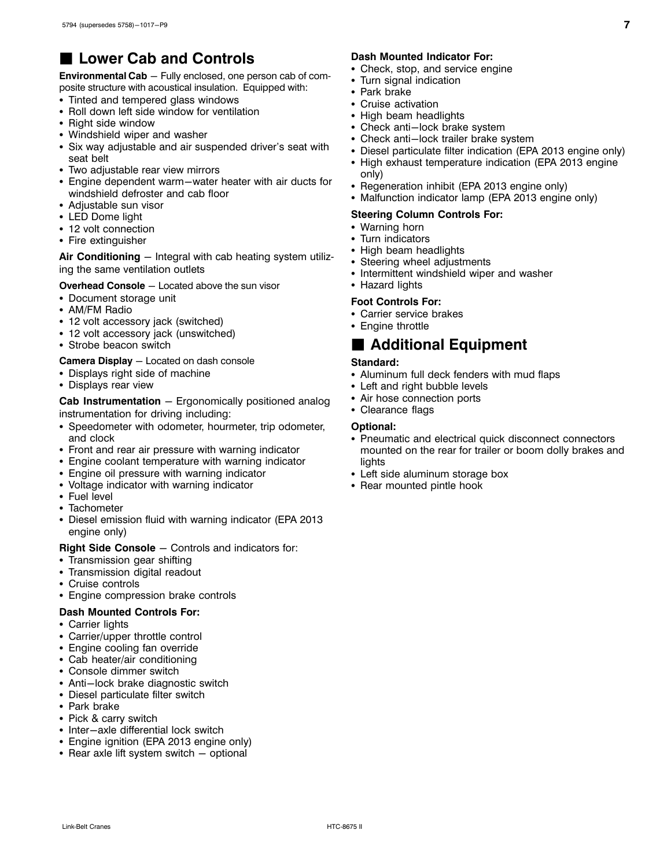## <span id="page-11-0"></span>**E** Lower Cab and Controls

**Environmental Cab** - Fully enclosed, one person cab of composite structure with acoustical insulation. Equipped with:

- Tinted and tempered glass windows
- Roll down left side window for ventilation
- Right side window
- Windshield wiper and washer
- Six way adjustable and air suspended driver's seat with seat belt
- Two adjustable rear view mirrors
- Engine dependent warm-water heater with air ducts for windshield defroster and cab floor
- Adjustable sun visor
- LED Dome light
- 12 volt connection
- Fire extinguisher

Air Conditioning – Integral with cab heating system utilizing the same ventilation outlets

**Overhead Console** - Located above the sun visor

- Document storage unit
- AM/FM Radio
- 12 volt accessory jack (switched)
- 12 volt accessory jack (unswitched)
- Strobe beacon switch

#### **Camera Display** - Located on dash console

- Displays right side of machine
- Displays rear view

**Cab Instrumentation** – Ergonomically positioned analog instrumentation for driving including:

- Speedometer with odometer, hourmeter, trip odometer, and clock
- Front and rear air pressure with warning indicator
- Engine coolant temperature with warning indicator
- -Engine oil pressure with warning indicator
- -Voltage indicator with warning indicator
- Fuel level
- Tachometer
- Diesel emission fluid with warning indicator (EPA 2013 engine only)

**Right Side Console** - Controls and indicators for:

- Transmission gear shifting
- Transmission digital readout
- Cruise controls
- Engine compression brake controls

#### **Dash Mounted Controls For:**

- Carrier lights
- Carrier/upper throttle control
- Engine cooling fan override
- Cab heater/air conditioning
- Console dimmer switch
- Anti-lock brake diagnostic switch
- Diesel particulate filter switch
- Park brake
- Pick & carry switch
- Inter-axle differential lock switch
- Engine ignition (EPA 2013 engine only)
- Rear axle lift system switch optional

#### **Dash Mounted Indicator For:**

- Check, stop, and service engine
- -Turn signal indication
- Park brake
- Cruise activation
- High beam headlights
- Check anti-lock brake system • Check anti-lock trailer brake system
- 
- Diesel particulate filter indication (EPA 2013 engine only)
- High exhaust temperature indication (EPA 2013 engine only)
- Regeneration inhibit (EPA 2013 engine only)
- Malfunction indicator lamp (EPA 2013 engine only)

#### **Steering Column Controls For:**

- Warning horn
- Turn indicators
- High beam headlights
- Steering wheel adjustments
- Intermittent windshield wiper and washer
- Hazard lights

#### **Foot Controls For:**

- Carrier service brakes
- Engine throttle

### **E** Additional Equipment

#### **Standard:**

- Aluminum full deck fenders with mud flaps
- Left and right bubble levels
- Air hose connection ports
- Clearance flags

#### **Optional:**

- Pneumatic and electrical quick disconnect connectors mounted on the rear for trailer or boom dolly brakes and lights
- Left side aluminum storage box
- Rear mounted pintle hook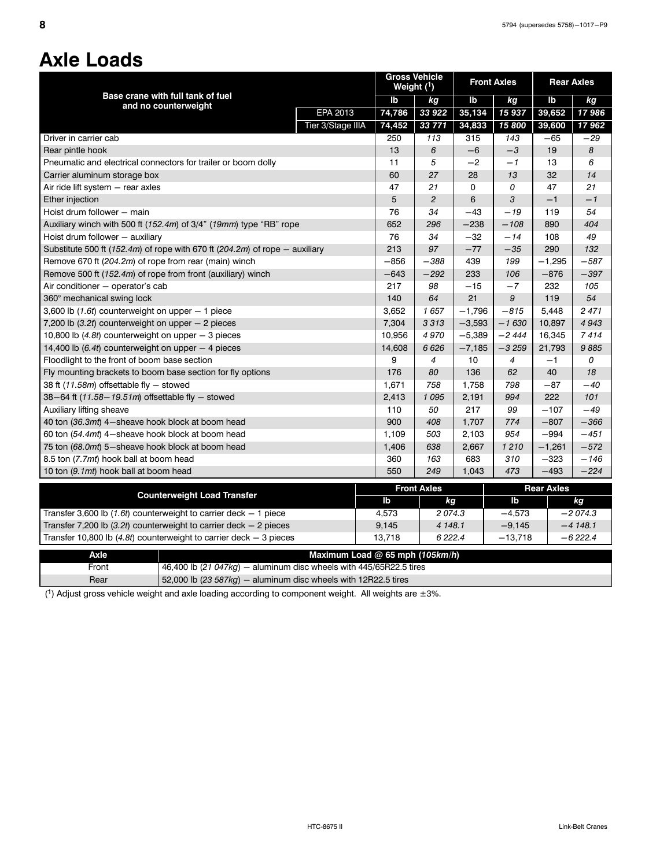## <span id="page-12-0"></span>**Axle Loads**

|                                                                                                                                                              |                                 | Weight $(1)$ | <b>Gross Vehicle</b> |             | <b>Front Axles</b> |                   | <b>Rear Axles</b> |
|--------------------------------------------------------------------------------------------------------------------------------------------------------------|---------------------------------|--------------|----------------------|-------------|--------------------|-------------------|-------------------|
| Base crane with full tank of fuel<br>and no counterweight                                                                                                    |                                 | lb           | kq                   | lb          | kq                 | lb                | kg                |
|                                                                                                                                                              | <b>EPA 2013</b>                 | 74,786       | 33 922               | 35,134      | 15 937             | 39,652            | 17986             |
|                                                                                                                                                              | Tier 3/Stage IIIA               | 74,452       | 33 771               | 34,833      | 15 800             | 39,600            | 17962             |
| Driver in carrier cab                                                                                                                                        |                                 | 250          | 113                  | 315         | 143                | $-65$             | $-29$             |
| Rear pintle hook                                                                                                                                             |                                 | 13           | 6                    | $-6$        | $-3$               | 19                | 8                 |
| Pneumatic and electrical connectors for trailer or boom dolly                                                                                                |                                 | 11           | 5                    | $-2$        | $-1$               | 13                | 6                 |
| Carrier aluminum storage box                                                                                                                                 |                                 | 60           | 27                   | 28          | 13                 | 32                | 14                |
| Air ride lift system - rear axles                                                                                                                            |                                 | 47           | 21                   | $\mathbf 0$ | 0                  | 47                | 21                |
| Ether injection                                                                                                                                              |                                 | 5            | $\overline{c}$       | 6           | 3                  | $-1$              | $-1$              |
| Hoist drum follower - main                                                                                                                                   |                                 | 76           | 34                   | $-43$       | $-19$              | 119               | 54                |
| Auxiliary winch with 500 ft (152.4m) of 3/4" (19mm) type "RB" rope                                                                                           |                                 | 652          | 296                  | $-238$      | $-108$             | 890               | 404               |
| Hoist drum follower - auxiliary                                                                                                                              |                                 | 76           | 34                   | $-32$       | $-14$              | 108               | 49                |
| Substitute 500 ft (152.4m) of rope with 670 ft (204.2m) of rope $-$ auxiliary                                                                                |                                 | 213          | 97                   | $-77$       | $-35$              | 290               | 132               |
| Remove 670 ft (204.2m) of rope from rear (main) winch                                                                                                        |                                 | $-856$       | $-388$               | 439         | 199                | $-1,295$          | $-587$            |
| Remove 500 ft (152.4m) of rope from front (auxiliary) winch                                                                                                  |                                 | $-643$       | $-292$               | 233         | 106                | $-876$            | $-397$            |
| Air conditioner - operator's cab                                                                                                                             |                                 | 217          | 98                   | $-15$       | $-7$               | 232               | 105               |
| 360° mechanical swing lock                                                                                                                                   |                                 | 140          | 64                   | 21          | $\boldsymbol{9}$   | 119               | 54                |
| 3,600 lb (1.6t) counterweight on upper - 1 piece                                                                                                             |                                 | 3,652        | 1657                 | $-1,796$    | $-815$             | 5,448             | 2471              |
| 7,200 lb $(3.2t)$ counterweight on upper $-2$ pieces                                                                                                         |                                 | 7,304        | 3313                 | $-3,593$    | $-1630$            | 10,897            | 4943              |
| 10,800 lb (4.8t) counterweight on upper - 3 pieces                                                                                                           |                                 | 10,956       | 4970                 | $-5,389$    | $-2444$            | 16,345            | 7414              |
| 14,400 lb (6.4t) counterweight on upper $-$ 4 pieces                                                                                                         |                                 | 14,608       | 6626                 | $-7,185$    | $-3259$            | 21,793            | 9885              |
| Floodlight to the front of boom base section                                                                                                                 |                                 | 9            | 4                    | 10          | 4                  | $-1$              | 0                 |
| Fly mounting brackets to boom base section for fly options                                                                                                   |                                 | 176          | 80                   | 136         | 62                 | 40                | 18                |
| 38 ft (11.58m) offsettable fly $-$ stowed                                                                                                                    |                                 | 1,671        | 758                  | 1,758       | 798                | $-87$             | $-40$             |
| 38-64 ft (11.58-19.51m) offsettable fly - stowed                                                                                                             |                                 | 2,413        | 1095                 | 2,191       | 994                | 222               | 101               |
| Auxiliary lifting sheave                                                                                                                                     |                                 | 110          | 50                   | 217         | 99                 | $-107$            | $-49$             |
| 40 ton (36.3mt) 4-sheave hook block at boom head                                                                                                             |                                 | 900          | 408                  | 1,707       | 774                | $-807$            | $-366$            |
| 60 ton (54.4mt) 4-sheave hook block at boom head                                                                                                             |                                 | 1,109        | 503                  | 2,103       | 954                | $-994$            | $-451$            |
| 75 ton (68.0mt) 5-sheave hook block at boom head                                                                                                             |                                 | 1,406        | 638                  | 2,667       | 1210               | $-1,261$          | $-572$            |
| 8.5 ton (7.7mt) hook ball at boom head                                                                                                                       |                                 | 360          | 163                  | 683         | 310                | $-323$            | $-146$            |
| 10 ton (9.1mt) hook ball at boom head                                                                                                                        |                                 | 550          | 249                  | 1,043       | 473                | $-493$            | $-224$            |
|                                                                                                                                                              |                                 |              | <b>Front Axles</b>   |             |                    | <b>Rear Axles</b> |                   |
| <b>Counterweight Load Transfer</b>                                                                                                                           |                                 | Ib           | kg                   |             | lb                 |                   | kg                |
| Transfer 3,600 lb $(1.6t)$ counterweight to carrier deck $-1$ piece                                                                                          |                                 | 4,573        | 2074.3               |             | $-4,573$           |                   | $-2074.3$         |
| Transfer 7,200 lb (3.2t) counterweight to carrier deck $-2$ pieces                                                                                           |                                 | 9,145        | 4 148.1              |             | $-9,145$           |                   | $-4$ 148.1        |
| Transfer 10,800 lb $(4.8t)$ counterweight to carrier deck $-3$ pieces                                                                                        |                                 | 13,718       | 6 2 2 2.4            |             | $-13,718$          |                   | $-6222.4$         |
| Axle                                                                                                                                                         | Maximum Load @ 65 mph (105km/h) |              |                      |             |                    |                   |                   |
| 46,400 lb (21 047kg) - aluminum disc wheels with 445/65R22.5 tires<br>Front                                                                                  |                                 |              |                      |             |                    |                   |                   |
| $FQ$ , $QQ$ , $H_1$ , $fQQ$ , $FQ$ , $H_2$ , $H_2$ , $H_3$ , $H_4$ , $H_5$ , $H_5$ , $H_6$ , $H_7$ , $H_8$ , $H_9$ , $H_9$ , $H_9$ , $H_9$ , $H_9$<br>$\sim$ |                                 |              |                      |             |                    |                   |                   |

Rear 52,000 lb (23 587kg) - aluminum disc wheels with 12R22.5 tires

(1) Adjust gross vehicle weight and axle loading according to component weight. All weights are  $\pm 3$ %.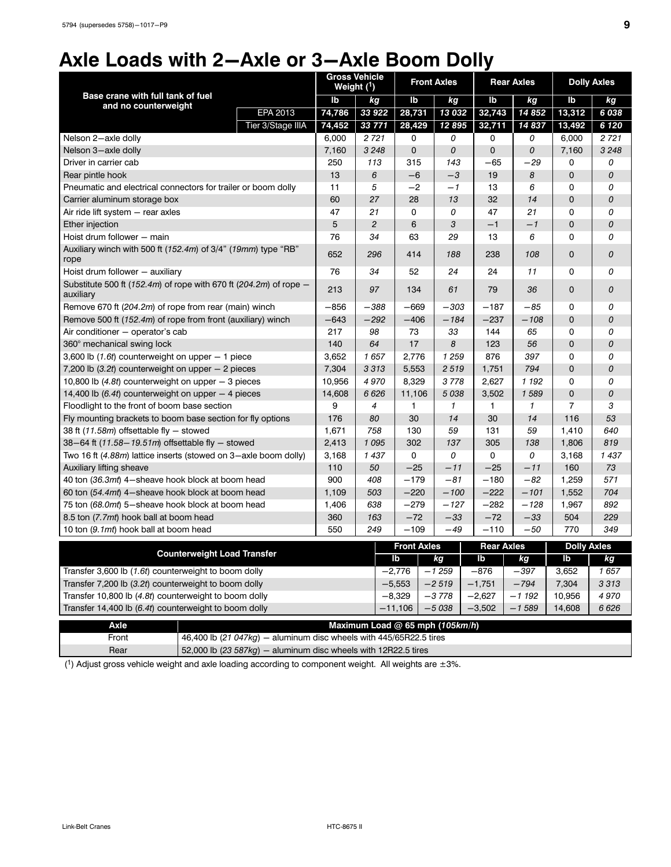## <span id="page-13-0"></span>**Axle Loads with 2-Axle or 3-Axle Boom Dolly**

|                                                                                |                                                                    | Weight $(1)$ | <b>Gross Vehicle</b> |                                 | <b>Front Axles</b> |                   | <b>Rear Axles</b> |                    | <b>Dolly Axles</b> |
|--------------------------------------------------------------------------------|--------------------------------------------------------------------|--------------|----------------------|---------------------------------|--------------------|-------------------|-------------------|--------------------|--------------------|
| Base crane with full tank of fuel                                              |                                                                    | Ib           | kq                   | lb                              | kg                 | Ib                | kg                | lb                 | kg                 |
| and no counterweight                                                           | <b>EPA 2013</b>                                                    | 74.786       | 33 922               | 28,731                          | 13 032             | 32,743            | 14 852            | 13,312             | 6038               |
|                                                                                | Tier 3/Stage IIIA                                                  | 74,452       | 33 771               | 28,429                          | 12 895             | 32,711            | 14837             | 13,492             | 6 1 2 0            |
| Nelson 2-axle dolly                                                            |                                                                    | 6,000        | 2721                 | 0                               | 0                  | 0                 | 0                 | 6,000              | 2721               |
| Nelson 3-axle dolly                                                            |                                                                    | 7,160        | 3 2 4 8              | $\mathbf 0$                     | 0                  | $\mathbf{0}$      | $\boldsymbol{O}$  | 7,160              | 3248               |
| Driver in carrier cab                                                          |                                                                    | 250          | 113                  | 315                             | 143                | -65               | $-29$             | 0                  | 0                  |
| Rear pintle hook                                                               |                                                                    | 13           | 6                    | $-6$                            | $-3$               | 19                | 8                 | $\mathbf 0$        | 0                  |
| Pneumatic and electrical connectors for trailer or boom dolly                  |                                                                    | 11           | 5                    | $-2$                            | $-1$               | 13                | 6                 | 0                  | 0                  |
| Carrier aluminum storage box                                                   |                                                                    | 60           | 27                   | 28                              | 13                 | 32                | 14                | $\mathbf 0$        | 0                  |
| Air ride lift system - rear axles                                              |                                                                    | 47           | 21                   | 0                               | 0                  | 47                | 21                | 0                  | 0                  |
| Ether injection                                                                |                                                                    | 5            | $\overline{c}$       | 6                               | 3                  | $-1$              | $-1$              | $\mathbf 0$        | 0                  |
| Hoist drum follower - main                                                     |                                                                    | 76           | 34                   | 63                              | 29                 | 13                | 6                 | 0                  | 0                  |
| Auxiliary winch with 500 ft (152.4m) of 3/4" (19mm) type "RB"<br>rope          |                                                                    | 652          | 296                  | 414                             | 188                | 238               | 108               | $\mathbf 0$        | 0                  |
| Hoist drum follower - auxiliary                                                |                                                                    | 76           | 34                   | 52                              | 24                 | 24                | 11                | 0                  | 0                  |
| Substitute 500 ft (152.4m) of rope with 670 ft (204.2m) of rope -<br>auxiliary |                                                                    | 213          | 97                   | 134                             | 61                 | 79                | 36                | $\mathbf 0$        | 0                  |
| Remove 670 ft (204.2m) of rope from rear (main) winch                          |                                                                    | $-856$       | $-388$               | $-669$                          | $-303$             | $-187$            | $-85$             | 0                  | 0                  |
| Remove 500 ft (152.4m) of rope from front (auxiliary) winch                    |                                                                    | $-643$       | $-292$               | $-406$                          | $-184$             | $-237$            | $-108$            | $\mathbf 0$        | 0                  |
| Air conditioner - operator's cab                                               |                                                                    | 217          | 98                   | 73                              | 33                 |                   | 65                | 0                  | 0                  |
| 360° mechanical swing lock                                                     |                                                                    | 140          | 64                   | 17                              | 8                  | 123               | 56                | $\mathbf 0$        | 0                  |
| 3,600 lb $(1.6t)$ counterweight on upper $-1$ piece                            |                                                                    | 3,652        | 1657                 | 2,776                           | 1259<br>876        |                   | 397               | 0                  | 0                  |
| 7,200 lb $(3.2t)$ counterweight on upper $-2$ pieces                           |                                                                    | 7,304        | 3313                 | 5,553                           | 2519               | 1,751             | 794               | $\mathbf 0$        | 0                  |
| 10,800 lb $(4.8t)$ counterweight on upper $-3$ pieces                          |                                                                    | 10,956       | 4970                 | 8,329                           | 3778               |                   | 1 1 9 2           | 0                  | 0                  |
| 14,400 lb $(6.4t)$ counterweight on upper $-4$ pieces                          |                                                                    | 14,608       | 6626                 | 11,106                          | 5038               | 3,502             | 1589              | $\mathbf 0$        | 0                  |
| Floodlight to the front of boom base section                                   |                                                                    | 9            | 4                    | $\mathbf{1}$                    | 1                  | 1                 | $\mathcal I$      | $\overline{7}$     | 3                  |
| Fly mounting brackets to boom base section for fly options                     |                                                                    | 176          | 80                   | 30                              | 14                 | 30                | 14                | 116                | 53                 |
| 38 ft (11.58m) offsettable fly - stowed                                        |                                                                    | 1,671        | 758                  | 130                             | 59                 | 131               | 59                | 1,410              | 640                |
| 38-64 ft (11.58-19.51m) offsettable fly - stowed                               |                                                                    | 2,413        | 1095                 | 302                             | 137                | 305               | 138               | 1,806              | 819                |
| Two 16 ft (4.88m) lattice inserts (stowed on 3-axle boom dolly)                |                                                                    | 3,168        | 1437                 | 0                               | 0                  | 0                 | 0                 | 3,168              | 1 4 3 7            |
| Auxiliary lifting sheave                                                       |                                                                    | 110          | 50                   | $-25$                           | $-11$              | $-25$             | $-11$             | 160                | 73                 |
| 40 ton (36.3mt) 4-sheave hook block at boom head                               |                                                                    | 900          | 408                  | $-179$                          | $-81$              | $-180$            | $-82$             | 1,259              | 571                |
| 60 ton (54.4mt) 4-sheave hook block at boom head                               |                                                                    | 1,109        | 503                  | $-220$                          | $-100$             | $-222$            | $-101$            | 1,552              | 704                |
| 75 ton (68.0mt) 5-sheave hook block at boom head                               |                                                                    | 1,406        | 638                  | $-279$                          | $-127$             | $-282$            | $-128$            | 1,967              | 892                |
| 8.5 ton (7.7mt) hook ball at boom head                                         |                                                                    | 360          | 163                  | $-72$                           | $-33$              | $-72$             | $-33$             | 504                | 229                |
| 10 ton (9.1mt) hook ball at boom head                                          |                                                                    | 550          | 249                  | $-109$                          | $-49$              | $-110$            | $-50$             | 770                | 349                |
| <b>Counterweight Load Transfer</b>                                             |                                                                    |              |                      | <b>Front Axles</b>              |                    | <b>Rear Axles</b> |                   | <b>Dolly Axles</b> |                    |
|                                                                                |                                                                    |              |                      | lb                              | kq                 | lb                | kg                | lb                 | kg                 |
| Transfer 3,600 lb (1.6t) counterweight to boom dolly                           |                                                                    |              |                      | $-2,776$                        | $-1259$            | $-876$            | $-397$            | 3,652              | 1657               |
| Transfer 7,200 lb (3.2t) counterweight to boom dolly                           |                                                                    |              |                      | $-5,553$                        | $-2519$            | $-1,751$          | $-794$            | 7,304              | 3313               |
| Transfer 10,800 lb (4.8t) counterweight to boom dolly                          |                                                                    |              |                      | $-8,329$                        | $-3778$            | $-2,627$          | $-1192$           | 10,956             | 4970               |
| Transfer 14,400 lb (6.4t) counterweight to boom dolly                          |                                                                    |              |                      | $-11,106$                       | $-5038$            | $-3,502$          | $-1589$           | 14,608             | 6626               |
| Axle                                                                           |                                                                    |              |                      | Maximum Load @ 65 mph (105km/h) |                    |                   |                   |                    |                    |
| Front                                                                          | 46,400 lb (21 047kg) - aluminum disc wheels with 445/65R22.5 tires |              |                      |                                 |                    |                   |                   |                    |                    |
| n.                                                                             | $FQ QQQ \parallel_{2} (QQ FQZ(x))$ elements alias unha             |              |                      |                                 |                    |                   |                   |                    |                    |

Rear 52,000 lb (23 587kg) - aluminum disc wheels with 12R22.5 tires

 $(1)$  Adjust gross vehicle weight and axle loading according to component weight. All weights are  $\pm 3$ %.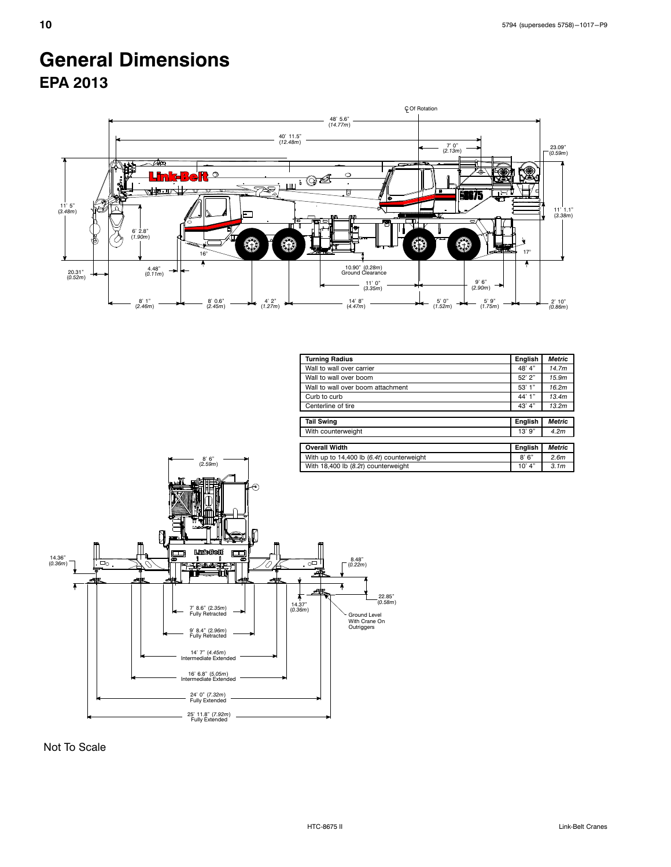## <span id="page-14-0"></span>**General Dimensions**

**EPA 2013**



| <b>Turning Radius</b>                     | English    | <b>Metric</b>     |
|-------------------------------------------|------------|-------------------|
| Wall to wall over carrier                 | 48' 4"     | 14.7 <sub>m</sub> |
| Wall to wall over boom                    | $52'$ $2"$ | 15.9m             |
| Wall to wall over boom attachment         | 53'1"      | 16.2m             |
| Curb to curb                              | 44' 1"     | 13.4m             |
| Centerline of tire                        | 43' 4"     | 13.2 <sub>m</sub> |
| <b>Tail Swing</b>                         | English    | <b>Metric</b>     |
| With counterweight                        | 13'9"      | 4.2 <sub>m</sub>  |
| <b>Overall Width</b>                      | English    | <b>Metric</b>     |
| With up to 14,400 lb (6.4t) counterweight | 8'6''      | 2.6 <sub>m</sub>  |
| With 18,400 lb (8.2t) counterweight       | 10' 4"     | 3.1 <sub>m</sub>  |



Not To Scale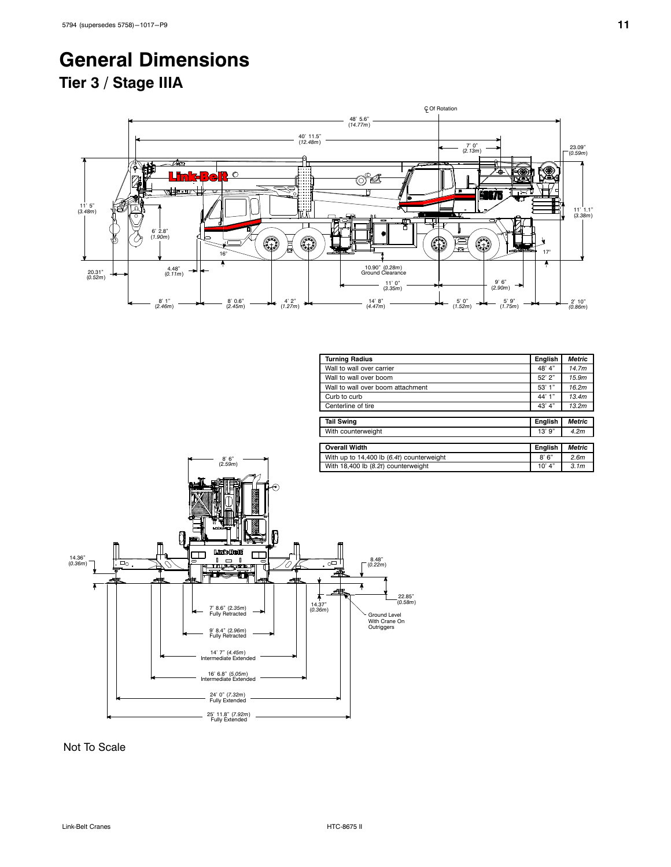## <span id="page-15-0"></span>**General Dimensions Tier 3 / Stage IIIA**





Not To Scale

14.36" (*0.36m*)

 $\overline{P}$ 

14' 7" (*4.45m*) Intermediate Extended 16' 6.8" (*5.05m*) Intermediate Extended 24' 0" (*7.32m*) Fully Extended 25' 11.8" (*7.92m*) Fully Extended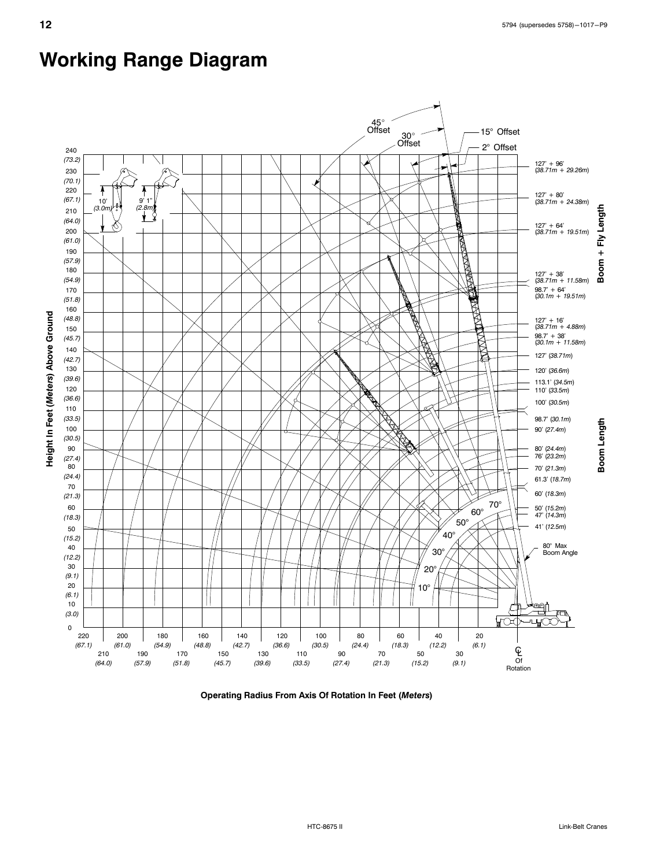## <span id="page-16-0"></span>**Working Range Diagram**



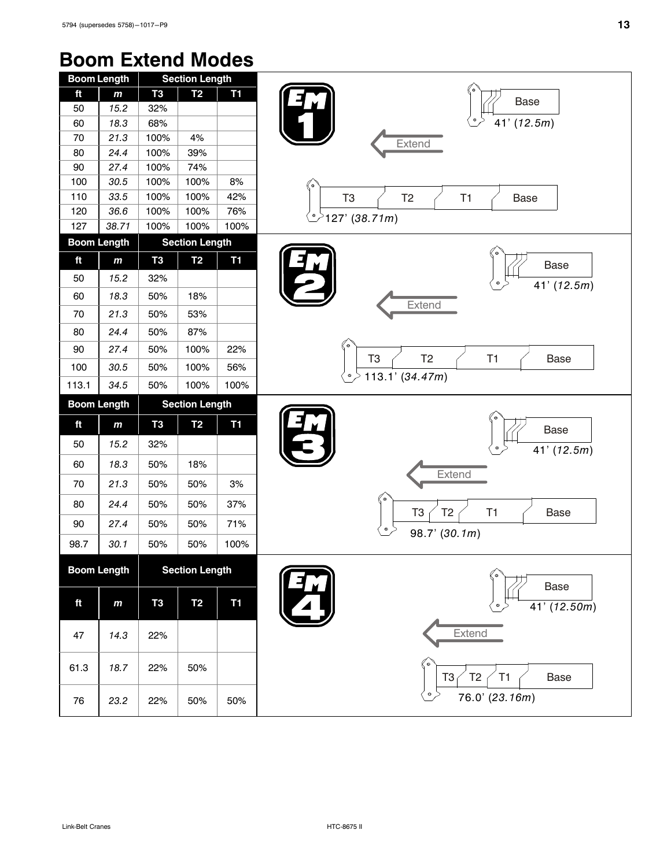## <span id="page-17-0"></span>**Boom Extend Modes**

| <b>Boom Length</b> |              |                | <b>Section Length</b> |           |                                                                    |
|--------------------|--------------|----------------|-----------------------|-----------|--------------------------------------------------------------------|
| ft                 | $\mathbf{m}$ | T <sub>3</sub> | T <sub>2</sub>        | <b>T1</b> | $\circ$<br><b>Base</b>                                             |
| 50                 | 15.2         | 32%            |                       |           |                                                                    |
| 60                 | 18.3         | 68%            |                       |           | ۰<br>41' (12.5m)                                                   |
| 70                 | 21.3         | 100%           | 4%                    |           | Extend                                                             |
| 80                 | 24.4         | 100%           | 39%                   |           |                                                                    |
| 90                 | 27.4         | 100%           | 74%                   |           |                                                                    |
| 100<br>110         | 30.5<br>33.5 | 100%<br>100%   | 100%<br>100%          | 8%<br>42% | (′o                                                                |
| 120                | 36.6         | 100%           | 100%                  | 76%       | T <sub>3</sub><br>T <sub>2</sub><br>T1<br><b>Base</b>              |
| 127                | 38.71        | 100%           | 100%                  | 100%      | <u>°</u> >127' (38.71m)                                            |
| <b>Boom Length</b> |              |                | <b>Section Length</b> |           |                                                                    |
| ft                 | $\mathbf{m}$ | T <sub>3</sub> | T <sub>2</sub>        | <b>T1</b> | $\circ$                                                            |
| 50                 | 15.2         | 32%            |                       |           | Base                                                               |
| 60                 | 18.3         | 50%            | 18%                   |           | 41' (12.5m)                                                        |
| 70                 | 21.3         | 50%            | 53%                   |           | Extend                                                             |
| 80                 | 24.4         | 50%            | 87%                   |           |                                                                    |
| 90                 | 27.4         | 50%            | 100%                  | 22%       | $\circ$                                                            |
| 100                | 30.5         | 50%            | 100%                  | 56%       | T <sub>2</sub><br>T1<br>T <sub>3</sub><br><b>Base</b>              |
| 113.1              | 34.5         | 50%            | 100%                  | 100%      | 113.1' (34.47m)<br>$\circ$ $>$                                     |
| <b>Boom Length</b> |              |                | <b>Section Length</b> |           |                                                                    |
|                    |              |                |                       |           |                                                                    |
| ft                 | $\mathbf{m}$ | T <sub>3</sub> | T <sub>2</sub>        | <b>T1</b> |                                                                    |
| 50                 | 15.2         | 32%            |                       |           | <b>Base</b>                                                        |
| 60                 | 18.3         | 50%            | 18%                   |           | 41' (12.5m)                                                        |
| 70                 | 21.3         | 50%            | 50%                   | 3%        | Extend                                                             |
| 80                 | 24.4         | 50%            | 50%                   | 37%       | (o                                                                 |
| 90                 | 27.4         | 50%            | 50%                   | 71%       | T1<br>T <sub>3</sub><br>T <sub>2</sub><br><b>Base</b><br>$\bullet$ |
| 98.7               | 30.1         | 50%            | 50%                   | 100%      | 98.7' (30.1m)                                                      |
| <b>Boom Length</b> |              |                | <b>Section Length</b> |           | $\bullet$                                                          |
| ft                 | $\mathbf m$  | T <sub>3</sub> | T <sub>2</sub>        | T1        | Base<br>41' (12.50m)                                               |
| 47                 | 14.3         | 22%            |                       |           | Extend                                                             |
| 61.3               | 18.7         | 22%            | 50%                   |           | T <sub>2</sub><br>Base<br>T1<br>T <sub>3</sub>                     |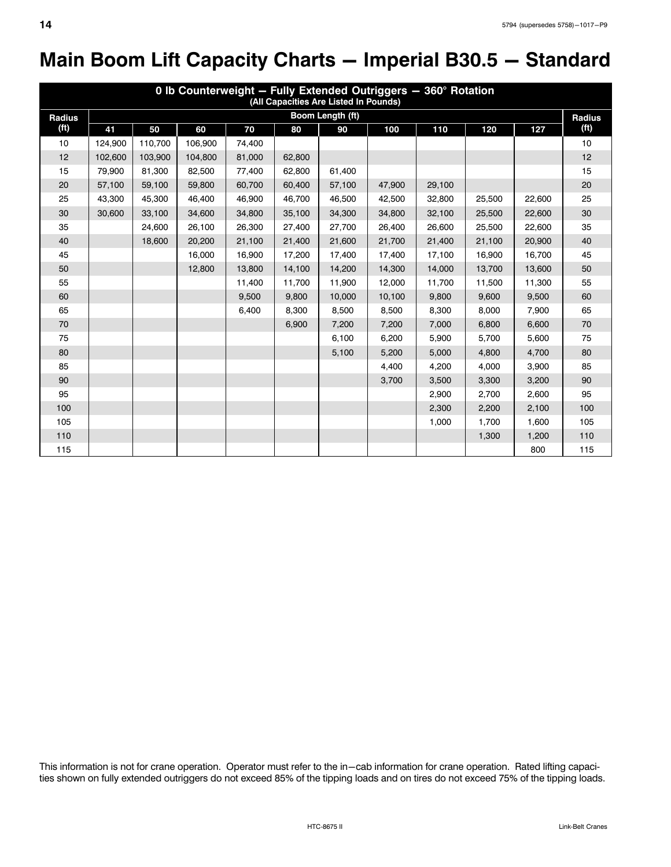## <span id="page-18-0"></span>**Main Boom Lift Capacity Charts - Imperial B30.5 - Standard**

| 0 lb Counterweight - Fully Extended Outriggers - 360° Rotation<br>(All Capacities Are Listed In Pounds) |         |         |         |        |        |                  |        |        |        |        |                   |  |
|---------------------------------------------------------------------------------------------------------|---------|---------|---------|--------|--------|------------------|--------|--------|--------|--------|-------------------|--|
| Radius                                                                                                  |         |         |         |        |        | Boom Length (ft) |        |        |        |        | <b>Radius</b>     |  |
| (f <sup>t</sup> )                                                                                       | 41      | 50      | 60      | 70     | 80     | 90               | 100    | 110    | 120    | 127    | (f <sup>t</sup> ) |  |
| 10                                                                                                      | 124,900 | 110,700 | 106,900 | 74,400 |        |                  |        |        |        |        | 10                |  |
| 12                                                                                                      | 102,600 | 103,900 | 104,800 | 81,000 | 62,800 |                  |        |        |        |        | 12                |  |
| 15                                                                                                      | 79,900  | 81,300  | 82,500  | 77,400 | 62,800 | 61,400           |        |        |        |        | 15                |  |
| 20                                                                                                      | 57,100  | 59,100  | 59,800  | 60,700 | 60,400 | 57,100           | 47,900 | 29,100 |        |        | 20                |  |
| 25                                                                                                      | 43,300  | 45,300  | 46,400  | 46,900 | 46,700 | 46,500           | 42,500 | 32,800 | 25,500 | 22,600 | 25                |  |
| 30                                                                                                      | 30,600  | 33,100  | 34,600  | 34,800 | 35,100 | 34,300           | 34,800 | 32,100 | 25,500 | 22,600 | 30                |  |
| 35                                                                                                      |         | 24.600  | 26,100  | 26,300 | 27,400 | 27,700           | 26,400 | 26.600 | 25,500 | 22,600 | 35                |  |
| 40                                                                                                      |         | 18,600  | 20,200  | 21,100 | 21,400 | 21,600           | 21,700 | 21,400 | 21,100 | 20,900 | 40                |  |
| 45                                                                                                      |         |         | 16,000  | 16,900 | 17,200 | 17.400           | 17.400 | 17.100 | 16,900 | 16,700 | 45                |  |
| 50                                                                                                      |         |         | 12,800  | 13,800 | 14,100 | 14,200           | 14,300 | 14,000 | 13,700 | 13,600 | 50                |  |
| 55                                                                                                      |         |         |         | 11.400 | 11,700 | 11.900           | 12.000 | 11,700 | 11,500 | 11,300 | 55                |  |
| 60                                                                                                      |         |         |         | 9,500  | 9,800  | 10,000           | 10,100 | 9,800  | 9,600  | 9,500  | 60                |  |
| 65                                                                                                      |         |         |         | 6,400  | 8,300  | 8,500            | 8,500  | 8,300  | 8,000  | 7,900  | 65                |  |
| 70                                                                                                      |         |         |         |        | 6,900  | 7.200            | 7.200  | 7,000  | 6,800  | 6,600  | 70                |  |
| 75                                                                                                      |         |         |         |        |        | 6,100            | 6,200  | 5,900  | 5,700  | 5.600  | 75                |  |
| 80                                                                                                      |         |         |         |        |        | 5,100            | 5.200  | 5,000  | 4,800  | 4.700  | 80                |  |
| 85                                                                                                      |         |         |         |        |        |                  | 4.400  | 4.200  | 4.000  | 3,900  | 85                |  |
| 90                                                                                                      |         |         |         |        |        |                  | 3,700  | 3,500  | 3,300  | 3,200  | 90                |  |
| 95                                                                                                      |         |         |         |        |        |                  |        | 2,900  | 2,700  | 2.600  | 95                |  |
| 100                                                                                                     |         |         |         |        |        |                  |        | 2,300  | 2,200  | 2,100  | 100               |  |
| 105                                                                                                     |         |         |         |        |        |                  |        | 1,000  | 1,700  | 1,600  | 105               |  |
| 110                                                                                                     |         |         |         |        |        |                  |        |        | 1,300  | 1,200  | 110               |  |
| 115                                                                                                     |         |         |         |        |        |                  |        |        |        | 800    | 115               |  |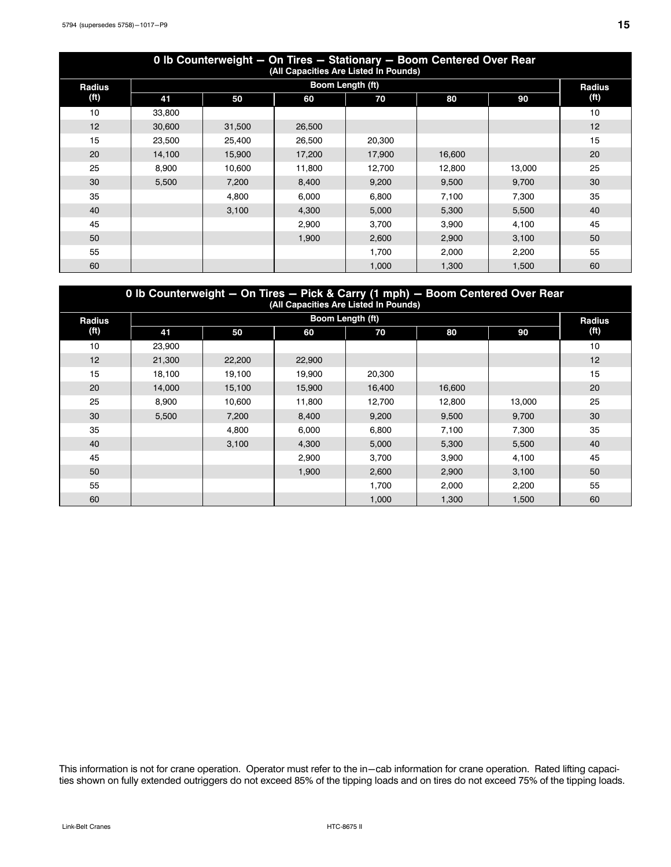<span id="page-19-0"></span>

| 0 lb Counterweight - On Tires - Stationary - Boom Centered Over Rear<br>(All Capacities Are Listed In Pounds) |                                  |        |        |        |        |        |    |  |  |  |  |  |
|---------------------------------------------------------------------------------------------------------------|----------------------------------|--------|--------|--------|--------|--------|----|--|--|--|--|--|
| <b>Radius</b>                                                                                                 | Boom Length (ft)                 |        |        |        |        |        |    |  |  |  |  |  |
| (f <sup>t</sup> )                                                                                             | 41<br>50<br>70<br>80<br>90<br>60 |        |        |        |        |        |    |  |  |  |  |  |
| 10                                                                                                            | 33,800                           |        |        |        |        |        | 10 |  |  |  |  |  |
| 12                                                                                                            | 30,600                           | 31,500 | 26,500 |        |        |        | 12 |  |  |  |  |  |
| 15                                                                                                            | 23,500                           | 25.400 | 26,500 | 20,300 |        |        | 15 |  |  |  |  |  |
| 20                                                                                                            | 14,100                           | 15,900 | 17,200 | 17,900 | 16,600 |        | 20 |  |  |  |  |  |
| 25                                                                                                            | 8,900                            | 10,600 | 11,800 | 12,700 | 12,800 | 13,000 | 25 |  |  |  |  |  |
| 30                                                                                                            | 5,500                            | 7,200  | 8,400  | 9,200  | 9,500  | 9,700  | 30 |  |  |  |  |  |
| 35                                                                                                            |                                  | 4,800  | 6,000  | 6,800  | 7,100  | 7,300  | 35 |  |  |  |  |  |
| 40                                                                                                            |                                  | 3,100  | 4,300  | 5,000  | 5,300  | 5,500  | 40 |  |  |  |  |  |
| 45                                                                                                            |                                  |        | 2,900  | 3,700  | 3,900  | 4,100  | 45 |  |  |  |  |  |
| 50                                                                                                            |                                  |        | 1,900  | 2,600  | 2,900  | 3,100  | 50 |  |  |  |  |  |
| 55                                                                                                            |                                  |        |        | 1,700  | 2,000  | 2,200  | 55 |  |  |  |  |  |
| 60                                                                                                            |                                  |        |        | 1,000  | 1,300  | 1,500  | 60 |  |  |  |  |  |

#### 0 lb Counterweight - On Tires - Pick & Carry (1 mph) - Boom Centered Over Rear<br>(All Capacities Are Listed In Bounds) **(All Capacities Are Listed In Pounds)**

| An oupdoined Are Elected In Foundation |        |        |        |                  |        |        |                   |  |  |
|----------------------------------------|--------|--------|--------|------------------|--------|--------|-------------------|--|--|
| Radius                                 |        |        |        | Boom Length (ft) |        |        | <b>Radius</b>     |  |  |
| (f <sup>t</sup> )                      | 41     | 50     | 60     | 70               | 80     | 90     | (f <sup>t</sup> ) |  |  |
| 10                                     | 23,900 |        |        |                  |        |        | 10                |  |  |
| 12                                     | 21,300 | 22,200 | 22,900 |                  |        |        | 12                |  |  |
| 15                                     | 18,100 | 19,100 | 19,900 | 20,300           |        |        | 15                |  |  |
| 20                                     | 14,000 | 15,100 | 15,900 | 16,400           | 16,600 |        | 20                |  |  |
| 25                                     | 8,900  | 10,600 | 11,800 | 12,700           | 12,800 | 13,000 | 25                |  |  |
| 30                                     | 5,500  | 7,200  | 8,400  | 9,200            | 9,500  | 9,700  | 30                |  |  |
| 35                                     |        | 4,800  | 6,000  | 6,800            | 7,100  | 7,300  | 35                |  |  |
| 40                                     |        | 3,100  | 4,300  | 5,000            | 5,300  | 5,500  | 40                |  |  |
| 45                                     |        |        | 2,900  | 3,700            | 3,900  | 4,100  | 45                |  |  |
| 50                                     |        |        | 1,900  | 2,600            | 2,900  | 3,100  | 50                |  |  |
| 55                                     |        |        |        | 1,700            | 2,000  | 2,200  | 55                |  |  |
| 60                                     |        |        |        | 1,000            | 1,300  | 1,500  | 60                |  |  |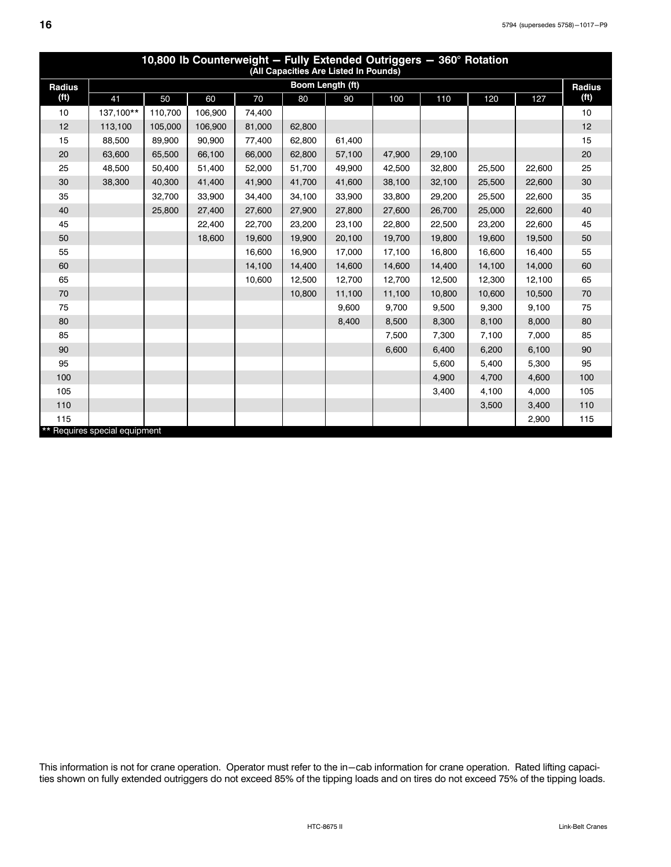<span id="page-20-0"></span>

|                   | 10,800 lb Counterweight - Fully Extended Outriggers - 360° Rotation<br>(All Capacities Are Listed In Pounds) |         |         |        |        |                  |        |        |        |        |                   |
|-------------------|--------------------------------------------------------------------------------------------------------------|---------|---------|--------|--------|------------------|--------|--------|--------|--------|-------------------|
| Radius            |                                                                                                              |         |         |        |        | Boom Length (ft) |        |        |        |        | Radius            |
| (f <sup>t</sup> ) | 41                                                                                                           | 50      | 60      | 70     | 80     | 90               | 100    | 110    | 120    | 127    | (f <sup>t</sup> ) |
| 10                | 137,100**                                                                                                    | 110,700 | 106,900 | 74,400 |        |                  |        |        |        |        | 10                |
| 12                | 113,100                                                                                                      | 105,000 | 106,900 | 81,000 | 62,800 |                  |        |        |        |        | 12                |
| 15                | 88,500                                                                                                       | 89,900  | 90,900  | 77,400 | 62,800 | 61,400           |        |        |        |        | 15                |
| 20                | 63,600                                                                                                       | 65,500  | 66,100  | 66,000 | 62,800 | 57,100           | 47,900 | 29,100 |        |        | 20                |
| 25                | 48,500                                                                                                       | 50,400  | 51,400  | 52,000 | 51,700 | 49,900           | 42,500 | 32,800 | 25,500 | 22,600 | 25                |
| 30                | 38,300                                                                                                       | 40,300  | 41,400  | 41,900 | 41,700 | 41,600           | 38,100 | 32,100 | 25,500 | 22,600 | 30                |
| 35                |                                                                                                              | 32,700  | 33,900  | 34,400 | 34,100 | 33,900           | 33,800 | 29,200 | 25,500 | 22,600 | 35                |
| 40                |                                                                                                              | 25,800  | 27,400  | 27,600 | 27,900 | 27,800           | 27,600 | 26,700 | 25,000 | 22,600 | 40                |
| 45                |                                                                                                              |         | 22,400  | 22,700 | 23,200 | 23,100           | 22,800 | 22,500 | 23,200 | 22,600 | 45                |
| 50                |                                                                                                              |         | 18,600  | 19,600 | 19,900 | 20,100           | 19,700 | 19,800 | 19,600 | 19,500 | 50                |
| 55                |                                                                                                              |         |         | 16,600 | 16,900 | 17,000           | 17,100 | 16,800 | 16,600 | 16,400 | 55                |
| 60                |                                                                                                              |         |         | 14,100 | 14,400 | 14,600           | 14,600 | 14,400 | 14,100 | 14.000 | 60                |
| 65                |                                                                                                              |         |         | 10,600 | 12,500 | 12,700           | 12,700 | 12,500 | 12,300 | 12,100 | 65                |
| 70                |                                                                                                              |         |         |        | 10,800 | 11,100           | 11,100 | 10,800 | 10,600 | 10,500 | 70                |
| 75                |                                                                                                              |         |         |        |        | 9,600            | 9,700  | 9,500  | 9,300  | 9,100  | 75                |
| 80                |                                                                                                              |         |         |        |        | 8,400            | 8,500  | 8,300  | 8,100  | 8,000  | 80                |
| 85                |                                                                                                              |         |         |        |        |                  | 7,500  | 7,300  | 7,100  | 7,000  | 85                |
| 90                |                                                                                                              |         |         |        |        |                  | 6,600  | 6,400  | 6,200  | 6,100  | 90                |
| 95                |                                                                                                              |         |         |        |        |                  |        | 5,600  | 5,400  | 5,300  | 95                |
| 100               |                                                                                                              |         |         |        |        |                  |        | 4,900  | 4,700  | 4,600  | 100               |
| 105               |                                                                                                              |         |         |        |        |                  |        | 3,400  | 4,100  | 4,000  | 105               |
| 110               |                                                                                                              |         |         |        |        |                  |        |        | 3,500  | 3,400  | 110               |
| 115               |                                                                                                              |         |         |        |        |                  |        |        |        | 2,900  | 115               |
|                   | ** Requires special equipment                                                                                |         |         |        |        |                  |        |        |        |        |                   |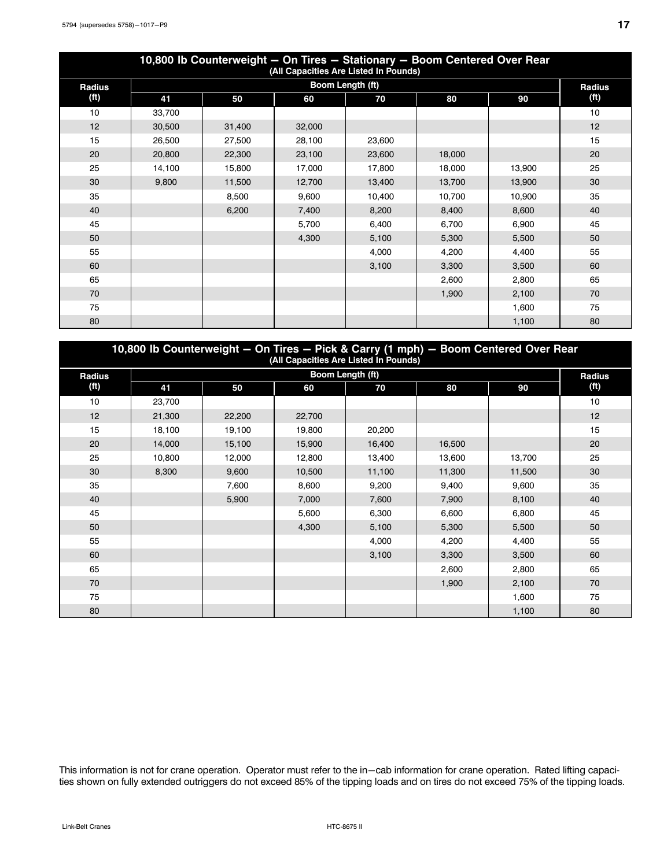<span id="page-21-0"></span>

| 10,800 lb Counterweight - On Tires - Stationary - Boom Centered Over Rear<br>(All Capacities Are Listed In Pounds) |        |        |                  |        |        |        |                   |  |  |
|--------------------------------------------------------------------------------------------------------------------|--------|--------|------------------|--------|--------|--------|-------------------|--|--|
| <b>Radius</b>                                                                                                      |        |        | Boom Length (ft) |        |        |        | <b>Radius</b>     |  |  |
| (f <sup>t</sup> )                                                                                                  | 41     | 50     | 60               | 70     | 80     | 90     | (f <sup>t</sup> ) |  |  |
| 10                                                                                                                 | 33,700 |        |                  |        |        |        | 10                |  |  |
| 12                                                                                                                 | 30,500 | 31,400 | 32,000           |        |        |        | 12                |  |  |
| 15                                                                                                                 | 26,500 | 27,500 | 28,100           | 23,600 |        |        | 15                |  |  |
| 20                                                                                                                 | 20,800 | 22,300 | 23,100           | 23,600 | 18,000 |        | 20                |  |  |
| 25                                                                                                                 | 14,100 | 15,800 | 17,000           | 17,800 | 18,000 | 13,900 | 25                |  |  |
| 30                                                                                                                 | 9,800  | 11,500 | 12,700           | 13,400 | 13,700 | 13,900 | 30                |  |  |
| 35                                                                                                                 |        | 8,500  | 9,600            | 10,400 | 10,700 | 10,900 | 35                |  |  |
| 40                                                                                                                 |        | 6,200  | 7,400            | 8,200  | 8,400  | 8,600  | 40                |  |  |
| 45                                                                                                                 |        |        | 5,700            | 6,400  | 6,700  | 6,900  | 45                |  |  |
| 50                                                                                                                 |        |        | 4,300            | 5,100  | 5,300  | 5,500  | 50                |  |  |
| 55                                                                                                                 |        |        |                  | 4,000  | 4,200  | 4,400  | 55                |  |  |
| 60                                                                                                                 |        |        |                  | 3,100  | 3,300  | 3,500  | 60                |  |  |
| 65                                                                                                                 |        |        |                  |        | 2,600  | 2,800  | 65                |  |  |
| 70                                                                                                                 |        |        |                  |        | 1,900  | 2,100  | 70                |  |  |
| 75                                                                                                                 |        |        |                  |        |        | 1,600  | 75                |  |  |
| 80                                                                                                                 |        |        |                  |        |        | 1,100  | 80                |  |  |

| 10,800 lb Counterweight - On Tires - Pick & Carry (1 mph) - Boom Centered Over Rear<br>(All Capacities Are Listed In Pounds) |        |        |        |                  |        |        |                   |  |  |
|------------------------------------------------------------------------------------------------------------------------------|--------|--------|--------|------------------|--------|--------|-------------------|--|--|
| <b>Radius</b>                                                                                                                |        |        |        | Boom Length (ft) |        |        | <b>Radius</b>     |  |  |
| (f <sup>t</sup> )                                                                                                            | 41     | 50     | 60     | 70               | 80     | 90     | (f <sup>t</sup> ) |  |  |
| 10                                                                                                                           | 23,700 |        |        |                  |        |        | 10                |  |  |
| 12                                                                                                                           | 21,300 | 22,200 | 22,700 |                  |        |        | 12                |  |  |
| 15                                                                                                                           | 18,100 | 19,100 | 19,800 | 20,200           |        |        | 15                |  |  |
| 20                                                                                                                           | 14,000 | 15,100 | 15,900 | 16,400           | 16,500 |        | 20                |  |  |
| 25                                                                                                                           | 10,800 | 12,000 | 12,800 | 13,400           | 13,600 | 13,700 | 25                |  |  |
| 30                                                                                                                           | 8,300  | 9,600  | 10,500 | 11,100           | 11,300 | 11,500 | 30                |  |  |
| 35                                                                                                                           |        | 7,600  | 8,600  | 9,200            | 9,400  | 9,600  | 35                |  |  |
| 40                                                                                                                           |        | 5,900  | 7,000  | 7,600            | 7,900  | 8,100  | 40                |  |  |
| 45                                                                                                                           |        |        | 5,600  | 6,300            | 6,600  | 6,800  | 45                |  |  |
| 50                                                                                                                           |        |        | 4,300  | 5,100            | 5,300  | 5,500  | 50                |  |  |
| 55                                                                                                                           |        |        |        | 4,000            | 4,200  | 4,400  | 55                |  |  |
| 60                                                                                                                           |        |        |        | 3,100            | 3,300  | 3,500  | 60                |  |  |
| 65                                                                                                                           |        |        |        |                  | 2,600  | 2,800  | 65                |  |  |
| 70                                                                                                                           |        |        |        |                  | 1,900  | 2,100  | 70                |  |  |
| 75                                                                                                                           |        |        |        |                  |        | 1,600  | 75                |  |  |
| 80                                                                                                                           |        |        |        |                  |        | 1,100  | 80                |  |  |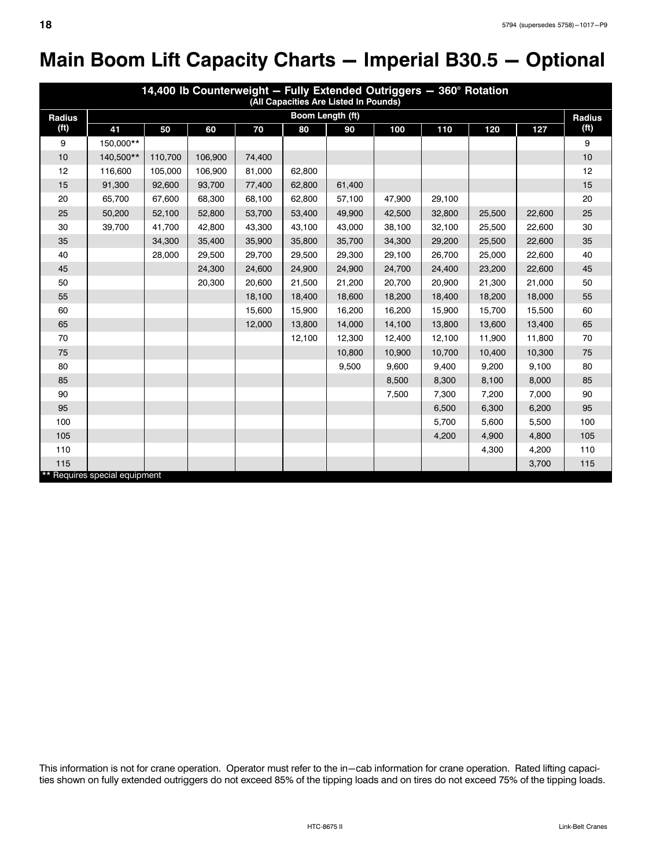## <span id="page-22-0"></span>**Main Boom Lift Capacity Charts - Imperial B30.5 - Optional**

|                   |                               |         |         |        |                  | (All Capacities Are Listed In Pounds) | 14,400 lb Counterweight - Fully Extended Outriggers - 360° Rotation |        |        |        |                   |
|-------------------|-------------------------------|---------|---------|--------|------------------|---------------------------------------|---------------------------------------------------------------------|--------|--------|--------|-------------------|
| <b>Radius</b>     |                               |         |         |        | Boom Length (ft) |                                       |                                                                     |        |        |        | <b>Radius</b>     |
| (f <sup>t</sup> ) | 41                            | 50      | 60      | 70     | 80               | 90                                    | 100                                                                 | 110    | 120    | 127    | (f <sup>t</sup> ) |
| 9                 | 150.000**                     |         |         |        |                  |                                       |                                                                     |        |        |        | 9                 |
| 10                | 140,500**                     | 110,700 | 106,900 | 74,400 |                  |                                       |                                                                     |        |        |        | 10                |
| 12                | 116.600                       | 105.000 | 106.900 | 81,000 | 62.800           |                                       |                                                                     |        |        |        | 12                |
| 15                | 91,300                        | 92,600  | 93,700  | 77,400 | 62,800           | 61,400                                |                                                                     |        |        |        | 15                |
| 20                | 65,700                        | 67,600  | 68,300  | 68,100 | 62,800           | 57,100                                | 47,900                                                              | 29,100 |        |        | 20                |
| 25                | 50,200                        | 52,100  | 52,800  | 53,700 | 53,400           | 49,900                                | 42,500                                                              | 32,800 | 25,500 | 22,600 | 25                |
| 30                | 39,700                        | 41,700  | 42,800  | 43,300 | 43,100           | 43,000                                | 38,100                                                              | 32,100 | 25,500 | 22,600 | 30                |
| 35                |                               | 34,300  | 35,400  | 35,900 | 35,800           | 35,700                                | 34,300                                                              | 29,200 | 25,500 | 22,600 | 35                |
| 40                |                               | 28,000  | 29,500  | 29,700 | 29,500           | 29,300                                | 29,100                                                              | 26,700 | 25,000 | 22,600 | 40                |
| 45                |                               |         | 24,300  | 24,600 | 24,900           | 24,900                                | 24,700                                                              | 24,400 | 23,200 | 22,600 | 45                |
| 50                |                               |         | 20,300  | 20,600 | 21,500           | 21,200                                | 20,700                                                              | 20,900 | 21,300 | 21,000 | 50                |
| 55                |                               |         |         | 18,100 | 18,400           | 18,600                                | 18,200                                                              | 18,400 | 18,200 | 18,000 | 55                |
| 60                |                               |         |         | 15,600 | 15,900           | 16,200                                | 16,200                                                              | 15,900 | 15,700 | 15,500 | 60                |
| 65                |                               |         |         | 12,000 | 13,800           | 14,000                                | 14,100                                                              | 13,800 | 13,600 | 13,400 | 65                |
| 70                |                               |         |         |        | 12,100           | 12,300                                | 12,400                                                              | 12,100 | 11,900 | 11,800 | 70                |
| 75                |                               |         |         |        |                  | 10,800                                | 10,900                                                              | 10,700 | 10,400 | 10,300 | 75                |
| 80                |                               |         |         |        |                  | 9,500                                 | 9,600                                                               | 9,400  | 9,200  | 9,100  | 80                |
| 85                |                               |         |         |        |                  |                                       | 8,500                                                               | 8,300  | 8,100  | 8,000  | 85                |
| 90                |                               |         |         |        |                  |                                       | 7,500                                                               | 7,300  | 7,200  | 7,000  | 90                |
| 95                |                               |         |         |        |                  |                                       |                                                                     | 6,500  | 6,300  | 6,200  | 95                |
| 100               |                               |         |         |        |                  |                                       |                                                                     | 5,700  | 5,600  | 5,500  | 100               |
| 105               |                               |         |         |        |                  |                                       |                                                                     | 4,200  | 4,900  | 4,800  | 105               |
| 110               |                               |         |         |        |                  |                                       |                                                                     |        | 4,300  | 4,200  | 110               |
| 115               |                               |         |         |        |                  |                                       |                                                                     |        |        | 3,700  | 115               |
|                   | ** Requires special equipment |         |         |        |                  |                                       |                                                                     |        |        |        |                   |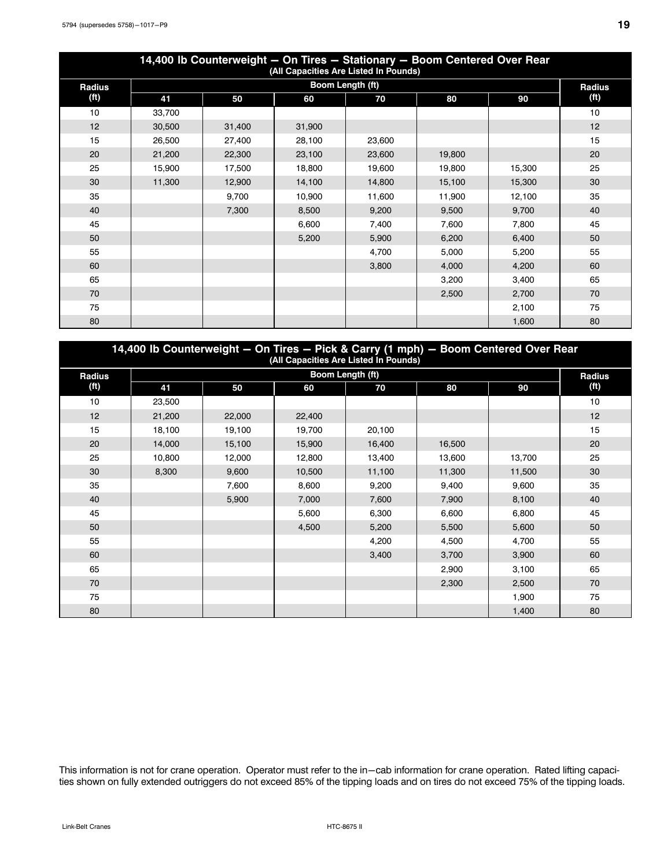<span id="page-23-0"></span>

| 14,400 lb Counterweight - On Tires - Stationary - Boom Centered Over Rear<br>(All Capacities Are Listed In Pounds) |        |        |                  |        |        |        |                   |  |  |
|--------------------------------------------------------------------------------------------------------------------|--------|--------|------------------|--------|--------|--------|-------------------|--|--|
| Radius                                                                                                             |        |        | Boom Length (ft) |        |        |        | <b>Radius</b>     |  |  |
| (f <sup>t</sup> )                                                                                                  | 41     | 50     | 60               | 70     | 80     | 90     | (f <sup>t</sup> ) |  |  |
| 10                                                                                                                 | 33,700 |        |                  |        |        |        | 10                |  |  |
| 12                                                                                                                 | 30,500 | 31,400 | 31,900           |        |        |        | 12                |  |  |
| 15                                                                                                                 | 26,500 | 27,400 | 28,100           | 23,600 |        |        | 15                |  |  |
| 20                                                                                                                 | 21,200 | 22,300 | 23,100           | 23,600 | 19,800 |        | 20                |  |  |
| 25                                                                                                                 | 15,900 | 17,500 | 18,800           | 19,600 | 19,800 | 15,300 | 25                |  |  |
| 30                                                                                                                 | 11,300 | 12,900 | 14,100           | 14,800 | 15,100 | 15,300 | 30                |  |  |
| 35                                                                                                                 |        | 9,700  | 10,900           | 11,600 | 11,900 | 12,100 | 35                |  |  |
| 40                                                                                                                 |        | 7,300  | 8,500            | 9,200  | 9,500  | 9,700  | 40                |  |  |
| 45                                                                                                                 |        |        | 6,600            | 7,400  | 7,600  | 7,800  | 45                |  |  |
| 50                                                                                                                 |        |        | 5,200            | 5,900  | 6,200  | 6,400  | 50                |  |  |
| 55                                                                                                                 |        |        |                  | 4,700  | 5,000  | 5,200  | 55                |  |  |
| 60                                                                                                                 |        |        |                  | 3,800  | 4,000  | 4,200  | 60                |  |  |
| 65                                                                                                                 |        |        |                  |        | 3,200  | 3,400  | 65                |  |  |
| 70                                                                                                                 |        |        |                  |        | 2,500  | 2,700  | 70                |  |  |
| 75                                                                                                                 |        |        |                  |        |        | 2,100  | 75                |  |  |
| 80                                                                                                                 |        |        |                  |        |        | 1,600  | 80                |  |  |

| 14,400 lb Counterweight - On Tires - Pick & Carry (1 mph) - Boom Centered Over Rear<br>(All Capacities Are Listed In Pounds) |        |        |        |                         |        |        |                   |  |  |
|------------------------------------------------------------------------------------------------------------------------------|--------|--------|--------|-------------------------|--------|--------|-------------------|--|--|
| <b>Radius</b>                                                                                                                |        |        |        | <b>Boom Length (ft)</b> |        |        | <b>Radius</b>     |  |  |
| (f <sup>t</sup> )                                                                                                            | 41     | 50     | 60     | 70                      | 80     | 90     | (f <sup>t</sup> ) |  |  |
| 10                                                                                                                           | 23,500 |        |        |                         |        |        | 10                |  |  |
| 12                                                                                                                           | 21,200 | 22,000 | 22,400 |                         |        |        | 12                |  |  |
| 15                                                                                                                           | 18,100 | 19,100 | 19,700 | 20,100                  |        |        | 15                |  |  |
| 20                                                                                                                           | 14,000 | 15,100 | 15,900 | 16,400                  | 16,500 |        | 20                |  |  |
| 25                                                                                                                           | 10,800 | 12,000 | 12,800 | 13,400                  | 13,600 | 13,700 | 25                |  |  |
| 30                                                                                                                           | 8,300  | 9,600  | 10,500 | 11,100                  | 11,300 | 11,500 | 30                |  |  |
| 35                                                                                                                           |        | 7,600  | 8,600  | 9,200                   | 9,400  | 9,600  | 35                |  |  |
| 40                                                                                                                           |        | 5,900  | 7,000  | 7,600                   | 7,900  | 8,100  | 40                |  |  |
| 45                                                                                                                           |        |        | 5,600  | 6,300                   | 6,600  | 6,800  | 45                |  |  |
| 50                                                                                                                           |        |        | 4,500  | 5,200                   | 5,500  | 5,600  | 50                |  |  |
| 55                                                                                                                           |        |        |        | 4,200                   | 4,500  | 4,700  | 55                |  |  |
| 60                                                                                                                           |        |        |        | 3,400                   | 3,700  | 3,900  | 60                |  |  |
| 65                                                                                                                           |        |        |        |                         | 2,900  | 3,100  | 65                |  |  |
| 70                                                                                                                           |        |        |        |                         | 2,300  | 2,500  | 70                |  |  |
| 75                                                                                                                           |        |        |        |                         |        | 1,900  | 75                |  |  |
| 80                                                                                                                           |        |        |        |                         |        | 1,400  | 80                |  |  |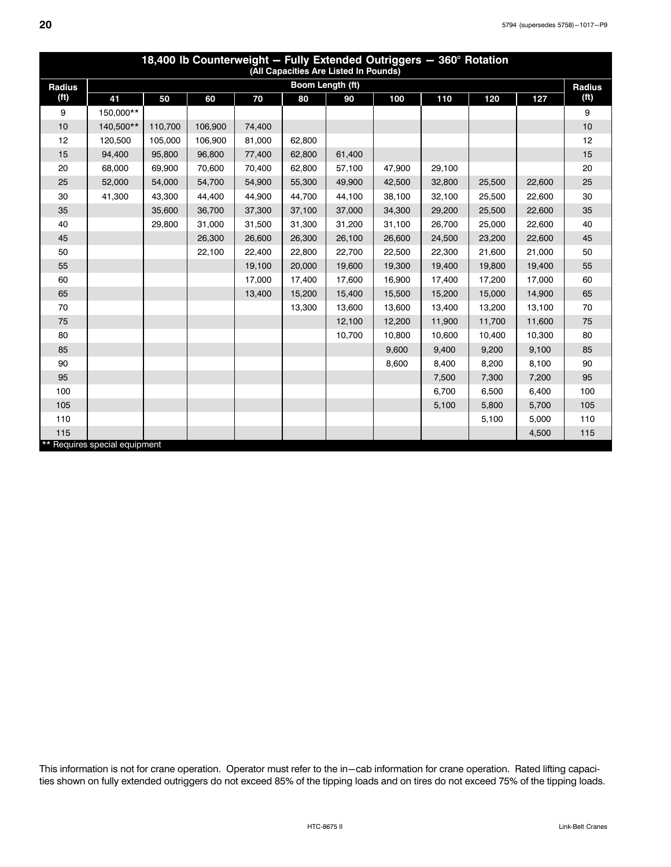<span id="page-24-0"></span>

| 18,400 lb Counterweight - Fully Extended Outriggers - 360° Rotation<br>(All Capacities Are Listed In Pounds) |                               |         |         |        |                         |        |        |        |        |        |                   |
|--------------------------------------------------------------------------------------------------------------|-------------------------------|---------|---------|--------|-------------------------|--------|--------|--------|--------|--------|-------------------|
| Radius                                                                                                       |                               |         |         |        | <b>Boom Length (ft)</b> |        |        |        |        |        | <b>Radius</b>     |
| (f <sup>th</sup> )                                                                                           | 41                            | 50      | 60      | 70     | 80                      | 90     | 100    | 110    | 120    | 127    | (f <sup>t</sup> ) |
| 9                                                                                                            | 150,000**                     |         |         |        |                         |        |        |        |        |        | 9                 |
| 10                                                                                                           | 140,500**                     | 110,700 | 106,900 | 74,400 |                         |        |        |        |        |        | 10                |
| 12                                                                                                           | 120,500                       | 105,000 | 106,900 | 81,000 | 62,800                  |        |        |        |        |        | 12                |
| 15                                                                                                           | 94,400                        | 95,800  | 96,800  | 77,400 | 62,800                  | 61,400 |        |        |        |        | 15                |
| 20                                                                                                           | 68,000                        | 69,900  | 70,600  | 70,400 | 62,800                  | 57,100 | 47,900 | 29,100 |        |        | 20                |
| 25                                                                                                           | 52,000                        | 54,000  | 54,700  | 54,900 | 55,300                  | 49,900 | 42,500 | 32,800 | 25,500 | 22,600 | 25                |
| 30                                                                                                           | 41,300                        | 43,300  | 44,400  | 44,900 | 44,700                  | 44,100 | 38,100 | 32,100 | 25,500 | 22,600 | 30                |
| 35                                                                                                           |                               | 35,600  | 36,700  | 37,300 | 37,100                  | 37,000 | 34,300 | 29,200 | 25,500 | 22,600 | 35                |
| 40                                                                                                           |                               | 29,800  | 31,000  | 31,500 | 31,300                  | 31,200 | 31,100 | 26,700 | 25,000 | 22,600 | 40                |
| 45                                                                                                           |                               |         | 26,300  | 26,600 | 26,300                  | 26,100 | 26,600 | 24,500 | 23,200 | 22,600 | 45                |
| 50                                                                                                           |                               |         | 22,100  | 22,400 | 22,800                  | 22,700 | 22,500 | 22,300 | 21,600 | 21,000 | 50                |
| 55                                                                                                           |                               |         |         | 19,100 | 20,000                  | 19,600 | 19,300 | 19,400 | 19,800 | 19,400 | 55                |
| 60                                                                                                           |                               |         |         | 17,000 | 17,400                  | 17,600 | 16,900 | 17,400 | 17,200 | 17,000 | 60                |
| 65                                                                                                           |                               |         |         | 13,400 | 15,200                  | 15,400 | 15,500 | 15,200 | 15,000 | 14,900 | 65                |
| 70                                                                                                           |                               |         |         |        | 13,300                  | 13,600 | 13,600 | 13,400 | 13,200 | 13,100 | 70                |
| 75                                                                                                           |                               |         |         |        |                         | 12,100 | 12,200 | 11,900 | 11,700 | 11,600 | 75                |
| 80                                                                                                           |                               |         |         |        |                         | 10,700 | 10,800 | 10,600 | 10,400 | 10,300 | 80                |
| 85                                                                                                           |                               |         |         |        |                         |        | 9,600  | 9,400  | 9,200  | 9,100  | 85                |
| 90                                                                                                           |                               |         |         |        |                         |        | 8,600  | 8,400  | 8,200  | 8,100  | 90                |
| 95                                                                                                           |                               |         |         |        |                         |        |        | 7,500  | 7,300  | 7,200  | 95                |
| 100                                                                                                          |                               |         |         |        |                         |        |        | 6,700  | 6,500  | 6,400  | 100               |
| 105                                                                                                          |                               |         |         |        |                         |        |        | 5,100  | 5,800  | 5,700  | 105               |
| 110                                                                                                          |                               |         |         |        |                         |        |        |        | 5,100  | 5,000  | 110               |
| 115                                                                                                          |                               |         |         |        |                         |        |        |        |        | 4,500  | 115               |
|                                                                                                              | ** Requires special equipment |         |         |        |                         |        |        |        |        |        |                   |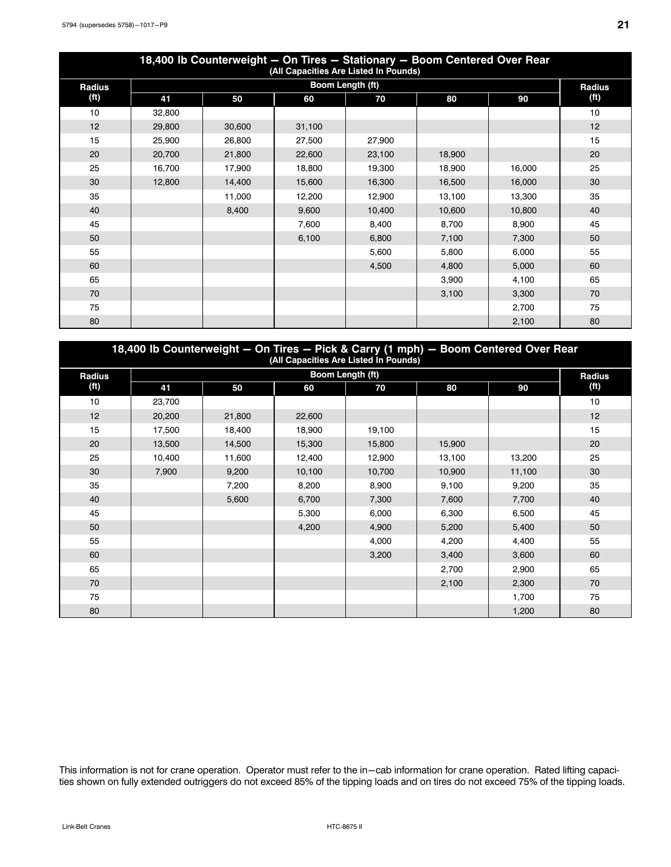<span id="page-25-0"></span>

| 18,400 lb Counterweight - On Tires - Stationary - Boom Centered Over Rear<br>(All Capacities Are Listed In Pounds) |        |        |                  |        |        |        |                   |  |  |
|--------------------------------------------------------------------------------------------------------------------|--------|--------|------------------|--------|--------|--------|-------------------|--|--|
| Radius                                                                                                             |        |        | Boom Length (ft) |        |        |        | <b>Radius</b>     |  |  |
| (f <sup>t</sup> )                                                                                                  | 41     | 50     | 60               | 70     | 80     | 90     | (f <sup>t</sup> ) |  |  |
| 10                                                                                                                 | 32,800 |        |                  |        |        |        | 10                |  |  |
| 12                                                                                                                 | 29,800 | 30,600 | 31,100           |        |        |        | 12                |  |  |
| 15                                                                                                                 | 25,900 | 26,800 | 27,500           | 27,900 |        |        | 15                |  |  |
| 20                                                                                                                 | 20,700 | 21,800 | 22,600           | 23,100 | 18,900 |        | 20                |  |  |
| 25                                                                                                                 | 16,700 | 17,900 | 18,800           | 19,300 | 18,900 | 16,000 | 25                |  |  |
| 30                                                                                                                 | 12,800 | 14,400 | 15,600           | 16,300 | 16,500 | 16,000 | 30                |  |  |
| 35                                                                                                                 |        | 11,000 | 12,200           | 12,900 | 13,100 | 13,300 | 35                |  |  |
| 40                                                                                                                 |        | 8,400  | 9,600            | 10,400 | 10,600 | 10,800 | 40                |  |  |
| 45                                                                                                                 |        |        | 7,600            | 8,400  | 8,700  | 8,900  | 45                |  |  |
| 50                                                                                                                 |        |        | 6,100            | 6,800  | 7,100  | 7,300  | 50                |  |  |
| 55                                                                                                                 |        |        |                  | 5,600  | 5,800  | 6,000  | 55                |  |  |
| 60                                                                                                                 |        |        |                  | 4,500  | 4,800  | 5,000  | 60                |  |  |
| 65                                                                                                                 |        |        |                  |        | 3,900  | 4,100  | 65                |  |  |
| 70                                                                                                                 |        |        |                  |        | 3,100  | 3,300  | 70                |  |  |
| 75                                                                                                                 |        |        |                  |        |        | 2,700  | 75                |  |  |
| 80                                                                                                                 |        |        |                  |        |        | 2,100  | 80                |  |  |

| 18,400 lb Counterweight - On Tires - Pick & Carry (1 mph) - Boom Centered Over Rear<br>(All Capacities Are Listed In Pounds) |        |        |        |                  |        |        |                   |  |  |
|------------------------------------------------------------------------------------------------------------------------------|--------|--------|--------|------------------|--------|--------|-------------------|--|--|
| <b>Radius</b>                                                                                                                |        |        |        | Boom Length (ft) |        |        | <b>Radius</b>     |  |  |
| (f <sup>t</sup> )                                                                                                            | 41     | 50     | 60     | 70               | 80     | 90     | (f <sup>t</sup> ) |  |  |
| 10                                                                                                                           | 23,700 |        |        |                  |        |        | 10                |  |  |
| 12                                                                                                                           | 20,200 | 21,800 | 22,600 |                  |        |        | 12                |  |  |
| 15                                                                                                                           | 17,500 | 18,400 | 18,900 | 19,100           |        |        | 15                |  |  |
| 20                                                                                                                           | 13,500 | 14,500 | 15,300 | 15,800           | 15,900 |        | 20                |  |  |
| 25                                                                                                                           | 10,400 | 11,600 | 12,400 | 12,900           | 13,100 | 13,200 | 25                |  |  |
| 30                                                                                                                           | 7,900  | 9,200  | 10,100 | 10,700           | 10,900 | 11,100 | 30                |  |  |
| 35                                                                                                                           |        | 7,200  | 8,200  | 8,900            | 9,100  | 9,200  | 35                |  |  |
| 40                                                                                                                           |        | 5,600  | 6,700  | 7,300            | 7,600  | 7,700  | 40                |  |  |
| 45                                                                                                                           |        |        | 5,300  | 6,000            | 6,300  | 6,500  | 45                |  |  |
| 50                                                                                                                           |        |        | 4,200  | 4,900            | 5,200  | 5,400  | 50                |  |  |
| 55                                                                                                                           |        |        |        | 4,000            | 4,200  | 4,400  | 55                |  |  |
| 60                                                                                                                           |        |        |        | 3,200            | 3,400  | 3,600  | 60                |  |  |
| 65                                                                                                                           |        |        |        |                  | 2,700  | 2,900  | 65                |  |  |
| 70                                                                                                                           |        |        |        |                  | 2,100  | 2,300  | 70                |  |  |
| 75                                                                                                                           |        |        |        |                  |        | 1,700  | 75                |  |  |
| 80                                                                                                                           |        |        |        |                  |        | 1,200  | 80                |  |  |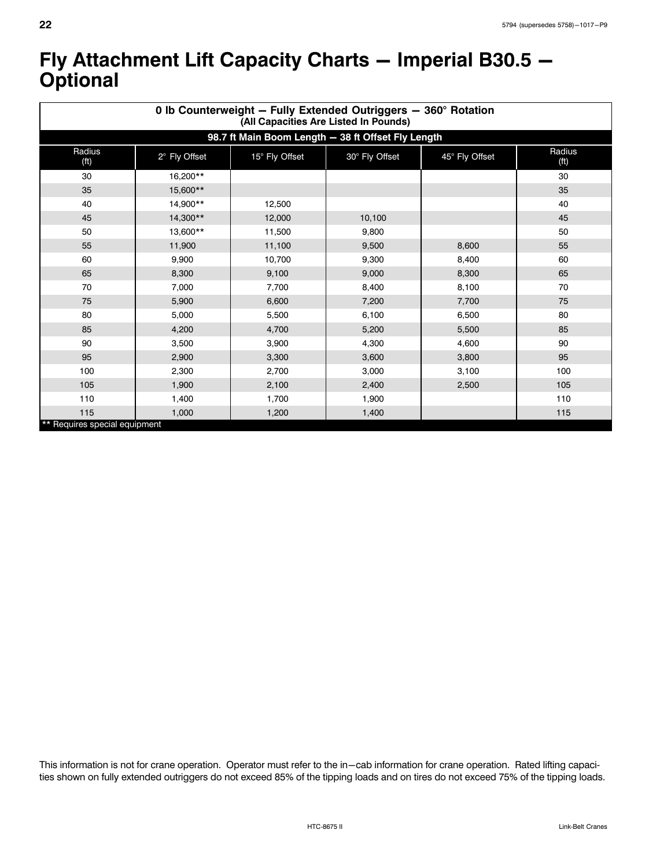## <span id="page-26-0"></span>Fly Attachment Lift Capacity Charts - Imperial B30.5 -**Optional**

| 0 lb Counterweight - Fully Extended Outriggers - 360° Rotation |               |                |                |                |                             |  |  |  |  |
|----------------------------------------------------------------|---------------|----------------|----------------|----------------|-----------------------------|--|--|--|--|
|                                                                |               |                |                |                |                             |  |  |  |  |
| (All Capacities Are Listed In Pounds)                          |               |                |                |                |                             |  |  |  |  |
| 98.7 ft Main Boom Length - 38 ft Offset Fly Length             |               |                |                |                |                             |  |  |  |  |
| Radius<br>(f <sup>t</sup> )                                    | 2° Fly Offset | 15° Fly Offset | 30° Fly Offset | 45° Fly Offset | Radius<br>(f <sup>t</sup> ) |  |  |  |  |
| 30                                                             | 16.200**      |                |                |                | 30                          |  |  |  |  |
| 35                                                             | 15.600**      |                |                |                | 35                          |  |  |  |  |
| 40                                                             | 14.900**      | 12,500         |                |                | 40                          |  |  |  |  |
| 45                                                             | 14.300**      | 12,000         | 10,100         |                | 45                          |  |  |  |  |
| 50                                                             | 13,600**      | 11,500         | 9,800          |                | 50                          |  |  |  |  |
| 55                                                             | 11,900        | 11,100         | 9,500          | 8,600          | 55                          |  |  |  |  |
| 60                                                             | 9,900         | 10,700         | 9,300          | 8,400          | 60                          |  |  |  |  |
| 65                                                             | 8,300         | 9,100          | 9,000          | 8,300          | 65                          |  |  |  |  |
| 70                                                             | 7,000         | 7,700          | 8,400          | 8,100          | 70                          |  |  |  |  |
| 75                                                             | 5,900         | 6,600          | 7,200          | 7,700          | 75                          |  |  |  |  |
| 80                                                             | 5,000         | 5,500          | 6,100          | 6,500          | 80                          |  |  |  |  |
| 85                                                             | 4,200         | 4,700          | 5,200          | 5,500          | 85                          |  |  |  |  |
| 90                                                             | 3,500         | 3,900          | 4,300          | 4,600          | 90                          |  |  |  |  |
| 95                                                             | 2,900         | 3,300          | 3,600          | 3,800          | 95                          |  |  |  |  |
| 100                                                            | 2,300         | 2,700          | 3,000          | 3,100          | 100                         |  |  |  |  |
| 105                                                            | 1,900         | 2,100          | 2,400          | 2,500          | 105                         |  |  |  |  |
| 110                                                            | 1,400         | 1,700          | 1,900          |                | 110                         |  |  |  |  |
| 115                                                            | 1,000         | 1,200          | 1,400          |                | 115                         |  |  |  |  |
| ** Requires special equipment                                  |               |                |                |                |                             |  |  |  |  |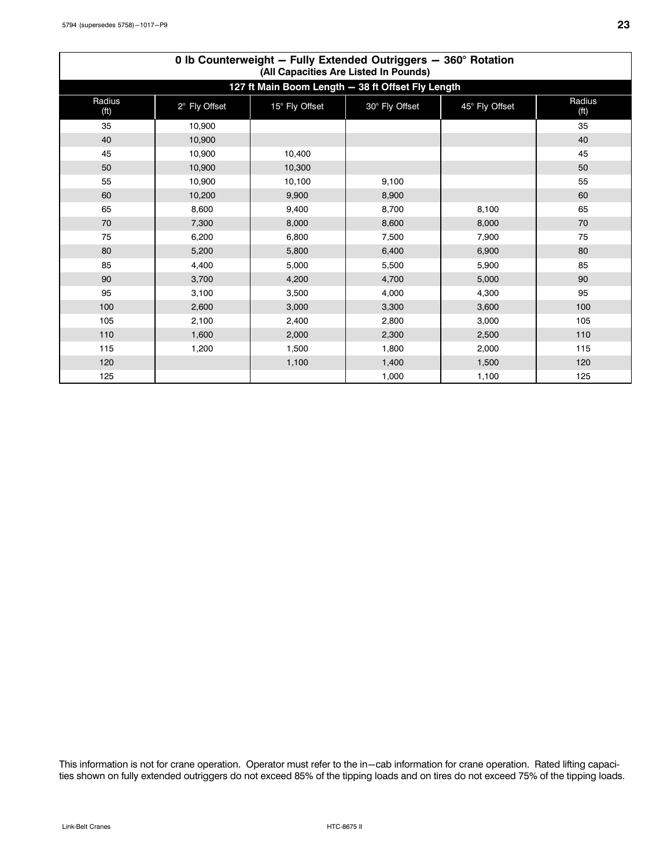<span id="page-27-0"></span>

| 0 lb Counterweight - Fully Extended Outriggers - 360° Rotation<br>(All Capacities Are Listed In Pounds) |               |                |                |                |                             |  |  |  |  |
|---------------------------------------------------------------------------------------------------------|---------------|----------------|----------------|----------------|-----------------------------|--|--|--|--|
| 127 ft Main Boom Length - 38 ft Offset Fly Length                                                       |               |                |                |                |                             |  |  |  |  |
| Radius<br>(f <sup>t</sup> )                                                                             | 2° Fly Offset | 15° Fly Offset | 30° Fly Offset | 45° Fly Offset | Radius<br>(f <sup>t</sup> ) |  |  |  |  |
| 35                                                                                                      | 10,900        |                |                |                | 35                          |  |  |  |  |
| 40                                                                                                      | 10,900        |                |                |                | 40                          |  |  |  |  |
| 45                                                                                                      | 10,900        | 10,400         |                |                | 45                          |  |  |  |  |
| 50                                                                                                      | 10,900        | 10,300         |                |                | 50                          |  |  |  |  |
| 55                                                                                                      | 10,900        | 10,100         | 9,100          |                | 55                          |  |  |  |  |
| 60                                                                                                      | 10,200        | 9,900          | 8,900          |                | 60                          |  |  |  |  |
| 65                                                                                                      | 8,600         | 9,400          | 8,700          | 8,100          | 65                          |  |  |  |  |
| 70                                                                                                      | 7,300         | 8,000          | 8,600          | 8,000          | 70                          |  |  |  |  |
| 75                                                                                                      | 6,200         | 6,800          | 7,500          | 7,900          | 75                          |  |  |  |  |
| 80                                                                                                      | 5,200         | 5,800          | 6,400          | 6,900          | 80                          |  |  |  |  |
| 85                                                                                                      | 4,400         | 5,000          | 5,500          | 5,900          | 85                          |  |  |  |  |
| 90                                                                                                      | 3,700         | 4,200          | 4,700          | 5,000          | 90                          |  |  |  |  |
| 95                                                                                                      | 3,100         | 3,500          | 4,000          | 4,300          | 95                          |  |  |  |  |
| 100                                                                                                     | 2,600         | 3,000          | 3,300          | 3,600          | 100                         |  |  |  |  |
| 105                                                                                                     | 2,100         | 2,400          | 2,800          | 3,000          | 105                         |  |  |  |  |
| 110                                                                                                     | 1,600         | 2,000          | 2,300          | 2,500          | 110                         |  |  |  |  |
| 115                                                                                                     | 1,200         | 1,500          | 1,800          | 2,000          | 115                         |  |  |  |  |
| 120                                                                                                     |               | 1,100          | 1,400          | 1,500          | 120                         |  |  |  |  |
| 125                                                                                                     |               |                | 1,000          | 1,100          | 125                         |  |  |  |  |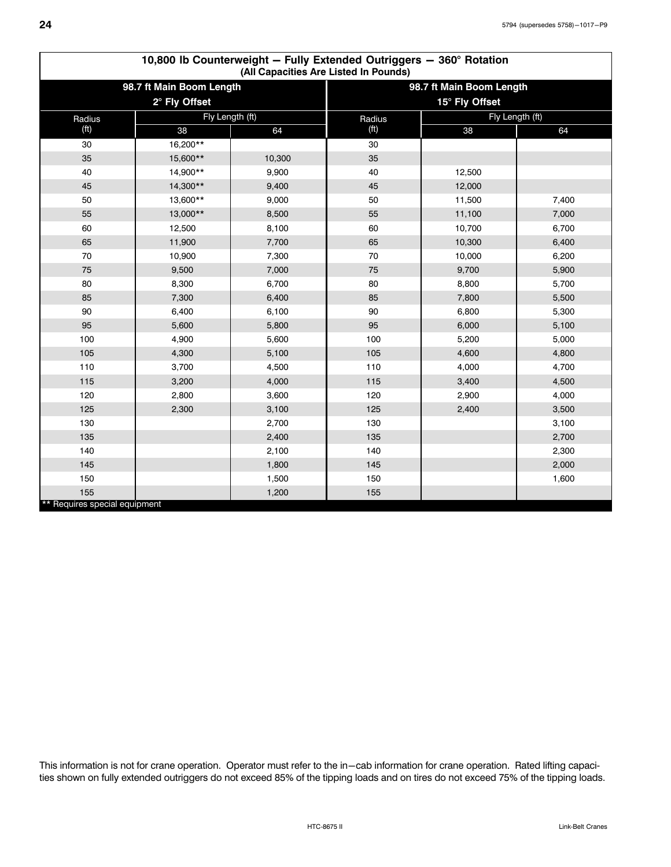<span id="page-28-0"></span>

| 10,800 lb Counterweight – Fully Extended Outriggers – 360° Rotation<br>(All Capacities Are Listed In Pounds) |                                           |                 |                                            |                 |       |  |  |  |  |  |
|--------------------------------------------------------------------------------------------------------------|-------------------------------------------|-----------------|--------------------------------------------|-----------------|-------|--|--|--|--|--|
|                                                                                                              | 98.7 ft Main Boom Length<br>2° Fly Offset |                 | 98.7 ft Main Boom Length<br>15° Fly Offset |                 |       |  |  |  |  |  |
| Radius                                                                                                       |                                           | Fly Length (ft) | Radius                                     | Fly Length (ft) |       |  |  |  |  |  |
| (f <sup>t</sup> )                                                                                            | 38                                        | 64              | (f <sup>t</sup> )                          | 38              | 64    |  |  |  |  |  |
| 30                                                                                                           | 16,200**                                  |                 | 30                                         |                 |       |  |  |  |  |  |
| 35                                                                                                           | 15,600**                                  | 10,300          | 35                                         |                 |       |  |  |  |  |  |
| 40                                                                                                           | 14,900**                                  | 9,900           | 40                                         | 12,500          |       |  |  |  |  |  |
| 45                                                                                                           | 14,300**                                  | 9,400           | 45                                         | 12,000          |       |  |  |  |  |  |
| 50                                                                                                           | 13,600**                                  | 9,000           | 50                                         | 11,500          | 7,400 |  |  |  |  |  |
| 55                                                                                                           | 13,000**                                  | 8,500           | 55                                         | 11,100          | 7,000 |  |  |  |  |  |
| 60                                                                                                           | 12,500                                    | 8,100           | 60                                         | 10,700          | 6,700 |  |  |  |  |  |
| 65                                                                                                           | 11,900                                    | 7,700           | 65                                         | 10,300          | 6,400 |  |  |  |  |  |
| 70                                                                                                           | 10,900                                    | 7,300           | 70                                         | 10,000          | 6,200 |  |  |  |  |  |
| 75                                                                                                           | 9,500                                     | 7,000           | 75                                         | 9,700           | 5,900 |  |  |  |  |  |
| 80                                                                                                           | 8,300                                     | 6,700           | 80                                         | 8,800           | 5,700 |  |  |  |  |  |
| 85                                                                                                           | 7,300                                     | 6,400           | 85                                         | 7,800           | 5,500 |  |  |  |  |  |
| 90                                                                                                           | 6,400                                     | 6,100           | 90                                         | 6,800           | 5,300 |  |  |  |  |  |
| 95                                                                                                           | 5,600                                     | 5,800           | 95                                         | 6,000           | 5,100 |  |  |  |  |  |
| 100                                                                                                          | 4,900                                     | 5,600           | 100                                        | 5,200           | 5,000 |  |  |  |  |  |
| 105                                                                                                          | 4,300                                     | 5,100           | 105                                        | 4,600           | 4,800 |  |  |  |  |  |
| 110                                                                                                          | 3,700                                     | 4,500           | 110                                        | 4,000           | 4,700 |  |  |  |  |  |
| 115                                                                                                          | 3,200                                     | 4,000           | 115                                        | 3,400           | 4,500 |  |  |  |  |  |
| 120                                                                                                          | 2,800                                     | 3,600           | 120                                        | 2,900           | 4,000 |  |  |  |  |  |
| 125                                                                                                          | 2,300                                     | 3,100           | 125                                        | 2,400           | 3,500 |  |  |  |  |  |
| 130                                                                                                          |                                           | 2,700           | 130                                        |                 | 3,100 |  |  |  |  |  |
| 135                                                                                                          |                                           | 2,400           | 135                                        |                 | 2,700 |  |  |  |  |  |
| 140                                                                                                          |                                           | 2,100           | 140                                        |                 | 2,300 |  |  |  |  |  |
| 145                                                                                                          |                                           | 1,800           | 145                                        |                 | 2,000 |  |  |  |  |  |
| 150                                                                                                          |                                           | 1,500           | 150                                        |                 | 1,600 |  |  |  |  |  |
| 155                                                                                                          |                                           | 1,200           | 155                                        |                 |       |  |  |  |  |  |
| ** Requires special equipment                                                                                |                                           |                 |                                            |                 |       |  |  |  |  |  |

## 10,800 lb Counterweight - Fully Extended Outriggers - 360° Rotation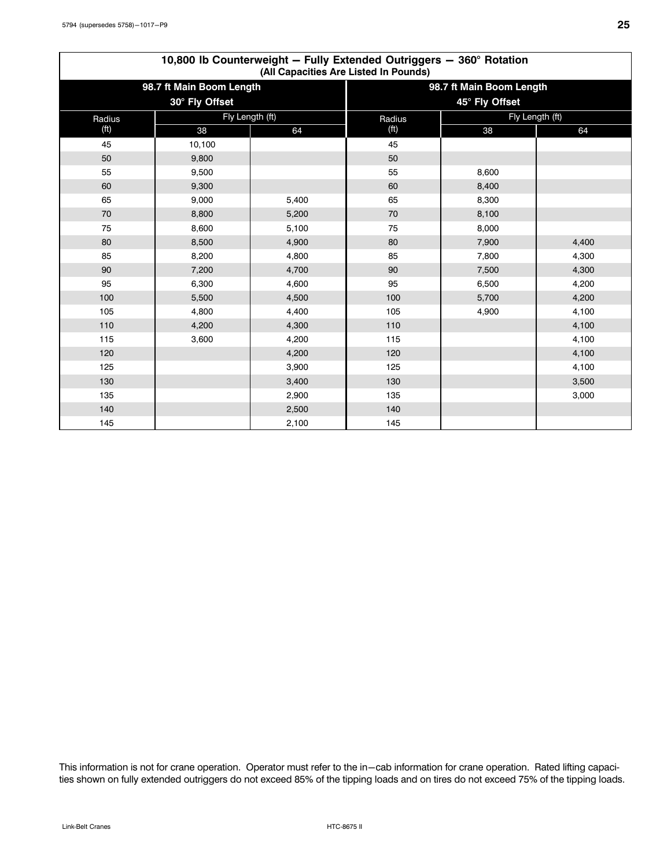| 10,800 lb Counterweight - Fully Extended Outriggers - 360° Rotation<br>(All Capacities Are Listed In Pounds) |                          |       |                   |                          |       |  |  |  |  |
|--------------------------------------------------------------------------------------------------------------|--------------------------|-------|-------------------|--------------------------|-------|--|--|--|--|
|                                                                                                              | 98.7 ft Main Boom Length |       |                   | 98.7 ft Main Boom Length |       |  |  |  |  |
| 30° Fly Offset                                                                                               |                          |       |                   | 45° Fly Offset           |       |  |  |  |  |
| Radius                                                                                                       | Fly Length (ft)          |       | Radius            | Fly Length (ft)          |       |  |  |  |  |
| (f <sup>t</sup> )                                                                                            | 38                       | 64    | (f <sup>t</sup> ) | 38                       | 64    |  |  |  |  |
| 45                                                                                                           | 10,100                   |       | 45                |                          |       |  |  |  |  |
| 50                                                                                                           | 9,800                    |       | 50                |                          |       |  |  |  |  |
| 55                                                                                                           | 9,500                    |       | 55                | 8,600                    |       |  |  |  |  |
| 60                                                                                                           | 9,300                    |       | 60                | 8,400                    |       |  |  |  |  |
| 65                                                                                                           | 9,000                    | 5,400 | 65                | 8,300                    |       |  |  |  |  |
| 70                                                                                                           | 8,800                    | 5,200 | 70                | 8,100                    |       |  |  |  |  |
| 75                                                                                                           | 8,600                    | 5,100 | 75                | 8,000                    |       |  |  |  |  |
| 80                                                                                                           | 8,500                    | 4,900 | 80                | 7,900                    | 4,400 |  |  |  |  |
| 85                                                                                                           | 8,200                    | 4,800 | 85                | 7,800                    | 4,300 |  |  |  |  |
| 90                                                                                                           | 7,200                    | 4,700 | 90                | 7,500                    | 4,300 |  |  |  |  |
| 95                                                                                                           | 6,300                    | 4,600 | 95                | 6,500                    | 4,200 |  |  |  |  |
| 100                                                                                                          | 5,500                    | 4,500 | 100               | 5,700                    | 4,200 |  |  |  |  |
| 105                                                                                                          | 4,800                    | 4,400 | 105               | 4,900                    | 4,100 |  |  |  |  |
| 110                                                                                                          | 4,200                    | 4,300 | 110               |                          | 4,100 |  |  |  |  |
| 115                                                                                                          | 3,600                    | 4,200 | 115               |                          | 4,100 |  |  |  |  |
| 120                                                                                                          |                          | 4,200 | 120               |                          | 4,100 |  |  |  |  |
| 125                                                                                                          |                          | 3,900 | 125               |                          | 4,100 |  |  |  |  |
| 130                                                                                                          |                          | 3,400 | 130               |                          | 3,500 |  |  |  |  |
| 135                                                                                                          |                          | 2,900 | 135               |                          | 3,000 |  |  |  |  |
| 140                                                                                                          |                          | 2,500 | 140               |                          |       |  |  |  |  |
| 145                                                                                                          |                          | 2,100 | 145               |                          |       |  |  |  |  |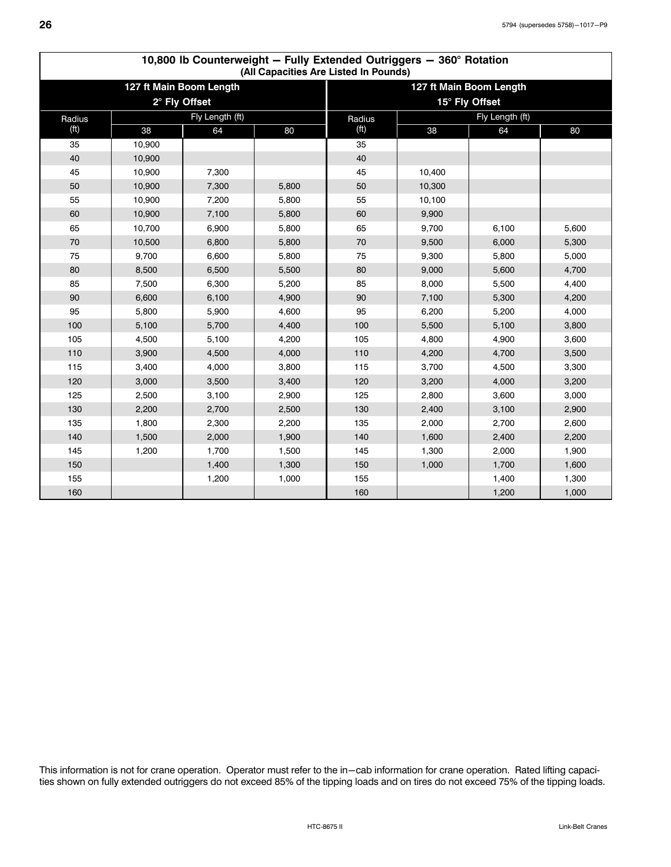<span id="page-30-0"></span>

| 10,800 lb Counterweight - Fully Extended Outriggers - 360° Rotation<br>(All Capacities Are Listed In Pounds) |        |                         |       |                         |        |                 |       |  |  |  |  |
|--------------------------------------------------------------------------------------------------------------|--------|-------------------------|-------|-------------------------|--------|-----------------|-------|--|--|--|--|
|                                                                                                              |        | 127 ft Main Boom Length |       | 127 ft Main Boom Length |        |                 |       |  |  |  |  |
|                                                                                                              |        | 2° Fly Offset           |       | 15° Fly Offset          |        |                 |       |  |  |  |  |
| Radius                                                                                                       |        | Fly Length (ft)         |       | Radius                  |        | Fly Length (ft) |       |  |  |  |  |
| (f <sup>t</sup> )                                                                                            | 38     | 64                      | 80    | (f <sup>t</sup> )       | 38     | 64              | 80    |  |  |  |  |
| 35                                                                                                           | 10,900 |                         |       | 35                      |        |                 |       |  |  |  |  |
| 40                                                                                                           | 10,900 |                         |       | 40                      |        |                 |       |  |  |  |  |
| 45                                                                                                           | 10,900 | 7,300                   |       | 45                      | 10,400 |                 |       |  |  |  |  |
| 50                                                                                                           | 10,900 | 7,300                   | 5,800 | 50                      | 10,300 |                 |       |  |  |  |  |
| 55                                                                                                           | 10,900 | 7,200                   | 5,800 | 55                      | 10,100 |                 |       |  |  |  |  |
| 60                                                                                                           | 10,900 | 7,100                   | 5,800 | 60                      | 9,900  |                 |       |  |  |  |  |
| 65                                                                                                           | 10,700 | 6,900                   | 5,800 | 65                      | 9,700  | 6,100           | 5,600 |  |  |  |  |
| 70                                                                                                           | 10,500 | 6,800                   | 5,800 | 70                      | 9,500  | 6,000           | 5,300 |  |  |  |  |
| 75                                                                                                           | 9,700  | 6,600                   | 5,800 | 75                      | 9,300  | 5,800           | 5,000 |  |  |  |  |
| 80                                                                                                           | 8,500  | 6,500                   | 5,500 | 80                      | 9,000  | 5,600           | 4,700 |  |  |  |  |
| 85                                                                                                           | 7,500  | 6,300                   | 5,200 | 85                      | 8,000  | 5,500           | 4,400 |  |  |  |  |
| 90                                                                                                           | 6,600  | 6,100                   | 4,900 | 90                      | 7,100  | 5,300           | 4,200 |  |  |  |  |
| 95                                                                                                           | 5,800  | 5,900                   | 4,600 | 95                      | 6,200  | 5,200           | 4,000 |  |  |  |  |
| 100                                                                                                          | 5,100  | 5,700                   | 4,400 | 100                     | 5,500  | 5,100           | 3,800 |  |  |  |  |
| 105                                                                                                          | 4,500  | 5,100                   | 4,200 | 105                     | 4,800  | 4,900           | 3,600 |  |  |  |  |
| 110                                                                                                          | 3,900  | 4,500                   | 4,000 | 110                     | 4,200  | 4,700           | 3,500 |  |  |  |  |
| 115                                                                                                          | 3,400  | 4,000                   | 3,800 | 115                     | 3,700  | 4,500           | 3,300 |  |  |  |  |
| 120                                                                                                          | 3,000  | 3,500                   | 3,400 | 120                     | 3,200  | 4,000           | 3,200 |  |  |  |  |
| 125                                                                                                          | 2,500  | 3,100                   | 2,900 | 125                     | 2,800  | 3,600           | 3,000 |  |  |  |  |
| 130                                                                                                          | 2,200  | 2,700                   | 2,500 | 130                     | 2,400  | 3,100           | 2,900 |  |  |  |  |
| 135                                                                                                          | 1,800  | 2,300                   | 2,200 | 135                     | 2,000  | 2,700           | 2,600 |  |  |  |  |
| 140                                                                                                          | 1,500  | 2,000                   | 1,900 | 140                     | 1,600  | 2,400           | 2,200 |  |  |  |  |
| 145                                                                                                          | 1,200  | 1,700                   | 1,500 | 145                     | 1,300  | 2,000           | 1,900 |  |  |  |  |
| 150                                                                                                          |        | 1,400                   | 1,300 | 150                     | 1,000  | 1,700           | 1,600 |  |  |  |  |
| 155                                                                                                          |        | 1,200                   | 1,000 | 155                     |        | 1,400           | 1,300 |  |  |  |  |
| 160                                                                                                          |        |                         |       | 160                     |        | 1,200           | 1,000 |  |  |  |  |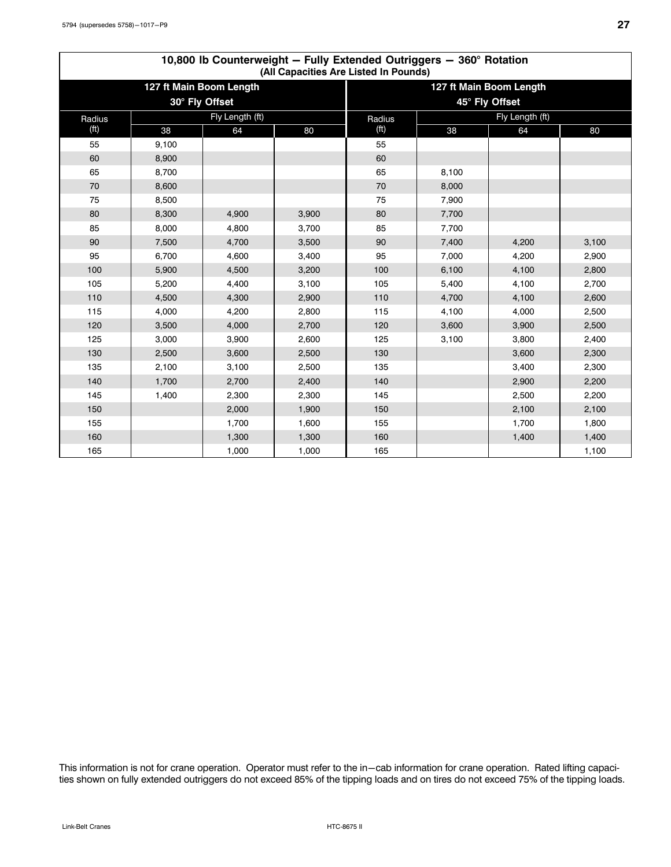ľ

| 10,800 lb Counterweight - Fully Extended Outriggers - 360° Rotation<br>(All Capacities Are Listed In Pounds) |       |                         |       |                         |       |                 |       |  |  |  |
|--------------------------------------------------------------------------------------------------------------|-------|-------------------------|-------|-------------------------|-------|-----------------|-------|--|--|--|
|                                                                                                              |       | 127 ft Main Boom Length |       | 127 ft Main Boom Length |       |                 |       |  |  |  |
|                                                                                                              |       | 30° Fly Offset          |       | 45° Fly Offset          |       |                 |       |  |  |  |
| Radius                                                                                                       |       | Fly Length (ft)         |       | Radius                  |       | Fly Length (ft) |       |  |  |  |
| (f <sup>t</sup> )                                                                                            | 38    | 64                      | 80    | (f <sup>t</sup> )       | 38    | 64              | 80    |  |  |  |
| 55                                                                                                           | 9,100 |                         |       | 55                      |       |                 |       |  |  |  |
| 60                                                                                                           | 8,900 |                         |       | 60                      |       |                 |       |  |  |  |
| 65                                                                                                           | 8,700 |                         |       | 65                      | 8,100 |                 |       |  |  |  |
| 70                                                                                                           | 8,600 |                         |       | 70                      | 8,000 |                 |       |  |  |  |
| 75                                                                                                           | 8,500 |                         |       | 75                      | 7,900 |                 |       |  |  |  |
| 80                                                                                                           | 8,300 | 4,900                   | 3,900 | 80                      | 7,700 |                 |       |  |  |  |
| 85                                                                                                           | 8,000 | 4,800                   | 3,700 | 85                      | 7,700 |                 |       |  |  |  |
| 90                                                                                                           | 7,500 | 4,700                   | 3,500 | 90                      | 7,400 | 4,200           | 3,100 |  |  |  |
| 95                                                                                                           | 6,700 | 4,600                   | 3,400 | 95                      | 7,000 | 4,200           | 2,900 |  |  |  |
| 100                                                                                                          | 5,900 | 4,500                   | 3,200 | 100                     | 6,100 | 4,100           | 2,800 |  |  |  |
| 105                                                                                                          | 5,200 | 4,400                   | 3,100 | 105                     | 5,400 | 4,100           | 2,700 |  |  |  |
| 110                                                                                                          | 4,500 | 4,300                   | 2,900 | 110                     | 4,700 | 4,100           | 2,600 |  |  |  |
| 115                                                                                                          | 4,000 | 4,200                   | 2,800 | 115                     | 4,100 | 4,000           | 2,500 |  |  |  |
| 120                                                                                                          | 3,500 | 4,000                   | 2,700 | 120                     | 3,600 | 3,900           | 2,500 |  |  |  |
| 125                                                                                                          | 3,000 | 3,900                   | 2,600 | 125                     | 3,100 | 3,800           | 2,400 |  |  |  |
| 130                                                                                                          | 2,500 | 3,600                   | 2,500 | 130                     |       | 3,600           | 2,300 |  |  |  |
| 135                                                                                                          | 2,100 | 3,100                   | 2,500 | 135                     |       | 3,400           | 2,300 |  |  |  |
| 140                                                                                                          | 1,700 | 2,700                   | 2,400 | 140                     |       | 2,900           | 2,200 |  |  |  |
| 145                                                                                                          | 1,400 | 2,300                   | 2,300 | 145                     |       | 2,500           | 2,200 |  |  |  |
| 150                                                                                                          |       | 2,000                   | 1,900 | 150                     |       | 2,100           | 2,100 |  |  |  |
| 155                                                                                                          |       | 1,700                   | 1,600 | 155                     |       | 1,700           | 1,800 |  |  |  |
| 160                                                                                                          |       | 1,300                   | 1,300 | 160                     |       | 1,400           | 1,400 |  |  |  |
| 165                                                                                                          |       | 1,000                   | 1,000 | 165                     |       |                 | 1,100 |  |  |  |

10,800 lb Counterweight - Fully Extended Outriggers - 360° Rotation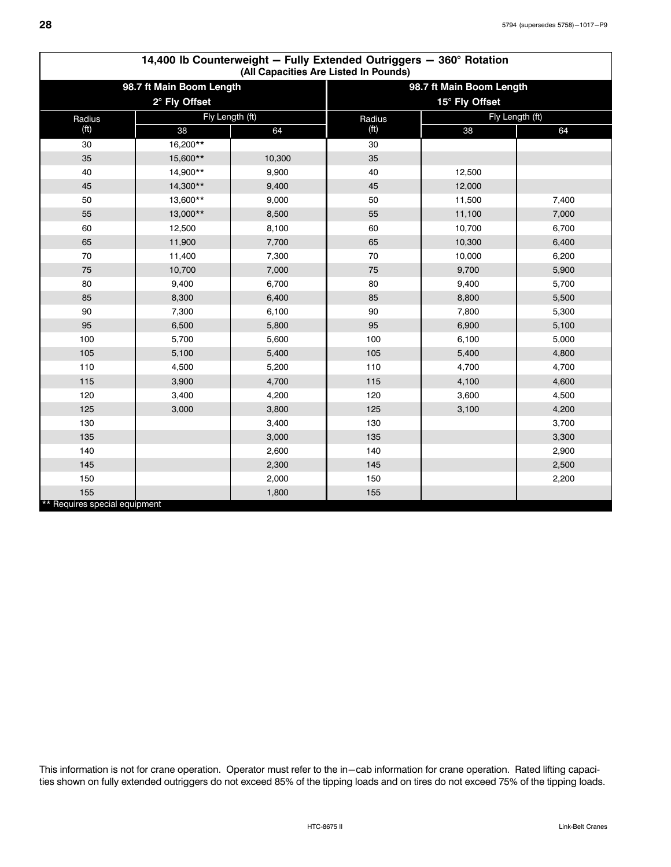<span id="page-32-0"></span>

| 14,400 lb Counterweight - Fully Extended Outriggers - 360° Rotation<br>(All Capacities Are Listed In Pounds) |                          |                 |                          |        |                 |  |  |  |  |  |
|--------------------------------------------------------------------------------------------------------------|--------------------------|-----------------|--------------------------|--------|-----------------|--|--|--|--|--|
|                                                                                                              | 98.7 ft Main Boom Length |                 | 98.7 ft Main Boom Length |        |                 |  |  |  |  |  |
|                                                                                                              | 2° Fly Offset            |                 | 15° Fly Offset           |        |                 |  |  |  |  |  |
| Radius                                                                                                       |                          | Fly Length (ft) | Radius                   |        | Fly Length (ft) |  |  |  |  |  |
| (f <sup>t</sup> )                                                                                            | 38                       | 64              | (f <sup>t</sup> )        | 38     | 64              |  |  |  |  |  |
| 30                                                                                                           | 16,200**                 |                 | 30                       |        |                 |  |  |  |  |  |
| 35                                                                                                           | 15,600**                 | 10,300          | 35                       |        |                 |  |  |  |  |  |
| 40                                                                                                           | 14,900**                 | 9,900           | 40                       | 12,500 |                 |  |  |  |  |  |
| 45                                                                                                           | 14,300**                 | 9,400           | 45                       | 12,000 |                 |  |  |  |  |  |
| 50                                                                                                           | 13,600**                 | 9,000           | 50                       | 11,500 | 7,400           |  |  |  |  |  |
| 55                                                                                                           | 13,000**                 | 8,500           | 55                       | 11,100 | 7,000           |  |  |  |  |  |
| 60                                                                                                           | 12,500                   | 8,100           | 60                       | 10,700 | 6,700           |  |  |  |  |  |
| 65                                                                                                           | 11,900                   | 7,700           | 65                       | 10,300 | 6,400           |  |  |  |  |  |
| 70                                                                                                           | 11,400                   | 7,300           | 70                       | 10,000 | 6,200           |  |  |  |  |  |
| 75                                                                                                           | 10,700                   | 7,000           | 75                       | 9,700  | 5,900           |  |  |  |  |  |
| 80                                                                                                           | 9,400                    | 6,700           | 80                       | 9,400  | 5,700           |  |  |  |  |  |
| 85                                                                                                           | 8,300                    | 6,400           | 85                       | 8,800  | 5,500           |  |  |  |  |  |
| 90                                                                                                           | 7,300                    | 6,100           | 90                       | 7,800  | 5,300           |  |  |  |  |  |
| 95                                                                                                           | 6,500                    | 5,800           | 95                       | 6,900  | 5,100           |  |  |  |  |  |
| 100                                                                                                          | 5,700                    | 5,600           | 100                      | 6,100  | 5,000           |  |  |  |  |  |
| 105                                                                                                          | 5,100                    | 5,400           | 105                      | 5,400  | 4,800           |  |  |  |  |  |
| 110                                                                                                          | 4,500                    | 5,200           | 110                      | 4,700  | 4,700           |  |  |  |  |  |
| 115                                                                                                          | 3,900                    | 4,700           | 115                      | 4,100  | 4,600           |  |  |  |  |  |
| 120                                                                                                          | 3,400                    | 4,200           | 120                      | 3,600  | 4,500           |  |  |  |  |  |
| 125                                                                                                          | 3,000                    | 3,800           | 125                      | 3,100  | 4,200           |  |  |  |  |  |
| 130                                                                                                          |                          | 3,400           | 130                      |        | 3,700           |  |  |  |  |  |
| 135                                                                                                          |                          | 3,000           | 135                      |        | 3,300           |  |  |  |  |  |
| 140                                                                                                          |                          | 2,600           | 140                      |        | 2,900           |  |  |  |  |  |
| 145                                                                                                          |                          | 2,300           | 145                      |        | 2,500           |  |  |  |  |  |
| 150                                                                                                          |                          | 2,000           | 150                      |        | 2,200           |  |  |  |  |  |
| 155                                                                                                          |                          | 1,800           | 155                      |        |                 |  |  |  |  |  |
| ** Requires special equipment                                                                                |                          |                 |                          |        |                 |  |  |  |  |  |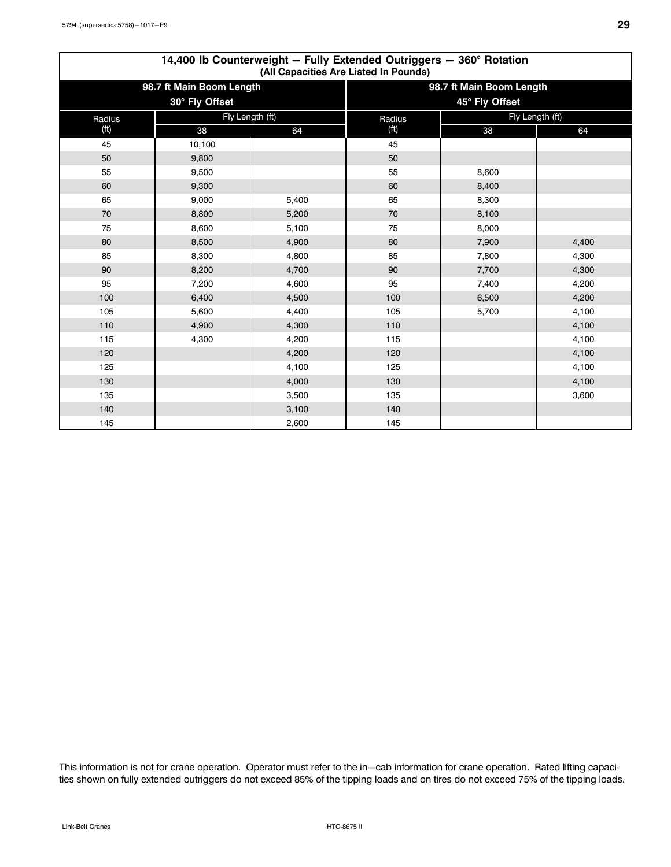| 14,400 lb Counterweight - Fully Extended Outriggers - 360° Rotation<br>(All Capacities Are Listed In Pounds) |                          |                 |                   |                          |                 |  |  |  |  |
|--------------------------------------------------------------------------------------------------------------|--------------------------|-----------------|-------------------|--------------------------|-----------------|--|--|--|--|
|                                                                                                              | 98.7 ft Main Boom Length |                 |                   | 98.7 ft Main Boom Length |                 |  |  |  |  |
|                                                                                                              | 30° Fly Offset           |                 |                   | 45° Fly Offset           |                 |  |  |  |  |
| Radius                                                                                                       |                          | Fly Length (ft) | Radius            |                          | Fly Length (ft) |  |  |  |  |
| (f <sup>t</sup> )                                                                                            | 38                       | 64              | (f <sup>t</sup> ) | 38                       | 64              |  |  |  |  |
| 45                                                                                                           | 10,100                   |                 | 45                |                          |                 |  |  |  |  |
| 50                                                                                                           | 9,800                    |                 | 50                |                          |                 |  |  |  |  |
| 55                                                                                                           | 9,500                    |                 | 55                | 8,600                    |                 |  |  |  |  |
| 60                                                                                                           | 9,300                    |                 | 60                | 8,400                    |                 |  |  |  |  |
| 65                                                                                                           | 9,000                    | 5,400           | 65                | 8,300                    |                 |  |  |  |  |
| 70                                                                                                           | 8,800                    | 5,200           | 70                | 8,100                    |                 |  |  |  |  |
| 75                                                                                                           | 8,600                    | 5,100           | 75                | 8,000                    |                 |  |  |  |  |
| 80                                                                                                           | 8,500                    | 4,900           | 80                | 7,900                    | 4,400           |  |  |  |  |
| 85                                                                                                           | 8,300                    | 4,800           | 85                | 7,800                    | 4,300           |  |  |  |  |
| 90                                                                                                           | 8,200                    | 4,700           | 90                | 7,700                    | 4,300           |  |  |  |  |
| 95                                                                                                           | 7,200                    | 4,600           | 95                | 7,400                    | 4,200           |  |  |  |  |
| 100                                                                                                          | 6,400                    | 4,500           | 100               | 6,500                    | 4,200           |  |  |  |  |
| 105                                                                                                          | 5,600                    | 4,400           | 105               | 5,700                    | 4,100           |  |  |  |  |
| 110                                                                                                          | 4,900                    | 4,300           | 110               |                          | 4,100           |  |  |  |  |
| 115                                                                                                          | 4,300                    | 4,200           | 115               |                          | 4,100           |  |  |  |  |
| 120                                                                                                          |                          | 4,200           | 120               |                          | 4,100           |  |  |  |  |
| 125                                                                                                          |                          | 4,100           | 125               |                          | 4,100           |  |  |  |  |
| 130                                                                                                          |                          | 4,000           | 130               |                          | 4,100           |  |  |  |  |
| 135                                                                                                          |                          | 3,500           | 135               |                          | 3,600           |  |  |  |  |
| 140                                                                                                          |                          | 3,100           | 140               |                          |                 |  |  |  |  |
| 145                                                                                                          |                          | 2,600           | 145               |                          |                 |  |  |  |  |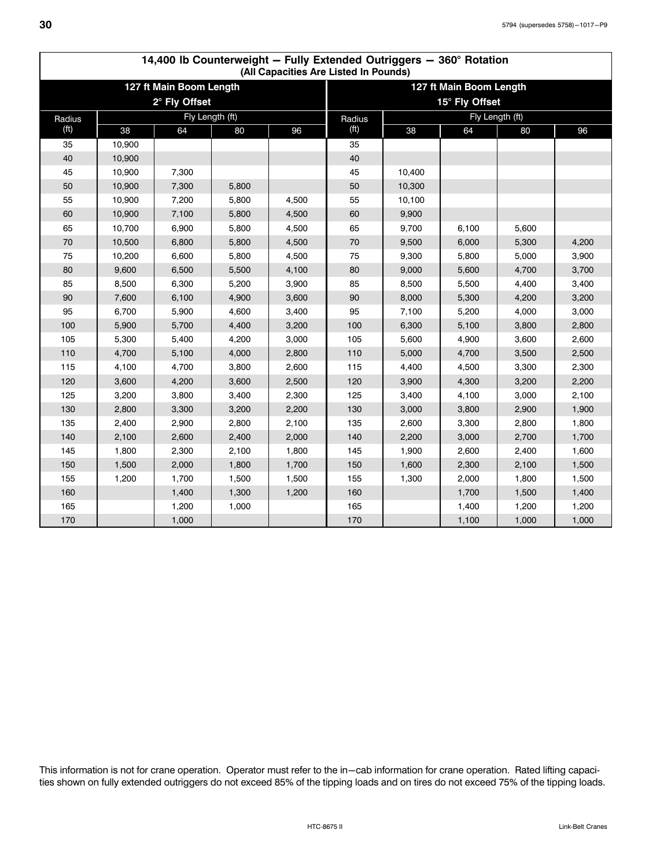|                   | 14,400 ib Counterweight — Fully Extended Outriggers — 360° Rotation<br>(All Capacities Are Listed In Pounds) |                         |       |       |                   |                 |                         |       |       |  |  |
|-------------------|--------------------------------------------------------------------------------------------------------------|-------------------------|-------|-------|-------------------|-----------------|-------------------------|-------|-------|--|--|
|                   |                                                                                                              | 127 ft Main Boom Length |       |       |                   |                 | 127 ft Main Boom Length |       |       |  |  |
|                   |                                                                                                              | 2° Fly Offset           |       |       | 15° Fly Offset    |                 |                         |       |       |  |  |
| Radius            |                                                                                                              | Fly Length (ft)         |       |       | Radius            | Fly Length (ft) |                         |       |       |  |  |
| (f <sup>t</sup> ) | 38                                                                                                           | 64                      | 80    | 96    | (f <sup>t</sup> ) | 38              | 64                      | 80    | 96    |  |  |
| 35                | 10,900                                                                                                       |                         |       |       | 35                |                 |                         |       |       |  |  |
| 40                | 10,900                                                                                                       |                         |       |       | 40                |                 |                         |       |       |  |  |
| 45                | 10,900                                                                                                       | 7,300                   |       |       | 45                | 10,400          |                         |       |       |  |  |
| 50                | 10,900                                                                                                       | 7,300                   | 5,800 |       | 50                | 10,300          |                         |       |       |  |  |
| 55                | 10,900                                                                                                       | 7,200                   | 5,800 | 4,500 | 55                | 10,100          |                         |       |       |  |  |
| 60                | 10,900                                                                                                       | 7,100                   | 5,800 | 4,500 | 60                | 9,900           |                         |       |       |  |  |
| 65                | 10,700                                                                                                       | 6,900                   | 5,800 | 4,500 | 65                | 9,700           | 6,100                   | 5,600 |       |  |  |
| 70                | 10,500                                                                                                       | 6,800                   | 5,800 | 4,500 | 70                | 9,500           | 6,000                   | 5,300 | 4,200 |  |  |
| 75                | 10,200                                                                                                       | 6,600                   | 5,800 | 4,500 | 75                | 9,300           | 5,800                   | 5,000 | 3,900 |  |  |
| 80                | 9,600                                                                                                        | 6,500                   | 5,500 | 4,100 | 80                | 9,000           | 5,600                   | 4,700 | 3,700 |  |  |
| 85                | 8,500                                                                                                        | 6,300                   | 5,200 | 3,900 | 85                | 8,500           | 5,500                   | 4,400 | 3,400 |  |  |
| 90                | 7,600                                                                                                        | 6,100                   | 4,900 | 3,600 | 90                | 8,000           | 5,300                   | 4,200 | 3,200 |  |  |
| 95                | 6,700                                                                                                        | 5,900                   | 4,600 | 3,400 | 95                | 7,100           | 5,200                   | 4,000 | 3,000 |  |  |
| 100               | 5,900                                                                                                        | 5,700                   | 4,400 | 3,200 | 100               | 6,300           | 5,100                   | 3,800 | 2,800 |  |  |
| 105               | 5,300                                                                                                        | 5,400                   | 4,200 | 3,000 | 105               | 5,600           | 4,900                   | 3,600 | 2,600 |  |  |
| 110               | 4,700                                                                                                        | 5,100                   | 4,000 | 2,800 | 110               | 5,000           | 4,700                   | 3,500 | 2,500 |  |  |
| 115               | 4,100                                                                                                        | 4,700                   | 3,800 | 2,600 | 115               | 4,400           | 4,500                   | 3,300 | 2,300 |  |  |
| 120               | 3,600                                                                                                        | 4,200                   | 3,600 | 2,500 | 120               | 3,900           | 4,300                   | 3,200 | 2,200 |  |  |
| 125               | 3,200                                                                                                        | 3,800                   | 3,400 | 2,300 | 125               | 3,400           | 4,100                   | 3,000 | 2,100 |  |  |
| 130               | 2,800                                                                                                        | 3,300                   | 3,200 | 2,200 | 130               | 3,000           | 3,800                   | 2,900 | 1,900 |  |  |
| 135               | 2,400                                                                                                        | 2,900                   | 2,800 | 2,100 | 135               | 2,600           | 3,300                   | 2,800 | 1,800 |  |  |
| 140               | 2,100                                                                                                        | 2,600                   | 2,400 | 2,000 | 140               | 2,200           | 3,000                   | 2,700 | 1,700 |  |  |
| 145               | 1,800                                                                                                        | 2,300                   | 2,100 | 1,800 | 145               | 1,900           | 2,600                   | 2,400 | 1,600 |  |  |
| 150               | 1,500                                                                                                        | 2,000                   | 1,800 | 1,700 | 150               | 1,600           | 2,300                   | 2,100 | 1,500 |  |  |
| 155               | 1,200                                                                                                        | 1,700                   | 1,500 | 1,500 | 155               | 1,300           | 2,000                   | 1,800 | 1,500 |  |  |
| 160               |                                                                                                              | 1,400                   | 1,300 | 1,200 | 160               |                 | 1,700                   | 1,500 | 1,400 |  |  |
| 165               |                                                                                                              | 1,200                   | 1,000 |       | 165               |                 | 1,400                   | 1,200 | 1,200 |  |  |
| 170               |                                                                                                              | 1,000                   |       |       | 170               |                 | 1,100                   | 1,000 | 1,000 |  |  |

## 14,400 lb Counterweight - Fully Extended Outriggers - 360° Rotation

This information is not for crane operation. Operator must refer to the in-cab information for crane operation. Rated lifting capacities shown on fully extended outriggers do not exceed 85% of the tipping loads and on tires do not exceed 75% of the tipping loads.

<span id="page-34-0"></span>Г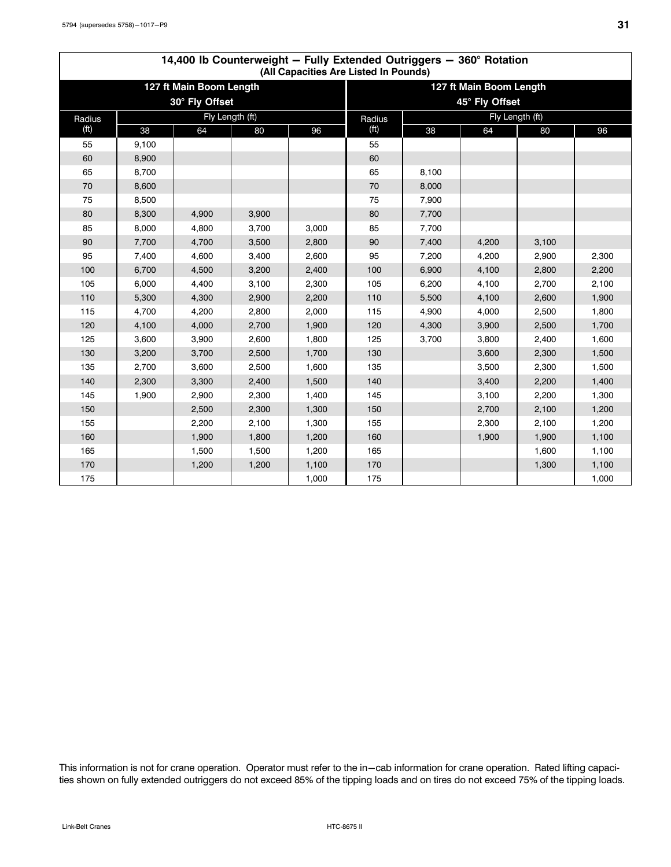Г

| 14,400 ID Counterweight – Funy Extended Outriggers – 360 Hotation<br>(All Capacities Are Listed In Pounds) |       |                         |       |       |                   |       |                         |       |       |  |
|------------------------------------------------------------------------------------------------------------|-------|-------------------------|-------|-------|-------------------|-------|-------------------------|-------|-------|--|
|                                                                                                            |       | 127 ft Main Boom Length |       |       |                   |       | 127 ft Main Boom Length |       |       |  |
|                                                                                                            |       | 30° Fly Offset          |       |       |                   |       | 45° Fly Offset          |       |       |  |
| Radius                                                                                                     |       | Fly Length (ft)         |       |       | Radius            |       | Fly Length (ft)         |       |       |  |
| (f <sup>t</sup> )                                                                                          | 38    | 64                      | 80    | 96    | (f <sup>t</sup> ) | 38    | 64                      | 80    | 96    |  |
| 55                                                                                                         | 9,100 |                         |       |       | 55                |       |                         |       |       |  |
| 60                                                                                                         | 8,900 |                         |       |       | 60                |       |                         |       |       |  |
| 65                                                                                                         | 8,700 |                         |       |       | 65                | 8,100 |                         |       |       |  |
| 70                                                                                                         | 8,600 |                         |       |       | 70                | 8,000 |                         |       |       |  |
| 75                                                                                                         | 8,500 |                         |       |       | 75                | 7,900 |                         |       |       |  |
| 80                                                                                                         | 8,300 | 4,900                   | 3,900 |       | 80                | 7,700 |                         |       |       |  |
| 85                                                                                                         | 8,000 | 4,800                   | 3,700 | 3,000 | 85                | 7,700 |                         |       |       |  |
| 90                                                                                                         | 7,700 | 4,700                   | 3,500 | 2,800 | 90                | 7,400 | 4,200                   | 3,100 |       |  |
| 95                                                                                                         | 7,400 | 4,600                   | 3,400 | 2,600 | 95                | 7,200 | 4,200                   | 2,900 | 2,300 |  |
| 100                                                                                                        | 6,700 | 4,500                   | 3,200 | 2,400 | 100               | 6,900 | 4,100                   | 2,800 | 2,200 |  |
| 105                                                                                                        | 6,000 | 4,400                   | 3,100 | 2,300 | 105               | 6,200 | 4,100                   | 2,700 | 2,100 |  |
| 110                                                                                                        | 5,300 | 4,300                   | 2,900 | 2,200 | 110               | 5,500 | 4,100                   | 2,600 | 1,900 |  |
| 115                                                                                                        | 4,700 | 4,200                   | 2,800 | 2,000 | 115               | 4,900 | 4,000                   | 2,500 | 1,800 |  |
| 120                                                                                                        | 4,100 | 4,000                   | 2,700 | 1,900 | 120               | 4,300 | 3,900                   | 2,500 | 1,700 |  |
| 125                                                                                                        | 3,600 | 3,900                   | 2,600 | 1,800 | 125               | 3,700 | 3,800                   | 2,400 | 1,600 |  |
| 130                                                                                                        | 3,200 | 3,700                   | 2,500 | 1,700 | 130               |       | 3,600                   | 2,300 | 1,500 |  |
| 135                                                                                                        | 2,700 | 3,600                   | 2,500 | 1,600 | 135               |       | 3,500                   | 2,300 | 1,500 |  |
| 140                                                                                                        | 2,300 | 3,300                   | 2,400 | 1,500 | 140               |       | 3,400                   | 2,200 | 1,400 |  |
| 145                                                                                                        | 1,900 | 2,900                   | 2,300 | 1,400 | 145               |       | 3,100                   | 2,200 | 1,300 |  |
| 150                                                                                                        |       | 2,500                   | 2,300 | 1,300 | 150               |       | 2,700                   | 2,100 | 1,200 |  |
| 155                                                                                                        |       | 2,200                   | 2,100 | 1,300 | 155               |       | 2,300                   | 2,100 | 1,200 |  |
| 160                                                                                                        |       | 1,900                   | 1,800 | 1,200 | 160               |       | 1,900                   | 1,900 | 1,100 |  |
| 165                                                                                                        |       | 1,500                   | 1,500 | 1,200 | 165               |       |                         | 1,600 | 1,100 |  |
| 170                                                                                                        |       | 1,200                   | 1,200 | 1,100 | 170               |       |                         | 1,300 | 1,100 |  |
| 175                                                                                                        |       |                         |       | 1,000 | 175               |       |                         |       | 1,000 |  |

**14,400 lb Counterweight - Fully Extended Outriggers - 360° Rotation**

This information is not for crane operation. Operator must refer to the in-cab information for crane operation. Rated lifting capacities shown on fully extended outriggers do not exceed 85% of the tipping loads and on tires do not exceed 75% of the tipping loads.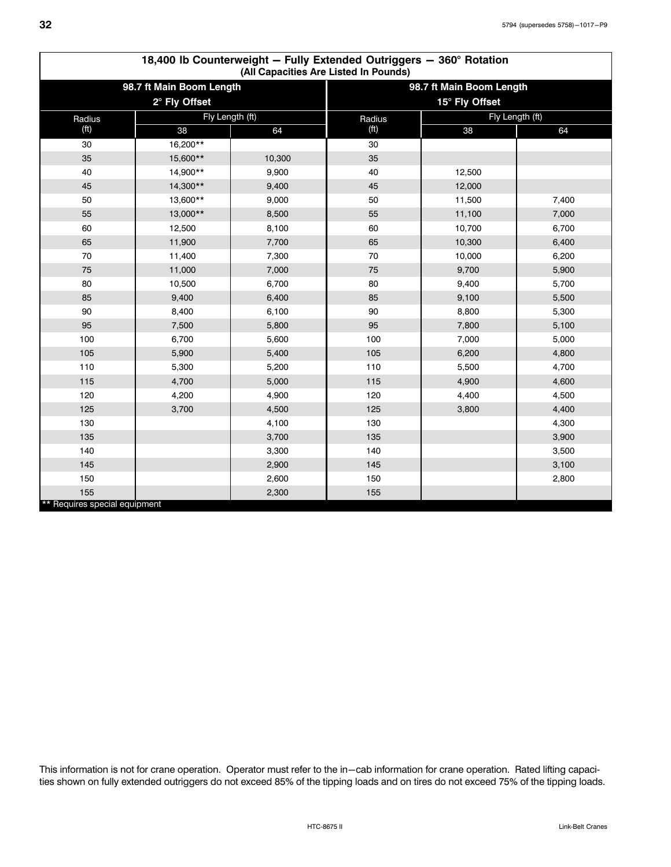|                               | 18,400 lb Counterweight – Fully Extended Outriggers – 360° Rotation<br>(All Capacities Are Listed In Pounds) |                 |                                            |                 |       |  |  |  |  |  |  |  |
|-------------------------------|--------------------------------------------------------------------------------------------------------------|-----------------|--------------------------------------------|-----------------|-------|--|--|--|--|--|--|--|
|                               | 98.7 ft Main Boom Length<br>2° Fly Offset                                                                    |                 | 98.7 ft Main Boom Length<br>15° Fly Offset |                 |       |  |  |  |  |  |  |  |
| Radius                        |                                                                                                              | Fly Length (ft) | Radius                                     | Fly Length (ft) |       |  |  |  |  |  |  |  |
| (f <sup>t</sup> )             | 38                                                                                                           | 64              | (f <sup>t</sup> )                          | 38              | 64    |  |  |  |  |  |  |  |
| 30                            | 16,200**                                                                                                     |                 | 30                                         |                 |       |  |  |  |  |  |  |  |
| 35                            | 15,600**                                                                                                     | 10,300          | 35                                         |                 |       |  |  |  |  |  |  |  |
| 40                            | 14,900**                                                                                                     | 9,900           | 40                                         | 12,500          |       |  |  |  |  |  |  |  |
| 45                            | 14,300**                                                                                                     | 9,400           | 45                                         | 12,000          |       |  |  |  |  |  |  |  |
| 50                            | 13,600**                                                                                                     | 9,000           | 50                                         | 11,500          | 7,400 |  |  |  |  |  |  |  |
| 55                            | 13,000**                                                                                                     | 8,500           | 55                                         | 11,100          | 7,000 |  |  |  |  |  |  |  |
| 60                            | 12,500                                                                                                       | 8,100           | 60                                         | 10,700          | 6,700 |  |  |  |  |  |  |  |
| 65                            | 11,900                                                                                                       | 7,700           | 65                                         | 10,300          | 6,400 |  |  |  |  |  |  |  |
| 70                            | 11,400                                                                                                       | 7,300           | 70                                         | 10,000          | 6,200 |  |  |  |  |  |  |  |
| 75                            | 11,000                                                                                                       | 7,000           | 75                                         | 9,700           | 5,900 |  |  |  |  |  |  |  |
| 80                            | 10,500                                                                                                       | 6,700           | 80                                         | 9,400           | 5,700 |  |  |  |  |  |  |  |
| 85                            | 9,400                                                                                                        | 6,400           | 85                                         | 9,100           | 5,500 |  |  |  |  |  |  |  |
| 90                            | 8,400                                                                                                        | 6,100           | 90                                         | 8,800           | 5,300 |  |  |  |  |  |  |  |
| 95                            | 7,500                                                                                                        | 5,800           | 95                                         | 7,800           | 5,100 |  |  |  |  |  |  |  |
| 100                           | 6,700                                                                                                        | 5,600           | 100                                        | 7,000           | 5,000 |  |  |  |  |  |  |  |
| 105                           | 5,900                                                                                                        | 5,400           | 105                                        | 6,200           | 4,800 |  |  |  |  |  |  |  |
| 110                           | 5,300                                                                                                        | 5,200           | 110                                        | 5,500           | 4,700 |  |  |  |  |  |  |  |
| 115                           | 4,700                                                                                                        | 5,000           | 115                                        | 4,900           | 4,600 |  |  |  |  |  |  |  |
| 120                           | 4,200                                                                                                        | 4,900           | 120                                        | 4,400           | 4,500 |  |  |  |  |  |  |  |
| 125                           | 3,700                                                                                                        | 4,500           | 125                                        | 3,800           | 4,400 |  |  |  |  |  |  |  |
| 130                           |                                                                                                              | 4,100           | 130                                        |                 | 4,300 |  |  |  |  |  |  |  |
| 135                           |                                                                                                              | 3,700           | 135                                        |                 | 3,900 |  |  |  |  |  |  |  |
| 140                           |                                                                                                              | 3,300           | 140                                        |                 | 3,500 |  |  |  |  |  |  |  |
| 145                           |                                                                                                              | 2,900           | 145                                        |                 | 3,100 |  |  |  |  |  |  |  |
| 150                           |                                                                                                              | 2,600           | 150                                        |                 | 2,800 |  |  |  |  |  |  |  |
| 155                           |                                                                                                              | 2,300           | 155                                        |                 |       |  |  |  |  |  |  |  |
| ** Requires special equipment |                                                                                                              |                 |                                            |                 |       |  |  |  |  |  |  |  |

#### 18,400 lb Counterweight - Fully Extended Outriggers - 360° Rotation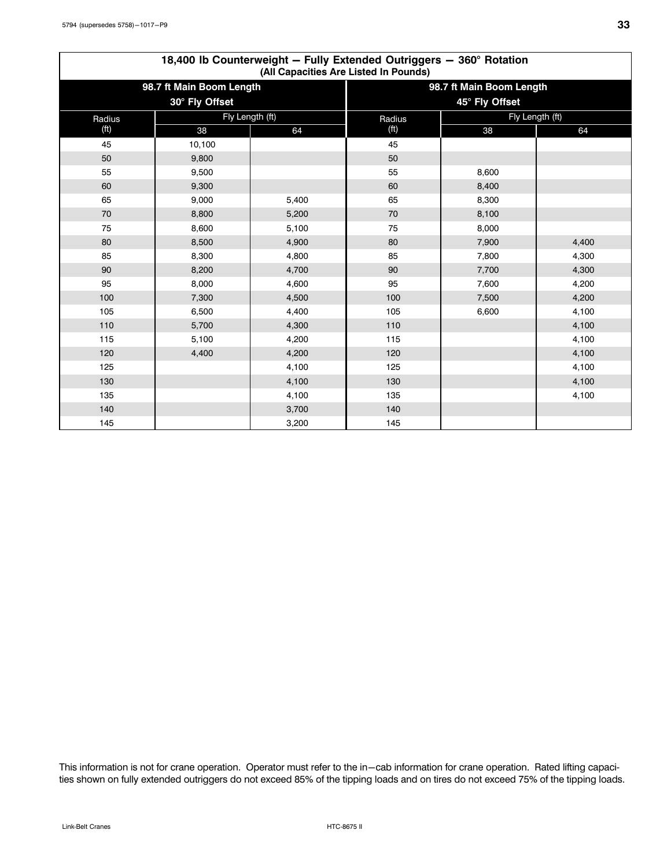| 18,400 lb Counterweight - Fully Extended Outriggers - 360° Rotation<br>(All Capacities Are Listed In Pounds) |                          |                 |                   |                          |                 |  |  |  |  |  |  |
|--------------------------------------------------------------------------------------------------------------|--------------------------|-----------------|-------------------|--------------------------|-----------------|--|--|--|--|--|--|
|                                                                                                              | 98.7 ft Main Boom Length |                 |                   | 98.7 ft Main Boom Length |                 |  |  |  |  |  |  |
|                                                                                                              | 30° Fly Offset           |                 | 45° Fly Offset    |                          |                 |  |  |  |  |  |  |
| Radius                                                                                                       |                          | Fly Length (ft) | Radius            |                          | Fly Length (ft) |  |  |  |  |  |  |
| (f <sup>t</sup> )                                                                                            | 38                       | 64              | (f <sup>t</sup> ) | 38                       | 64              |  |  |  |  |  |  |
| 45                                                                                                           | 10,100                   |                 | 45                |                          |                 |  |  |  |  |  |  |
| 50                                                                                                           | 9,800                    |                 | 50                |                          |                 |  |  |  |  |  |  |
| 55                                                                                                           | 9,500                    |                 | 55                | 8,600                    |                 |  |  |  |  |  |  |
| 60                                                                                                           | 9,300                    |                 | 60                | 8,400                    |                 |  |  |  |  |  |  |
| 65                                                                                                           | 9,000                    | 5,400           | 65                | 8,300                    |                 |  |  |  |  |  |  |
| 70                                                                                                           | 8,800                    | 5,200           | 70                | 8,100                    |                 |  |  |  |  |  |  |
| 75                                                                                                           | 8,600                    | 5,100           | 75                | 8,000                    |                 |  |  |  |  |  |  |
| 80                                                                                                           | 8,500                    | 4,900           | 80                | 7,900                    | 4,400           |  |  |  |  |  |  |
| 85                                                                                                           | 8,300                    | 4,800           | 85                | 7,800                    | 4,300           |  |  |  |  |  |  |
| 90                                                                                                           | 8,200                    | 4,700           | 90                | 7,700                    | 4,300           |  |  |  |  |  |  |
| 95                                                                                                           | 8,000                    | 4,600           | 95                | 7,600                    | 4,200           |  |  |  |  |  |  |
| 100                                                                                                          | 7,300                    | 4,500           | 100               | 7,500                    | 4,200           |  |  |  |  |  |  |
| 105                                                                                                          | 6,500                    | 4,400           | 105               | 6,600                    | 4,100           |  |  |  |  |  |  |
| 110                                                                                                          | 5,700                    | 4,300           | 110               |                          | 4,100           |  |  |  |  |  |  |
| 115                                                                                                          | 5,100                    | 4,200           | 115               |                          | 4,100           |  |  |  |  |  |  |
| 120                                                                                                          | 4,400                    | 4,200           | 120               |                          | 4,100           |  |  |  |  |  |  |
| 125                                                                                                          |                          | 4,100           | 125               |                          | 4,100           |  |  |  |  |  |  |
| 130                                                                                                          |                          | 4,100           | 130               |                          | 4,100           |  |  |  |  |  |  |
| 135                                                                                                          |                          | 4,100           | 135               |                          | 4,100           |  |  |  |  |  |  |
| 140                                                                                                          |                          | 3,700           | 140               |                          |                 |  |  |  |  |  |  |
| 145                                                                                                          |                          | 3,200           | 145               |                          |                 |  |  |  |  |  |  |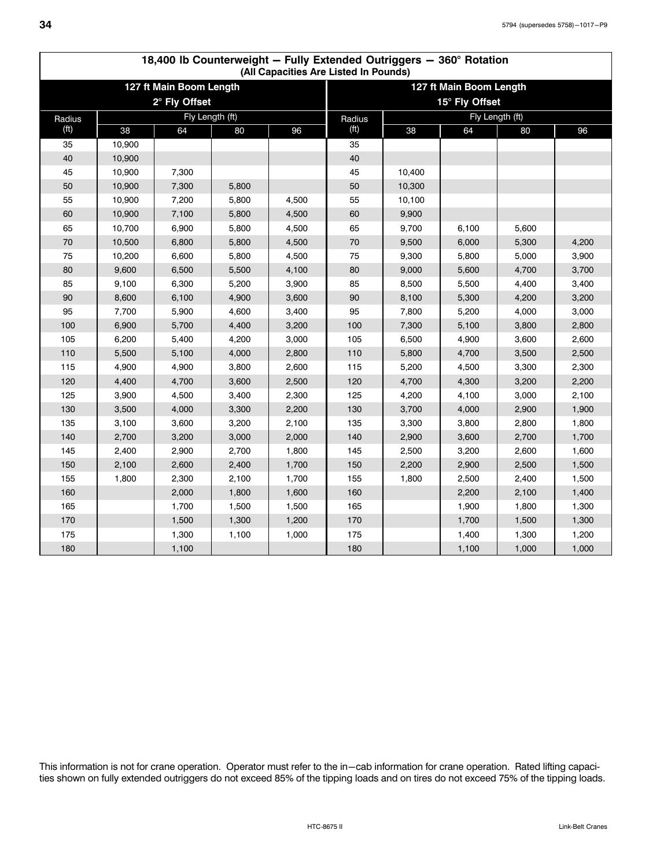|                   | 18,400 lb Counterweight - Fully Extended Outriggers - 360° Rotation<br>(All Capacities Are Listed In Pounds) |                         |       |       |                   |        |                         |       |       |  |  |  |
|-------------------|--------------------------------------------------------------------------------------------------------------|-------------------------|-------|-------|-------------------|--------|-------------------------|-------|-------|--|--|--|
|                   |                                                                                                              | 127 ft Main Boom Length |       |       |                   |        | 127 ft Main Boom Length |       |       |  |  |  |
|                   |                                                                                                              | 2° Fly Offset           |       |       |                   |        | 15° Fly Offset          |       |       |  |  |  |
| Radius            |                                                                                                              | Fly Length (ft)         |       |       | Radius            |        | Fly Length (ft)         |       |       |  |  |  |
| (f <sup>t</sup> ) | 38                                                                                                           | 64                      | 80    | 96    | (f <sup>t</sup> ) | 38     | 64                      | 80    | 96    |  |  |  |
| 35                | 10,900                                                                                                       |                         |       |       | 35                |        |                         |       |       |  |  |  |
| 40                | 10,900                                                                                                       |                         |       |       | 40                |        |                         |       |       |  |  |  |
| 45                | 10,900                                                                                                       | 7,300                   |       |       | 45                | 10,400 |                         |       |       |  |  |  |
| 50                | 10,900                                                                                                       | 7,300                   | 5,800 |       | 50                | 10,300 |                         |       |       |  |  |  |
| 55                | 10,900                                                                                                       | 7,200                   | 5,800 | 4,500 | 55                | 10,100 |                         |       |       |  |  |  |
| 60                | 10,900                                                                                                       | 7,100                   | 5,800 | 4,500 | 60                | 9,900  |                         |       |       |  |  |  |
| 65                | 10,700                                                                                                       | 6,900                   | 5,800 | 4,500 | 65                | 9,700  | 6,100                   | 5,600 |       |  |  |  |
| 70                | 10,500                                                                                                       | 6,800                   | 5,800 | 4,500 | 70                | 9,500  | 6,000                   | 5,300 | 4,200 |  |  |  |
| 75                | 10,200                                                                                                       | 6,600                   | 5,800 | 4,500 | 75                | 9,300  | 5,800                   | 5,000 | 3,900 |  |  |  |
| 80                | 9,600                                                                                                        | 6,500                   | 5,500 | 4,100 | 80                | 9,000  | 5,600                   | 4,700 | 3,700 |  |  |  |
| 85                | 9,100                                                                                                        | 6,300                   | 5,200 | 3,900 | 85                | 8,500  | 5,500                   | 4,400 | 3,400 |  |  |  |
| 90                | 8,600                                                                                                        | 6,100                   | 4,900 | 3,600 | 90                | 8,100  | 5,300                   | 4,200 | 3,200 |  |  |  |
| 95                | 7,700                                                                                                        | 5,900                   | 4,600 | 3,400 | 95                | 7,800  | 5,200                   | 4,000 | 3,000 |  |  |  |
| 100               | 6,900                                                                                                        | 5,700                   | 4,400 | 3,200 | 100               | 7,300  | 5,100                   | 3,800 | 2,800 |  |  |  |
| 105               | 6,200                                                                                                        | 5,400                   | 4,200 | 3,000 | 105               | 6,500  | 4,900                   | 3,600 | 2,600 |  |  |  |
| 110               | 5,500                                                                                                        | 5,100                   | 4,000 | 2,800 | 110               | 5,800  | 4,700                   | 3,500 | 2,500 |  |  |  |
| 115               | 4,900                                                                                                        | 4,900                   | 3,800 | 2,600 | 115               | 5,200  | 4,500                   | 3,300 | 2,300 |  |  |  |
| 120               | 4,400                                                                                                        | 4,700                   | 3,600 | 2,500 | 120               | 4,700  | 4,300                   | 3,200 | 2,200 |  |  |  |
| 125               | 3,900                                                                                                        | 4,500                   | 3,400 | 2,300 | 125               | 4,200  | 4,100                   | 3,000 | 2,100 |  |  |  |
| 130               | 3,500                                                                                                        | 4,000                   | 3,300 | 2,200 | 130               | 3,700  | 4,000                   | 2,900 | 1,900 |  |  |  |
| 135               | 3,100                                                                                                        | 3,600                   | 3,200 | 2,100 | 135               | 3,300  | 3,800                   | 2,800 | 1,800 |  |  |  |
| 140               | 2,700                                                                                                        | 3,200                   | 3,000 | 2,000 | 140               | 2,900  | 3,600                   | 2,700 | 1,700 |  |  |  |
| 145               | 2,400                                                                                                        | 2,900                   | 2,700 | 1,800 | 145               | 2,500  | 3,200                   | 2,600 | 1,600 |  |  |  |
| 150               | 2,100                                                                                                        | 2,600                   | 2,400 | 1,700 | 150               | 2,200  | 2,900                   | 2,500 | 1,500 |  |  |  |
| 155               | 1,800                                                                                                        | 2,300                   | 2,100 | 1,700 | 155               | 1,800  | 2,500                   | 2,400 | 1,500 |  |  |  |
| 160               |                                                                                                              | 2,000                   | 1,800 | 1,600 | 160               |        | 2,200                   | 2,100 | 1,400 |  |  |  |
| 165               |                                                                                                              | 1,700                   | 1,500 | 1,500 | 165               |        | 1,900                   | 1,800 | 1,300 |  |  |  |
| 170               |                                                                                                              | 1,500                   | 1,300 | 1,200 | 170               |        | 1,700                   | 1,500 | 1,300 |  |  |  |
| 175               |                                                                                                              | 1,300                   | 1,100 | 1,000 | 175               |        | 1,400                   | 1,300 | 1,200 |  |  |  |
| 180               |                                                                                                              | 1,100                   |       |       | 180               |        | 1,100                   | 1,000 | 1,000 |  |  |  |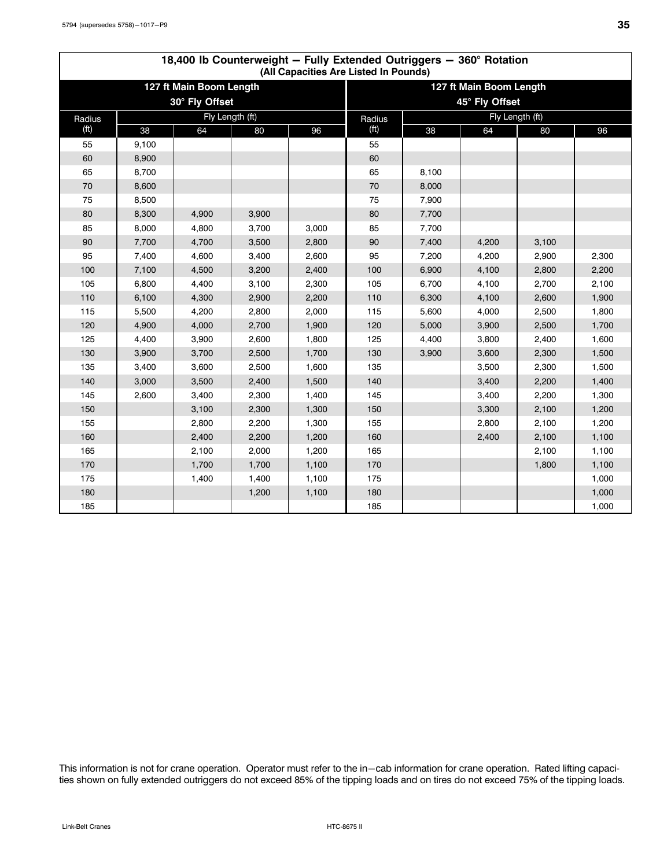Г

|                   | 10,400 ID Counterweight - Funy Extended Outriggers - 300 Rotation<br>(All Capacities Are Listed In Pounds) |                         |       |       |                   |       |                         |       |       |  |  |  |  |
|-------------------|------------------------------------------------------------------------------------------------------------|-------------------------|-------|-------|-------------------|-------|-------------------------|-------|-------|--|--|--|--|
|                   |                                                                                                            | 127 ft Main Boom Length |       |       |                   |       | 127 ft Main Boom Length |       |       |  |  |  |  |
|                   |                                                                                                            | 30° Fly Offset          |       |       |                   |       | 45° Fly Offset          |       |       |  |  |  |  |
| Radius            |                                                                                                            | Fly Length (ft)         |       |       | Radius            |       | Fly Length (ft)         |       |       |  |  |  |  |
| (f <sup>t</sup> ) | 38                                                                                                         | 64                      | 80    | 96    | (f <sup>t</sup> ) | 38    | 64                      | 80    | 96    |  |  |  |  |
| 55                | 9,100                                                                                                      |                         |       |       | 55                |       |                         |       |       |  |  |  |  |
| 60                | 8,900                                                                                                      |                         |       |       | 60                |       |                         |       |       |  |  |  |  |
| 65                | 8,700                                                                                                      |                         |       |       | 65                | 8,100 |                         |       |       |  |  |  |  |
| 70                | 8,600                                                                                                      |                         |       |       | 70                | 8,000 |                         |       |       |  |  |  |  |
| 75                | 8,500                                                                                                      |                         |       |       | 75                | 7,900 |                         |       |       |  |  |  |  |
| 80                | 8,300                                                                                                      | 4,900                   | 3,900 |       | 80                | 7,700 |                         |       |       |  |  |  |  |
| 85                | 8,000                                                                                                      | 4,800                   | 3,700 | 3,000 | 85                | 7,700 |                         |       |       |  |  |  |  |
| 90                | 7,700                                                                                                      | 4,700                   | 3,500 | 2,800 | 90                | 7,400 | 4,200                   | 3,100 |       |  |  |  |  |
| 95                | 7,400                                                                                                      | 4,600                   | 3,400 | 2,600 | 95                | 7,200 | 4,200                   | 2,900 | 2,300 |  |  |  |  |
| 100               | 7,100                                                                                                      | 4,500                   | 3,200 | 2,400 | 100               | 6,900 | 4,100                   | 2,800 | 2,200 |  |  |  |  |
| 105               | 6,800                                                                                                      | 4,400                   | 3,100 | 2,300 | 105               | 6,700 | 4,100                   | 2,700 | 2,100 |  |  |  |  |
| 110               | 6,100                                                                                                      | 4,300                   | 2,900 | 2,200 | 110               | 6,300 | 4,100                   | 2,600 | 1,900 |  |  |  |  |
| 115               | 5,500                                                                                                      | 4,200                   | 2,800 | 2,000 | 115               | 5,600 | 4,000                   | 2,500 | 1,800 |  |  |  |  |
| 120               | 4,900                                                                                                      | 4,000                   | 2,700 | 1,900 | 120               | 5,000 | 3,900                   | 2,500 | 1,700 |  |  |  |  |
| 125               | 4,400                                                                                                      | 3,900                   | 2,600 | 1,800 | 125               | 4,400 | 3,800                   | 2,400 | 1,600 |  |  |  |  |
| 130               | 3,900                                                                                                      | 3,700                   | 2,500 | 1,700 | 130               | 3,900 | 3,600                   | 2,300 | 1,500 |  |  |  |  |
| 135               | 3,400                                                                                                      | 3,600                   | 2,500 | 1,600 | 135               |       | 3,500                   | 2,300 | 1,500 |  |  |  |  |
| 140               | 3,000                                                                                                      | 3,500                   | 2,400 | 1,500 | 140               |       | 3,400                   | 2,200 | 1,400 |  |  |  |  |
| 145               | 2,600                                                                                                      | 3,400                   | 2,300 | 1,400 | 145               |       | 3,400                   | 2,200 | 1,300 |  |  |  |  |
| 150               |                                                                                                            | 3,100                   | 2,300 | 1,300 | 150               |       | 3,300                   | 2,100 | 1,200 |  |  |  |  |
| 155               |                                                                                                            | 2,800                   | 2,200 | 1,300 | 155               |       | 2,800                   | 2,100 | 1,200 |  |  |  |  |
| 160               |                                                                                                            | 2,400                   | 2,200 | 1,200 | 160               |       | 2,400                   | 2,100 | 1,100 |  |  |  |  |
| 165               |                                                                                                            | 2,100                   | 2,000 | 1,200 | 165               |       |                         | 2,100 | 1,100 |  |  |  |  |
| 170               |                                                                                                            | 1,700                   | 1,700 | 1,100 | 170               |       |                         | 1,800 | 1,100 |  |  |  |  |
| 175               |                                                                                                            | 1,400                   | 1,400 | 1,100 | 175               |       |                         |       | 1,000 |  |  |  |  |
| 180               |                                                                                                            |                         | 1,200 | 1,100 | 180               |       |                         |       | 1,000 |  |  |  |  |
| 185               |                                                                                                            |                         |       |       | 185               |       |                         |       | 1,000 |  |  |  |  |

### **18,400 lb Counterweight - Fully Extended Outriggers - 360° Rotation**

This information is not for crane operation. Operator must refer to the in-cab information for crane operation. Rated lifting capacities shown on fully extended outriggers do not exceed 85% of the tipping loads and on tires do not exceed 75% of the tipping loads.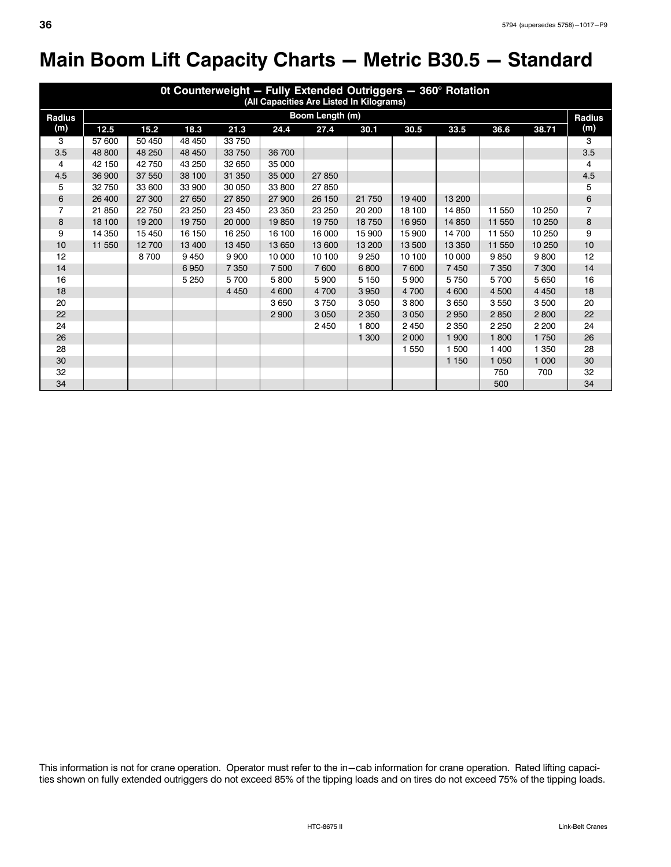#### **Main Boom Lift Capacity Charts - Metric B30.5 - Standard**

|               | Ot Counterweight - Fully Extended Outriggers - 360° Rotation<br>(All Capacities Are Listed In Kilograms) |        |         |         |         |                 |         |         |         |         |         |                |
|---------------|----------------------------------------------------------------------------------------------------------|--------|---------|---------|---------|-----------------|---------|---------|---------|---------|---------|----------------|
| <b>Radius</b> |                                                                                                          |        |         |         |         | Boom Length (m) |         |         |         |         |         | <b>Radius</b>  |
| (m)           | 12.5                                                                                                     | 15.2   | 18.3    | 21.3    | 24.4    | 27.4            | 30.1    | 30.5    | 33.5    | 36.6    | 38.71   | (m)            |
| 3             | 57 600                                                                                                   | 50 450 | 48 450  | 33 750  |         |                 |         |         |         |         |         | 3              |
| 3.5           | 48 800                                                                                                   | 48 250 | 48 450  | 33 750  | 36 700  |                 |         |         |         |         |         | 3.5            |
| 4             | 42 150                                                                                                   | 42750  | 43 250  | 32 650  | 35 000  |                 |         |         |         |         |         | 4              |
| 4.5           | 36 900                                                                                                   | 37 550 | 38 100  | 31 350  | 35 000  | 27 850          |         |         |         |         |         | 4.5            |
| 5             | 32750                                                                                                    | 33 600 | 33 900  | 30 050  | 33 800  | 27 850          |         |         |         |         |         | 5              |
| 6             | 26 400                                                                                                   | 27 300 | 27 650  | 27 850  | 27 900  | 26 150          | 21 750  | 19 400  | 13 200  |         |         | 6              |
| 7             | 21 850                                                                                                   | 22 750 | 23 250  | 23 450  | 23 350  | 23 250          | 20 200  | 18 100  | 14 850  | 11 550  | 10 250  | $\overline{7}$ |
| 8             | 18 100                                                                                                   | 19 200 | 19750   | 20 000  | 19850   | 19750           | 18750   | 16 950  | 14 8 50 | 11 550  | 10 250  | 8              |
| 9             | 14 350                                                                                                   | 15 450 | 16 150  | 16 250  | 16 100  | 16 000          | 15 900  | 15 900  | 14 700  | 11 550  | 10 250  | 9              |
| 10            | 11 550                                                                                                   | 12700  | 13 400  | 13 450  | 13 650  | 13 600          | 13 200  | 13 500  | 13 350  | 11 550  | 10 250  | 10             |
| 12            |                                                                                                          | 8700   | 9450    | 9900    | 10 000  | 10 100          | 9 2 5 0 | 10 100  | 10 000  | 9850    | 9800    | 12             |
| 14            |                                                                                                          |        | 6950    | 7 3 5 0 | 7500    | 7600            | 6800    | 7600    | 7450    | 7 3 5 0 | 7 300   | 14             |
| 16            |                                                                                                          |        | 5 2 5 0 | 5700    | 5800    | 5900            | 5 1 5 0 | 5 9 0 0 | 5750    | 5700    | 5650    | 16             |
| 18            |                                                                                                          |        |         | 4 4 5 0 | 4 600   | 4700            | 3950    | 4700    | 4 600   | 4 500   | 4 4 5 0 | 18             |
| 20            |                                                                                                          |        |         |         | 3650    | 3750            | 3 0 5 0 | 3800    | 3650    | 3550    | 3500    | 20             |
| 22            |                                                                                                          |        |         |         | 2 9 0 0 | 3 0 5 0         | 2 3 5 0 | 3 0 5 0 | 2950    | 2850    | 2800    | 22             |
| 24            |                                                                                                          |        |         |         |         | 2450            | 1800    | 2 4 5 0 | 2 3 5 0 | 2 2 5 0 | 2 2 0 0 | 24             |
| 26            |                                                                                                          |        |         |         |         |                 | 1 300   | 2 0 0 0 | 1 900   | 1800    | 1750    | 26             |
| 28            |                                                                                                          |        |         |         |         |                 |         | 1550    | 1500    | 1 400   | 1 3 5 0 | 28             |
| 30            |                                                                                                          |        |         |         |         |                 |         |         | 1 1 5 0 | 1 0 5 0 | 1 000   | 30             |
| 32            |                                                                                                          |        |         |         |         |                 |         |         |         | 750     | 700     | 32             |
| 34            |                                                                                                          |        |         |         |         |                 |         |         |         | 500     |         | 34             |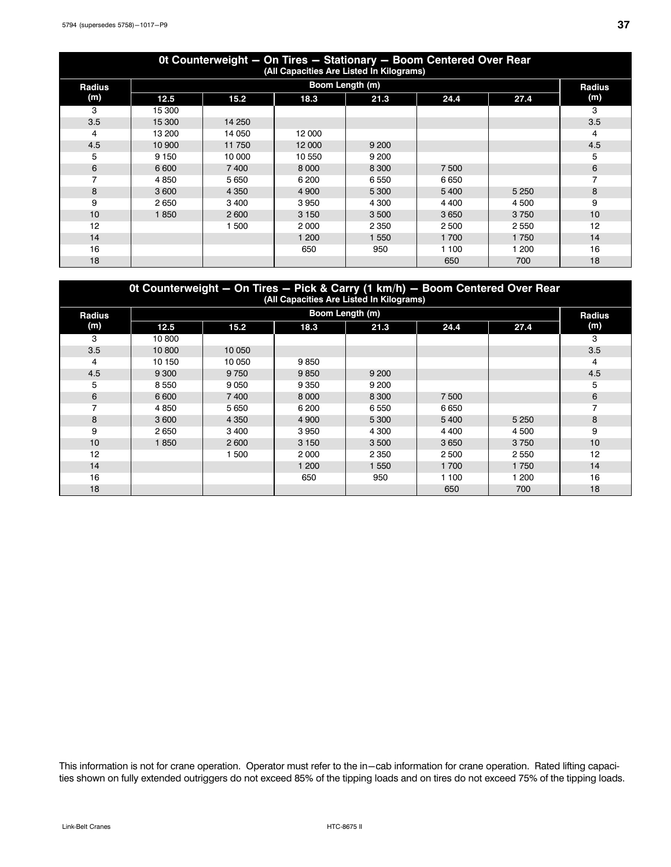|        | 0t Counterweight - On Tires - Stationary - Boom Centered Over Rear<br>(All Capacities Are Listed In Kilograms) |         |         |                 |         |         |               |  |  |  |  |  |  |
|--------|----------------------------------------------------------------------------------------------------------------|---------|---------|-----------------|---------|---------|---------------|--|--|--|--|--|--|
| Radius |                                                                                                                |         |         | Boom Length (m) |         |         | <b>Radius</b> |  |  |  |  |  |  |
| (m)    | 12.5                                                                                                           | 15.2    | 18.3    | 21.3            | 24.4    | 27.4    | (m)           |  |  |  |  |  |  |
| 3      | 15 300                                                                                                         |         |         |                 |         |         | 3             |  |  |  |  |  |  |
| 3.5    | 15 300                                                                                                         | 14 250  |         |                 |         |         | 3.5           |  |  |  |  |  |  |
| 4      | 13 200                                                                                                         | 14 050  | 12 000  |                 |         |         | 4             |  |  |  |  |  |  |
| 4.5    | 10 900                                                                                                         | 11750   | 12 000  | 9 2 0 0         |         |         | 4.5           |  |  |  |  |  |  |
| 5      | 9 1 5 0                                                                                                        | 10 000  | 10 550  | 9 200           |         |         | 5             |  |  |  |  |  |  |
| 6      | 6 600                                                                                                          | 7400    | 8 0 0 0 | 8 3 0 0         | 7 500   |         | 6             |  |  |  |  |  |  |
| 7      | 4 8 5 0                                                                                                        | 5650    | 6 200   | 6 5 5 0         | 6650    |         | 7             |  |  |  |  |  |  |
| 8      | 3600                                                                                                           | 4 3 5 0 | 4 9 0 0 | 5 300           | 5 400   | 5 2 5 0 | 8             |  |  |  |  |  |  |
| 9      | 2650                                                                                                           | 3 4 0 0 | 3950    | 4 300           | 4 4 0 0 | 4 500   | 9             |  |  |  |  |  |  |
| 10     | 1850                                                                                                           | 2600    | 3 1 5 0 | 3 500           | 3650    | 3750    | 10            |  |  |  |  |  |  |
| 12     |                                                                                                                | 1 500   | 2000    | 2 3 5 0         | 2 500   | 2 5 5 0 | 12            |  |  |  |  |  |  |
| 14     |                                                                                                                |         | 1 200   | 1 5 5 0         | 1 700   | 1750    | 14            |  |  |  |  |  |  |
| 16     |                                                                                                                |         | 650     | 950             | 1 100   | 1 200   | 16            |  |  |  |  |  |  |
| 18     |                                                                                                                |         |         |                 | 650     | 700     | 18            |  |  |  |  |  |  |

#### 0t Counterweight -- On Tires -- Pick & Carry (1 km/h) -- Boom Centered Over Rear **(All Capacities Are Listed In Kilograms)**

| <b>Radius</b>  |         |         | Boom Length (m) |         |         |         | <b>Radius</b> |
|----------------|---------|---------|-----------------|---------|---------|---------|---------------|
| (m)            | 12.5    | 15.2    | 18.3            | 21.3    | 24.4    | 27.4    | (m)           |
| 3              | 10 800  |         |                 |         |         |         | 3             |
| 3.5            | 10 800  | 10 050  |                 |         |         |         | 3.5           |
| 4              | 10 150  | 10 050  | 9850            |         |         |         | 4             |
| 4.5            | 9 3 0 0 | 9750    | 9850            | 9 2 0 0 |         |         | 4.5           |
| 5              | 8 5 5 0 | 9050    | 9 3 5 0         | 9 2 0 0 |         |         | 5             |
| 6              | 6 600   | 7 4 0 0 | 8 0 0 0         | 8 3 0 0 | 7 500   |         | 6             |
| $\overline{7}$ | 4 8 5 0 | 5650    | 6 200           | 6 5 5 0 | 6650    |         | 7             |
| 8              | 3600    | 4 3 5 0 | 4 9 0 0         | 5 3 0 0 | 5 4 0 0 | 5 2 5 0 | 8             |
| 9              | 2650    | 3 4 0 0 | 3950            | 4 3 0 0 | 4 4 0 0 | 4 500   | 9             |
| 10             | 1850    | 2600    | 3 1 5 0         | 3 500   | 3650    | 3750    | 10            |
| 12             |         | 1 500   | 2000            | 2 3 5 0 | 2 500   | 2 5 5 0 | 12            |
| 14             |         |         | 1 200           | 1 550   | 1 700   | 1750    | 14            |
| 16             |         |         | 650             | 950     | 1 100   | 1 200   | 16            |
| 18             |         |         |                 |         | 650     | 700     | 18            |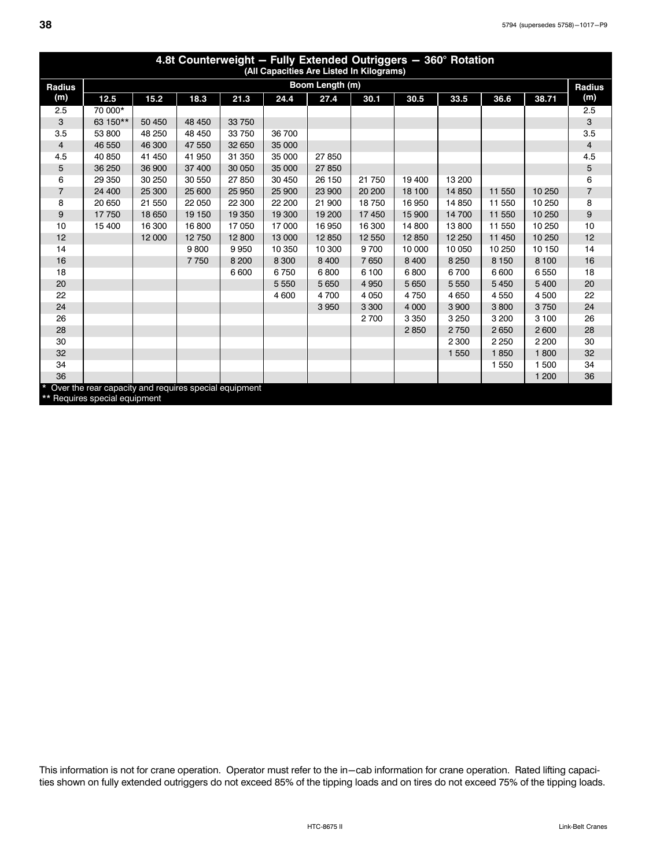| 4.8t Counterweight - Fully Extended Outriggers - 360° Rotation<br>(All Capacities Are Listed In Kilograms) |                                                                                        |        |        |        |         |                 |         |         |         |         |         |                |
|------------------------------------------------------------------------------------------------------------|----------------------------------------------------------------------------------------|--------|--------|--------|---------|-----------------|---------|---------|---------|---------|---------|----------------|
| <b>Radius</b>                                                                                              |                                                                                        |        |        |        |         | Boom Length (m) |         |         |         |         |         | <b>Radius</b>  |
| (m)                                                                                                        | 12.5                                                                                   | 15.2   | 18.3   | 21.3   | 24.4    | 27.4            | 30.1    | 30.5    | 33.5    | 36.6    | 38.71   | (m)            |
| 2.5                                                                                                        | 70 000*                                                                                |        |        |        |         |                 |         |         |         |         |         | 2.5            |
| 3                                                                                                          | 63 150**                                                                               | 50 450 | 48 450 | 33 750 |         |                 |         |         |         |         |         | 3              |
| 3.5                                                                                                        | 53 800                                                                                 | 48 250 | 48 450 | 33750  | 36 700  |                 |         |         |         |         |         | 3.5            |
| $\overline{4}$                                                                                             | 46 550                                                                                 | 46 300 | 47 550 | 32 650 | 35 000  |                 |         |         |         |         |         | 4              |
| 4.5                                                                                                        | 40 850                                                                                 | 41 450 | 41 950 | 31 350 | 35 000  | 27 850          |         |         |         |         |         | 4.5            |
| 5                                                                                                          | 36 250                                                                                 | 36 900 | 37 400 | 30 050 | 35 000  | 27 850          |         |         |         |         |         | 5              |
| 6                                                                                                          | 29 350                                                                                 | 30 250 | 30 550 | 27850  | 30 450  | 26 150          | 21 750  | 19 400  | 13 200  |         |         | 6              |
| $\overline{7}$                                                                                             | 24 400                                                                                 | 25 300 | 25 600 | 25 950 | 25 900  | 23 900          | 20 200  | 18 100  | 14 850  | 11 550  | 10 250  | $\overline{7}$ |
| 8                                                                                                          | 20 650                                                                                 | 21 550 | 22 050 | 22 300 | 22 200  | 21 900          | 18750   | 16950   | 14 850  | 11 550  | 10 250  | 8              |
| 9                                                                                                          | 17750                                                                                  | 18 650 | 19 150 | 19 350 | 19 300  | 19 200          | 17 450  | 15 900  | 14 700  | 11 550  | 10 250  | 9              |
| 10                                                                                                         | 15 400                                                                                 | 16 300 | 16800  | 17050  | 17 000  | 16 950          | 16 300  | 14 800  | 13 800  | 11 550  | 10 250  | 10             |
| 12                                                                                                         |                                                                                        | 12 000 | 12750  | 12800  | 13 000  | 12 850          | 12 550  | 12850   | 12 250  | 11 450  | 10 250  | 12             |
| 14                                                                                                         |                                                                                        |        | 9800   | 9950   | 10 350  | 10 300          | 9700    | 10 000  | 10 050  | 10 250  | 10 150  | 14             |
| 16                                                                                                         |                                                                                        |        | 7750   | 8 200  | 8 3 0 0 | 8 4 0 0         | 7650    | 8 4 0 0 | 8 2 5 0 | 8 1 5 0 | 8 1 0 0 | 16             |
| 18                                                                                                         |                                                                                        |        |        | 6 600  | 6750    | 6800            | 6 100   | 6800    | 6700    | 6 600   | 6550    | 18             |
| 20                                                                                                         |                                                                                        |        |        |        | 5 5 5 0 | 5 6 5 0         | 4 9 5 0 | 5 6 5 0 | 5 5 5 0 | 5 4 5 0 | 5400    | 20             |
| 22                                                                                                         |                                                                                        |        |        |        | 4 600   | 4700            | 4 0 5 0 | 4750    | 4 6 5 0 | 4 5 5 0 | 4 500   | 22             |
| 24                                                                                                         |                                                                                        |        |        |        |         | 3950            | 3 3 0 0 | 4 0 0 0 | 3 9 0 0 | 3800    | 3750    | 24             |
| 26                                                                                                         |                                                                                        |        |        |        |         |                 | 2700    | 3 3 5 0 | 3 2 5 0 | 3 200   | 3 100   | 26             |
| 28                                                                                                         |                                                                                        |        |        |        |         |                 |         | 2850    | 2 7 5 0 | 2650    | 2600    | 28             |
| 30                                                                                                         |                                                                                        |        |        |        |         |                 |         |         | 2 3 0 0 | 2 2 5 0 | 2 2 0 0 | 30             |
| 32                                                                                                         |                                                                                        |        |        |        |         |                 |         |         | 1 550   | 1850    | 1800    | 32             |
| 34                                                                                                         |                                                                                        |        |        |        |         |                 |         |         |         | 1 550   | 1500    | 34             |
| 36                                                                                                         |                                                                                        |        |        |        |         |                 |         |         |         |         | 1 200   | 36             |
|                                                                                                            | Over the rear capacity and requires special equipment<br>** Requires special equipment |        |        |        |         |                 |         |         |         |         |         |                |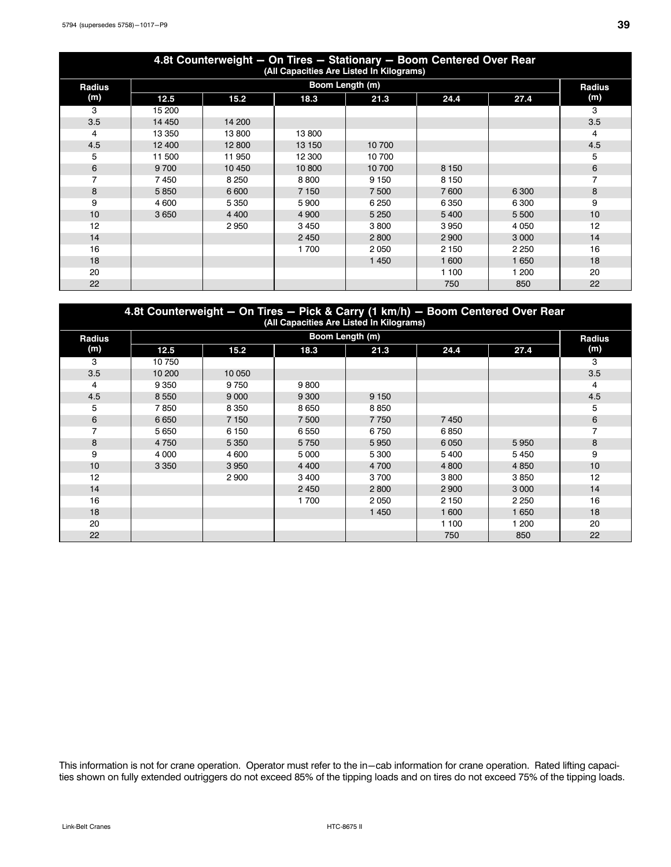| 4.8t Counterweight - On Tires - Stationary - Boom Centered Over Rear<br>(All Capacities Are Listed In Kilograms) |        |         |         |                 |         |         |                |  |  |  |  |
|------------------------------------------------------------------------------------------------------------------|--------|---------|---------|-----------------|---------|---------|----------------|--|--|--|--|
| Radius                                                                                                           |        |         |         | Boom Length (m) |         |         | <b>Radius</b>  |  |  |  |  |
| (m)                                                                                                              | 12.5   | 15.2    | 18.3    | 21.3            | 24.4    | 27.4    | (m)            |  |  |  |  |
| 3                                                                                                                | 15 200 |         |         |                 |         |         | 3              |  |  |  |  |
| 3.5                                                                                                              | 14 450 | 14 200  |         |                 |         |         | 3.5            |  |  |  |  |
| 4                                                                                                                | 13 350 | 13800   | 13800   |                 |         |         | 4              |  |  |  |  |
| 4.5                                                                                                              | 12 400 | 12 800  | 13 150  | 10 700          |         |         | 4.5            |  |  |  |  |
| 5                                                                                                                | 11 500 | 11 950  | 12 300  | 10 700          |         |         | 5              |  |  |  |  |
| 6                                                                                                                | 9 700  | 10 450  | 10 800  | 10 700          | 8 1 5 0 |         | 6              |  |  |  |  |
| $\overline{7}$                                                                                                   | 7450   | 8 2 5 0 | 8800    | 9 1 5 0         | 8 1 5 0 |         | $\overline{7}$ |  |  |  |  |
| 8                                                                                                                | 5850   | 6 600   | 7 1 5 0 | 7 500           | 7600    | 6 3 0 0 | 8              |  |  |  |  |
| 9                                                                                                                | 4 600  | 5 3 5 0 | 5900    | 6 2 5 0         | 6 3 5 0 | 6 3 0 0 | 9              |  |  |  |  |
| 10                                                                                                               | 3650   | 4 4 0 0 | 4 9 0 0 | 5 2 5 0         | 5 400   | 5 500   | 10             |  |  |  |  |
| 12                                                                                                               |        | 2950    | 3450    | 3800            | 3950    | 4 0 5 0 | 12             |  |  |  |  |
| 14                                                                                                               |        |         | 2 4 5 0 | 2800            | 2 9 0 0 | 3 0 0 0 | 14             |  |  |  |  |
| 16                                                                                                               |        |         | 1700    | 2050            | 2 1 5 0 | 2 2 5 0 | 16             |  |  |  |  |
| 18                                                                                                               |        |         |         | 1 4 5 0         | 1 600   | 1650    | 18             |  |  |  |  |
| 20                                                                                                               |        |         |         |                 | 1 100   | 1 200   | 20             |  |  |  |  |
| 22                                                                                                               |        |         |         |                 | 750     | 850     | 22             |  |  |  |  |

|               | 4.8t Counterweight - On Tires - Pick & Carry (1 km/h) - Boom Centered Over Rear<br>(All Capacities Are Listed In Kilograms) |         |                 |         |         |         |               |  |  |  |  |  |
|---------------|-----------------------------------------------------------------------------------------------------------------------------|---------|-----------------|---------|---------|---------|---------------|--|--|--|--|--|
| <b>Radius</b> |                                                                                                                             |         | Boom Length (m) |         |         |         | <b>Radius</b> |  |  |  |  |  |
| (m)           | 12.5                                                                                                                        | 15.2    | 18.3            | 21.3    | 24.4    | 27.4    | (m)           |  |  |  |  |  |
| 3             | 10750                                                                                                                       |         |                 |         |         |         | 3             |  |  |  |  |  |
| 3.5           | 10 200                                                                                                                      | 10 050  |                 |         |         |         | 3.5           |  |  |  |  |  |
| 4             | 9 3 5 0                                                                                                                     | 9750    | 9800            |         |         |         | 4             |  |  |  |  |  |
| 4.5           | 8 5 5 0                                                                                                                     | 9 0 0 0 | 9 3 0 0         | 9 1 5 0 |         |         | 4.5           |  |  |  |  |  |
| 5             | 7850                                                                                                                        | 8 3 5 0 | 8650            | 8850    |         |         | 5             |  |  |  |  |  |
| 6             | 6650                                                                                                                        | 7 1 5 0 | 7500            | 7750    | 7 4 5 0 |         | 6             |  |  |  |  |  |
| 7             | 5 6 5 0                                                                                                                     | 6 1 5 0 | 6550            | 6750    | 6850    |         | 7             |  |  |  |  |  |
| 8             | 4 7 5 0                                                                                                                     | 5 3 5 0 | 5750            | 5950    | 6 0 5 0 | 5950    | 8             |  |  |  |  |  |
| 9             | 4 0 0 0                                                                                                                     | 4 600   | 5 0 0 0         | 5 300   | 5 400   | 5450    | 9             |  |  |  |  |  |
| 10            | 3 3 5 0                                                                                                                     | 3950    | 4 4 0 0         | 4 700   | 4 800   | 4 8 5 0 | 10            |  |  |  |  |  |
| 12            |                                                                                                                             | 2900    | 3 4 0 0         | 3700    | 3800    | 3850    | 12            |  |  |  |  |  |
| 14            |                                                                                                                             |         | 2450            | 2800    | 2 9 0 0 | 3 0 0 0 | 14            |  |  |  |  |  |
| 16            |                                                                                                                             |         | 1700            | 2050    | 2 1 5 0 | 2 2 5 0 | 16            |  |  |  |  |  |
| 18            |                                                                                                                             |         |                 | 1 4 5 0 | 1 600   | 1 650   | 18            |  |  |  |  |  |
| 20            |                                                                                                                             |         |                 |         | 1 100   | 1 200   | 20            |  |  |  |  |  |
| 22            |                                                                                                                             |         |                 |         | 750     | 850     | 22            |  |  |  |  |  |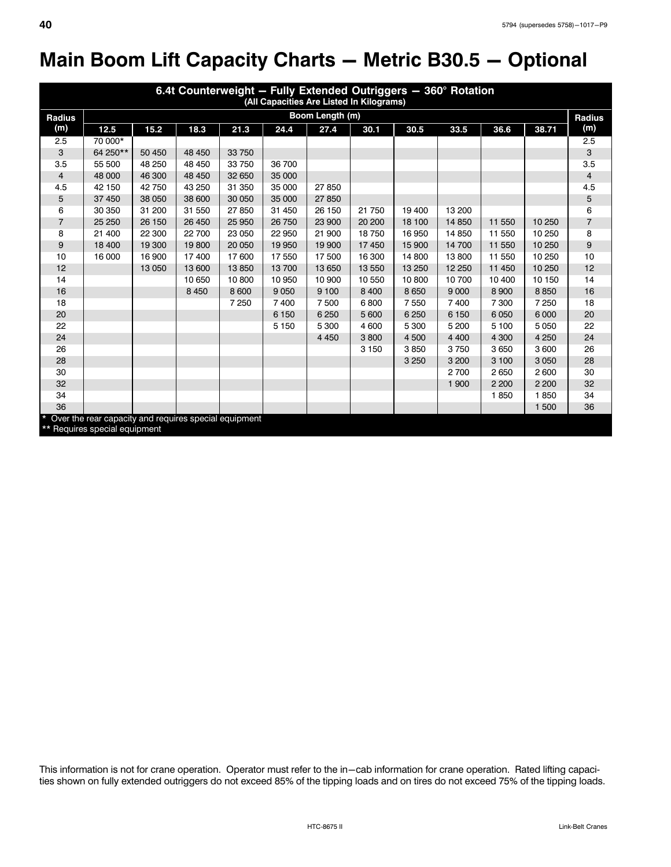## **Main Boom Lift Capacity Charts - Metric B30.5 - Optional**

| 6.4t Counterweight - Fully Extended Outriggers - 360° Rotation<br>(All Capacities Are Listed In Kilograms) |                                                                                        |        |         |         |         |                 |         |         |         |         |         |                |
|------------------------------------------------------------------------------------------------------------|----------------------------------------------------------------------------------------|--------|---------|---------|---------|-----------------|---------|---------|---------|---------|---------|----------------|
| <b>Radius</b>                                                                                              |                                                                                        |        |         |         |         | Boom Length (m) |         |         |         |         |         | <b>Radius</b>  |
| (m)                                                                                                        | 12.5                                                                                   | 15.2   | 18.3    | 21.3    | 24.4    | 27.4            | 30.1    | 30.5    | 33.5    | 36.6    | 38.71   | (m)            |
| 2.5                                                                                                        | 70 000*                                                                                |        |         |         |         |                 |         |         |         |         |         | 2.5            |
| 3                                                                                                          | 64 250**                                                                               | 50 450 | 48 450  | 33750   |         |                 |         |         |         |         |         | 3              |
| 3.5                                                                                                        | 55 500                                                                                 | 48 250 | 48 450  | 33750   | 36 700  |                 |         |         |         |         |         | 3.5            |
| $\overline{4}$                                                                                             | 48 000                                                                                 | 46 300 | 48 450  | 32 650  | 35 000  |                 |         |         |         |         |         | 4              |
| 4.5                                                                                                        | 42 150                                                                                 | 42 750 | 43 250  | 31 350  | 35 000  | 27 850          |         |         |         |         |         | 4.5            |
| 5                                                                                                          | 37 450                                                                                 | 38 050 | 38 600  | 30 050  | 35 000  | 27 850          |         |         |         |         |         | 5              |
| 6                                                                                                          | 30 350                                                                                 | 31 200 | 31 550  | 27850   | 31 450  | 26 150          | 21 750  | 19 400  | 13 200  |         |         | 6              |
| $\overline{7}$                                                                                             | 25 250                                                                                 | 26 150 | 26 450  | 25 950  | 26 750  | 23 900          | 20 200  | 18 100  | 14 8 50 | 11 550  | 10 250  | $\overline{7}$ |
| 8                                                                                                          | 21 400                                                                                 | 22 300 | 22 700  | 23 050  | 22 950  | 21 900          | 18750   | 16950   | 14 850  | 11 550  | 10 250  | 8              |
| 9                                                                                                          | 18 400                                                                                 | 19 300 | 19800   | 20 050  | 19 950  | 19 900          | 17450   | 15 900  | 14700   | 11 550  | 10 250  | 9              |
| 10                                                                                                         | 16 000                                                                                 | 16 900 | 17 400  | 17600   | 17550   | 17 500          | 16 300  | 14 800  | 13800   | 11 550  | 10 250  | 10             |
| 12                                                                                                         |                                                                                        | 13 050 | 13 600  | 13850   | 13700   | 13 650          | 13 550  | 13 250  | 12 250  | 11 450  | 10 250  | 12             |
| 14                                                                                                         |                                                                                        |        | 10 650  | 10800   | 10 950  | 10 900          | 10 550  | 10800   | 10700   | 10 400  | 10 150  | 14             |
| 16                                                                                                         |                                                                                        |        | 8 4 5 0 | 8 600   | 9 0 5 0 | 9 100           | 8 4 0 0 | 8 6 5 0 | 9 0 0 0 | 8 9 0 0 | 8850    | 16             |
| 18                                                                                                         |                                                                                        |        |         | 7 2 5 0 | 7400    | 7500            | 6800    | 7550    | 7 400   | 7 300   | 7 2 5 0 | 18             |
| 20                                                                                                         |                                                                                        |        |         |         | 6 1 5 0 | 6 2 5 0         | 5 600   | 6 2 5 0 | 6 1 5 0 | 6 0 5 0 | 6000    | 20             |
| 22                                                                                                         |                                                                                        |        |         |         | 5 1 5 0 | 5 300           | 4600    | 5 300   | 5 200   | 5 100   | 5050    | 22             |
| 24                                                                                                         |                                                                                        |        |         |         |         | 4 4 5 0         | 3800    | 4 500   | 4 4 0 0 | 4 300   | 4 2 5 0 | 24             |
| 26                                                                                                         |                                                                                        |        |         |         |         |                 | 3 1 5 0 | 3850    | 3750    | 3650    | 3600    | 26             |
| 28                                                                                                         |                                                                                        |        |         |         |         |                 |         | 3 2 5 0 | 3 200   | 3 100   | 3 0 5 0 | 28             |
| 30                                                                                                         |                                                                                        |        |         |         |         |                 |         |         | 2700    | 2650    | 2600    | 30             |
| 32                                                                                                         |                                                                                        |        |         |         |         |                 |         |         | 1 900   | 2 2 0 0 | 2 2 0 0 | 32             |
| 34                                                                                                         |                                                                                        |        |         |         |         |                 |         |         |         | 1850    | 1850    | 34             |
| 36                                                                                                         |                                                                                        |        |         |         |         |                 |         |         |         |         | 1 500   | 36             |
|                                                                                                            | Over the rear capacity and requires special equipment<br>** Requires special equipment |        |         |         |         |                 |         |         |         |         |         |                |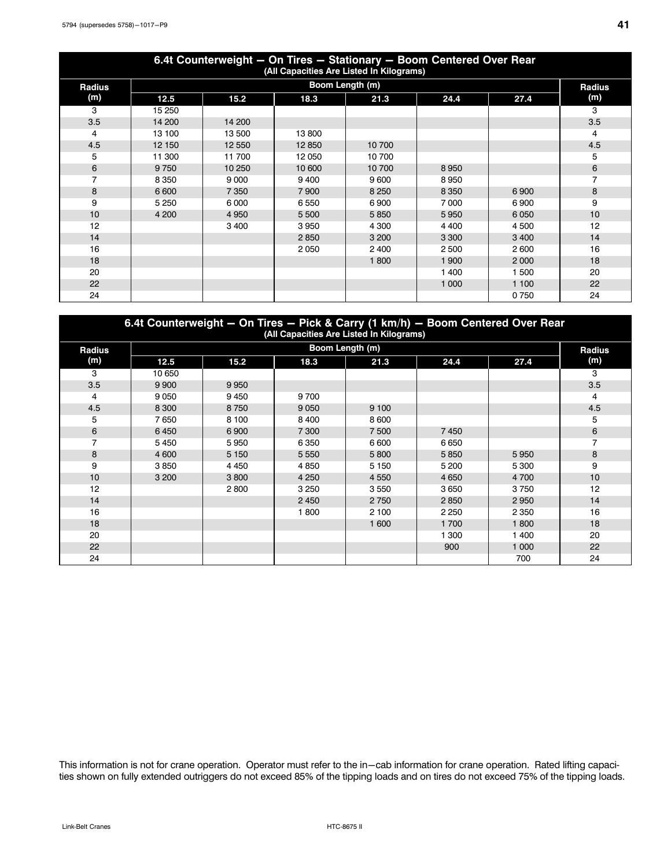| 6.4t Counterweight - On Tires - Stationary - Boom Centered Over Rear<br>(All Capacities Are Listed In Kilograms) |         |         |                 |         |         |         |               |  |  |  |
|------------------------------------------------------------------------------------------------------------------|---------|---------|-----------------|---------|---------|---------|---------------|--|--|--|
| <b>Radius</b>                                                                                                    |         |         | Boom Length (m) |         |         |         | <b>Radius</b> |  |  |  |
| (m)                                                                                                              | 12.5    | 15.2    | 18.3            | 21.3    | 24.4    | 27.4    | (m)           |  |  |  |
| 3                                                                                                                | 15 250  |         |                 |         |         |         | 3             |  |  |  |
| 3.5                                                                                                              | 14 200  | 14 200  |                 |         |         |         | 3.5           |  |  |  |
| 4                                                                                                                | 13 100  | 13 500  | 13800           |         |         |         | 4             |  |  |  |
| 4.5                                                                                                              | 12 150  | 12 550  | 12 850          | 10 700  |         |         | 4.5           |  |  |  |
| 5                                                                                                                | 11 300  | 11700   | 12 050          | 10 700  |         |         | 5             |  |  |  |
| 6                                                                                                                | 9750    | 10 250  | 10 600          | 10 700  | 8950    |         | 6             |  |  |  |
| 7                                                                                                                | 8 3 5 0 | 9 0 0 0 | 9400            | 9600    | 8950    |         | 7             |  |  |  |
| 8                                                                                                                | 6 600   | 7 3 5 0 | 7900            | 8 2 5 0 | 8 3 5 0 | 6900    | 8             |  |  |  |
| 9                                                                                                                | 5 2 5 0 | 6000    | 6550            | 6900    | 7 0 0 0 | 6900    | 9             |  |  |  |
| 10                                                                                                               | 4 200   | 4 9 5 0 | 5 500           | 5850    | 5950    | 6050    | 10            |  |  |  |
| 12                                                                                                               |         | 3 4 0 0 | 3950            | 4 3 0 0 | 4 4 0 0 | 4 500   | 12            |  |  |  |
| 14                                                                                                               |         |         | 2850            | 3 2 0 0 | 3 3 0 0 | 3 4 0 0 | 14            |  |  |  |
| 16                                                                                                               |         |         | 2050            | 2 4 0 0 | 2 500   | 2600    | 16            |  |  |  |
| 18                                                                                                               |         |         |                 | 1800    | 1 900   | 2 0 0 0 | 18            |  |  |  |
| 20                                                                                                               |         |         |                 |         | 1 400   | 1500    | 20            |  |  |  |
| 22                                                                                                               |         |         |                 |         | 1 000   | 1 100   | 22            |  |  |  |
| 24                                                                                                               |         |         |                 |         |         | 0750    | 24            |  |  |  |

| 6.4t Counterweight - On Tires - Pick & Carry (1 km/h) - Boom Centered Over Rear<br>(All Capacities Are Listed In Kilograms) |         |         |                 |         |         |         |                |  |
|-----------------------------------------------------------------------------------------------------------------------------|---------|---------|-----------------|---------|---------|---------|----------------|--|
| Radius                                                                                                                      |         |         | Boom Length (m) |         |         |         | <b>Radius</b>  |  |
| (m)                                                                                                                         | 12.5    | 15.2    | 18.3            | 21.3    | 24.4    | 27.4    | (m)            |  |
| 3                                                                                                                           | 10 650  |         |                 |         |         |         | 3              |  |
| 3.5                                                                                                                         | 9 9 0 0 | 9950    |                 |         |         |         | 3.5            |  |
| 4                                                                                                                           | 9 0 5 0 | 9450    | 9700            |         |         |         | 4              |  |
| 4.5                                                                                                                         | 8 3 0 0 | 8750    | 9050            | 9 100   |         |         | 4.5            |  |
| 5                                                                                                                           | 7650    | 8 100   | 8 4 0 0         | 8 6 0 0 |         |         | 5              |  |
| 6                                                                                                                           | 6450    | 6900    | 7 300           | 7 500   | 7450    |         | 6              |  |
| 7                                                                                                                           | 5 4 5 0 | 5950    | 6350            | 6 600   | 6650    |         | $\overline{7}$ |  |
| 8                                                                                                                           | 4 600   | 5 1 5 0 | 5 5 5 0         | 5800    | 5850    | 5950    | 8              |  |
| 9                                                                                                                           | 3850    | 4 4 5 0 | 4850            | 5 1 5 0 | 5 200   | 5 300   | 9              |  |
| 10                                                                                                                          | 3 200   | 3800    | 4 2 5 0         | 4 5 5 0 | 4 6 5 0 | 4 700   | 10             |  |
| 12                                                                                                                          |         | 2800    | 3 2 5 0         | 3 5 5 0 | 3650    | 3750    | 12             |  |
| 14                                                                                                                          |         |         | 2450            | 2 7 5 0 | 2850    | 2950    | 14             |  |
| 16                                                                                                                          |         |         | 1800            | 2 100   | 2 2 5 0 | 2 3 5 0 | 16             |  |
| 18                                                                                                                          |         |         |                 | 1 600   | 1 700   | 1800    | 18             |  |
| 20                                                                                                                          |         |         |                 |         | 1 300   | 1 400   | 20             |  |
| 22                                                                                                                          |         |         |                 |         | 900     | 1 0 0 0 | 22             |  |
| 24                                                                                                                          |         |         |                 |         |         | 700     | 24             |  |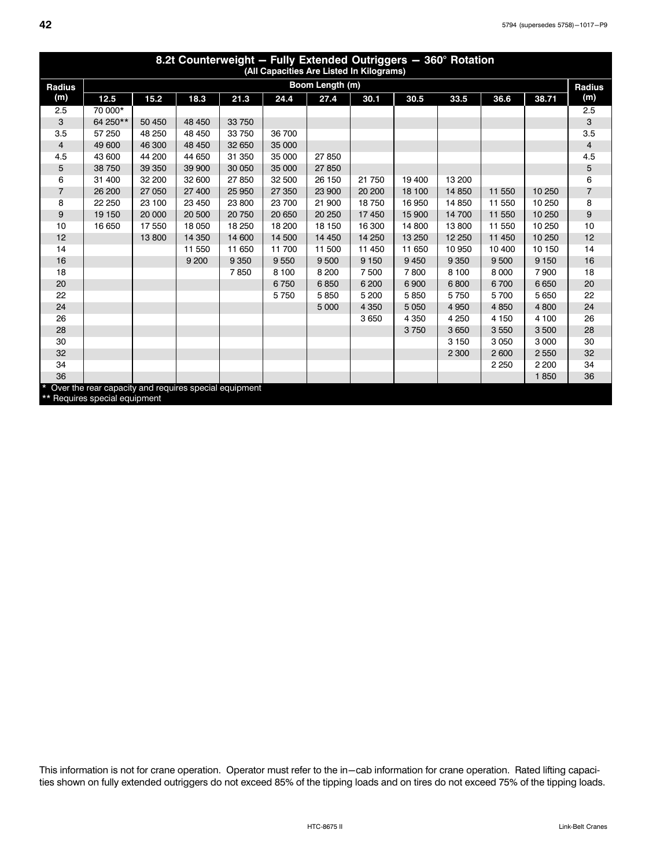|                | 8.2t Counterweight - Fully Extended Outriggers - 360° Rotation<br>(All Capacities Are Listed In Kilograms) |        |         |         |         |                 |         |         |         |         |         |                |
|----------------|------------------------------------------------------------------------------------------------------------|--------|---------|---------|---------|-----------------|---------|---------|---------|---------|---------|----------------|
| <b>Radius</b>  |                                                                                                            |        |         |         |         | Boom Length (m) |         |         |         |         |         | <b>Radius</b>  |
| (m)            | 12.5                                                                                                       | 15.2   | 18.3    | 21.3    | 24.4    | 27.4            | 30.1    | 30.5    | 33.5    | 36.6    | 38.71   | (m)            |
| 2.5            | 70 000*                                                                                                    |        |         |         |         |                 |         |         |         |         |         | 2.5            |
| 3              | 64 250**                                                                                                   | 50 450 | 48 450  | 33750   |         |                 |         |         |         |         |         | 3              |
| 3.5            | 57 250                                                                                                     | 48 250 | 48 450  | 33 750  | 36 700  |                 |         |         |         |         |         | 3.5            |
| $\overline{4}$ | 49 600                                                                                                     | 46 300 | 48 450  | 32 650  | 35 000  |                 |         |         |         |         |         | $\overline{4}$ |
| 4.5            | 43 600                                                                                                     | 44 200 | 44 650  | 31 350  | 35 000  | 27 850          |         |         |         |         |         | 4.5            |
| 5              | 38 750                                                                                                     | 39 350 | 39 900  | 30 050  | 35 000  | 27 850          |         |         |         |         |         | 5              |
| 6              | 31 400                                                                                                     | 32 200 | 32 600  | 27850   | 32 500  | 26 150          | 21 750  | 19 400  | 13 200  |         |         | 6              |
| $\overline{7}$ | 26 200                                                                                                     | 27 050 | 27 400  | 25 950  | 27 350  | 23 900          | 20 200  | 18 100  | 14 8 50 | 11 550  | 10 250  | $\overline{7}$ |
| 8              | 22 250                                                                                                     | 23 100 | 23 450  | 23 800  | 23 700  | 21 900          | 18750   | 16950   | 14 850  | 11 550  | 10 250  | 8              |
| 9              | 19 150                                                                                                     | 20 000 | 20 500  | 20 750  | 20 650  | 20 250          | 17450   | 15 900  | 14700   | 11 550  | 10 250  | 9              |
| 10             | 16 650                                                                                                     | 17 550 | 18 050  | 18 250  | 18 200  | 18 150          | 16 300  | 14 800  | 13800   | 11 550  | 10 250  | 10             |
| 12             |                                                                                                            | 13 800 | 14 3 50 | 14 600  | 14 500  | 14 450          | 14 250  | 13 250  | 12 250  | 11 450  | 10 250  | 12             |
| 14             |                                                                                                            |        | 11 550  | 11 650  | 11700   | 11 500          | 11 450  | 11 650  | 10 950  | 10 400  | 10 150  | 14             |
| 16             |                                                                                                            |        | 9 2 0 0 | 9 3 5 0 | 9 5 5 0 | 9 500           | 9 1 5 0 | 9 4 5 0 | 9 3 5 0 | 9 500   | 9 1 5 0 | 16             |
| 18             |                                                                                                            |        |         | 7850    | 8 100   | 8 2 0 0         | 7500    | 7800    | 8 100   | 8 0 0 0 | 7900    | 18             |
| 20             |                                                                                                            |        |         |         | 6750    | 6850            | 6 200   | 6900    | 6800    | 6700    | 6650    | 20             |
| 22             |                                                                                                            |        |         |         | 5750    | 5850            | 5 200   | 5850    | 5750    | 5700    | 5650    | 22             |
| 24             |                                                                                                            |        |         |         |         | 5 0 0 0         | 4 3 5 0 | 5 0 5 0 | 4 9 5 0 | 4850    | 4 800   | 24             |
| 26             |                                                                                                            |        |         |         |         |                 | 3650    | 4 3 5 0 | 4 2 5 0 | 4 1 5 0 | 4 100   | 26             |
| 28             |                                                                                                            |        |         |         |         |                 |         | 3750    | 3 6 5 0 | 3550    | 3500    | 28             |
| 30             |                                                                                                            |        |         |         |         |                 |         |         | 3 1 5 0 | 3 0 5 0 | 3 0 0 0 | 30             |
| 32             |                                                                                                            |        |         |         |         |                 |         |         | 2 3 0 0 | 2 600   | 2550    | 32             |
| 34             |                                                                                                            |        |         |         |         |                 |         |         |         | 2 2 5 0 | 2 2 0 0 | 34             |
| 36             |                                                                                                            |        |         |         |         |                 |         |         |         |         | 1850    | 36             |
|                | Over the rear capacity and requires special equipment<br>** Requires special equipment                     |        |         |         |         |                 |         |         |         |         |         |                |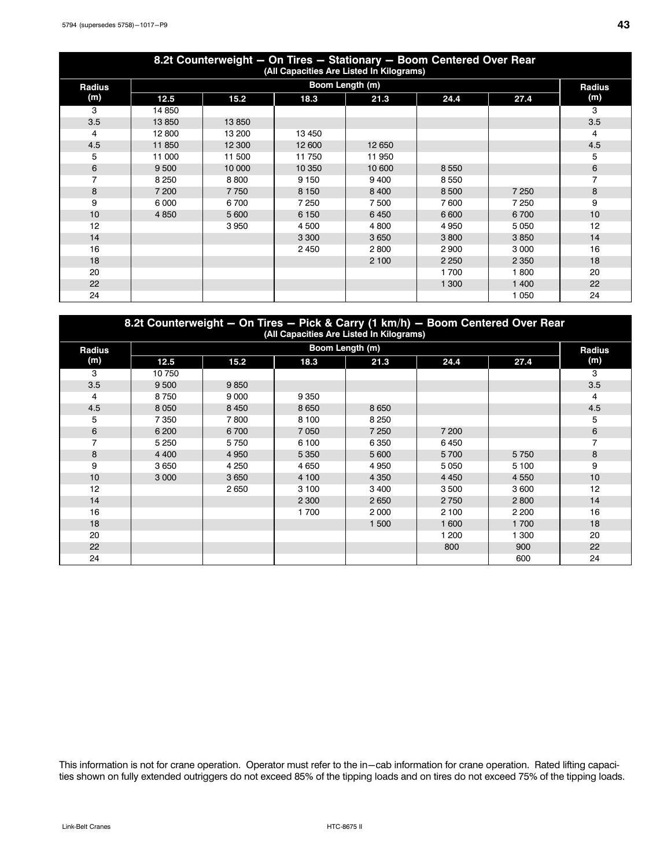| 8.2t Counterweight - On Tires - Stationary - Boom Centered Over Rear<br>(All Capacities Are Listed In Kilograms) |         |        |                 |         |         |         |               |  |
|------------------------------------------------------------------------------------------------------------------|---------|--------|-----------------|---------|---------|---------|---------------|--|
| <b>Radius</b>                                                                                                    |         |        | Boom Length (m) |         |         |         | <b>Radius</b> |  |
| (m)                                                                                                              | 12.5    | 15.2   | 18.3            | 21.3    | 24.4    | 27.4    | (m)           |  |
| 3                                                                                                                | 14 850  |        |                 |         |         |         | 3             |  |
| 3.5                                                                                                              | 13850   | 13850  |                 |         |         |         | 3.5           |  |
| 4                                                                                                                | 12800   | 13 200 | 13 450          |         |         |         | 4             |  |
| 4.5                                                                                                              | 11850   | 12 300 | 12 600          | 12 650  |         |         | 4.5           |  |
| 5                                                                                                                | 11 000  | 11 500 | 11 750          | 11 950  |         |         | 5             |  |
| 6                                                                                                                | 9 500   | 10 000 | 10 350          | 10 600  | 8 5 5 0 |         | 6             |  |
| $\overline{7}$                                                                                                   | 8 2 5 0 | 8800   | 9 1 5 0         | 9 4 0 0 | 8 5 5 0 |         | 7             |  |
| 8                                                                                                                | 7 200   | 7750   | 8 1 5 0         | 8 4 0 0 | 8 500   | 7 2 5 0 | 8             |  |
| 9                                                                                                                | 6 0 0 0 | 6700   | 7 2 5 0         | 7500    | 7600    | 7 2 5 0 | 9             |  |
| 10                                                                                                               | 4 8 5 0 | 5 600  | 6 1 5 0         | 6450    | 6 600   | 6700    | 10            |  |
| 12                                                                                                               |         | 3950   | 4500            | 4 800   | 4 9 5 0 | 5 0 5 0 | 12            |  |
| 14                                                                                                               |         |        | 3 3 0 0         | 3650    | 3800    | 3850    | 14            |  |
| 16                                                                                                               |         |        | 2450            | 2800    | 2 9 0 0 | 3 0 0 0 | 16            |  |
| 18                                                                                                               |         |        |                 | 2 100   | 2 2 5 0 | 2 3 5 0 | 18            |  |
| 20                                                                                                               |         |        |                 |         | 1700    | 1800    | 20            |  |
| 22                                                                                                               |         |        |                 |         | 1 300   | 1 400   | 22            |  |
| 24                                                                                                               |         |        |                 |         |         | 1 0 5 0 | 24            |  |

| 8.2t Counterweight - On Tires - Pick & Carry (1 km/h) - Boom Centered Over Rear<br>(All Capacities Are Listed In Kilograms) |         |         |                        |         |         |         |        |  |
|-----------------------------------------------------------------------------------------------------------------------------|---------|---------|------------------------|---------|---------|---------|--------|--|
| <b>Radius</b>                                                                                                               |         |         | <b>Boom Length (m)</b> |         |         |         | Radius |  |
| (m)                                                                                                                         | 12.5    | 15.2    | 18.3                   | 21.3    | 24.4    | 27.4    | (m)    |  |
| 3                                                                                                                           | 10750   |         |                        |         |         |         | 3      |  |
| 3.5                                                                                                                         | 9 500   | 9850    |                        |         |         |         | 3.5    |  |
| 4                                                                                                                           | 8750    | 9 0 0 0 | 9 3 5 0                |         |         |         | 4      |  |
| 4.5                                                                                                                         | 8 0 5 0 | 8 4 5 0 | 8650                   | 8 6 5 0 |         |         | 4.5    |  |
| 5                                                                                                                           | 7 3 5 0 | 7800    | 8 1 0 0                | 8 2 5 0 |         |         | 5      |  |
| 6                                                                                                                           | 6 200   | 6700    | 7050                   | 7 2 5 0 | 7 200   |         | 6      |  |
| 7                                                                                                                           | 5 2 5 0 | 5750    | 6 100                  | 6 3 5 0 | 6450    |         | 7      |  |
| 8                                                                                                                           | 4 4 0 0 | 4 9 5 0 | 5 3 5 0                | 5 600   | 5700    | 5750    | 8      |  |
| 9                                                                                                                           | 3650    | 4 2 5 0 | 4650                   | 4 9 5 0 | 5 0 5 0 | 5 100   | 9      |  |
| 10                                                                                                                          | 3 0 0 0 | 3650    | 4 100                  | 4 3 5 0 | 4 4 5 0 | 4 5 5 0 | 10     |  |
| 12                                                                                                                          |         | 2650    | 3 100                  | 3 4 0 0 | 3 500   | 3600    | 12     |  |
| 14                                                                                                                          |         |         | 2 3 0 0                | 2650    | 2 7 5 0 | 2800    | 14     |  |
| 16                                                                                                                          |         |         | 1700                   | 2 0 0 0 | 2 100   | 2 2 0 0 | 16     |  |
| 18                                                                                                                          |         |         |                        | 1 500   | 1 600   | 1700    | 18     |  |
| 20                                                                                                                          |         |         |                        |         | 1 200   | 1 300   | 20     |  |
| 22                                                                                                                          |         |         |                        |         | 800     | 900     | 22     |  |
| 24                                                                                                                          |         |         |                        |         |         | 600     | 24     |  |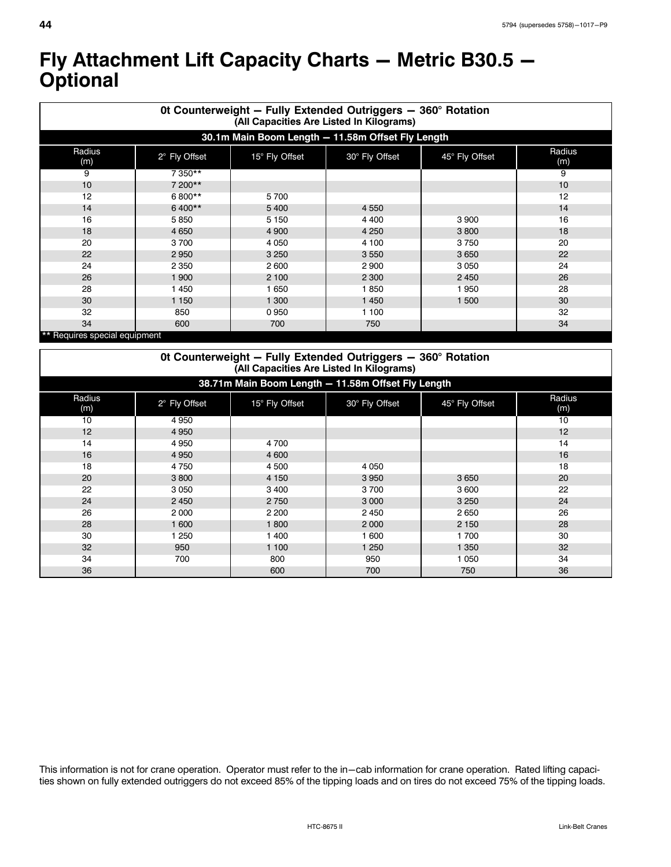#### **Fly Attachment Lift Capacity Charts - Metric B30.5 -Optional**

| 0t Counterweight - Fully Extended Outriggers - 360° Rotation<br>(All Capacities Are Listed In Kilograms) |                                                   |                |                |                |               |  |  |  |  |
|----------------------------------------------------------------------------------------------------------|---------------------------------------------------|----------------|----------------|----------------|---------------|--|--|--|--|
|                                                                                                          | 30.1m Main Boom Length - 11.58m Offset Fly Length |                |                |                |               |  |  |  |  |
| Radius<br>(m)                                                                                            | 2° Fly Offset                                     | 15° Fly Offset | 30° Fly Offset | 45° Fly Offset | Radius<br>(m) |  |  |  |  |
| 9                                                                                                        | 7 350**                                           |                |                |                | 9             |  |  |  |  |
| 10                                                                                                       | 7 200**                                           |                |                |                | 10            |  |  |  |  |
| 12                                                                                                       | 6 800**                                           | 5700           |                |                | 12            |  |  |  |  |
| 14                                                                                                       | 6 400**                                           | 5 4 0 0        | 4 5 5 0        |                | 14            |  |  |  |  |
| 16                                                                                                       | 5850                                              | 5 1 5 0        | 4 4 0 0        | 3 9 0 0        | 16            |  |  |  |  |
| 18                                                                                                       | 4 6 5 0                                           | 4 9 0 0        | 4 2 5 0        | 3800           | 18            |  |  |  |  |
| 20                                                                                                       | 3700                                              | 4 0 5 0        | 4 100          | 3750           | 20            |  |  |  |  |
| 22                                                                                                       | 2950                                              | 3 2 5 0        | 3 5 5 0        | 3650           | 22            |  |  |  |  |
| 24                                                                                                       | 2 3 5 0                                           | 2600           | 2 9 0 0        | 3 0 5 0        | 24            |  |  |  |  |
| 26                                                                                                       | 1 900                                             | 2 100          | 2 3 0 0        | 2 4 5 0        | 26            |  |  |  |  |
| 28                                                                                                       | 1 450                                             | 1 650          | 1850           | 1950           | 28            |  |  |  |  |
| 30                                                                                                       | 1 1 5 0                                           | 1 300          | 1 4 5 0        | 1 500          | 30            |  |  |  |  |
| 32                                                                                                       | 850                                               | 0950           | 1 100          |                | 32            |  |  |  |  |
| 34                                                                                                       | 600                                               | 700            | 750            |                | 34            |  |  |  |  |
| Requires special equipment                                                                               |                                                   |                |                |                |               |  |  |  |  |

| 0t Counterweight - Fully Extended Outriggers - 360° Rotation<br>(All Capacities Are Listed In Kilograms) |               |                |                                                    |                |               |  |  |  |
|----------------------------------------------------------------------------------------------------------|---------------|----------------|----------------------------------------------------|----------------|---------------|--|--|--|
|                                                                                                          |               |                | 38.71m Main Boom Length - 11.58m Offset Fly Length |                |               |  |  |  |
| Radius<br>(m)                                                                                            | 2° Fly Offset | 15° Fly Offset | 30° Fly Offset                                     | 45° Fly Offset | Radius<br>(m) |  |  |  |
| 10                                                                                                       | 4 9 5 0       |                |                                                    |                | 10            |  |  |  |
| 12                                                                                                       | 4 9 5 0       |                |                                                    |                | 12            |  |  |  |
| 14                                                                                                       | 4 9 5 0       | 4700           |                                                    |                | 14            |  |  |  |
| 16                                                                                                       | 4 9 5 0       | 4 600          |                                                    |                | 16            |  |  |  |
| 18                                                                                                       | 4 7 5 0       | 4 500          | 4 0 5 0                                            |                | 18            |  |  |  |
| 20                                                                                                       | 3800          | 4 1 5 0        | 3 9 5 0                                            | 3650           | 20            |  |  |  |
| 22                                                                                                       | 3 0 5 0       | 3 4 0 0        | 3700                                               | 3600           | 22            |  |  |  |
| 24                                                                                                       | 2 4 5 0       | 2 7 5 0        | 3 0 0 0                                            | 3 2 5 0        | 24            |  |  |  |
| 26                                                                                                       | 2 0 0 0       | 2 2 0 0        | 2450                                               | 2650           | 26            |  |  |  |
| 28                                                                                                       | 1 600         | 1800           | 2 0 0 0                                            | 2 1 5 0        | 28            |  |  |  |
| 30                                                                                                       | 1 250         | 1 400          | 1600                                               | 1700           | 30            |  |  |  |
| 32                                                                                                       | 950           | 1 100          | 1 250                                              | 1 350          | 32            |  |  |  |
| 34                                                                                                       | 700           | 800            | 950                                                | 1 0 5 0        | 34            |  |  |  |
| 36                                                                                                       |               | 600            | 700                                                | 750            | 36            |  |  |  |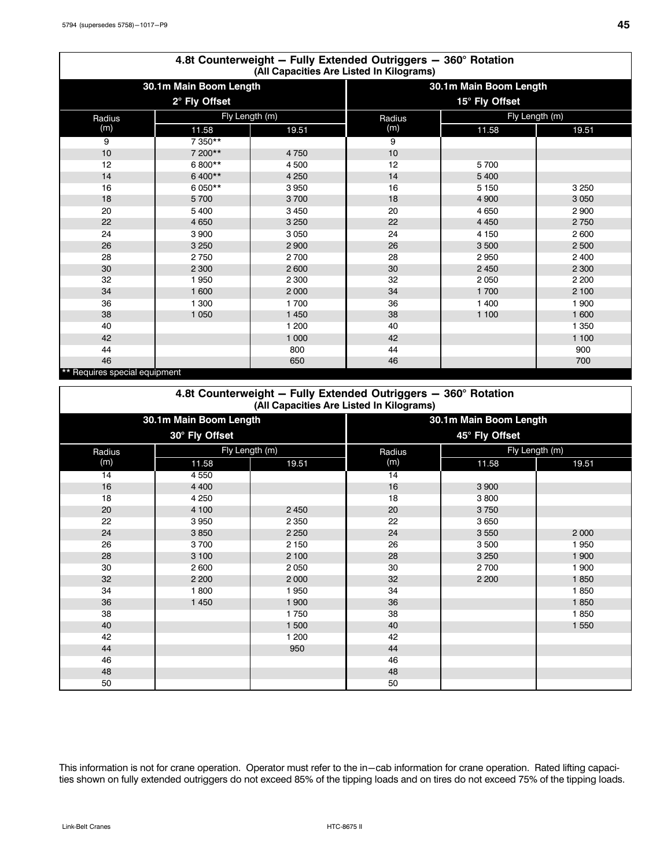| 4.8t Counterweight - Fully Extended Outriggers - 360° Rotation<br>(All Capacities Are Listed In Kilograms) |                        |         |                        |                |                |  |  |  |  |
|------------------------------------------------------------------------------------------------------------|------------------------|---------|------------------------|----------------|----------------|--|--|--|--|
|                                                                                                            | 30.1m Main Boom Length |         | 30.1m Main Boom Length |                |                |  |  |  |  |
|                                                                                                            | 2° Fly Offset          |         |                        | 15° Fly Offset |                |  |  |  |  |
| Radius                                                                                                     | Fly Length (m)         |         | Radius                 |                | Fly Length (m) |  |  |  |  |
| (m)                                                                                                        | 11.58                  | 19.51   | (m)                    | 11.58          | 19.51          |  |  |  |  |
| 9                                                                                                          | 7 350**                |         | 9                      |                |                |  |  |  |  |
| 10                                                                                                         | 7 200**                | 4 7 5 0 | 10                     |                |                |  |  |  |  |
| 12                                                                                                         | 6 800**                | 4 500   | 12                     | 5700           |                |  |  |  |  |
| 14                                                                                                         | 6 400**                | 4 2 5 0 | 14                     | 5 400          |                |  |  |  |  |
| 16                                                                                                         | 6 050**                | 3950    | 16                     | 5 1 5 0        | 3 2 5 0        |  |  |  |  |
| 18                                                                                                         | 5700                   | 3700    | 18                     | 4 9 0 0        | 3 0 5 0        |  |  |  |  |
| 20                                                                                                         | 5 400                  | 3 4 5 0 | 20                     | 4650           | 2 9 0 0        |  |  |  |  |
| 22                                                                                                         | 4 6 5 0                | 3 2 5 0 | 22                     | 4 4 5 0        | 2750           |  |  |  |  |
| 24                                                                                                         | 3 9 0 0                | 3 0 5 0 | 24                     | 4 1 5 0        | 2600           |  |  |  |  |
| 26                                                                                                         | 3 2 5 0                | 2 9 0 0 | 26                     | 3 500          | 2 500          |  |  |  |  |
| 28                                                                                                         | 2750                   | 2700    | 28                     | 2950           | 2 400          |  |  |  |  |
| 30                                                                                                         | 2 3 0 0                | 2600    | 30                     | 2 4 5 0        | 2 3 0 0        |  |  |  |  |
| 32                                                                                                         | 1950                   | 2 3 0 0 | 32                     | 2050           | 2 2 0 0        |  |  |  |  |
| 34                                                                                                         | 1 600                  | 2 0 0 0 | 34                     | 1 700          | 2 100          |  |  |  |  |
| 36                                                                                                         | 1 300                  | 1700    | 36                     | 1 400          | 1 900          |  |  |  |  |
| 38                                                                                                         | 1 0 5 0                | 1 4 5 0 | 38                     | 1 100          | 1 600          |  |  |  |  |
| 40                                                                                                         |                        | 1 200   | 40                     |                | 1 3 5 0        |  |  |  |  |
| 42                                                                                                         |                        | 1 000   | 42                     |                | 1 100          |  |  |  |  |
| 44                                                                                                         |                        | 800     | 44                     |                | 900            |  |  |  |  |
| 46                                                                                                         |                        | 650     | 46                     |                | 700            |  |  |  |  |
| ** Requires special equipment                                                                              |                        |         |                        |                |                |  |  |  |  |

#### **4.8t Counterweight - Fully Extended Outriggers - 360° Rotation**

|                |                        | 4.8t Counterweight - Fully Extended Outriggers - 360° Rotation |        |                        |                |  |  |  |  |  |
|----------------|------------------------|----------------------------------------------------------------|--------|------------------------|----------------|--|--|--|--|--|
|                |                        | (All Capacities Are Listed In Kilograms)                       |        |                        |                |  |  |  |  |  |
|                | 30.1m Main Boom Length |                                                                |        | 30.1m Main Boom Length |                |  |  |  |  |  |
| 30° Fly Offset |                        |                                                                |        | 45° Fly Offset         |                |  |  |  |  |  |
| Radius         |                        | Fly Length (m)                                                 | Radius |                        | Fly Length (m) |  |  |  |  |  |
| (m)            | 11.58                  | 19.51                                                          | (m)    | 11.58                  | 19.51          |  |  |  |  |  |
| 14             | 4 5 5 0                |                                                                | 14     |                        |                |  |  |  |  |  |
| 16             | 4 4 0 0                |                                                                | 16     | 3 9 0 0                |                |  |  |  |  |  |
| 18             | 4 2 5 0                |                                                                | 18     | 3800                   |                |  |  |  |  |  |
| 20             | 4 100                  | 2 4 5 0                                                        | 20     | 3750                   |                |  |  |  |  |  |
| 22             | 3950                   | 2 3 5 0                                                        | 22     | 3650                   |                |  |  |  |  |  |
| 24             | 3850                   | 2 2 5 0                                                        | 24     | 3 5 5 0                | 2 0 0 0        |  |  |  |  |  |
| 26             | 3700                   | 2 1 5 0                                                        | 26     | 3 500                  | 1950           |  |  |  |  |  |
| 28             | 3 100                  | 2 100                                                          | 28     | 3 2 5 0                | 1 900          |  |  |  |  |  |
| 30             | 2600                   | 2 0 5 0                                                        | 30     | 2 700                  | 1 900          |  |  |  |  |  |
| 32             | 2 2 0 0                | 2 0 0 0                                                        | 32     | 2 2 0 0                | 1850           |  |  |  |  |  |
| 34             | 1800                   | 1950                                                           | 34     |                        | 1850           |  |  |  |  |  |
| 36             | 1 4 5 0                | 1 900                                                          | 36     |                        | 1850           |  |  |  |  |  |
| 38             |                        | 1750                                                           | 38     |                        | 1850           |  |  |  |  |  |
| 40             |                        | 1 500                                                          | 40     |                        | 1 550          |  |  |  |  |  |
| 42             |                        | 1 200                                                          | 42     |                        |                |  |  |  |  |  |
| 44             |                        | 950                                                            | 44     |                        |                |  |  |  |  |  |
| 46             |                        |                                                                | 46     |                        |                |  |  |  |  |  |
| 48             |                        |                                                                | 48     |                        |                |  |  |  |  |  |
| 50             |                        |                                                                | 50     |                        |                |  |  |  |  |  |

This information is not for crane operation. Operator must refer to the in-cab information for crane operation. Rated lifting capacities shown on fully extended outriggers do not exceed 85% of the tipping loads and on tires do not exceed 75% of the tipping loads.

٦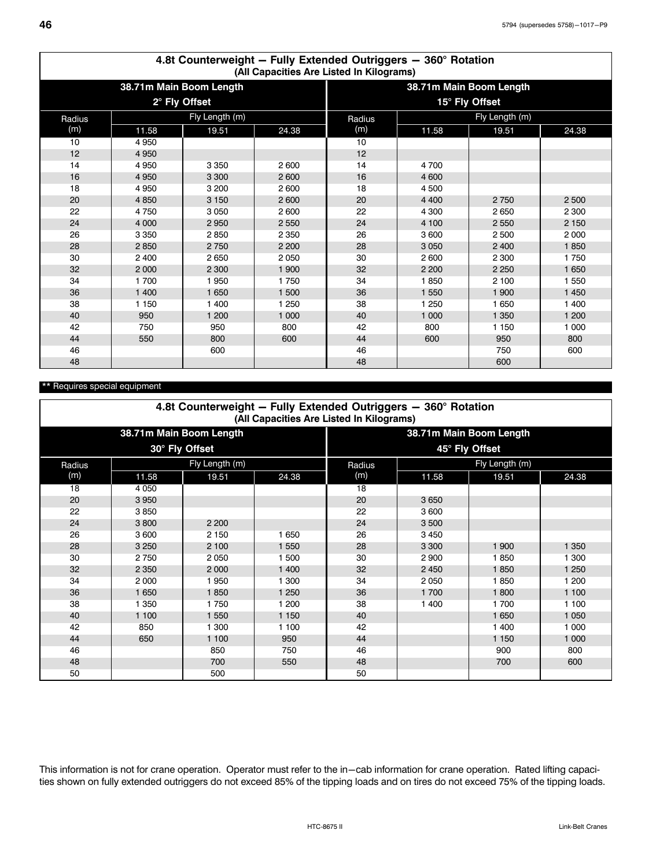| 4.8 Counterweight – Funy Extended Outriggers – 360 Rotation<br>(All Capacities Are Listed In Kilograms) |         |                         |         |                         |         |                |         |  |  |
|---------------------------------------------------------------------------------------------------------|---------|-------------------------|---------|-------------------------|---------|----------------|---------|--|--|
|                                                                                                         |         | 38.71m Main Boom Length |         | 38.71m Main Boom Length |         |                |         |  |  |
|                                                                                                         |         | 2° Fly Offset           |         | 15° Fly Offset          |         |                |         |  |  |
| Radius                                                                                                  |         | Fly Length (m)          |         |                         |         | Fly Length (m) |         |  |  |
| (m)                                                                                                     | 11.58   | 19.51                   | 24.38   | (m)                     | 11.58   | 19.51          | 24.38   |  |  |
| 10 <sup>10</sup>                                                                                        | 4 9 5 0 |                         |         | 10                      |         |                |         |  |  |
| 12                                                                                                      | 4 9 5 0 |                         |         | 12                      |         |                |         |  |  |
| 14                                                                                                      | 4 9 5 0 | 3 3 5 0                 | 2600    | 14                      | 4700    |                |         |  |  |
| 16                                                                                                      | 4 9 5 0 | 3 3 0 0                 | 2600    | 16                      | 4 600   |                |         |  |  |
| 18                                                                                                      | 4 9 5 0 | 3 200                   | 2600    | 18                      | 4500    |                |         |  |  |
| 20                                                                                                      | 4 8 5 0 | 3 1 5 0                 | 2600    | 20                      | 4 4 0 0 | 2750           | 2 500   |  |  |
| 22                                                                                                      | 4750    | 3 0 5 0                 | 2600    | 22                      | 4 300   | 2650           | 2 3 0 0 |  |  |
| 24                                                                                                      | 4 0 0 0 | 2950                    | 2550    | 24                      | 4 100   | 2 5 5 0        | 2 1 5 0 |  |  |
| 26                                                                                                      | 3 3 5 0 | 2850                    | 2 3 5 0 | 26                      | 3600    | 2500           | 2000    |  |  |
| 28                                                                                                      | 2850    | 2750                    | 2 2 0 0 | 28                      | 3 0 5 0 | 2 4 0 0        | 1850    |  |  |
| 30                                                                                                      | 2 4 0 0 | 2650                    | 2050    | 30                      | 2600    | 2 3 0 0        | 1750    |  |  |
| 32                                                                                                      | 2 0 0 0 | 2 3 0 0                 | 1 900   | 32                      | 2 2 0 0 | 2 2 5 0        | 1650    |  |  |
| 34                                                                                                      | 1700    | 1950                    | 1750    | 34                      | 1850    | 2 100          | 1 550   |  |  |
| 36                                                                                                      | 1 400   | 1 6 5 0                 | 1 500   | 36                      | 1 5 5 0 | 1 900          | 1 4 5 0 |  |  |
| 38                                                                                                      | 1 150   | 1 400                   | 1 250   | 38                      | 1 250   | 1650           | 1 400   |  |  |
| 40                                                                                                      | 950     | 1 200                   | 1 0 0 0 | 40                      | 1 000   | 1 3 5 0        | 1 200   |  |  |
| 42                                                                                                      | 750     | 950                     | 800     | 42                      | 800     | 1 1 5 0        | 1 0 0 0 |  |  |
| 44                                                                                                      | 550     | 800                     | 600     | 44                      | 600     | 950            | 800     |  |  |
| 46                                                                                                      |         | 600                     |         | 46                      |         | 750            | 600     |  |  |
| 48                                                                                                      |         |                         |         | 48                      |         | 600            |         |  |  |

# **4.8t Counterweight - Fully Extended Outriggers - 360° Rotation**

#### \* Requires special equipment

|                | 4.8t Counterweight - Fully Extended Outriggers - 360° Rotation<br>(All Capacities Are Listed In Kilograms) |                         |         |        |                |                         |         |  |  |  |  |
|----------------|------------------------------------------------------------------------------------------------------------|-------------------------|---------|--------|----------------|-------------------------|---------|--|--|--|--|
|                |                                                                                                            | 38.71m Main Boom Length |         |        |                | 38.71m Main Boom Length |         |  |  |  |  |
| 30° Fly Offset |                                                                                                            |                         |         |        | 45° Fly Offset |                         |         |  |  |  |  |
| Radius         |                                                                                                            | Fly Length (m)          |         | Radius | Fly Length (m) |                         |         |  |  |  |  |
| (m)            | 11.58                                                                                                      | 19.51                   | 24.38   | (m)    | 11.58          | 19.51                   | 24.38   |  |  |  |  |
| 18             | 4 0 5 0                                                                                                    |                         |         | 18     |                |                         |         |  |  |  |  |
| 20             | 3 9 5 0                                                                                                    |                         |         | 20     | 3 6 5 0        |                         |         |  |  |  |  |
| 22             | 3850                                                                                                       |                         |         | 22     | 3600           |                         |         |  |  |  |  |
| 24             | 3800                                                                                                       | 2 2 0 0                 |         | 24     | 3 500          |                         |         |  |  |  |  |
| 26             | 3600                                                                                                       | 2 1 5 0                 | 1650    | 26     | 3 4 5 0        |                         |         |  |  |  |  |
| 28             | 3 2 5 0                                                                                                    | 2 100                   | 1 5 5 0 | 28     | 3 3 0 0        | 1 900                   | 1 3 5 0 |  |  |  |  |
| 30             | 2 7 5 0                                                                                                    | 2050                    | 1500    | 30     | 2 9 0 0        | 1850                    | 1 300   |  |  |  |  |
| 32             | 2 3 5 0                                                                                                    | 2 0 0 0                 | 1 400   | 32     | 2 4 5 0        | 1850                    | 1 2 5 0 |  |  |  |  |
| 34             | 2 0 0 0                                                                                                    | 1950                    | 1 300   | 34     | 2050           | 1850                    | 1 200   |  |  |  |  |
| 36             | 1 650                                                                                                      | 1850                    | 1 2 5 0 | 36     | 1 700          | 1800                    | 1 100   |  |  |  |  |
| 38             | 1 350                                                                                                      | 1750                    | 1 200   | 38     | 1 400          | 1700                    | 1 100   |  |  |  |  |
| 40             | 1 100                                                                                                      | 1 550                   | 1 1 5 0 | 40     |                | 1 650                   | 1 0 5 0 |  |  |  |  |
| 42             | 850                                                                                                        | 1 300                   | 1 100   | 42     |                | 1 400                   | 1 0 0 0 |  |  |  |  |
| 44             | 650                                                                                                        | 1 100                   | 950     | 44     |                | 1 1 5 0                 | 1 0 0 0 |  |  |  |  |
| 46             |                                                                                                            | 850                     | 750     | 46     |                | 900                     | 800     |  |  |  |  |
| 48             |                                                                                                            | 700                     | 550     | 48     |                | 700                     | 600     |  |  |  |  |
| 50             |                                                                                                            | 500                     |         | 50     |                |                         |         |  |  |  |  |

This information is not for crane operation. Operator must refer to the in-cab information for crane operation. Rated lifting capacities shown on fully extended outriggers do not exceed 85% of the tipping loads and on tires do not exceed 75% of the tipping loads.

 $\Gamma$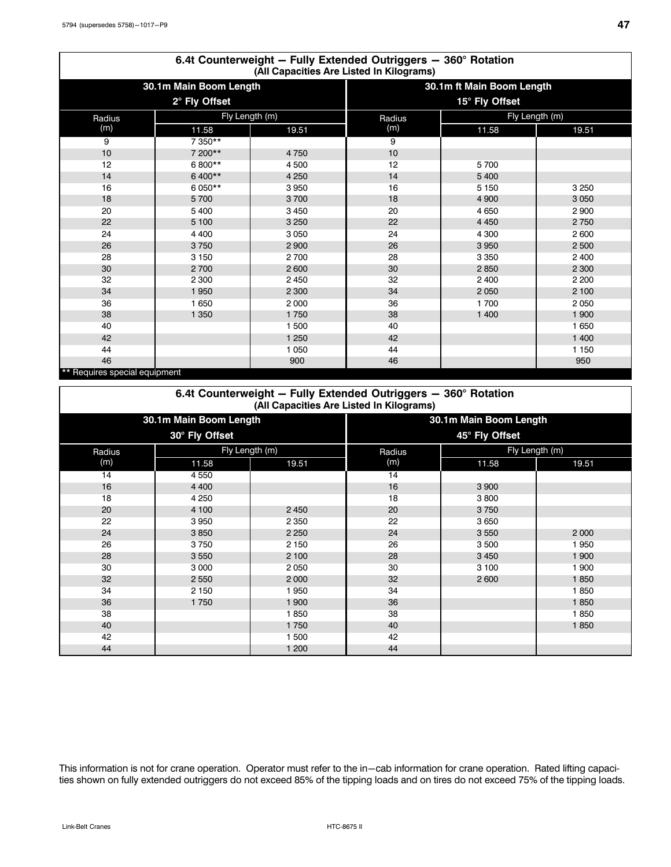| 6.4t Counterweight - Fully Extended Outriggers - 360° Rotation<br>(All Capacities Are Listed In Kilograms) |                        |         |                           |                |                |  |  |  |  |
|------------------------------------------------------------------------------------------------------------|------------------------|---------|---------------------------|----------------|----------------|--|--|--|--|
|                                                                                                            | 30.1m Main Boom Length |         | 30.1m ft Main Boom Length |                |                |  |  |  |  |
| 2° Fly Offset                                                                                              |                        |         |                           | 15° Fly Offset |                |  |  |  |  |
| Radius                                                                                                     | Fly Length (m)         |         | Radius                    |                | Fly Length (m) |  |  |  |  |
| (m)                                                                                                        | 11.58                  | 19.51   | (m)                       | 11.58          | 19.51          |  |  |  |  |
| 9                                                                                                          | 7 350**                |         | 9                         |                |                |  |  |  |  |
| 10                                                                                                         | 7 200**                | 4750    | 10                        |                |                |  |  |  |  |
| 12                                                                                                         | 6 800**                | 4 500   | 12                        | 5700           |                |  |  |  |  |
| 14                                                                                                         | 6 400**                | 4 2 5 0 | 14                        | 5 4 0 0        |                |  |  |  |  |
| 16                                                                                                         | 6 050**                | 3950    | 16                        | 5 1 5 0        | 3 2 5 0        |  |  |  |  |
| 18                                                                                                         | 5700                   | 3 700   | 18                        | 4 9 0 0        | 3 0 5 0        |  |  |  |  |
| 20                                                                                                         | 5 400                  | 3 4 5 0 | 20                        | 4 6 5 0        | 2 9 0 0        |  |  |  |  |
| 22                                                                                                         | 5 100                  | 3 2 5 0 | 22                        | 4 4 5 0        | 2750           |  |  |  |  |
| 24                                                                                                         | 4 4 0 0                | 3 0 5 0 | 24                        | 4 300          | 2600           |  |  |  |  |
| 26                                                                                                         | 3750                   | 2 9 0 0 | 26                        | 3 9 5 0        | 2 500          |  |  |  |  |
| 28                                                                                                         | 3 1 5 0                | 2700    | 28                        | 3 3 5 0        | 2 4 0 0        |  |  |  |  |
| 30                                                                                                         | 2 700                  | 2600    | 30                        | 2850           | 2 3 0 0        |  |  |  |  |
| 32                                                                                                         | 2 3 0 0                | 2 4 5 0 | 32                        | 2 4 0 0        | 2 2 0 0        |  |  |  |  |
| 34                                                                                                         | 1 9 5 0                | 2 3 0 0 | 34                        | 2 0 5 0        | 2 100          |  |  |  |  |
| 36                                                                                                         | 1 650                  | 2 0 0 0 | 36                        | 1700           | 2050           |  |  |  |  |
| 38                                                                                                         | 1 3 5 0                | 1750    | 38                        | 1 400          | 1 900          |  |  |  |  |
| 40                                                                                                         |                        | 1 500   | 40                        |                | 1 650          |  |  |  |  |
| 42                                                                                                         |                        | 1 2 5 0 | 42                        |                | 1 400          |  |  |  |  |
| 44                                                                                                         |                        | 1 0 5 0 | 44                        |                | 1 1 5 0        |  |  |  |  |
| 46                                                                                                         |                        | 900     | 46                        |                | 950            |  |  |  |  |
| ** Requires special equipment                                                                              |                        |         |                           |                |                |  |  |  |  |

### **6.4t Counterweight - Fully Extended Outriggers - 360° Rotation**

| 6.4t Counterweight - Fully Extended Outriggers - 360° Rotation<br>(All Capacities Are Listed In Kilograms) |                        |                |                        |                |                |  |  |  |  |
|------------------------------------------------------------------------------------------------------------|------------------------|----------------|------------------------|----------------|----------------|--|--|--|--|
|                                                                                                            | 30.1m Main Boom Length |                | 30.1m Main Boom Length |                |                |  |  |  |  |
| 30° Fly Offset                                                                                             |                        |                |                        | 45° Fly Offset |                |  |  |  |  |
| Radius                                                                                                     |                        | Fly Length (m) |                        |                | Fly Length (m) |  |  |  |  |
| (m)                                                                                                        | 11.58                  | 19.51          | (m)                    | 11.58          | 19.51          |  |  |  |  |
| 14                                                                                                         | 4 5 5 0                |                | 14                     |                |                |  |  |  |  |
| 16                                                                                                         | 4 4 0 0                |                | 16                     | 3 9 0 0        |                |  |  |  |  |
| 18                                                                                                         | 4 2 5 0                |                | 18                     | 3800           |                |  |  |  |  |
| 20                                                                                                         | 4 100                  | 2 4 5 0        | 20                     | 3750           |                |  |  |  |  |
| 22                                                                                                         | 3 9 5 0                | 2 3 5 0        | 22                     | 3650           |                |  |  |  |  |
| 24                                                                                                         | 3850                   | 2 2 5 0        | 24                     | 3 5 5 0        | 2 0 0 0        |  |  |  |  |
| 26                                                                                                         | 3750                   | 2 1 5 0        | 26                     | 3 500          | 1950           |  |  |  |  |
| 28                                                                                                         | 3 5 5 0                | 2 100          | 28                     | 3 4 5 0        | 1 900          |  |  |  |  |
| 30                                                                                                         | 3 0 0 0                | 2 0 5 0        | 30                     | 3 100          | 1 900          |  |  |  |  |
| 32                                                                                                         | 2 5 5 0                | 2 0 0 0        | 32                     | 2600           | 1850           |  |  |  |  |
| 34                                                                                                         | 2 1 5 0                | 1950           | 34                     |                | 1850           |  |  |  |  |
| 36                                                                                                         | 1750                   | 1 900          | 36                     |                | 1850           |  |  |  |  |
| 38                                                                                                         |                        | 1850           | 38                     |                | 1850           |  |  |  |  |
| 40                                                                                                         |                        | 1750           | 40                     |                | 1850           |  |  |  |  |
| 42                                                                                                         |                        | 1 500          | 42                     |                |                |  |  |  |  |
| 44                                                                                                         |                        | 1 200          | 44                     |                |                |  |  |  |  |

This information is not for crane operation. Operator must refer to the in-cab information for crane operation. Rated lifting capacities shown on fully extended outriggers do not exceed 85% of the tipping loads and on tires do not exceed 75% of the tipping loads.

٦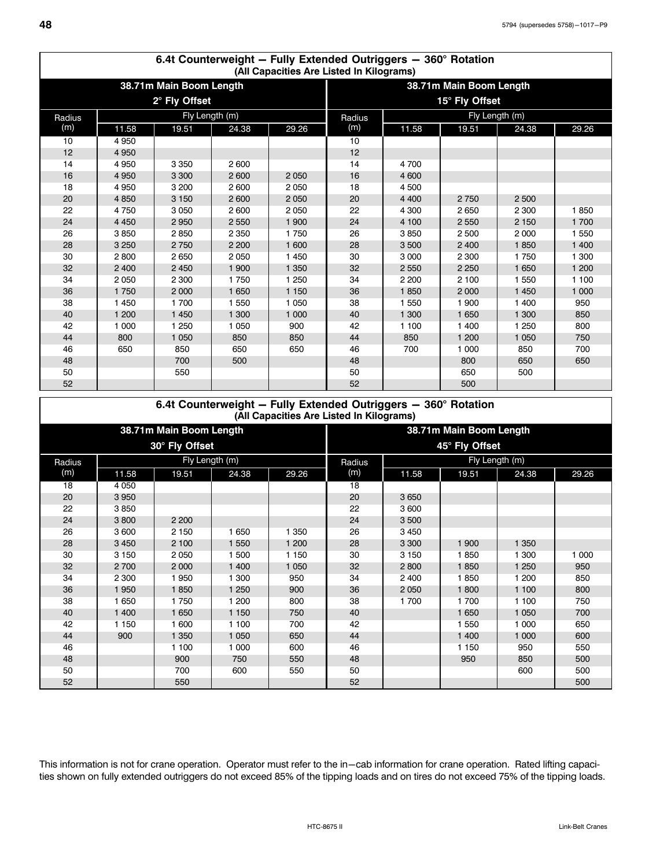|        | (All Capacities Are Listed In Kilograms) |                         |         |         |        |         |                         |         |       |  |  |  |
|--------|------------------------------------------|-------------------------|---------|---------|--------|---------|-------------------------|---------|-------|--|--|--|
|        |                                          | 38.71m Main Boom Length |         |         |        |         | 38.71m Main Boom Length |         |       |  |  |  |
|        |                                          | 2° Fly Offset           |         |         |        |         | 15° Fly Offset          |         |       |  |  |  |
| Radius |                                          | Fly Length (m)          |         |         | Radius |         | Fly Length (m)          |         |       |  |  |  |
| (m)    | 11.58                                    | 19.51                   | 24.38   | 29.26   | (m)    | 11.58   | 19.51                   | 24.38   | 29.26 |  |  |  |
| 10     | 4950                                     |                         |         |         | 10     |         |                         |         |       |  |  |  |
| 12     | 4 9 5 0                                  |                         |         |         | 12     |         |                         |         |       |  |  |  |
| 14     | 4950                                     | 3 3 5 0                 | 2600    |         | 14     | 4700    |                         |         |       |  |  |  |
| 16     | 4 9 5 0                                  | 3 3 0 0                 | 2600    | 2050    | 16     | 4 600   |                         |         |       |  |  |  |
| 18     | 4950                                     | 3 200                   | 2600    | 2050    | 18     | 4500    |                         |         |       |  |  |  |
| 20     | 4850                                     | 3 1 5 0                 | 2 600   | 2050    | 20     | 4 4 0 0 | 2750                    | 2 500   |       |  |  |  |
| 22     | 4750                                     | 3 0 5 0                 | 2600    | 2050    | 22     | 4 3 0 0 | 2650                    | 2 3 0 0 | 1850  |  |  |  |
| 24     | 4 4 5 0                                  | 2950                    | 2 5 5 0 | 1 900   | 24     | 4 100   | 2 5 5 0                 | 2 1 5 0 | 1700  |  |  |  |
| 26     | 3850                                     | 2850                    | 2 3 5 0 | 1750    | 26     | 3850    | 2 500                   | 2 0 0 0 | 1 550 |  |  |  |
| 28     | 3 2 5 0                                  | 2750                    | 2 2 0 0 | 1 600   | 28     | 3500    | 2 4 0 0                 | 1850    | 1 400 |  |  |  |
| 30     | 2800                                     | 2650                    | 2050    | 1 4 5 0 | 30     | 3 0 0 0 | 2 3 0 0                 | 1750    | 1 300 |  |  |  |
| 32     | 2 4 0 0                                  | 2 4 5 0                 | 1 900   | 1 3 5 0 | 32     | 2 5 5 0 | 2 2 5 0                 | 1 650   | 1 200 |  |  |  |
| 34     | 2050                                     | 2 3 0 0                 | 1750    | 1 250   | 34     | 2 2 0 0 | 2 100                   | 1 550   | 1 100 |  |  |  |
| 36     | 1750                                     | 2 0 0 0                 | 1 650   | 1 1 5 0 | 36     | 1850    | 2 0 0 0                 | 1 450   | 1 000 |  |  |  |
| 38     | 1 450                                    | 1700                    | 1 550   | 1 0 5 0 | 38     | 1 550   | 1 900                   | 1 400   | 950   |  |  |  |
| 40     | 1 200                                    | 1 450                   | 1 300   | 1 000   | 40     | 1 300   | 1 650                   | 1 300   | 850   |  |  |  |
| 42     | 1 000                                    | 1 250                   | 1 0 5 0 | 900     | 42     | 1 100   | 1 400                   | 1 250   | 800   |  |  |  |
| 44     | 800                                      | 1 0 5 0                 | 850     | 850     | 44     | 850     | 1 200                   | 1 0 5 0 | 750   |  |  |  |
| 46     | 650                                      | 850                     | 650     | 650     | 46     | 700     | 1 000                   | 850     | 700   |  |  |  |
| 48     |                                          | 700                     | 500     |         | 48     |         | 800                     | 650     | 650   |  |  |  |
| 50     |                                          | 550                     |         |         | 50     |         | 650                     | 500     |       |  |  |  |
| 52     |                                          |                         |         |         | 52     |         | 500                     |         |       |  |  |  |

#### 6.4t Counterweight - Fully Extended Outriggers - 360° Rotation

#### 6.4t Counterweight - Fully Extended Outriggers - 360° Rotation **(All Capacities Are Listed In Kilograms)**

|        |         | 38.71m Main Boom Length |         |         |                 |         | 38.71m Main Boom Length |                |       |
|--------|---------|-------------------------|---------|---------|-----------------|---------|-------------------------|----------------|-------|
|        |         | 30° Fly Offset          |         |         |                 |         | 45° Fly Offset          |                |       |
| Radius |         | Fly Length (m)          |         |         | Radius          |         |                         | Fly Length (m) |       |
| (m)    | 11.58   | 19.51                   | 24.38   | 29.26   | (m)             | 11.58   | 19.51                   | 24.38          | 29.26 |
| 18     | 4 0 5 0 |                         |         |         | $\overline{18}$ |         |                         |                |       |
| 20     | 3950    |                         |         |         | 20              | 3650    |                         |                |       |
| 22     | 3850    |                         |         |         | 22              | 3600    |                         |                |       |
| 24     | 3800    | 2 2 0 0                 |         |         | 24              | 3500    |                         |                |       |
| 26     | 3600    | 2 1 5 0                 | 1 650   | 350     | 26              | 3 4 5 0 |                         |                |       |
| 28     | 3 4 5 0 | 2 100                   | 1 550   | 1 200   | 28              | 3 3 0 0 | 1 900                   | 1 350          |       |
| 30     | 3 1 5 0 | 2050                    | 1 500   | 1 150   | 30              | 3 1 5 0 | 1850                    | 1 300          | 1 000 |
| 32     | 2700    | 2 0 0 0                 | 1 400   | 1 0 5 0 | 32              | 2800    | 1850                    | 1 250          | 950   |
| 34     | 2 3 0 0 | 1950                    | 1 300   | 950     | 34              | 2 4 0 0 | 1850                    | 1 200          | 850   |
| 36     | 1950    | 1850                    | 1 250   | 900     | 36              | 2050    | 1800                    | 1 100          | 800   |
| 38     | 1650    | 1750                    | 1 200   | 800     | 38              | 1700    | 1700                    | 1 100          | 750   |
| 40     | 1 400   | 1 650                   | 1 150   | 750     | 40              |         | 1 650                   | 1 0 5 0        | 700   |
| 42     | 1 1 5 0 | 1 600                   | 1 100   | 700     | 42              |         | 1 550                   | 1 000          | 650   |
| 44     | 900     | 1 350                   | 1 0 5 0 | 650     | 44              |         | 1 400                   | 1 000          | 600   |
| 46     |         | 1 100                   | 1 000   | 600     | 46              |         | 1 1 5 0                 | 950            | 550   |
| 48     |         | 900                     | 750     | 550     | 48              |         | 950                     | 850            | 500   |
| 50     |         | 700                     | 600     | 550     | 50              |         |                         | 600            | 500   |
| 52     |         | 550                     |         |         | 52              |         |                         |                | 500   |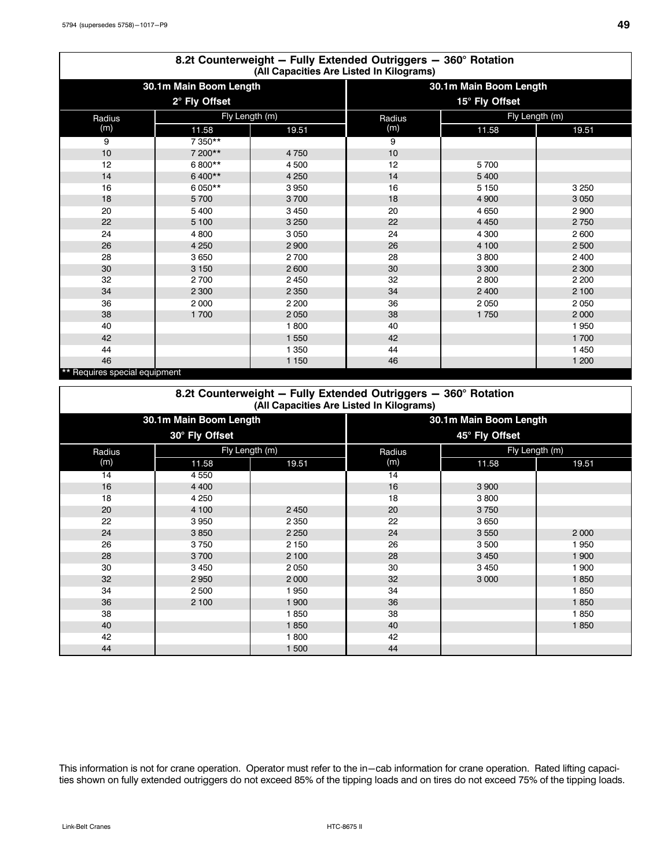| 8.2t Counterweight - Fully Extended Outriggers - 360° Rotation<br>(All Capacities Are Listed In Kilograms) |                        |         |                        |         |                |  |  |  |  |  |
|------------------------------------------------------------------------------------------------------------|------------------------|---------|------------------------|---------|----------------|--|--|--|--|--|
|                                                                                                            | 30.1m Main Boom Length |         | 30.1m Main Boom Length |         |                |  |  |  |  |  |
|                                                                                                            | 2° Fly Offset          |         | 15° Fly Offset         |         |                |  |  |  |  |  |
| Radius                                                                                                     | Fly Length (m)         |         | Radius                 |         | Fly Length (m) |  |  |  |  |  |
| (m)                                                                                                        | 11.58                  | 19.51   | (m)                    | 11.58   | 19.51          |  |  |  |  |  |
| 9                                                                                                          | 7 350**                |         | 9                      |         |                |  |  |  |  |  |
| 10                                                                                                         | 7 200**                | 4750    | 10                     |         |                |  |  |  |  |  |
| 12                                                                                                         | 6 800**                | 4 500   | 12                     | 5700    |                |  |  |  |  |  |
| 14                                                                                                         | 6 400**                | 4 2 5 0 | 14                     | 5 4 0 0 |                |  |  |  |  |  |
| 16                                                                                                         | 6 050**                | 3950    | 16                     | 5 1 5 0 | 3 2 5 0        |  |  |  |  |  |
| 18                                                                                                         | 5700                   | 3 700   | 18                     | 4 9 0 0 | 3 0 5 0        |  |  |  |  |  |
| 20                                                                                                         | 5 400                  | 3 4 5 0 | 20                     | 4 6 5 0 | 2 9 0 0        |  |  |  |  |  |
| 22                                                                                                         | 5 100                  | 3 2 5 0 | 22                     | 4 4 5 0 | 2750           |  |  |  |  |  |
| 24                                                                                                         | 4 800                  | 3 0 5 0 | 24                     | 4 300   | 2600           |  |  |  |  |  |
| 26                                                                                                         | 4 2 5 0                | 2 9 0 0 | 26                     | 4 100   | 2 500          |  |  |  |  |  |
| 28                                                                                                         | 3650                   | 2700    | 28                     | 3800    | 2 4 0 0        |  |  |  |  |  |
| 30                                                                                                         | 3 1 5 0                | 2600    | 30                     | 3 3 0 0 | 2 3 0 0        |  |  |  |  |  |
| 32                                                                                                         | 2 700                  | 2 4 5 0 | 32                     | 2800    | 2 2 0 0        |  |  |  |  |  |
| 34                                                                                                         | 2 3 0 0                | 2 3 5 0 | 34                     | 2 4 0 0 | 2 100          |  |  |  |  |  |
| 36                                                                                                         | 2 0 0 0                | 2 2 0 0 | 36                     | 2 0 5 0 | 2050           |  |  |  |  |  |
| 38                                                                                                         | 1 700                  | 2 0 5 0 | 38                     | 1750    | 2 0 0 0        |  |  |  |  |  |
| 40                                                                                                         |                        | 1800    | 40                     |         | 1950           |  |  |  |  |  |
| 42                                                                                                         |                        | 1 5 5 0 | 42                     |         | 1 700          |  |  |  |  |  |
| 44                                                                                                         |                        | 1 350   | 44                     |         | 1 4 5 0        |  |  |  |  |  |
| 46                                                                                                         | 1 1 5 0<br>46<br>1 200 |         |                        |         |                |  |  |  |  |  |
| ** Requires special equipment                                                                              |                        |         |                        |         |                |  |  |  |  |  |

### **8.2t Counterweight - Fully Extended Outriggers - 360° Rotation**

|        | 8.2t Counterweight - Fully Extended Outriggers - 360° Rotation<br>(All Capacities Are Listed In Kilograms) |         |        |                        |                |  |  |  |  |  |  |
|--------|------------------------------------------------------------------------------------------------------------|---------|--------|------------------------|----------------|--|--|--|--|--|--|
|        | 30.1m Main Boom Length                                                                                     |         |        | 30.1m Main Boom Length |                |  |  |  |  |  |  |
|        | 30° Fly Offset                                                                                             |         |        | 45° Fly Offset         |                |  |  |  |  |  |  |
| Radius | Fly Length (m)                                                                                             |         | Radius |                        | Fly Length (m) |  |  |  |  |  |  |
| (m)    | 11.58                                                                                                      | 19.51   | (m)    | 11.58                  | 19.51          |  |  |  |  |  |  |
| 14     | 4 5 5 0                                                                                                    |         | 14     |                        |                |  |  |  |  |  |  |
| 16     | 4 4 0 0                                                                                                    |         | 16     | 3 9 0 0                |                |  |  |  |  |  |  |
| 18     | 4 2 5 0                                                                                                    |         | 18     | 3800                   |                |  |  |  |  |  |  |
| 20     | 4 100                                                                                                      | 2 4 5 0 | 20     | 3750                   |                |  |  |  |  |  |  |
| 22     | 3950                                                                                                       | 2 3 5 0 | 22     | 3650                   |                |  |  |  |  |  |  |
| 24     | 3850                                                                                                       | 2 2 5 0 | 24     | 3550                   | 2 0 0 0        |  |  |  |  |  |  |
| 26     | 3750                                                                                                       | 2 1 5 0 | 26     | 3500                   | 1950           |  |  |  |  |  |  |
| 28     | 3700                                                                                                       | 2 100   | 28     | 3 4 5 0                | 1 900          |  |  |  |  |  |  |
| 30     | 3 4 5 0                                                                                                    | 2 0 5 0 | 30     | 3 4 5 0                | 1 900          |  |  |  |  |  |  |
| 32     | 2950                                                                                                       | 2 0 0 0 | 32     | 3 0 0 0                | 1850           |  |  |  |  |  |  |
| 34     | 2 500                                                                                                      | 1950    | 34     |                        | 1850           |  |  |  |  |  |  |
| 36     | 2 100                                                                                                      | 1 900   | 36     |                        | 1850           |  |  |  |  |  |  |
| 38     |                                                                                                            | 1850    | 38     |                        | 1850           |  |  |  |  |  |  |
| 40     |                                                                                                            | 1850    | 40     |                        | 1850           |  |  |  |  |  |  |
| 42     |                                                                                                            | 1800    | 42     |                        |                |  |  |  |  |  |  |
| 44     |                                                                                                            | 1 500   | 44     |                        |                |  |  |  |  |  |  |

This information is not for crane operation. Operator must refer to the in-cab information for crane operation. Rated lifting capacities shown on fully extended outriggers do not exceed 85% of the tipping loads and on tires do not exceed 75% of the tipping loads.

٦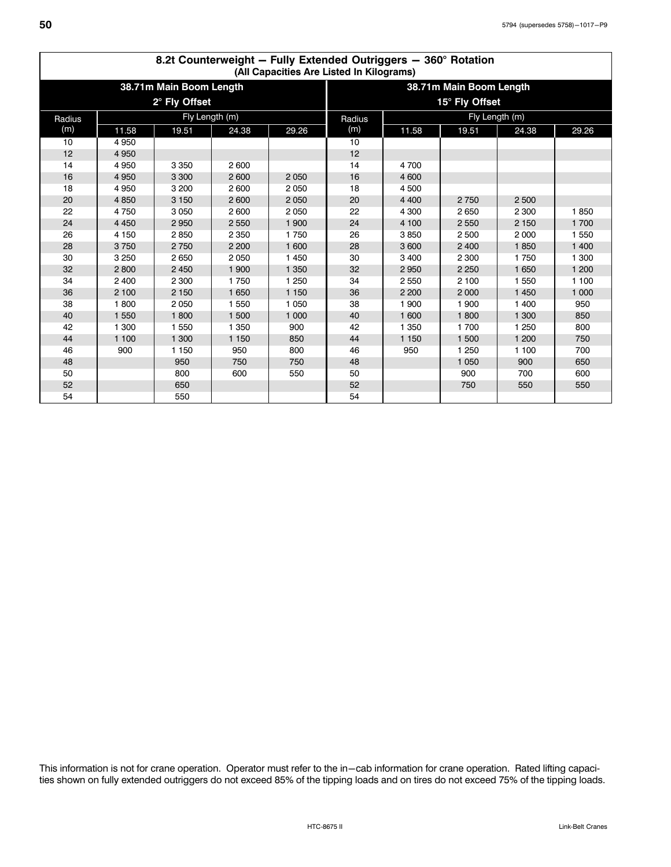|        | 8.20 Counterweight — Fully Extended Outriggers — 360 Rotation<br>(All Capacities Are Listed In Kilograms) |                         |         |         |        |         |                |                                                                                                                                                                                                                                                                                                          |     |  |  |  |  |
|--------|-----------------------------------------------------------------------------------------------------------|-------------------------|---------|---------|--------|---------|----------------|----------------------------------------------------------------------------------------------------------------------------------------------------------------------------------------------------------------------------------------------------------------------------------------------------------|-----|--|--|--|--|
|        |                                                                                                           | 38.71m Main Boom Length |         |         |        |         |                | 38.71m Main Boom Length<br>Fly Length (m)<br>29.26<br>24.38<br>2 500<br>2 3 0 0<br>1850<br>2 1 5 0<br>1700<br>2 0 0 0<br>1 550<br>1850<br>1 400<br>1750<br>1 300<br>1 650<br>1 200<br>1 550<br>1 100<br>1 4 5 0<br>1 000<br>1 400<br>950<br>1 300<br>850<br>1 250<br>800<br>1 200<br>750<br>1 100<br>700 |     |  |  |  |  |
|        |                                                                                                           | 2° Fly Offset           |         |         |        |         | 15° Fly Offset |                                                                                                                                                                                                                                                                                                          |     |  |  |  |  |
| Radius |                                                                                                           | Fly Length (m)          |         |         | Radius |         |                |                                                                                                                                                                                                                                                                                                          |     |  |  |  |  |
| (m)    | 11.58                                                                                                     | 19.51                   | 24.38   | 29.26   | (m)    | 11.58   | 19.51          |                                                                                                                                                                                                                                                                                                          |     |  |  |  |  |
| 10     | 4950                                                                                                      |                         |         |         | 10     |         |                |                                                                                                                                                                                                                                                                                                          |     |  |  |  |  |
| 12     | 4 9 5 0                                                                                                   |                         |         |         | 12     |         |                |                                                                                                                                                                                                                                                                                                          |     |  |  |  |  |
| 14     | 4950                                                                                                      | 3 3 5 0                 | 2600    |         | 14     | 4700    |                |                                                                                                                                                                                                                                                                                                          |     |  |  |  |  |
| 16     | 4 9 5 0                                                                                                   | 3 3 0 0                 | 2600    | 2050    | 16     | 4 600   |                |                                                                                                                                                                                                                                                                                                          |     |  |  |  |  |
| 18     | 4950                                                                                                      | 3 200                   | 2600    | 2050    | 18     | 4500    |                |                                                                                                                                                                                                                                                                                                          |     |  |  |  |  |
| 20     | 4850                                                                                                      | 3 1 5 0                 | 2600    | 2050    | 20     | 4 4 0 0 | 2750           |                                                                                                                                                                                                                                                                                                          |     |  |  |  |  |
| 22     | 4750                                                                                                      | 3 0 5 0                 | 2600    | 2050    | 22     | 4 3 0 0 | 2650           |                                                                                                                                                                                                                                                                                                          |     |  |  |  |  |
| 24     | 4 4 5 0                                                                                                   | 2950                    | 2 5 5 0 | 1 900   | 24     | 4 100   | 2 5 5 0        |                                                                                                                                                                                                                                                                                                          |     |  |  |  |  |
| 26     | 4 1 5 0                                                                                                   | 2850                    | 2 3 5 0 | 1750    | 26     | 3850    | 2 500          |                                                                                                                                                                                                                                                                                                          |     |  |  |  |  |
| 28     | 3750                                                                                                      | 2750                    | 2 2 0 0 | 1 600   | 28     | 3600    | 2 4 0 0        |                                                                                                                                                                                                                                                                                                          |     |  |  |  |  |
| 30     | 3 2 5 0                                                                                                   | 2650                    | 2050    | 1 4 5 0 | 30     | 3 4 0 0 | 2 3 0 0        |                                                                                                                                                                                                                                                                                                          |     |  |  |  |  |
| 32     | 2800                                                                                                      | 2 4 5 0                 | 1 900   | 1 350   | 32     | 2950    | 2 2 5 0        |                                                                                                                                                                                                                                                                                                          |     |  |  |  |  |
| 34     | 2 4 0 0                                                                                                   | 2 3 0 0                 | 1750    | 1 250   | 34     | 2550    | 2 100          |                                                                                                                                                                                                                                                                                                          |     |  |  |  |  |
| 36     | 2 100                                                                                                     | 2 1 5 0                 | 1 650   | 1 1 5 0 | 36     | 2 2 0 0 | 2 0 0 0        |                                                                                                                                                                                                                                                                                                          |     |  |  |  |  |
| 38     | 1800                                                                                                      | 2 0 5 0                 | 1 550   | 1 0 5 0 | 38     | 1 900   | 1 900          |                                                                                                                                                                                                                                                                                                          |     |  |  |  |  |
| 40     | 1 550                                                                                                     | 1800                    | 1 500   | 1 000   | 40     | 1 600   | 1800           |                                                                                                                                                                                                                                                                                                          |     |  |  |  |  |
| 42     | 1 300                                                                                                     | 1 550                   | 1 350   | 900     | 42     | 1 3 5 0 | 1700           |                                                                                                                                                                                                                                                                                                          |     |  |  |  |  |
| 44     | 1 100                                                                                                     | 1 300                   | 1 150   | 850     | 44     | 1 1 5 0 | 1 500          |                                                                                                                                                                                                                                                                                                          |     |  |  |  |  |
| 46     | 900                                                                                                       | 1 1 5 0                 | 950     | 800     | 46     | 950     | 1 250          |                                                                                                                                                                                                                                                                                                          |     |  |  |  |  |
| 48     |                                                                                                           | 950                     | 750     | 750     | 48     |         | 1 0 5 0        | 900                                                                                                                                                                                                                                                                                                      | 650 |  |  |  |  |
| 50     |                                                                                                           | 800                     | 600     | 550     | 50     |         | 900            | 700                                                                                                                                                                                                                                                                                                      | 600 |  |  |  |  |
| 52     |                                                                                                           | 650                     |         |         | 52     |         | 750            | 550                                                                                                                                                                                                                                                                                                      | 550 |  |  |  |  |
| 54     |                                                                                                           | 550                     |         |         | 54     |         |                |                                                                                                                                                                                                                                                                                                          |     |  |  |  |  |

## **8.2t Counterweight - Fully Extended Outriggers - 360° Rotation**

This information is not for crane operation. Operator must refer to the in-cab information for crane operation. Rated lifting capacities shown on fully extended outriggers do not exceed 85% of the tipping loads and on tires do not exceed 75% of the tipping loads.

 $\Gamma$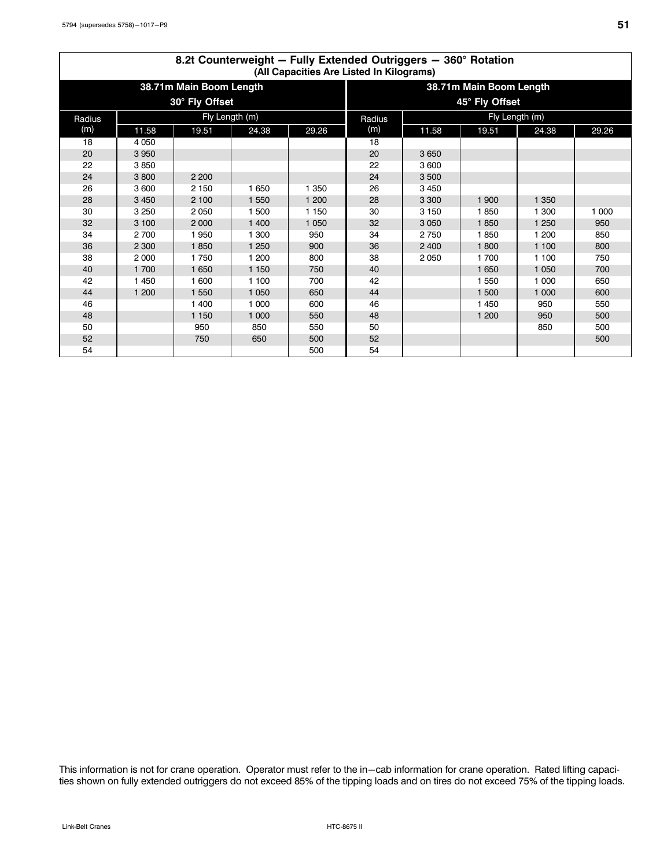Г

|        | 8.2t Counterweight - Fully Extended Outriggers - 360° Rotation<br>(All Capacities Are Listed In Kilograms) |                         |         |         |        |         |                         |                |       |  |  |  |
|--------|------------------------------------------------------------------------------------------------------------|-------------------------|---------|---------|--------|---------|-------------------------|----------------|-------|--|--|--|
|        |                                                                                                            | 38.71m Main Boom Length |         |         |        |         | 38.71m Main Boom Length |                |       |  |  |  |
|        |                                                                                                            | 30° Fly Offset          |         |         |        |         | 45° Fly Offset          |                |       |  |  |  |
| Radius |                                                                                                            | Fly Length (m)          |         |         | Radius |         |                         | Fly Length (m) |       |  |  |  |
| (m)    | 11.58                                                                                                      | 19.51                   | 24.38   | 29.26   | (m)    | 11.58   | 19.51                   | 24.38          | 29.26 |  |  |  |
| 18     | 4 0 5 0                                                                                                    |                         |         |         | 18     |         |                         |                |       |  |  |  |
| 20     | 3950                                                                                                       |                         |         |         | 20     | 3650    |                         |                |       |  |  |  |
| 22     | 3850                                                                                                       |                         |         |         | 22     | 3600    |                         |                |       |  |  |  |
| 24     | 3800                                                                                                       | 2 2 0 0                 |         |         | 24     | 3500    |                         |                |       |  |  |  |
| 26     | 3600                                                                                                       | 2 1 5 0                 | 1 650   | 1 3 5 0 | 26     | 3450    |                         |                |       |  |  |  |
| 28     | 3450                                                                                                       | 2 100                   | 1 5 5 0 | 1 200   | 28     | 3 3 0 0 | 1 900                   | 1 3 5 0        |       |  |  |  |
| 30     | 3 2 5 0                                                                                                    | 2050                    | 1 500   | 1 1 5 0 | 30     | 3 1 5 0 | 1850                    | 1 300          | 1 000 |  |  |  |
| 32     | 3 100                                                                                                      | 2 0 0 0                 | 1 400   | 1 0 5 0 | 32     | 3 0 5 0 | 1850                    | 1 2 5 0        | 950   |  |  |  |
| 34     | 2700                                                                                                       | 1950                    | 1 300   | 950     | 34     | 2750    | 1850                    | 1 200          | 850   |  |  |  |
| 36     | 2 3 0 0                                                                                                    | 1850                    | 1 2 5 0 | 900     | 36     | 2 4 0 0 | 1800                    | 1 100          | 800   |  |  |  |
| 38     | 2000                                                                                                       | 1750                    | 1 200   | 800     | 38     | 2050    | 1700                    | 1 100          | 750   |  |  |  |
| 40     | 1700                                                                                                       | 1 650                   | 1 1 5 0 | 750     | 40     |         | 1 650                   | 1 0 5 0        | 700   |  |  |  |
| 42     | 1 4 5 0                                                                                                    | 1 600                   | 1 100   | 700     | 42     |         | 1 550                   | 1 0 0 0        | 650   |  |  |  |
| 44     | 1 200                                                                                                      | 1 550                   | 1 0 5 0 | 650     | 44     |         | 1 500                   | 1 0 0 0        | 600   |  |  |  |
| 46     |                                                                                                            | 1 400                   | 1 0 0 0 | 600     | 46     |         | 1 450                   | 950            | 550   |  |  |  |
| 48     |                                                                                                            | 1 1 5 0                 | 1 0 0 0 | 550     | 48     |         | 1 200                   | 950            | 500   |  |  |  |
| 50     |                                                                                                            | 950                     | 850     | 550     | 50     |         |                         | 850            | 500   |  |  |  |
| 52     |                                                                                                            | 750                     | 650     | 500     | 52     |         |                         |                | 500   |  |  |  |
| 54     |                                                                                                            |                         |         | 500     | 54     |         |                         |                |       |  |  |  |

### **8.2t Counterweight - Fully Extended Outriggers - 360° Rotation**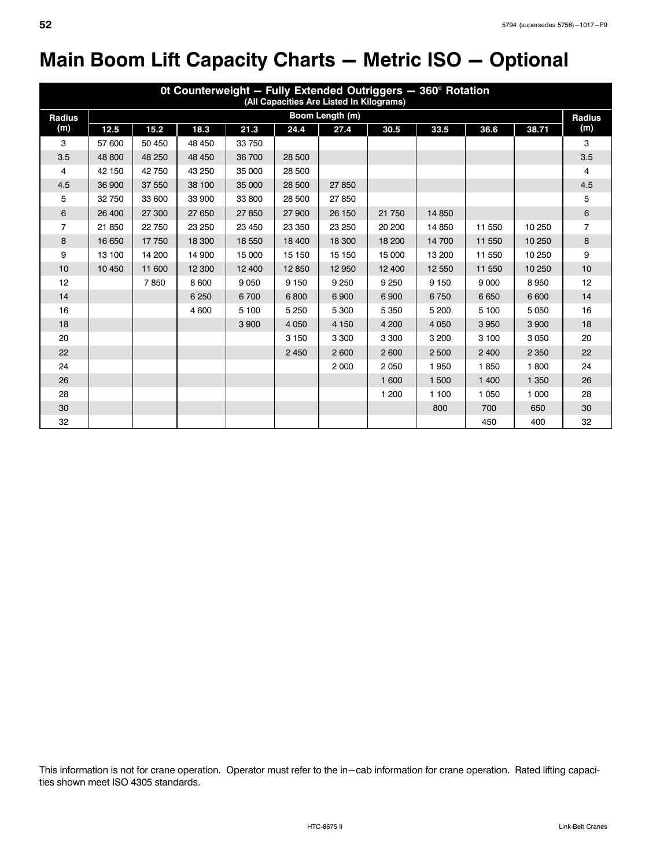# **Main Boom Lift Capacity Charts - Metric ISO - Optional**

|                |        |        |         |         |         | Ot Counterweight - Fully Extended Outriggers - 360° Rotation<br>(All Capacities Are Listed In Kilograms) |         |         |         |         |                |
|----------------|--------|--------|---------|---------|---------|----------------------------------------------------------------------------------------------------------|---------|---------|---------|---------|----------------|
| <b>Radius</b>  |        |        |         |         |         | Boom Length (m)                                                                                          |         |         |         |         | <b>Radius</b>  |
| (m)            | 12.5   | 15.2   | 18.3    | 21.3    | 24.4    | 27.4                                                                                                     | 30.5    | 33.5    | 36.6    | 38.71   | (m)            |
| 3              | 57 600 | 50 450 | 48 450  | 33 750  |         |                                                                                                          |         |         |         |         | 3              |
| 3.5            | 48 800 | 48 250 | 48 450  | 36 700  | 28 500  |                                                                                                          |         |         |         |         | 3.5            |
| 4              | 42 150 | 42 750 | 43 250  | 35 000  | 28 500  |                                                                                                          |         |         |         |         | 4              |
| 4.5            | 36 900 | 37 550 | 38 100  | 35 000  | 28 500  | 27850                                                                                                    |         |         |         |         | 4.5            |
| 5              | 32 750 | 33 600 | 33 900  | 33 800  | 28 500  | 27850                                                                                                    |         |         |         |         | 5              |
| 6              | 26 400 | 27 300 | 27 650  | 27 850  | 27 900  | 26 150                                                                                                   | 21 750  | 14 850  |         |         | 6              |
| $\overline{7}$ | 21 850 | 22 750 | 23 250  | 23 450  | 23 350  | 23 250                                                                                                   | 20 200  | 14 850  | 11 550  | 10 250  | $\overline{7}$ |
| 8              | 16 650 | 17750  | 18 300  | 18 550  | 18 400  | 18 300                                                                                                   | 18 200  | 14 700  | 11 550  | 10 250  | 8              |
| 9              | 13 100 | 14 200 | 14 900  | 15 000  | 15 150  | 15 150                                                                                                   | 15 000  | 13 200  | 11 550  | 10 250  | 9              |
| 10             | 10 450 | 11 600 | 12 300  | 12 400  | 12850   | 12950                                                                                                    | 12 400  | 12 550  | 11 550  | 10 250  | 10             |
| 12             |        | 7850   | 8600    | 9050    | 9 1 5 0 | 9 2 5 0                                                                                                  | 9 2 5 0 | 9 1 5 0 | 9 0 0 0 | 8950    | 12             |
| 14             |        |        | 6 2 5 0 | 6700    | 6800    | 6900                                                                                                     | 6900    | 6750    | 6650    | 6 600   | 14             |
| 16             |        |        | 4 600   | 5 100   | 5 2 5 0 | 5 300                                                                                                    | 5 3 5 0 | 5 200   | 5 100   | 5 0 5 0 | 16             |
| 18             |        |        |         | 3 9 0 0 | 4 0 5 0 | 4 1 5 0                                                                                                  | 4 200   | 4 0 5 0 | 3950    | 3 9 0 0 | 18             |
| 20             |        |        |         |         | 3 1 5 0 | 3 3 0 0                                                                                                  | 3 3 0 0 | 3 2 0 0 | 3 100   | 3 0 5 0 | 20             |
| 22             |        |        |         |         | 2 4 5 0 | 2600                                                                                                     | 2600    | 2500    | 2 4 0 0 | 2 3 5 0 | 22             |
| 24             |        |        |         |         |         | 2 0 0 0                                                                                                  | 2050    | 1950    | 1850    | 1800    | 24             |
| 26             |        |        |         |         |         |                                                                                                          | 1 600   | 1 500   | 1 400   | 1 3 5 0 | 26             |
| 28             |        |        |         |         |         |                                                                                                          | 1 200   | 1 100   | 1 0 5 0 | 1 0 0 0 | 28             |
| 30             |        |        |         |         |         |                                                                                                          |         | 800     | 700     | 650     | 30             |
| 32             |        |        |         |         |         |                                                                                                          |         |         | 450     | 400     | 32             |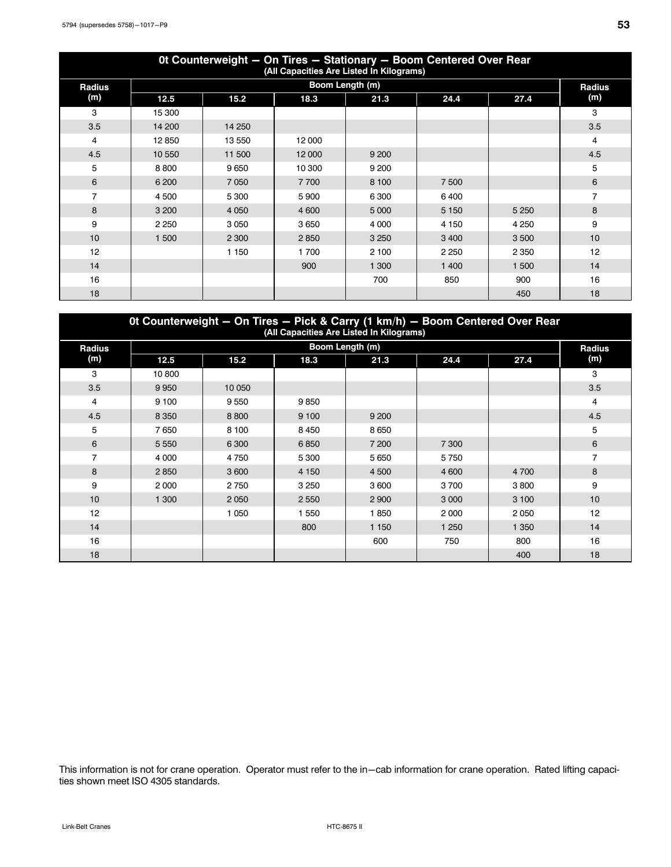|                | 0t Counterweight - On Tires - Stationary - Boom Centered Over Rear<br>(All Capacities Are Listed In Kilograms) |         |                 |         |         |         |                |  |  |  |  |
|----------------|----------------------------------------------------------------------------------------------------------------|---------|-----------------|---------|---------|---------|----------------|--|--|--|--|
| Radius         |                                                                                                                |         | Boom Length (m) |         |         |         | <b>Radius</b>  |  |  |  |  |
| (m)            | 12.5                                                                                                           | 15.2    | 18.3            | 21.3    | 24.4    | 27.4    | (m)            |  |  |  |  |
| 3              | 15 300                                                                                                         |         |                 |         |         |         | 3              |  |  |  |  |
| 3.5            | 14 200                                                                                                         | 14 250  |                 |         |         |         | 3.5            |  |  |  |  |
| 4              | 12850                                                                                                          | 13 550  | 12 000          |         |         |         | 4              |  |  |  |  |
| 4.5            | 10 550                                                                                                         | 11 500  | 12 000          | 9 2 0 0 |         |         | 4.5            |  |  |  |  |
| 5              | 8800                                                                                                           | 9650    | 10 300          | 9 200   |         |         | 5              |  |  |  |  |
| 6              | 6 200                                                                                                          | 7 0 5 0 | 7 700           | 8 1 0 0 | 7 500   |         | 6              |  |  |  |  |
| $\overline{7}$ | 4 500                                                                                                          | 5 300   | 5900            | 6 300   | 6400    |         | $\overline{7}$ |  |  |  |  |
| 8              | 3 200                                                                                                          | 4 0 5 0 | 4 600           | 5 0 0 0 | 5 1 5 0 | 5 2 5 0 | 8              |  |  |  |  |
| 9              | 2 2 5 0                                                                                                        | 3 0 5 0 | 3650            | 4 0 0 0 | 4 1 5 0 | 4 2 5 0 | 9              |  |  |  |  |
| 10             | 1 500                                                                                                          | 2 3 0 0 | 2850            | 3 2 5 0 | 3 4 0 0 | 3500    | 10             |  |  |  |  |
| 12             |                                                                                                                | 1 1 5 0 | 1700            | 2 100   | 2 2 5 0 | 2 3 5 0 | 12             |  |  |  |  |
| 14             |                                                                                                                |         | 900             | 1 300   | 1 400   | 1 500   | 14             |  |  |  |  |
| 16             |                                                                                                                |         |                 | 700     | 850     | 900     | 16             |  |  |  |  |
| 18             |                                                                                                                |         |                 |         |         | 450     | 18             |  |  |  |  |

|               | 0t Counterweight - On Tires - Pick & Carry (1 km/h) - Boom Centered Over Rear<br>(All Capacities Are Listed In Kilograms) |         |                 |         |         |         |               |  |  |  |  |
|---------------|---------------------------------------------------------------------------------------------------------------------------|---------|-----------------|---------|---------|---------|---------------|--|--|--|--|
| <b>Radius</b> |                                                                                                                           |         | Boom Length (m) |         |         |         | <b>Radius</b> |  |  |  |  |
| (m)           | 12.5                                                                                                                      | 15.2    | 18.3            | 21.3    | 24.4    | 27.4    | (m)           |  |  |  |  |
| 3             | 10800                                                                                                                     |         |                 |         |         |         | 3             |  |  |  |  |
| 3.5           | 9950                                                                                                                      | 10 050  |                 |         |         |         | 3.5           |  |  |  |  |
| 4             | 9 100                                                                                                                     | 9 5 5 0 | 9850            |         |         |         | 4             |  |  |  |  |
| 4.5           | 8 3 5 0                                                                                                                   | 8800    | 9 1 0 0         | 9 2 0 0 |         |         | 4.5           |  |  |  |  |
| 5             | 7650                                                                                                                      | 8 1 0 0 | 8450            | 8650    |         |         | 5             |  |  |  |  |
| 6             | 5 5 5 0                                                                                                                   | 6 300   | 6850            | 7 200   | 7 300   |         | 6             |  |  |  |  |
| 7             | 4 0 0 0                                                                                                                   | 4 7 5 0 | 5 300           | 5 6 5 0 | 5750    |         | 7             |  |  |  |  |
| 8             | 2850                                                                                                                      | 3600    | 4 1 5 0         | 4 500   | 4 600   | 4 700   | 8             |  |  |  |  |
| 9             | 2 0 0 0                                                                                                                   | 2750    | 3 2 5 0         | 3600    | 3700    | 3800    | 9             |  |  |  |  |
| 10            | 1 300                                                                                                                     | 2 0 5 0 | 2550            | 2 9 0 0 | 3 0 0 0 | 3 100   | 10            |  |  |  |  |
| 12            |                                                                                                                           | 1 0 5 0 | 1 550           | 1850    | 2 0 0 0 | 2050    | 12            |  |  |  |  |
| 14            |                                                                                                                           |         | 800             | 1 1 5 0 | 1 250   | 1 3 5 0 | 14            |  |  |  |  |
| 16            |                                                                                                                           |         |                 | 600     | 750     | 800     | 16            |  |  |  |  |
| 18            |                                                                                                                           |         |                 |         |         | 400     | 18            |  |  |  |  |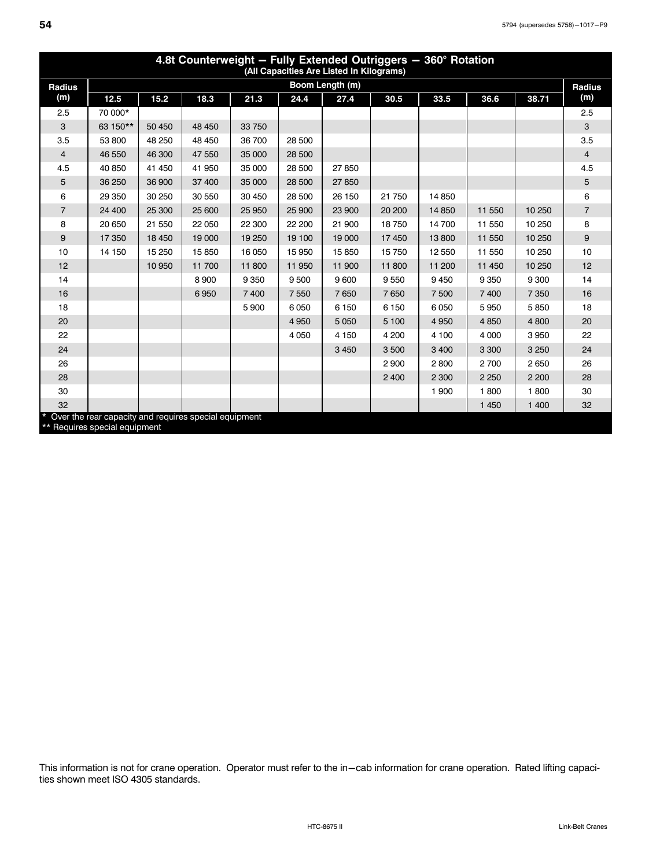|                                                                    |                                                                                        |        |         |         |         | (All Capacities Are Listed In Kilograms) | 4.8t Counterweight - Fully Extended Outriggers - 360° Rotation |         |         |         |                |  |
|--------------------------------------------------------------------|----------------------------------------------------------------------------------------|--------|---------|---------|---------|------------------------------------------|----------------------------------------------------------------|---------|---------|---------|----------------|--|
| Radius                                                             |                                                                                        |        |         |         |         | Boom Length (m)                          |                                                                |         |         |         | Radius         |  |
| (m)                                                                | 12.5                                                                                   | 15.2   | 18.3    | 21.3    | 24.4    | 27.4                                     | 30.5                                                           | 33.5    | 36.6    | 38.71   | (m)            |  |
| 2.5                                                                | 70 000*                                                                                |        |         |         |         |                                          |                                                                |         |         |         | 2.5            |  |
| 3                                                                  | 63 150**                                                                               | 50 450 | 48 450  | 33750   |         |                                          |                                                                |         |         |         | 3              |  |
| 3.5                                                                | 53 800                                                                                 | 48 250 | 48 450  | 36 700  | 28 500  |                                          |                                                                |         |         |         | 3.5            |  |
| $\overline{4}$                                                     | 46 550                                                                                 | 46 300 | 47 550  | 35 000  | 28 500  |                                          |                                                                |         |         |         | $\overline{4}$ |  |
| 4.5                                                                | 40 850                                                                                 | 41 450 | 41 950  | 35 000  | 28 500  | 27 850                                   |                                                                |         |         |         | 4.5            |  |
| 5<br>5<br>36 900<br>37 400<br>35 000<br>28 500<br>27 850<br>36 250 |                                                                                        |        |         |         |         |                                          |                                                                |         |         |         |                |  |
| 6                                                                  | 29 350                                                                                 | 30 250 | 30 550  | 30 450  | 28 500  | 26 150                                   | 21 750                                                         | 14 850  |         |         | 6              |  |
| $\overline{7}$                                                     | 24 400                                                                                 | 25 300 | 25 600  | 25 950  | 25 900  | 23 900                                   | 20 200                                                         | 14 8 50 | 11 550  | 10 250  | $\overline{7}$ |  |
| 8                                                                  | 20 650                                                                                 | 21 550 | 22 050  | 22 300  | 22 200  | 21 900                                   | 18750                                                          | 14 700  | 11 550  | 10 250  | 8              |  |
| 9                                                                  | 17 350                                                                                 | 18 450 | 19 000  | 19 250  | 19 100  | 19 000                                   | 17 450                                                         | 13800   | 11 550  | 10 250  | 9              |  |
| 10                                                                 | 14 150                                                                                 | 15 250 | 15850   | 16 050  | 15 950  | 15 850                                   | 15 750                                                         | 12 550  | 11 550  | 10 250  | 10             |  |
| 12                                                                 |                                                                                        | 10 950 | 11700   | 11800   | 11 950  | 11 900                                   | 11 800                                                         | 11 200  | 11 450  | 10 250  | 12             |  |
| 14                                                                 |                                                                                        |        | 8 9 0 0 | 9 3 5 0 | 9500    | 9600                                     | 9550                                                           | 9450    | 9 3 5 0 | 9 3 0 0 | 14             |  |
| 16                                                                 |                                                                                        |        | 6950    | 7400    | 7550    | 7650                                     | 7650                                                           | 7 500   | 7 400   | 7 3 5 0 | 16             |  |
| 18                                                                 |                                                                                        |        |         | 5900    | 6050    | 6 1 5 0                                  | 6 1 5 0                                                        | 6050    | 5950    | 5850    | 18             |  |
| 20                                                                 |                                                                                        |        |         |         | 4 9 5 0 | 5 0 5 0                                  | 5 100                                                          | 4 9 5 0 | 4850    | 4 800   | 20             |  |
| 22                                                                 |                                                                                        |        |         |         | 4 0 5 0 | 4 1 5 0                                  | 4 200                                                          | 4 100   | 4 0 0 0 | 3950    | 22             |  |
| 24                                                                 |                                                                                        |        |         |         |         | 3 4 5 0                                  | 3 500                                                          | 3 4 0 0 | 3 3 0 0 | 3 2 5 0 | 24             |  |
| 26                                                                 |                                                                                        |        |         |         |         |                                          | 2 9 0 0                                                        | 2800    | 2700    | 2650    | 26             |  |
| 28                                                                 |                                                                                        |        |         |         |         |                                          | 2 4 0 0                                                        | 2 3 0 0 | 2 2 5 0 | 2 2 0 0 | 28             |  |
| 30                                                                 |                                                                                        |        |         |         |         |                                          |                                                                | 1 900   | 1800    | 1800    | 30             |  |
| 32                                                                 |                                                                                        |        |         |         |         |                                          |                                                                |         | 1 4 5 0 | 1 400   | 32             |  |
|                                                                    | Over the rear capacity and requires special equipment<br>** Requires special equipment |        |         |         |         |                                          |                                                                |         |         |         |                |  |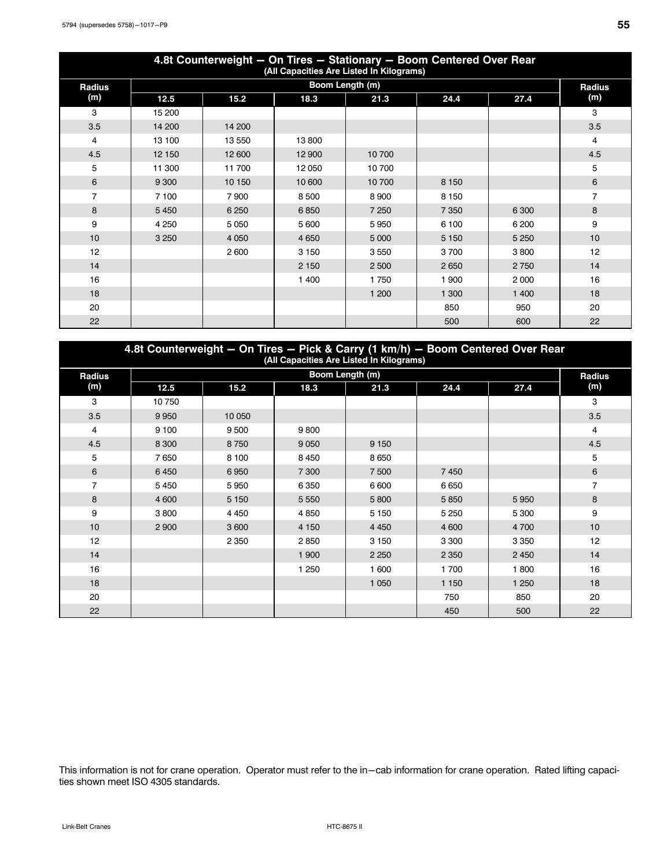|                | 4.8t Counterweight - On Tires - Stationary - Boom Centered Over Rear<br>(All Capacities Are Listed In Kilograms) |         |                 |         |         |         |                |  |  |  |
|----------------|------------------------------------------------------------------------------------------------------------------|---------|-----------------|---------|---------|---------|----------------|--|--|--|
| <b>Radius</b>  |                                                                                                                  |         | Boom Length (m) |         |         |         | <b>Radius</b>  |  |  |  |
| (m)            | 12.5                                                                                                             | 15.2    | 18.3            | 21.3    | 24.4    | 27.4    | (m)            |  |  |  |
| 3              | 15 200                                                                                                           |         |                 |         |         |         | 3              |  |  |  |
| 3.5            | 14 200                                                                                                           | 14 200  |                 |         |         |         | 3.5            |  |  |  |
| 4              | 13 100                                                                                                           | 13 550  | 13800           |         |         |         | 4              |  |  |  |
| 4.5            | 12 150                                                                                                           | 12 600  | 12 900          | 10 700  |         |         | 4.5            |  |  |  |
| 5              | 11 300                                                                                                           | 11700   | 12 050          | 10 700  |         |         | 5              |  |  |  |
| 6              | 9 3 0 0                                                                                                          | 10 150  | 10 600          | 10 700  | 8 1 5 0 |         | 6              |  |  |  |
| $\overline{7}$ | 7 100                                                                                                            | 7900    | 8500            | 8 9 0 0 | 8 1 5 0 |         | $\overline{7}$ |  |  |  |
| 8              | 5 4 5 0                                                                                                          | 6 2 5 0 | 6850            | 7 2 5 0 | 7 3 5 0 | 6 300   | 8              |  |  |  |
| 9              | 4 2 5 0                                                                                                          | 5 0 5 0 | 5600            | 5950    | 6 100   | 6 200   | 9              |  |  |  |
| 10             | 3 2 5 0                                                                                                          | 4 0 5 0 | 4 6 5 0         | 5 0 0 0 | 5 1 5 0 | 5 2 5 0 | 10             |  |  |  |
| 12             |                                                                                                                  | 2600    | 3 1 5 0         | 3 5 5 0 | 3700    | 3800    | 12             |  |  |  |
| 14             |                                                                                                                  |         | 2 1 5 0         | 2 5 0 0 | 2650    | 2750    | 14             |  |  |  |
| 16             |                                                                                                                  |         | 1 400           | 1750    | 1 900   | 2000    | 16             |  |  |  |
| 18             |                                                                                                                  |         |                 | 1 200   | 1 300   | 1 400   | 18             |  |  |  |
| 20             |                                                                                                                  |         |                 |         | 850     | 950     | 20             |  |  |  |
| 22             |                                                                                                                  |         |                 |         | 500     | 600     | 22             |  |  |  |

|                | 4.8t Counterweight - On Tires - Pick & Carry (1 km/h) - Boom Centered Over Rear<br>(All Capacities Are Listed In Kilograms) |         |                 |         |         |         |                |  |  |  |  |
|----------------|-----------------------------------------------------------------------------------------------------------------------------|---------|-----------------|---------|---------|---------|----------------|--|--|--|--|
| Radius         |                                                                                                                             |         | Boom Length (m) |         |         |         | <b>Radius</b>  |  |  |  |  |
| (m)            | 12.5                                                                                                                        | 15.2    | 18.3            | 21.3    | 24.4    | 27.4    | (m)            |  |  |  |  |
| 3              | 10750                                                                                                                       |         |                 |         |         |         | 3              |  |  |  |  |
| 3.5            | 9 9 5 0                                                                                                                     | 10 050  |                 |         |         |         | 3.5            |  |  |  |  |
| 4              | 9 100                                                                                                                       | 9 500   | 9800            |         |         |         | 4              |  |  |  |  |
| 4.5            | 8 3 0 0                                                                                                                     | 8750    | 9050            | 9 1 5 0 |         |         | 4.5            |  |  |  |  |
| 5              | 7650                                                                                                                        | 8 100   | 8450            | 8 6 5 0 |         |         | 5              |  |  |  |  |
| 6              | 6450                                                                                                                        | 6950    | 7 300           | 7 500   | 7450    |         | 6              |  |  |  |  |
| $\overline{7}$ | 5 4 5 0                                                                                                                     | 5950    | 6 3 5 0         | 6 600   | 6650    |         | $\overline{7}$ |  |  |  |  |
| 8              | 4 600                                                                                                                       | 5 1 5 0 | 5 5 5 0         | 5800    | 5850    | 5950    | 8              |  |  |  |  |
| 9              | 3800                                                                                                                        | 4 4 5 0 | 4850            | 5 1 5 0 | 5 2 5 0 | 5 300   | 9              |  |  |  |  |
| 10             | 2 9 0 0                                                                                                                     | 3 600   | 4 1 5 0         | 4 4 5 0 | 4 600   | 4700    | 10             |  |  |  |  |
| 12             |                                                                                                                             | 2 3 5 0 | 2850            | 3 1 5 0 | 3 3 0 0 | 3 3 5 0 | 12             |  |  |  |  |
| 14             |                                                                                                                             |         | 1 900           | 2 2 5 0 | 2 3 5 0 | 2 4 5 0 | 14             |  |  |  |  |
| 16             |                                                                                                                             |         | 1 250           | 1 600   | 1700    | 1800    | 16             |  |  |  |  |
| 18             |                                                                                                                             |         |                 | 1 0 5 0 | 1 1 5 0 | 1 2 5 0 | 18             |  |  |  |  |
| 20             |                                                                                                                             |         |                 |         | 750     | 850     | 20             |  |  |  |  |
| 22             |                                                                                                                             |         |                 |         | 450     | 500     | 22             |  |  |  |  |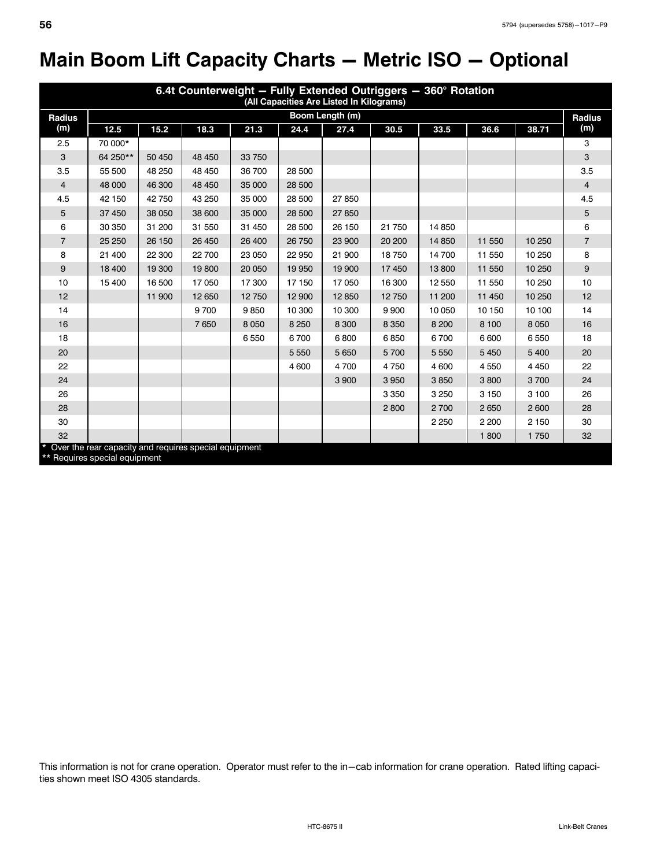#### **Main Boom Lift Capacity Charts - Metric ISO - Optional**

|                | 6.4t Counterweight - Fully Extended Outriggers - 360° Rotation<br>(All Capacities Are Listed In Kilograms) |        |        |         |         |                 |         |         |         |         |                  |
|----------------|------------------------------------------------------------------------------------------------------------|--------|--------|---------|---------|-----------------|---------|---------|---------|---------|------------------|
| Radius         |                                                                                                            |        |        |         |         | Boom Length (m) |         |         |         |         | <b>Radius</b>    |
| (m)            | 12.5                                                                                                       | 15.2   | 18.3   | 21.3    | 24.4    | 27.4            | 30.5    | 33.5    | 36.6    | 38.71   | (m)              |
| 2.5            | 70 000*                                                                                                    |        |        |         |         |                 |         |         |         |         | 3                |
| 3              | 64 250**                                                                                                   | 50 450 | 48 450 | 33750   |         |                 |         |         |         |         | 3                |
| 3.5            | 55 500                                                                                                     | 48 250 | 48 450 | 36700   | 28 500  |                 |         |         |         |         | 3.5              |
| $\overline{4}$ | 48 000                                                                                                     | 46 300 | 48 450 | 35 000  | 28 500  |                 |         |         |         |         | 4                |
| 4.5            | 42 150                                                                                                     | 42 750 | 43 250 | 35 000  | 28 500  | 27 850          |         |         |         |         | 4.5              |
| 5              | 37 450                                                                                                     | 38 050 | 38 600 | 35 000  | 28 500  | 27 850          |         |         |         |         | 5                |
| 6              | 30 350                                                                                                     | 31 200 | 31 550 | 31 450  | 28 500  | 26 150          | 21 750  | 14 850  |         |         | 6                |
| $\overline{7}$ | 25 250                                                                                                     | 26 150 | 26 450 | 26 400  | 26 750  | 23 900          | 20 200  | 14 8 50 | 11 550  | 10 250  | $\overline{7}$   |
| 8              | 21 400                                                                                                     | 22 300 | 22 700 | 23 050  | 22 950  | 21 900          | 18750   | 14 700  | 11 550  | 10 250  | 8                |
| 9              | 18 400                                                                                                     | 19 300 | 19800  | 20 050  | 19 950  | 19 900          | 17 450  | 13800   | 11 550  | 10 250  | 9                |
| 10             | 15 400                                                                                                     | 16 500 | 17050  | 17 300  | 17 150  | 17 050          | 16 300  | 12 550  | 11 550  | 10 250  | 10 <sup>10</sup> |
| 12             |                                                                                                            | 11 900 | 12 650 | 12750   | 12 900  | 12850           | 12750   | 11 200  | 11 450  | 10 250  | 12               |
| 14             |                                                                                                            |        | 9700   | 9850    | 10 300  | 10 300          | 9 9 0 0 | 10 050  | 10 150  | 10 100  | 14               |
| 16             |                                                                                                            |        | 7650   | 8 0 5 0 | 8 2 5 0 | 8 3 0 0         | 8 3 5 0 | 8 200   | 8 100   | 8 0 5 0 | 16               |
| 18             |                                                                                                            |        |        | 6550    | 6700    | 6800            | 6850    | 6700    | 6600    | 6550    | 18               |
| 20             |                                                                                                            |        |        |         | 5 5 5 0 | 5 6 5 0         | 5700    | 5 5 5 0 | 5 4 5 0 | 5 4 0 0 | 20               |
| 22             |                                                                                                            |        |        |         | 4 600   | 4700            | 4750    | 4 600   | 4550    | 4 4 5 0 | 22               |
| 24             |                                                                                                            |        |        |         |         | 3 9 0 0         | 3 9 5 0 | 3850    | 3800    | 3700    | 24               |
| 26             |                                                                                                            |        |        |         |         |                 | 3 3 5 0 | 3 2 5 0 | 3 1 5 0 | 3 100   | 26               |
| 28             |                                                                                                            |        |        |         |         |                 | 2800    | 2700    | 2650    | 2600    | 28               |
| 30             |                                                                                                            |        |        |         |         |                 |         | 2 2 5 0 | 2 2 0 0 | 2 150   | 30               |
| 32             |                                                                                                            |        |        |         |         |                 |         |         | 1800    | 1750    | 32               |
|                | Over the rear capacity and requires special equipment<br>** Requires special equipment                     |        |        |         |         |                 |         |         |         |         |                  |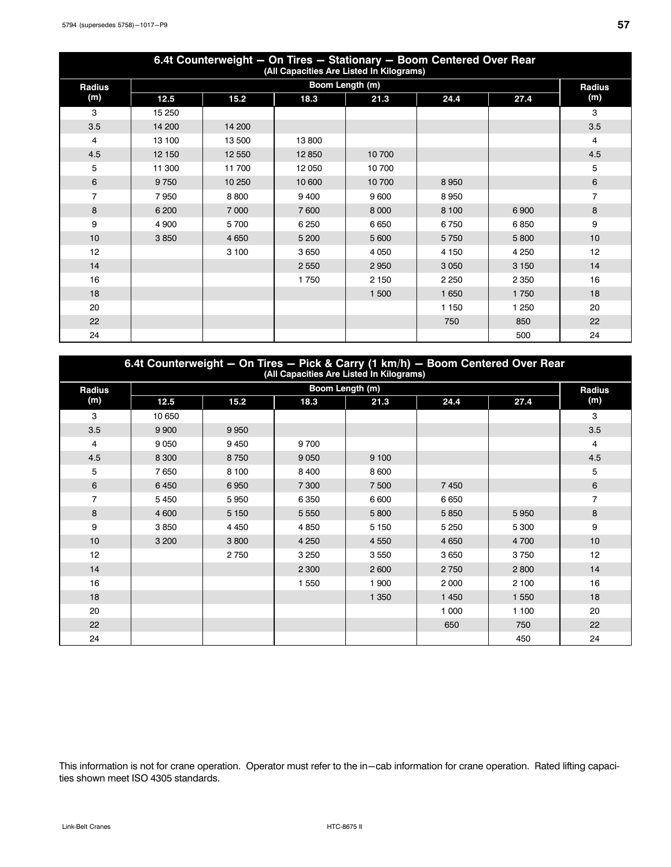| 6.4t Counterweight - On Tires - Stationary - Boom Centered Over Rear<br>(All Capacities Are Listed In Kilograms) |         |         |               |         |         |         |                |  |  |  |
|------------------------------------------------------------------------------------------------------------------|---------|---------|---------------|---------|---------|---------|----------------|--|--|--|
| Radius                                                                                                           |         |         | <b>Radius</b> |         |         |         |                |  |  |  |
| (m)                                                                                                              | 12.5    | 15.2    | 18.3          | 21.3    | 24.4    | 27.4    | (m)            |  |  |  |
| 3                                                                                                                | 15 250  |         |               |         |         |         | 3              |  |  |  |
| 3.5                                                                                                              | 14 200  | 14 200  |               |         |         |         | 3.5            |  |  |  |
| 4                                                                                                                | 13 100  | 13 500  | 13800         |         |         |         | 4              |  |  |  |
| 4.5                                                                                                              | 12 150  | 12 5 50 | 12850         | 10 700  |         |         | 4.5            |  |  |  |
| 5                                                                                                                | 11 300  | 11700   | 12 050        | 10 700  |         |         | 5              |  |  |  |
| 6                                                                                                                | 9750    | 10 250  | 10 600        | 10 700  | 8950    |         | 6              |  |  |  |
| $\overline{7}$                                                                                                   | 7950    | 8800    | 9400          | 9600    | 8950    |         | $\overline{7}$ |  |  |  |
| 8                                                                                                                | 6 200   | 7 0 0 0 | 7600          | 8 0 0 0 | 8 1 0 0 | 6900    | 8              |  |  |  |
| 9                                                                                                                | 4 9 0 0 | 5700    | 6 2 5 0       | 6650    | 6750    | 6850    | 9              |  |  |  |
| 10                                                                                                               | 3850    | 4 6 5 0 | 5 200         | 5 600   | 5750    | 5800    | 10             |  |  |  |
| 12                                                                                                               |         | 3 100   | 3650          | 4 0 5 0 | 4 150   | 4 2 5 0 | 12             |  |  |  |
| 14                                                                                                               |         |         | 2550          | 2950    | 3 0 5 0 | 3 1 5 0 | 14             |  |  |  |
| 16                                                                                                               |         |         | 1750          | 2 1 5 0 | 2 2 5 0 | 2 3 5 0 | 16             |  |  |  |
| 18                                                                                                               |         |         |               | 1 500   | 1 650   | 1750    | 18             |  |  |  |
| 20                                                                                                               |         |         |               |         | 1 150   | 1 250   | 20             |  |  |  |
| 22                                                                                                               |         |         |               |         | 750     | 850     | 22             |  |  |  |
| 24                                                                                                               |         |         |               |         |         | 500     | 24             |  |  |  |

|                | 6.4t Counterweight - On Tires - Pick & Carry (1 km/h) - Boom Centered Over Rear<br>(All Capacities Are Listed In Kilograms) |         |               |         |         |       |                |  |  |  |  |
|----------------|-----------------------------------------------------------------------------------------------------------------------------|---------|---------------|---------|---------|-------|----------------|--|--|--|--|
| <b>Radius</b>  |                                                                                                                             |         | <b>Radius</b> |         |         |       |                |  |  |  |  |
| (m)            | 12.5                                                                                                                        | 15.2    | 18.3          | 21.3    | 24.4    | 27.4  | (m)            |  |  |  |  |
| 3              | 10 650                                                                                                                      |         |               |         |         |       | 3              |  |  |  |  |
| 3.5            | 9 9 0 0                                                                                                                     | 9950    |               |         |         |       | 3.5            |  |  |  |  |
| 4              | 9 0 5 0                                                                                                                     | 9 4 5 0 | 9700          |         |         |       | 4              |  |  |  |  |
| 4.5            | 8 3 0 0                                                                                                                     | 8750    | 9050          | 9 100   |         |       | 4.5            |  |  |  |  |
| 5              | 7650                                                                                                                        | 8 1 0 0 | 8 4 0 0       | 8 600   |         |       | 5              |  |  |  |  |
| 6              | 6450                                                                                                                        | 6950    | 7 300         | 7 500   | 7 4 5 0 |       | 6              |  |  |  |  |
| $\overline{7}$ | 5 4 5 0                                                                                                                     | 5950    | 6350          | 6 600   | 6650    |       | $\overline{7}$ |  |  |  |  |
| 8              | 4 600                                                                                                                       | 5 1 5 0 | 5 5 5 0       | 5800    | 5850    | 5950  | 8              |  |  |  |  |
| 9              | 3850                                                                                                                        | 4 4 5 0 | 4850          | 5 1 5 0 | 5 2 5 0 | 5 300 | 9              |  |  |  |  |
| 10             | 3 2 0 0                                                                                                                     | 3800    | 4 2 5 0       | 4 5 5 0 | 4 6 5 0 | 4700  | 10             |  |  |  |  |
| 12             |                                                                                                                             | 2750    | 3 2 5 0       | 3550    | 3650    | 3750  | 12             |  |  |  |  |
| 14             |                                                                                                                             |         | 2 3 0 0       | 2600    | 2750    | 2800  | 14             |  |  |  |  |
| 16             |                                                                                                                             |         | 1 550         | 1 900   | 2 0 0 0 | 2 100 | 16             |  |  |  |  |
| 18             |                                                                                                                             |         |               | 1 3 5 0 | 1 4 5 0 | 1 550 | 18             |  |  |  |  |
| 20             |                                                                                                                             |         |               |         | 1 000   | 1 100 | 20             |  |  |  |  |
| 22             |                                                                                                                             |         |               |         | 650     | 750   | 22             |  |  |  |  |
| 24             |                                                                                                                             |         |               |         |         | 450   | 24             |  |  |  |  |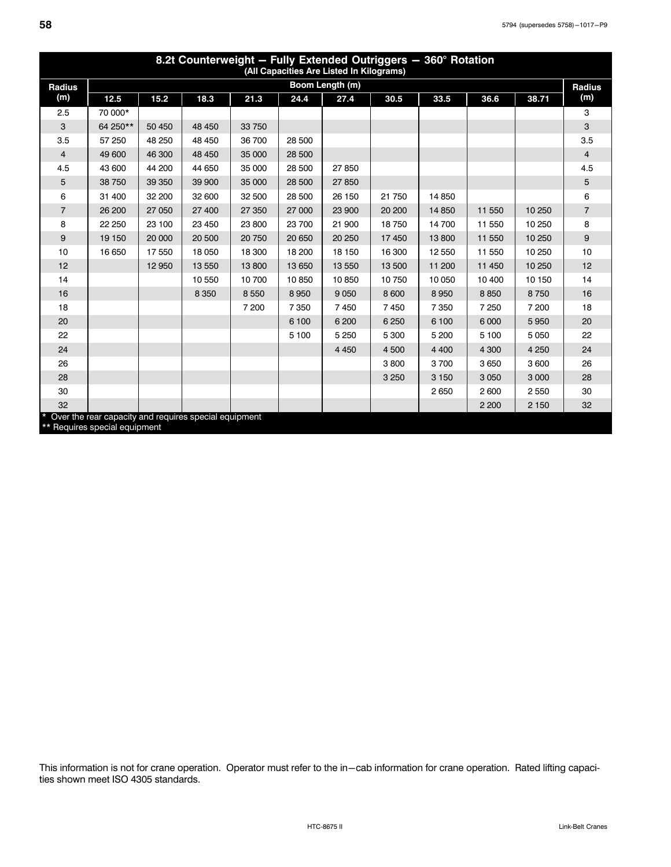| 8.2t Counterweight - Fully Extended Outriggers - 360° Rotation<br>(All Capacities Are Listed In Kilograms) |                                                                                        |        |         |        |        |                 |         |         |         |         |                |
|------------------------------------------------------------------------------------------------------------|----------------------------------------------------------------------------------------|--------|---------|--------|--------|-----------------|---------|---------|---------|---------|----------------|
| Radius                                                                                                     |                                                                                        |        |         |        |        | Boom Length (m) |         |         |         |         | Radius         |
| (m)                                                                                                        | 12.5                                                                                   | 15.2   | 18.3    | 21.3   | 24.4   | 27.4            | 30.5    | 33.5    | 36.6    | 38.71   | (m)            |
| 2.5                                                                                                        | 70 000*                                                                                |        |         |        |        |                 |         |         |         |         | 3              |
| 3                                                                                                          | 64 250**                                                                               | 50 450 | 48 450  | 33750  |        |                 |         |         |         |         | 3              |
| 3.5                                                                                                        | 57 250                                                                                 | 48 250 | 48 450  | 36 700 | 28 500 |                 |         |         |         |         | 3.5            |
| $\overline{4}$                                                                                             | 49 600                                                                                 | 46 300 | 48 450  | 35 000 | 28 500 |                 |         |         |         |         | $\overline{4}$ |
| 4.5                                                                                                        | 43 600                                                                                 | 44 200 | 44 650  | 35 000 | 28 500 | 27 850          |         |         |         |         | 4.5            |
| 5                                                                                                          | 38750                                                                                  | 39 350 | 39 900  | 35 000 | 28 500 | 27 850          |         |         |         |         | 5              |
| 6                                                                                                          | 31 400                                                                                 | 32 200 | 32 600  | 32 500 | 28 500 | 26 150          | 21 750  | 14 850  |         |         | 6              |
| $\overline{7}$                                                                                             | 26 200                                                                                 | 27 050 | 27 400  | 27 350 | 27 000 | 23 900          | 20 200  | 14 8 50 | 11 550  | 10 250  | $\overline{7}$ |
| 8                                                                                                          | 22 250                                                                                 | 23 100 | 23 450  | 23 800 | 23 700 | 21 900          | 18750   | 14 700  | 11 550  | 10 250  | 8              |
| 9                                                                                                          | 19 150                                                                                 | 20 000 | 20 500  | 20750  | 20 650 | 20 250          | 17 450  | 13800   | 11 550  | 10 250  | 9              |
| 10                                                                                                         | 16 650                                                                                 | 17 550 | 18 0 50 | 18 300 | 18 200 | 18 150          | 16 300  | 12 550  | 11 550  | 10 250  | 10             |
| 12                                                                                                         |                                                                                        | 12 950 | 13 550  | 13800  | 13 650 | 13 550          | 13 500  | 11 200  | 11 450  | 10 250  | 12             |
| 14                                                                                                         |                                                                                        |        | 10 550  | 10700  | 10850  | 10850           | 10750   | 10 050  | 10 400  | 10 150  | 14             |
| 16                                                                                                         |                                                                                        |        | 8 3 5 0 | 8550   | 8950   | 9050            | 8 600   | 8 9 5 0 | 8850    | 8750    | 16             |
| 18                                                                                                         |                                                                                        |        |         | 7 200  | 7350   | 7450            | 7450    | 7 3 5 0 | 7 2 5 0 | 7 200   | 18             |
| 20                                                                                                         |                                                                                        |        |         |        | 6 100  | 6 200           | 6 2 5 0 | 6 100   | 6 0 0 0 | 5950    | 20             |
| 22                                                                                                         |                                                                                        |        |         |        | 5 100  | 5 2 5 0         | 5 300   | 5 200   | 5 100   | 5 0 5 0 | 22             |
| 24                                                                                                         |                                                                                        |        |         |        |        | 4 4 5 0         | 4 500   | 4 4 0 0 | 4 300   | 4 2 5 0 | 24             |
| 26                                                                                                         |                                                                                        |        |         |        |        |                 | 3800    | 3700    | 3650    | 3600    | 26             |
| 28                                                                                                         |                                                                                        |        |         |        |        |                 | 3 2 5 0 | 3 1 5 0 | 3 0 5 0 | 3 0 0 0 | 28             |
| 30                                                                                                         |                                                                                        |        |         |        |        |                 |         | 2650    | 2600    | 2 5 5 0 | 30             |
| 32                                                                                                         |                                                                                        |        |         |        |        |                 |         |         | 2 2 0 0 | 2 1 5 0 | 32             |
|                                                                                                            | Over the rear capacity and requires special equipment<br>** Requires special equipment |        |         |        |        |                 |         |         |         |         |                |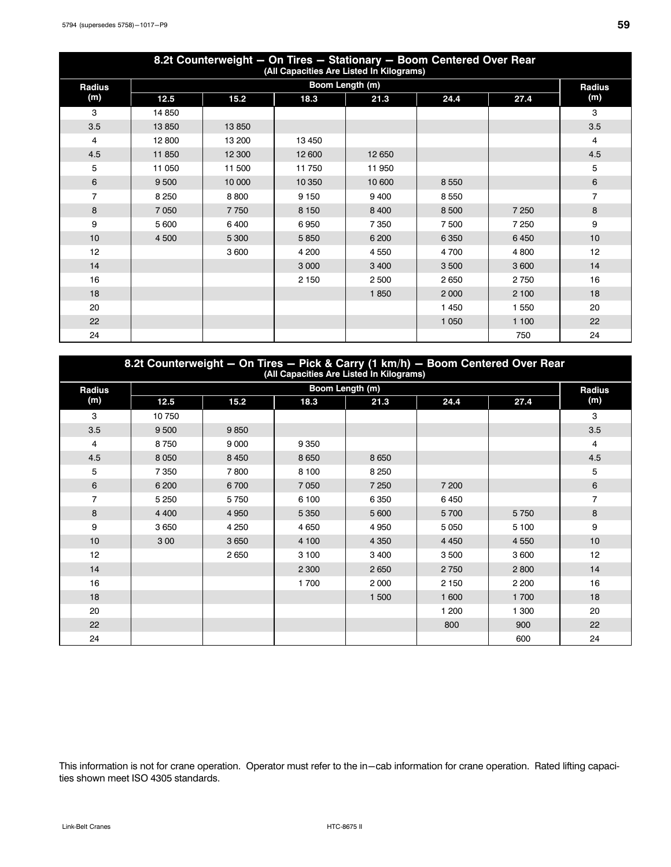| 8.2t Counterweight - On Tires - Stationary - Boom Centered Over Rear<br>(All Capacities Are Listed In Kilograms) |         |               |         |         |         |         |                |  |  |
|------------------------------------------------------------------------------------------------------------------|---------|---------------|---------|---------|---------|---------|----------------|--|--|
| Radius                                                                                                           |         | <b>Radius</b> |         |         |         |         |                |  |  |
| (m)                                                                                                              | 12.5    | 15.2          | 18.3    | 21.3    | 24.4    | 27.4    | (m)            |  |  |
| 3                                                                                                                | 14 850  |               |         |         |         |         | 3              |  |  |
| 3.5                                                                                                              | 13850   | 13850         |         |         |         |         | 3.5            |  |  |
| 4                                                                                                                | 12800   | 13 200        | 13 450  |         |         |         | 4              |  |  |
| 4.5                                                                                                              | 11850   | 12 300        | 12 600  | 12 650  |         |         | 4.5            |  |  |
| 5                                                                                                                | 11 050  | 11 500        | 11750   | 11 950  |         |         | 5              |  |  |
| 6                                                                                                                | 9 5 0 0 | 10 000        | 10 350  | 10 600  | 8 5 5 0 |         | 6              |  |  |
| $\overline{7}$                                                                                                   | 8 2 5 0 | 8800          | 9 1 5 0 | 9 4 0 0 | 8 5 5 0 |         | $\overline{7}$ |  |  |
| 8                                                                                                                | 7 0 5 0 | 7750          | 8 1 5 0 | 8 4 0 0 | 8 500   | 7 2 5 0 | 8              |  |  |
| 9                                                                                                                | 5 600   | 6400          | 6950    | 7 3 5 0 | 7500    | 7 2 5 0 | 9              |  |  |
| 10                                                                                                               | 4 500   | 5 300         | 5850    | 6 200   | 6 3 5 0 | 6450    | 10             |  |  |
| 12                                                                                                               |         | 3600          | 4 200   | 4 5 5 0 | 4700    | 4800    | 12             |  |  |
| 14                                                                                                               |         |               | 3 0 0 0 | 3 4 0 0 | 3 500   | 3600    | 14             |  |  |
| 16                                                                                                               |         |               | 2 1 5 0 | 2 500   | 2650    | 2750    | 16             |  |  |
| 18                                                                                                               |         |               |         | 1850    | 2 0 0 0 | 2 100   | 18             |  |  |
| 20                                                                                                               |         |               |         |         | 1 450   | 1 550   | 20             |  |  |
| 22                                                                                                               |         |               |         |         | 1 0 5 0 | 1 100   | 22             |  |  |
| 24                                                                                                               |         |               |         |         |         | 750     | 24             |  |  |

|               | 8.2t Counterweight - On Tires - Pick & Carry (1 km/h) - Boom Centered Over Rear<br>(All Capacities Are Listed In Kilograms) |         |               |         |         |         |                |  |  |  |  |
|---------------|-----------------------------------------------------------------------------------------------------------------------------|---------|---------------|---------|---------|---------|----------------|--|--|--|--|
| <b>Radius</b> |                                                                                                                             |         | <b>Radius</b> |         |         |         |                |  |  |  |  |
| (m)           | 12.5                                                                                                                        | 15.2    | 18.3          | 21.3    | 24.4    | 27.4    | (m)            |  |  |  |  |
| 3             | 10750                                                                                                                       |         |               |         |         |         | 3              |  |  |  |  |
| 3.5           | 9 500                                                                                                                       | 9850    |               |         |         |         | 3.5            |  |  |  |  |
| 4             | 8750                                                                                                                        | 9 0 0 0 | 9 3 5 0       |         |         |         | 4              |  |  |  |  |
| 4.5           | 8 0 5 0                                                                                                                     | 8 4 5 0 | 8650          | 8650    |         |         | 4.5            |  |  |  |  |
| 5             | 7 3 5 0                                                                                                                     | 7800    | 8 1 0 0       | 8 2 5 0 |         |         | 5              |  |  |  |  |
| 6             | 6 200                                                                                                                       | 6700    | 7050          | 7 2 5 0 | 7 200   |         | 6              |  |  |  |  |
| 7             | 5 2 5 0                                                                                                                     | 5750    | 6 100         | 6 3 5 0 | 6450    |         | $\overline{7}$ |  |  |  |  |
| 8             | 4 4 0 0                                                                                                                     | 4 9 5 0 | 5 3 5 0       | 5 600   | 5700    | 5750    | 8              |  |  |  |  |
| 9             | 3650                                                                                                                        | 4 2 5 0 | 4 6 5 0       | 4 9 5 0 | 5 0 5 0 | 5 100   | 9              |  |  |  |  |
| 10            | 300                                                                                                                         | 3 6 5 0 | 4 100         | 4 3 5 0 | 4 4 5 0 | 4 5 5 0 | 10             |  |  |  |  |
| 12            |                                                                                                                             | 2650    | 3 1 0 0       | 3 4 0 0 | 3500    | 3600    | 12             |  |  |  |  |
| 14            |                                                                                                                             |         | 2 3 0 0       | 2650    | 2750    | 2800    | 14             |  |  |  |  |
| 16            |                                                                                                                             |         | 1700          | 2 0 0 0 | 2 1 5 0 | 2 2 0 0 | 16             |  |  |  |  |
| 18            |                                                                                                                             |         |               | 1 500   | 1 600   | 1700    | 18             |  |  |  |  |
| 20            |                                                                                                                             |         |               |         | 1 200   | 1 300   | 20             |  |  |  |  |
| 22            |                                                                                                                             |         |               |         | 800     | 900     | 22             |  |  |  |  |
| 24            |                                                                                                                             |         |               |         |         | 600     | 24             |  |  |  |  |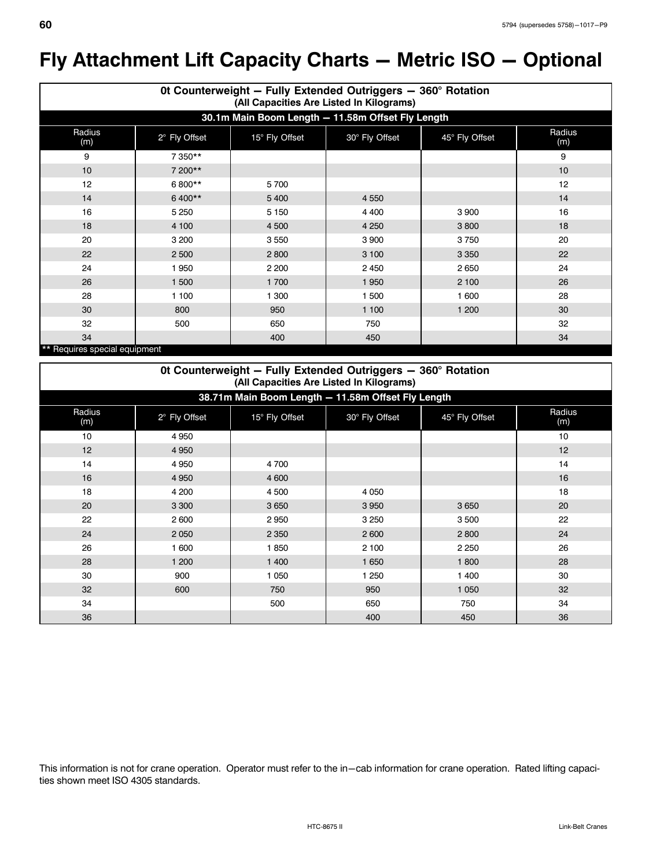#### **Fly Attachment Lift Capacity Charts - Metric ISO - Optional**

| 0t Counterweight - Fully Extended Outriggers - 360° Rotation<br>(All Capacities Are Listed In Kilograms) |                                                                                      |         |         |         |    |  |  |  |  |  |  |
|----------------------------------------------------------------------------------------------------------|--------------------------------------------------------------------------------------|---------|---------|---------|----|--|--|--|--|--|--|
| 30.1m Main Boom Length - 11.58m Offset Fly Length                                                        |                                                                                      |         |         |         |    |  |  |  |  |  |  |
| Radius<br>(m)                                                                                            | Radius<br>2° Fly Offset<br>15° Fly Offset<br>30° Fly Offset<br>45° Fly Offset<br>(m) |         |         |         |    |  |  |  |  |  |  |
| 9                                                                                                        | 7 350**                                                                              |         |         |         | 9  |  |  |  |  |  |  |
| 10                                                                                                       | 7 200**                                                                              |         |         |         | 10 |  |  |  |  |  |  |
| 12                                                                                                       | 6 800**                                                                              | 5700    |         |         | 12 |  |  |  |  |  |  |
| 14                                                                                                       | 6 400**                                                                              | 5 400   | 4 5 5 0 |         | 14 |  |  |  |  |  |  |
| 16                                                                                                       | 5 2 5 0                                                                              | 5 1 5 0 | 4 4 0 0 | 3 9 0 0 | 16 |  |  |  |  |  |  |
| 18                                                                                                       | 4 100                                                                                | 4 500   | 4 2 5 0 | 3800    | 18 |  |  |  |  |  |  |
| 20                                                                                                       | 3 200                                                                                | 3 5 5 0 | 3 9 0 0 | 3750    | 20 |  |  |  |  |  |  |
| 22                                                                                                       | 2 500                                                                                | 2800    | 3 100   | 3 3 5 0 | 22 |  |  |  |  |  |  |
| 24                                                                                                       | 1950                                                                                 | 2 2 0 0 | 2 4 5 0 | 2650    | 24 |  |  |  |  |  |  |
| 26                                                                                                       | 1 500                                                                                | 1700    | 1950    | 2 100   | 26 |  |  |  |  |  |  |
| 28                                                                                                       | 1 100                                                                                | 1 300   | 1 500   | 1 600   | 28 |  |  |  |  |  |  |
| 30                                                                                                       | 800                                                                                  | 950     | 1 100   | 1 200   | 30 |  |  |  |  |  |  |
| 32                                                                                                       | 500                                                                                  | 650     | 750     |         | 32 |  |  |  |  |  |  |
| 34                                                                                                       |                                                                                      | 400     | 450     |         | 34 |  |  |  |  |  |  |
| ** Requires special equipment                                                                            |                                                                                      |         |         |         |    |  |  |  |  |  |  |

| 0t Counterweight - Fully Extended Outriggers - 360° Rotation<br>(All Capacities Are Listed In Kilograms) |                                                                                      |         |         |         |    |  |  |  |  |  |  |
|----------------------------------------------------------------------------------------------------------|--------------------------------------------------------------------------------------|---------|---------|---------|----|--|--|--|--|--|--|
| 38.71m Main Boom Length - 11.58m Offset Fly Length                                                       |                                                                                      |         |         |         |    |  |  |  |  |  |  |
| Radius<br>(m)                                                                                            | Radius<br>15° Fly Offset<br>2° Fly Offset<br>30° Fly Offset<br>45° Fly Offset<br>(m) |         |         |         |    |  |  |  |  |  |  |
| 10                                                                                                       | 4 9 5 0                                                                              |         |         |         | 10 |  |  |  |  |  |  |
| 12                                                                                                       | 4 9 5 0                                                                              |         |         |         | 12 |  |  |  |  |  |  |
| 14                                                                                                       | 4 9 5 0                                                                              | 4 700   |         |         | 14 |  |  |  |  |  |  |
| 16                                                                                                       | 4 9 5 0                                                                              | 4 600   |         |         | 16 |  |  |  |  |  |  |
| 18                                                                                                       | 4 200                                                                                | 4 500   | 4 0 5 0 |         | 18 |  |  |  |  |  |  |
| 20                                                                                                       | 3 3 0 0                                                                              | 3 6 5 0 | 3 9 5 0 | 3 6 5 0 | 20 |  |  |  |  |  |  |
| 22                                                                                                       | 2 600                                                                                | 2950    | 3 2 5 0 | 3 500   | 22 |  |  |  |  |  |  |
| 24                                                                                                       | 2 0 5 0                                                                              | 2 3 5 0 | 2600    | 2800    | 24 |  |  |  |  |  |  |
| 26                                                                                                       | 1 600                                                                                | 1850    | 2 100   | 2 2 5 0 | 26 |  |  |  |  |  |  |
| 28                                                                                                       | 1 200                                                                                | 1 400   | 1 650   | 1800    | 28 |  |  |  |  |  |  |
| 30                                                                                                       | 900                                                                                  | 1 0 5 0 | 1 250   | 1 400   | 30 |  |  |  |  |  |  |
| 32                                                                                                       | 600                                                                                  | 750     | 950     | 1 0 5 0 | 32 |  |  |  |  |  |  |
| 34                                                                                                       |                                                                                      | 500     | 650     | 750     | 34 |  |  |  |  |  |  |
| 36                                                                                                       |                                                                                      |         | 400     | 450     | 36 |  |  |  |  |  |  |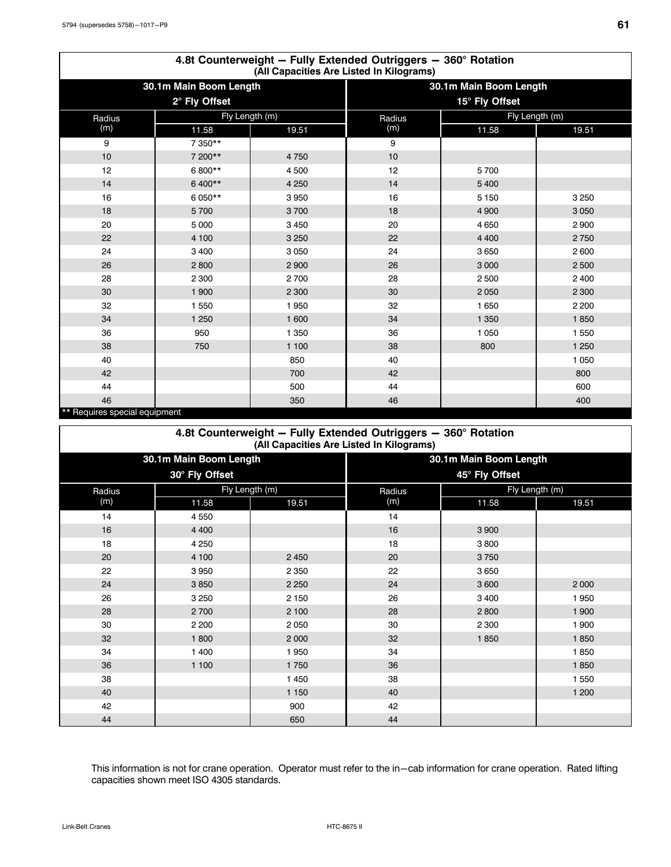Г

| 4.8t Counterweight – Fully Extended Outriggers – 360° Rotation<br>(All Capacities Are Listed In Kilograms) |                        |         |        |                        |         |  |  |  |  |  |
|------------------------------------------------------------------------------------------------------------|------------------------|---------|--------|------------------------|---------|--|--|--|--|--|
|                                                                                                            | 30.1m Main Boom Length |         |        | 30.1m Main Boom Length |         |  |  |  |  |  |
|                                                                                                            | 2° Fly Offset          |         |        | 15° Fly Offset         |         |  |  |  |  |  |
| Radius                                                                                                     | Fly Length (m)         |         | Radius | Fly Length (m)         |         |  |  |  |  |  |
| (m)                                                                                                        | 11.58                  | 19.51   | (m)    | 11.58                  | 19.51   |  |  |  |  |  |
| 9                                                                                                          | 7 350**                |         | 9      |                        |         |  |  |  |  |  |
| 10                                                                                                         | 7 200**                | 4750    | 10     |                        |         |  |  |  |  |  |
| 12                                                                                                         | 6 800**                | 4 500   | 12     | 5700                   |         |  |  |  |  |  |
| 14                                                                                                         | 6 400**                | 4 2 5 0 | 14     | 5 4 0 0                |         |  |  |  |  |  |
| 16                                                                                                         | 6 050**                | 3 9 5 0 | 16     | 5 1 5 0                | 3 2 5 0 |  |  |  |  |  |
| 18                                                                                                         | 5700                   | 3700    | 18     | 4 9 0 0                | 3 0 5 0 |  |  |  |  |  |
| 20                                                                                                         | 5 0 0 0                | 3 4 5 0 | 20     | 4 6 5 0                | 2 9 0 0 |  |  |  |  |  |
| 22                                                                                                         | 4 100                  | 3 2 5 0 | 22     | 4 4 0 0                | 2750    |  |  |  |  |  |
| 24                                                                                                         | 3 400                  | 3 0 5 0 | 24     | 3 6 5 0                | 2 600   |  |  |  |  |  |
| 26                                                                                                         | 2800                   | 2 9 0 0 | 26     | 3 0 0 0                | 2 500   |  |  |  |  |  |
| 28                                                                                                         | 2 300                  | 2700    | 28     | 2 500                  | 2 4 0 0 |  |  |  |  |  |
| 30                                                                                                         | 1 900                  | 2 3 0 0 | 30     | 2 0 5 0                | 2 3 0 0 |  |  |  |  |  |
| 32                                                                                                         | 1 550                  | 1950    | 32     | 1650                   | 2 2 0 0 |  |  |  |  |  |
| 34                                                                                                         | 1 2 5 0                | 1 600   | 34     | 1 3 5 0                | 1850    |  |  |  |  |  |
| 36                                                                                                         | 950                    | 1 3 5 0 | 36     | 1 0 5 0                | 1 550   |  |  |  |  |  |
| 38                                                                                                         | 750                    | 1 100   | 38     | 800                    | 1 2 5 0 |  |  |  |  |  |
| 40                                                                                                         |                        | 850     | 40     |                        | 1 0 5 0 |  |  |  |  |  |
| 42                                                                                                         |                        | 700     | 42     |                        | 800     |  |  |  |  |  |
| 44                                                                                                         |                        | 500     | 44     |                        | 600     |  |  |  |  |  |
| 46                                                                                                         |                        | 350     | 46     |                        | 400     |  |  |  |  |  |
| <b>** Requires special equipment</b>                                                                       |                        |         |        |                        |         |  |  |  |  |  |

### **4.8t Counterweight - Fully Extended Outriggers - 360° Rotation**

**4.8t Counterweight - Fully Extended Outriggers - 360° Rotation (All Capacities Are Listed In Kilograms)**

|        | 30.1m Main Boom Length |         | 30.1m Main Boom Length |                |         |  |  |
|--------|------------------------|---------|------------------------|----------------|---------|--|--|
|        | 30° Fly Offset         |         | 45° Fly Offset         |                |         |  |  |
| Radius | Fly Length (m)         |         | Radius                 | Fly Length (m) |         |  |  |
| (m)    | 11.58                  | 19.51   | (m)                    | 11.58          | 19.51   |  |  |
| 14     | 4 5 5 0                |         | 14                     |                |         |  |  |
| 16     | 4 4 0 0                |         | 16                     | 3 9 0 0        |         |  |  |
| 18     | 4 2 5 0                |         | 18                     | 3800           |         |  |  |
| 20     | 4 100                  | 2 4 5 0 | 20                     | 3750           |         |  |  |
| 22     | 3950                   | 2 3 5 0 | 22                     | 3650           |         |  |  |
| 24     | 3850                   | 2 2 5 0 | 24                     | 3 600          | 2 0 0 0 |  |  |
| 26     | 3 2 5 0                | 2 1 5 0 | 26                     | 3 4 0 0        | 1950    |  |  |
| 28     | 2700                   | 2 100   | 28                     | 2 8 0 0        | 1 900   |  |  |
| 30     | 2 2 0 0                | 2 0 5 0 | 30                     | 2 3 0 0        | 1 900   |  |  |
| 32     | 1800                   | 2 0 0 0 | 32                     | 1850           | 1850    |  |  |
| 34     | 1 400                  | 1950    | 34                     |                | 1850    |  |  |
| 36     | 1 100                  | 1750    | 36                     |                | 1850    |  |  |
| 38     |                        | 1 450   | 38                     |                | 1 550   |  |  |
| 40     |                        | 1 1 5 0 | 40                     |                | 1 200   |  |  |
| 42     |                        | 900     | 42                     |                |         |  |  |
| 44     |                        | 650     | 44                     |                |         |  |  |

This information is not for crane operation. Operator must refer to the in-cab information for crane operation. Rated lifting capacities shown meet ISO 4305 standards.

٦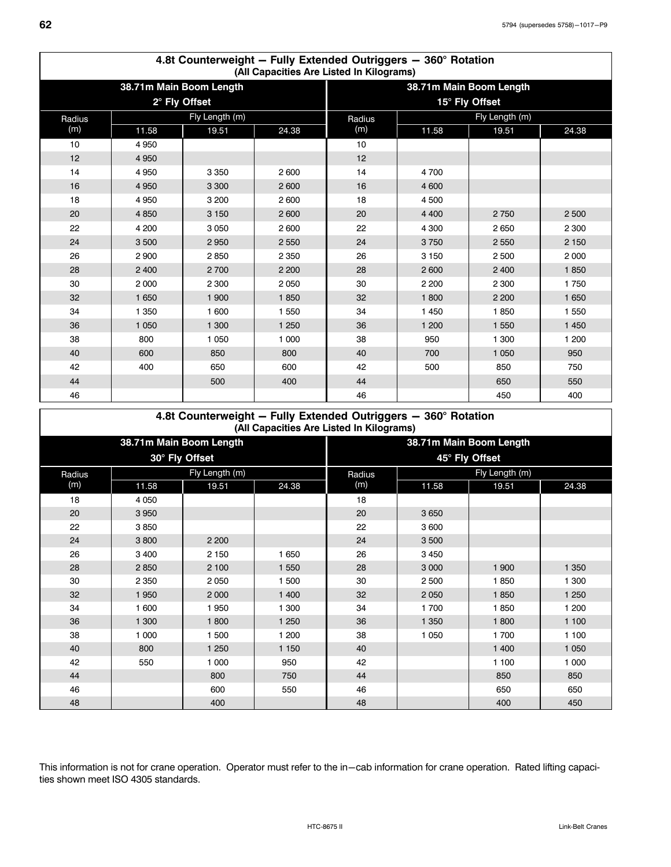| 4.8t Counterweight - Fully Extended Outriggers - 360° Rotation<br>(All Capacities Are Listed In Kilograms) |                         |               |         |                         |                |         |         |  |  |  |  |  |
|------------------------------------------------------------------------------------------------------------|-------------------------|---------------|---------|-------------------------|----------------|---------|---------|--|--|--|--|--|
|                                                                                                            | 38.71m Main Boom Length |               |         | 38.71m Main Boom Length |                |         |         |  |  |  |  |  |
|                                                                                                            |                         | 2° Fly Offset |         | 15° Fly Offset          |                |         |         |  |  |  |  |  |
| Radius                                                                                                     | Fly Length (m)          |               |         | Radius                  | Fly Length (m) |         |         |  |  |  |  |  |
| (m)                                                                                                        | 11.58                   | 19.51         | 24.38   | (m)                     | 11.58          | 19.51   | 24.38   |  |  |  |  |  |
| 10                                                                                                         | 4 9 5 0                 |               |         | 10                      |                |         |         |  |  |  |  |  |
| 12                                                                                                         | 4 9 5 0                 |               |         | 12                      |                |         |         |  |  |  |  |  |
| 14                                                                                                         | 4 9 5 0                 | 3 3 5 0       | 2600    | 14                      | 4700           |         |         |  |  |  |  |  |
| 16                                                                                                         | 4 9 5 0                 | 3 3 0 0       | 2600    | 16                      | 4 600          |         |         |  |  |  |  |  |
| 18                                                                                                         | 4 9 5 0                 | 3 200         | 2600    | 18                      | 4 500          |         |         |  |  |  |  |  |
| 20                                                                                                         | 4 8 5 0                 | 3 1 5 0       | 2600    | 20                      | 4 4 0 0        | 2750    | 2500    |  |  |  |  |  |
| 22                                                                                                         | 4 200                   | 3 0 5 0       | 2600    | 22                      | 4 300          | 2650    | 2 3 0 0 |  |  |  |  |  |
| 24                                                                                                         | 3500                    | 2950          | 2550    | 24                      | 3750           | 2 5 5 0 | 2 1 5 0 |  |  |  |  |  |
| 26                                                                                                         | 2 9 0 0                 | 2850          | 2 3 5 0 | 26                      | 3 1 5 0        | 2 500   | 2000    |  |  |  |  |  |
| 28                                                                                                         | 2 4 0 0                 | 2700          | 2 2 0 0 | 28                      | 2 600          | 2 4 0 0 | 1850    |  |  |  |  |  |
| 30                                                                                                         | 2 0 0 0                 | 2 3 0 0       | 2050    | 30                      | 2 2 0 0        | 2 3 0 0 | 1750    |  |  |  |  |  |
| 32                                                                                                         | 1 650                   | 1 900         | 1850    | 32                      | 1800           | 2 2 0 0 | 1 6 5 0 |  |  |  |  |  |
| 34                                                                                                         | 1 3 5 0                 | 1 600         | 1 550   | 34                      | 1 450          | 1850    | 1550    |  |  |  |  |  |
| 36                                                                                                         | 1 0 5 0                 | 1 300         | 1 2 5 0 | 36                      | 1 200          | 1 5 5 0 | 1 4 5 0 |  |  |  |  |  |
| 38                                                                                                         | 800                     | 1 0 5 0       | 1 0 0 0 | 38                      | 950            | 1 300   | 1 200   |  |  |  |  |  |
| 40                                                                                                         | 600                     | 850           | 800     | 40                      | 700            | 1 0 5 0 | 950     |  |  |  |  |  |
| 42                                                                                                         | 400                     | 650           | 600     | 42                      | 500            | 850     | 750     |  |  |  |  |  |
| 44                                                                                                         |                         | 500           | 400     | 44                      |                | 650     | 550     |  |  |  |  |  |
| 46                                                                                                         |                         |               |         | 46                      |                | 450     | 400     |  |  |  |  |  |

#### 4.8t Counterweight - Fully Extended Outriggers - 360° Rotation **(All Capacities Are Listed In Kilograms)**

|        | 38.71m Main Boom Length |                |         | 38.71m Main Boom Length |                |       |         |  |
|--------|-------------------------|----------------|---------|-------------------------|----------------|-------|---------|--|
|        |                         | 30° Fly Offset |         | 45° Fly Offset          |                |       |         |  |
| Radius | Fly Length (m)          |                |         | Radius                  | Fly Length (m) |       |         |  |
| (m)    | 11.58                   | 19.51          | 24.38   | (m)                     | 11.58          | 19.51 | 24.38   |  |
| 18     | 4 0 5 0                 |                |         | 18                      |                |       |         |  |
| 20     | 3 9 5 0                 |                |         | 20                      | 3 6 5 0        |       |         |  |
| 22     | 3850                    |                |         | 22                      | 3600           |       |         |  |
| 24     | 3800                    | 2 2 0 0        |         | 24                      | 3 500          |       |         |  |
| 26     | 3 4 0 0                 | 2 1 5 0        | 1650    | 26                      | 3 4 5 0        |       |         |  |
| 28     | 2850                    | 2 100          | 1 550   | 28                      | 3 0 0 0        | 1 900 | 1 3 5 0 |  |
| 30     | 2 3 5 0                 | 2 0 5 0        | 1 500   | 30                      | 2 500          | 1850  | 1 300   |  |
| 32     | 1 950                   | 2 0 0 0        | 1 4 0 0 | 32                      | 2 0 5 0        | 1850  | 1 2 5 0 |  |
| 34     | 1 600                   | 1950           | 1 300   | 34                      | 1700           | 1850  | 1 200   |  |
| 36     | 1 300                   | 1800           | 1 2 5 0 | 36                      | 1 3 5 0        | 1800  | 1 100   |  |
| 38     | 1 0 0 0                 | 1 500          | 1 200   | 38                      | 1 0 5 0        | 1700  | 1 100   |  |
| 40     | 800                     | 1 2 5 0        | 1 1 5 0 | 40                      |                | 1 400 | 1 0 5 0 |  |
| 42     | 550                     | 1 000          | 950     | 42                      |                | 1 100 | 1 000   |  |
| 44     |                         | 800            | 750     | 44                      |                | 850   | 850     |  |
| 46     |                         | 600            | 550     | 46                      |                | 650   | 650     |  |
| 48     |                         | 400            |         | 48                      |                | 400   | 450     |  |

This information is not for crane operation. Operator must refer to the in-cab information for crane operation. Rated lifting capacities shown meet ISO 4305 standards.

ľ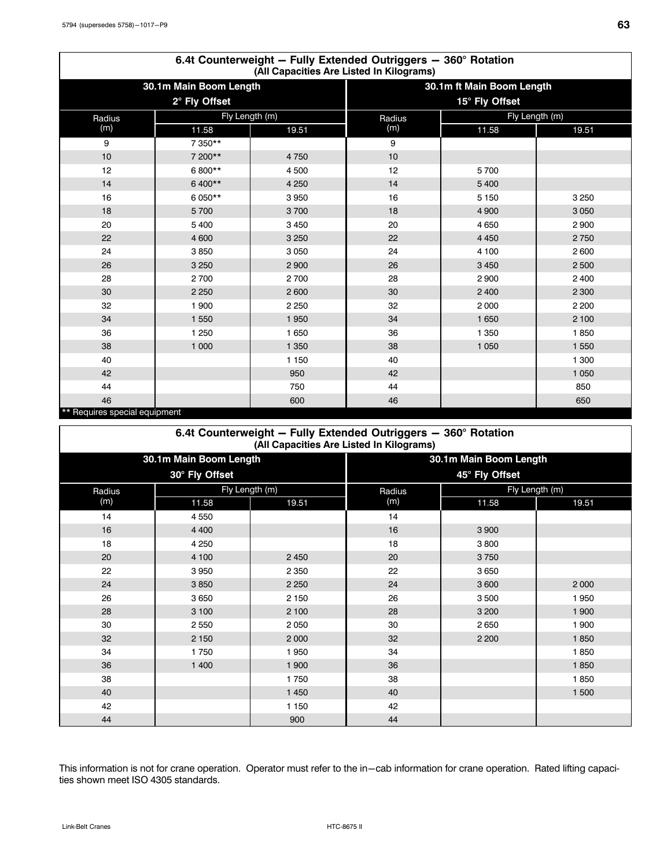Г

| 6.4t Counterweight - Fully Extended Outriggers - 360° Rotation<br>(All Capacities Are Listed In Kilograms) |                        |         |                           |                |         |  |  |  |  |
|------------------------------------------------------------------------------------------------------------|------------------------|---------|---------------------------|----------------|---------|--|--|--|--|
|                                                                                                            | 30.1m Main Boom Length |         | 30.1m ft Main Boom Length |                |         |  |  |  |  |
|                                                                                                            | 2° Fly Offset          |         |                           | 15° Fly Offset |         |  |  |  |  |
| Radius                                                                                                     | Fly Length (m)         |         | Radius                    | Fly Length (m) |         |  |  |  |  |
| (m)                                                                                                        | 11.58                  | 19.51   | (m)                       | 11.58          | 19.51   |  |  |  |  |
| 9                                                                                                          | 7 350**                |         | 9                         |                |         |  |  |  |  |
| 10                                                                                                         | 7 200**                | 4750    | 10                        |                |         |  |  |  |  |
| 12                                                                                                         | 6 800**                | 4 500   | 12                        | 5700           |         |  |  |  |  |
| 14                                                                                                         | 6 400**                | 4 2 5 0 | 14                        | 5 400          |         |  |  |  |  |
| 16                                                                                                         | 6 050**                | 3 9 5 0 | 16                        | 5 1 5 0        | 3 2 5 0 |  |  |  |  |
| 18                                                                                                         | 5700                   | 3700    | 18                        | 4 9 0 0        | 3 0 5 0 |  |  |  |  |
| 20                                                                                                         | 5 400                  | 3 4 5 0 | 20                        | 4 6 5 0        | 2 9 0 0 |  |  |  |  |
| 22                                                                                                         | 4 600                  | 3 2 5 0 | 22                        | 4 4 5 0        | 2750    |  |  |  |  |
| 24                                                                                                         | 3850                   | 3 0 5 0 | 24                        | 4 100          | 2 600   |  |  |  |  |
| 26                                                                                                         | 3 2 5 0                | 2 9 0 0 | 26                        | 3 4 5 0        | 2 500   |  |  |  |  |
| 28                                                                                                         | 2700                   | 2700    | 28                        | 2 9 0 0        | 2 4 0 0 |  |  |  |  |
| 30                                                                                                         | 2 2 5 0                | 2 600   | 30                        | 2 4 0 0        | 2 3 0 0 |  |  |  |  |
| 32                                                                                                         | 1 900                  | 2 2 5 0 | 32                        | 2 0 0 0        | 2 2 0 0 |  |  |  |  |
| 34                                                                                                         | 1 5 5 0                | 1 9 5 0 | 34                        | 1 6 5 0        | 2 100   |  |  |  |  |
| 36                                                                                                         | 1 250                  | 1 650   | 36                        | 1 3 5 0        | 1850    |  |  |  |  |
| 38                                                                                                         | 1 000                  | 1 3 5 0 | 38                        | 1 0 5 0        | 1 550   |  |  |  |  |
| 40                                                                                                         |                        | 1 1 5 0 | 40                        |                | 1 300   |  |  |  |  |
| 42                                                                                                         |                        | 950     | 42                        |                | 1 0 5 0 |  |  |  |  |
| 44                                                                                                         |                        | 750     | 44                        |                | 850     |  |  |  |  |
| 46                                                                                                         |                        | 600     | 46                        |                | 650     |  |  |  |  |
| ** Requires special equipment                                                                              |                        |         |                           |                |         |  |  |  |  |

### **6.4t Counterweight - Fully Extended Outriggers - 360° Rotation**

6.4t Counterweight **– Fully Extended Outriggers – 360° Rotatio**n **(All Capacities Are Listed In Kilograms)**

|        | 30.1m Main Boom Length |         | 30.1m Main Boom Length |                |         |  |  |
|--------|------------------------|---------|------------------------|----------------|---------|--|--|
|        | 30° Fly Offset         |         | 45° Fly Offset         |                |         |  |  |
| Radius | Fly Length (m)         |         | Radius                 | Fly Length (m) |         |  |  |
| (m)    | 11.58                  | 19.51   | (m)                    | 11.58          | 19.51   |  |  |
| 14     | 4 5 5 0                |         | 14                     |                |         |  |  |
| 16     | 4 4 0 0                |         | 16                     | 3 9 0 0        |         |  |  |
| 18     | 4 2 5 0                |         | 18                     | 3800           |         |  |  |
| 20     | 4 100                  | 2 4 5 0 | 20                     | 3750           |         |  |  |
| 22     | 3950                   | 2 3 5 0 | 22                     | 3650           |         |  |  |
| 24     | 3850                   | 2 2 5 0 | 24                     | 3 600          | 2 0 0 0 |  |  |
| 26     | 3650                   | 2 1 5 0 | 26                     | 3500           | 1950    |  |  |
| 28     | 3 100                  | 2 100   | 28                     | 3 200          | 1 900   |  |  |
| 30     | 2 5 5 0                | 2 0 5 0 | 30                     | 2650           | 1 900   |  |  |
| 32     | 2 1 5 0                | 2 0 0 0 | 32                     | 2 2 0 0        | 1850    |  |  |
| 34     | 1750                   | 1950    | 34                     |                | 1850    |  |  |
| 36     | 1 400                  | 1 900   | 36                     |                | 1850    |  |  |
| 38     |                        | 1750    | 38                     |                | 1850    |  |  |
| 40     |                        | 1 4 5 0 | 40                     |                | 1 500   |  |  |
| 42     |                        | 1 1 5 0 | 42                     |                |         |  |  |
| 44     |                        | 900     | 44                     |                |         |  |  |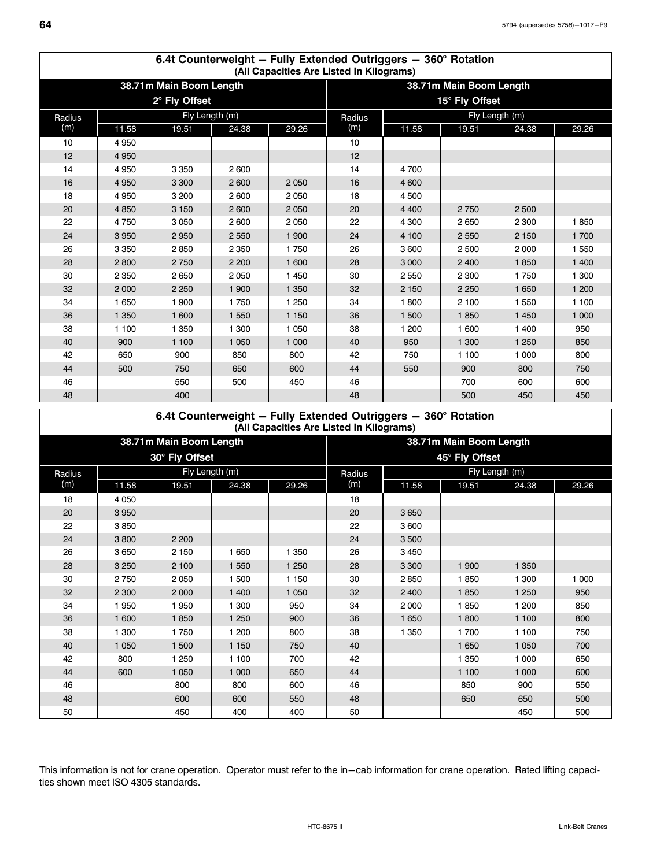| (All Capacities Are Listed In Kilograms) |         |                         |         |         |        |                         |                |         |       |  |
|------------------------------------------|---------|-------------------------|---------|---------|--------|-------------------------|----------------|---------|-------|--|
|                                          |         | 38.71m Main Boom Length |         |         |        | 38.71m Main Boom Length |                |         |       |  |
| 2° Fly Offset                            |         |                         |         |         |        |                         | 15° Fly Offset |         |       |  |
| Radius                                   |         | Fly Length (m)          |         |         | Radius |                         | Fly Length (m) |         |       |  |
| (m)                                      | 11.58   | 19.51                   | 24.38   | 29.26   | (m)    | 11.58                   | 19.51          | 24.38   | 29.26 |  |
| 10                                       | 4950    |                         |         |         | 10     |                         |                |         |       |  |
| 12                                       | 4950    |                         |         |         | 12     |                         |                |         |       |  |
| 14                                       | 4950    | 3 3 5 0                 | 2600    |         | 14     | 4700                    |                |         |       |  |
| 16                                       | 4 9 5 0 | 3 3 0 0                 | 2600    | 2 0 5 0 | 16     | 4 600                   |                |         |       |  |
| 18                                       | 4950    | 3 200                   | 2600    | 2050    | 18     | 4500                    |                |         |       |  |
| 20                                       | 4 8 5 0 | 3 1 5 0                 | 2600    | 2 0 5 0 | 20     | 4 4 0 0                 | 2750           | 2 500   |       |  |
| 22                                       | 4750    | 3 0 5 0                 | 2600    | 2050    | 22     | 4 3 0 0                 | 2650           | 2 3 0 0 | 1850  |  |
| 24                                       | 3950    | 2950                    | 2550    | 1 900   | 24     | 4 100                   | 2 5 5 0        | 2 1 5 0 | 1700  |  |
| 26                                       | 3 3 5 0 | 2850                    | 2 3 5 0 | 1750    | 26     | 3600                    | 2 500          | 2 0 0 0 | 1 550 |  |
| 28                                       | 2800    | 2750                    | 2 2 0 0 | 1 600   | 28     | 3 0 0 0                 | 2 400          | 1850    | 1 400 |  |
| 30                                       | 2 3 5 0 | 2650                    | 2050    | 1 4 5 0 | 30     | 2550                    | 2 3 0 0        | 1750    | 1 300 |  |
| 32                                       | 2000    | 2 2 5 0                 | 1 900   | 1 350   | 32     | 2 1 5 0                 | 2 2 5 0        | 1 650   | 1 200 |  |
| 34                                       | 1650    | 1 900                   | 1750    | 1 250   | 34     | 1800                    | 2 100          | 1 550   | 1 100 |  |
| 36                                       | 1 3 5 0 | 1 600                   | 1 550   | 1 1 5 0 | 36     | 1 500                   | 1850           | 1 4 5 0 | 1 000 |  |
| 38                                       | 1 100   | 1 350                   | 1 300   | 1 0 5 0 | 38     | 1 200                   | 1 600          | 1 400   | 950   |  |
| 40                                       | 900     | 1 100                   | 1 0 5 0 | 1 000   | 40     | 950                     | 1 300          | 1 2 5 0 | 850   |  |
| 42                                       | 650     | 900                     | 850     | 800     | 42     | 750                     | 1 100          | 1 000   | 800   |  |
| 44                                       | 500     | 750                     | 650     | 600     | 44     | 550                     | 900            | 800     | 750   |  |
| 46                                       |         | 550                     | 500     | 450     | 46     |                         | 700            | 600     | 600   |  |
| 48                                       |         | 400                     |         |         | 48     |                         | 500            | 450     | 450   |  |

**6.4t Counterweight - Fully Extended Outriggers - 360° Rotation**

**6.4t Counterweight - Fully Extended Outriggers - 360° Rotation (All Capacities Are Listed In Kilograms)**

| 38.71m Main Boom Length |         |                |         |         | 38.71m Main Boom Length |         |                |         |       |  |
|-------------------------|---------|----------------|---------|---------|-------------------------|---------|----------------|---------|-------|--|
|                         |         | 30° Fly Offset |         |         | 45° Fly Offset          |         |                |         |       |  |
| Radius                  |         | Fly Length (m) |         |         | Radius                  |         | Fly Length (m) |         |       |  |
| (m)                     | 11.58   | 19.51          | 24.38   | 29.26   | (m)                     | 11.58   | 19.51          | 24.38   | 29.26 |  |
| 18                      | 4 0 5 0 |                |         |         | 18                      |         |                |         |       |  |
| 20                      | 3950    |                |         |         | 20                      | 3650    |                |         |       |  |
| 22                      | 3850    |                |         |         | 22                      | 3600    |                |         |       |  |
| 24                      | 3800    | 2 2 0 0        |         |         | 24                      | 3500    |                |         |       |  |
| 26                      | 3650    | 2 1 5 0        | 1 650   | 1 350   | 26                      | 3 4 5 0 |                |         |       |  |
| 28                      | 3 2 5 0 | 2 100          | 1 5 5 0 | 1 250   | 28                      | 3 3 0 0 | 1 900          | 1 350   |       |  |
| 30                      | 2750    | 2 0 5 0        | 1 500   | 1 150   | 30                      | 2850    | 1850           | 1 300   | 000   |  |
| 32                      | 2 3 0 0 | 2 0 0 0        | 1 400   | 1 0 5 0 | 32                      | 2 4 0 0 | 1850           | 1 2 5 0 | 950   |  |
| 34                      | 1950    | 1950           | 1 300   | 950     | 34                      | 2000    | 1850           | 1 200   | 850   |  |
| 36                      | 1 600   | 1850           | 1 2 5 0 | 900     | 36                      | 1 6 5 0 | 1800           | 1 100   | 800   |  |
| 38                      | 1 300   | 1750           | 1 200   | 800     | 38                      | 1 3 5 0 | 1 700          | 1 100   | 750   |  |
| 40                      | 1 0 5 0 | 1 500          | 1 1 5 0 | 750     | 40                      |         | 1 6 5 0        | 1 0 5 0 | 700   |  |
| 42                      | 800     | 1 250          | 1 100   | 700     | 42                      |         | 1 350          | 1 0 0 0 | 650   |  |
| 44                      | 600     | 1 0 5 0        | 1 0 0 0 | 650     | 44                      |         | 1 100          | 1 000   | 600   |  |
| 46                      |         | 800            | 800     | 600     | 46                      |         | 850            | 900     | 550   |  |
| 48                      |         | 600            | 600     | 550     | 48                      |         | 650            | 650     | 500   |  |
| 50                      |         | 450            | 400     | 400     | 50                      |         |                | 450     | 500   |  |

This information is not for crane operation. Operator must refer to the in-cab information for crane operation. Rated lifting capacities shown meet ISO 4305 standards.

 $\sqrt{ }$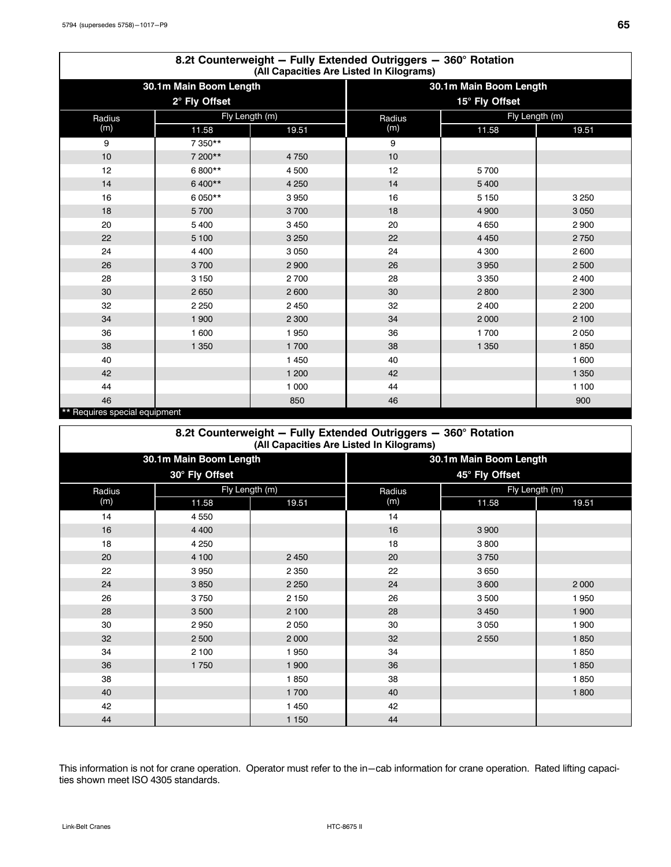Г

| 8.2t Counterweight - Fully Extended Outriggers - 360° Rotation<br>(All Capacities Are Listed In Kilograms) |                        |         |        |                        |         |  |  |  |
|------------------------------------------------------------------------------------------------------------|------------------------|---------|--------|------------------------|---------|--|--|--|
|                                                                                                            | 30.1m Main Boom Length |         |        | 30.1m Main Boom Length |         |  |  |  |
|                                                                                                            | 2° Fly Offset          |         |        | 15° Fly Offset         |         |  |  |  |
| Radius                                                                                                     | Fly Length (m)         |         | Radius | Fly Length (m)         |         |  |  |  |
| (m)                                                                                                        | 11.58                  | 19.51   | (m)    | 11.58                  | 19.51   |  |  |  |
| 9                                                                                                          | 7 350**                |         | 9      |                        |         |  |  |  |
| 10                                                                                                         | 7 200**                | 4 7 5 0 | 10     |                        |         |  |  |  |
| 12                                                                                                         | 6 800**                | 4 500   | 12     | 5700                   |         |  |  |  |
| 14                                                                                                         | 6 400**                | 4 2 5 0 | 14     | 5 4 0 0                |         |  |  |  |
| 16                                                                                                         | 6 050**                | 3 9 5 0 | 16     | 5 1 5 0                | 3 2 5 0 |  |  |  |
| 18                                                                                                         | 5700                   | 3700    | 18     | 4 9 0 0                | 3 0 5 0 |  |  |  |
| 20                                                                                                         | 5 400                  | 3 4 5 0 | 20     | 4 6 5 0                | 2 9 0 0 |  |  |  |
| 22                                                                                                         | 5 100                  | 3 2 5 0 | 22     | 4 4 5 0                | 2750    |  |  |  |
| 24                                                                                                         | 4 4 0 0                | 3 0 5 0 | 24     | 4 300                  | 2600    |  |  |  |
| 26                                                                                                         | 3700                   | 2 9 0 0 | 26     | 3 9 5 0                | 2 500   |  |  |  |
| 28                                                                                                         | 3 1 5 0                | 2700    | 28     | 3 3 5 0                | 2 4 0 0 |  |  |  |
| 30                                                                                                         | 2650                   | 2 600   | 30     | 2800                   | 2 3 0 0 |  |  |  |
| 32                                                                                                         | 2 2 5 0                | 2 4 5 0 | 32     | 2 4 0 0                | 2 2 0 0 |  |  |  |
| 34                                                                                                         | 1 900                  | 2 3 0 0 | 34     | 2 0 0 0                | 2 100   |  |  |  |
| 36                                                                                                         | 1 600                  | 1950    | 36     | 1700                   | 2 0 5 0 |  |  |  |
| 38                                                                                                         | 1 3 5 0                | 1 700   | 38     | 1 3 5 0                | 1850    |  |  |  |
| 40                                                                                                         |                        | 1 4 5 0 | 40     |                        | 1 600   |  |  |  |
| 42                                                                                                         |                        | 1 200   | 42     |                        | 1 3 5 0 |  |  |  |
| 44                                                                                                         |                        | 1 0 0 0 | 44     |                        | 1 100   |  |  |  |
| 46                                                                                                         |                        | 850     | 46     |                        | 900     |  |  |  |
| ** Requires special equipment                                                                              |                        |         |        |                        |         |  |  |  |

### **8.2t Counterweight - Fully Extended Outriggers - 360° Rotation**

8.2t Counterweight - Fully Extended Outriggers - 360° Rotation **(All Capacities Are Listed In Kilograms)**

|        | 30.1m Main Boom Length |         | 30.1m Main Boom Length |                |         |  |  |
|--------|------------------------|---------|------------------------|----------------|---------|--|--|
|        | 30° Fly Offset         |         | 45° Fly Offset         |                |         |  |  |
| Radius | Fly Length (m)         |         | Radius                 | Fly Length (m) |         |  |  |
| (m)    | 11.58                  | 19.51   | (m)                    | 11.58          | 19.51   |  |  |
| 14     | 4 5 5 0                |         | 14                     |                |         |  |  |
| 16     | 4 4 0 0                |         | 16                     | 3 9 0 0        |         |  |  |
| 18     | 4 2 5 0                |         | 18                     | 3800           |         |  |  |
| 20     | 4 100                  | 2 4 5 0 | 20                     | 3750           |         |  |  |
| 22     | 3950                   | 2 3 5 0 | 22                     | 3650           |         |  |  |
| 24     | 3850                   | 2 2 5 0 | 24                     | 3 600          | 2 0 0 0 |  |  |
| 26     | 3750                   | 2 1 5 0 | 26                     | 3500           | 1950    |  |  |
| 28     | 3 500                  | 2 100   | 28                     | 3 4 5 0        | 1 900   |  |  |
| 30     | 2950                   | 2 0 5 0 | 30                     | 3 0 5 0        | 1 900   |  |  |
| 32     | 2 500                  | 2 0 0 0 | 32                     | 2 5 5 0        | 1850    |  |  |
| 34     | 2 100                  | 1950    | 34                     |                | 1850    |  |  |
| 36     | 1750                   | 1 900   | 36                     |                | 1850    |  |  |
| 38     |                        | 1850    | 38                     |                | 1850    |  |  |
| 40     |                        | 1700    | 40                     |                | 1800    |  |  |
| 42     |                        | 1 450   | 42                     |                |         |  |  |
| 44     |                        | 1 1 5 0 | 44                     |                |         |  |  |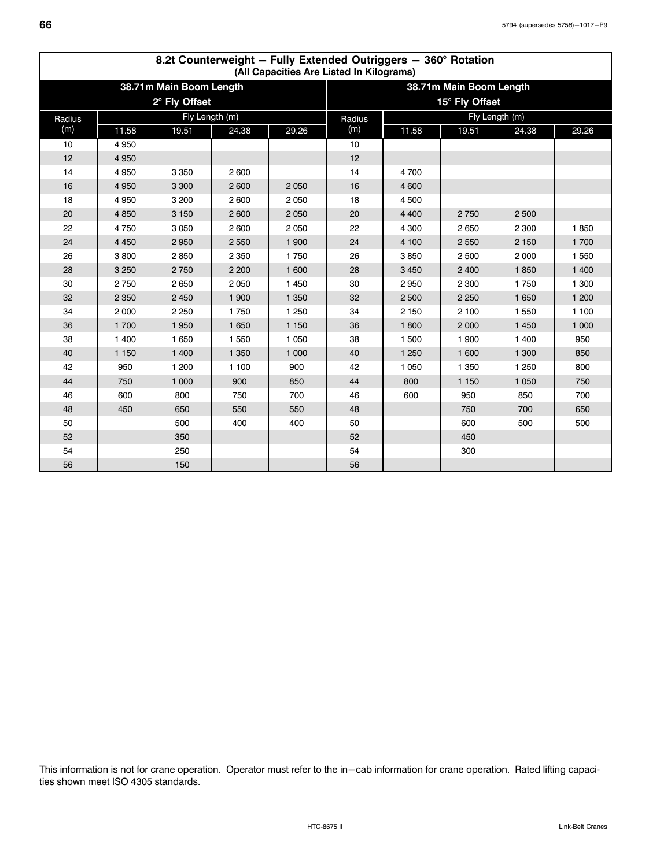| 8.2t Counterweight - Fully Extended Outriggers - 360° Rotation<br>(All Capacities Are Listed In Kilograms) |         |                         |         |         |                         |         |                |         |         |  |
|------------------------------------------------------------------------------------------------------------|---------|-------------------------|---------|---------|-------------------------|---------|----------------|---------|---------|--|
|                                                                                                            |         | 38.71m Main Boom Length |         |         | 38.71m Main Boom Length |         |                |         |         |  |
| 2° Fly Offset                                                                                              |         |                         |         |         |                         |         | 15° Fly Offset |         |         |  |
| Radius                                                                                                     |         | Fly Length (m)          |         |         | Radius                  |         | Fly Length (m) |         |         |  |
| (m)                                                                                                        | 11.58   | 19.51                   | 24.38   | 29.26   | (m)                     | 11.58   | 19.51          | 24.38   | 29.26   |  |
| 10                                                                                                         | 4950    |                         |         |         | 10                      |         |                |         |         |  |
| 12                                                                                                         | 4 9 5 0 |                         |         |         | 12                      |         |                |         |         |  |
| 14                                                                                                         | 4950    | 3 3 5 0                 | 2600    |         | 14                      | 4700    |                |         |         |  |
| 16                                                                                                         | 4 9 5 0 | 3 3 0 0                 | 2600    | 2 0 5 0 | 16                      | 4600    |                |         |         |  |
| 18                                                                                                         | 4950    | 3 200                   | 2600    | 2 0 5 0 | 18                      | 4500    |                |         |         |  |
| 20                                                                                                         | 4 8 5 0 | 3 1 5 0                 | 2600    | 2 0 5 0 | 20                      | 4 4 0 0 | 2750           | 2 500   |         |  |
| 22                                                                                                         | 4750    | 3 0 5 0                 | 2600    | 2 0 5 0 | 22                      | 4 3 0 0 | 2650           | 2 3 0 0 | 1850    |  |
| 24                                                                                                         | 4 4 5 0 | 2950                    | 2550    | 1 900   | 24                      | 4 100   | 2 5 5 0        | 2 1 5 0 | 1700    |  |
| 26                                                                                                         | 3800    | 2850                    | 2 3 5 0 | 1750    | 26                      | 3850    | 2 500          | 2 0 0 0 | 1 550   |  |
| 28                                                                                                         | 3 2 5 0 | 2750                    | 2 2 0 0 | 1 600   | 28                      | 3 4 5 0 | 2 4 0 0        | 1850    | 1 400   |  |
| 30                                                                                                         | 2750    | 2650                    | 2050    | 1 4 5 0 | 30                      | 2950    | 2 3 0 0        | 1750    | 1 300   |  |
| 32                                                                                                         | 2 3 5 0 | 2 4 5 0                 | 1 900   | 1 3 5 0 | 32                      | 2 500   | 2 2 5 0        | 1 650   | 1 200   |  |
| 34                                                                                                         | 2000    | 2 2 5 0                 | 1750    | 1 2 5 0 | 34                      | 2 1 5 0 | 2 100          | 1 550   | 1 100   |  |
| 36                                                                                                         | 1700    | 1950                    | 1 6 5 0 | 1 1 5 0 | 36                      | 1800    | 2 0 0 0        | 1 4 5 0 | 1 0 0 0 |  |
| 38                                                                                                         | 1 400   | 1 650                   | 1 5 5 0 | 1 0 5 0 | 38                      | 1 500   | 1 900          | 1 400   | 950     |  |
| 40                                                                                                         | 1 1 5 0 | 1 400                   | 1 3 5 0 | 1 000   | 40                      | 1 2 5 0 | 1 600          | 1 300   | 850     |  |
| 42                                                                                                         | 950     | 1 200                   | 1 100   | 900     | 42                      | 1 0 5 0 | 1 350          | 1 250   | 800     |  |
| 44                                                                                                         | 750     | 1 0 0 0                 | 900     | 850     | 44                      | 800     | 1 1 5 0        | 1 0 5 0 | 750     |  |
| 46                                                                                                         | 600     | 800                     | 750     | 700     | 46                      | 600     | 950            | 850     | 700     |  |
| 48                                                                                                         | 450     | 650                     | 550     | 550     | 48                      |         | 750            | 700     | 650     |  |
| 50                                                                                                         |         | 500                     | 400     | 400     | 50                      |         | 600            | 500     | 500     |  |
| 52                                                                                                         |         | 350                     |         |         | 52                      |         | 450            |         |         |  |
| 54                                                                                                         |         | 250                     |         |         | 54                      |         | 300            |         |         |  |
| 56                                                                                                         |         | 150                     |         |         | 56                      |         |                |         |         |  |

## **8.2t Counterweight - Fully Extended Outriggers - 360° Rotation**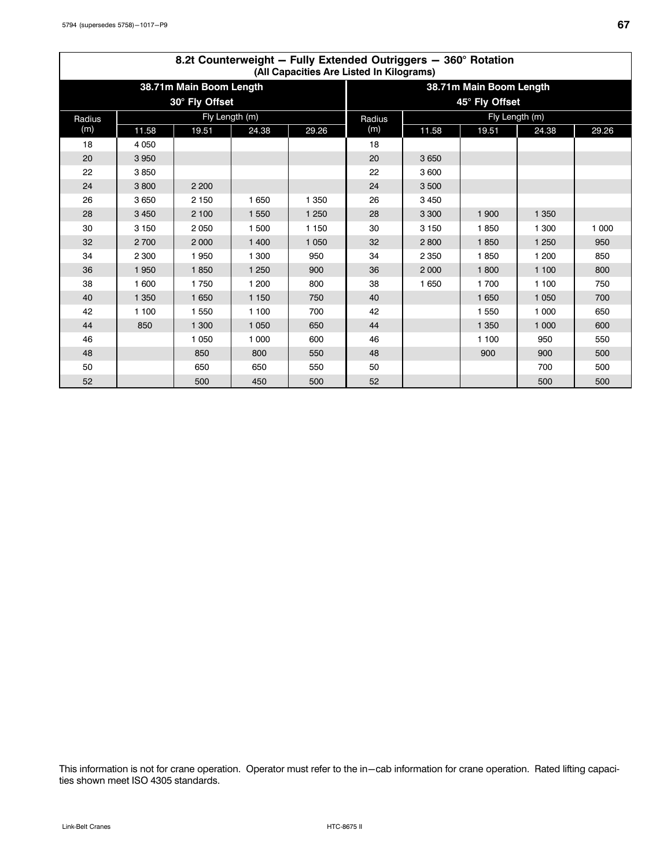| 8.2t Counterweight - Fully Extended Outriggers - 360° Rotation<br>(All Capacities Are Listed In Kilograms) |         |                         |         |         |        |         |                         |         |         |  |
|------------------------------------------------------------------------------------------------------------|---------|-------------------------|---------|---------|--------|---------|-------------------------|---------|---------|--|
|                                                                                                            |         | 38.71m Main Boom Length |         |         |        |         | 38.71m Main Boom Length |         |         |  |
|                                                                                                            |         | 30° Fly Offset          |         |         |        |         | 45° Fly Offset          |         |         |  |
| Radius                                                                                                     |         | Fly Length (m)          |         |         | Radius |         | Fly Length (m)          |         |         |  |
| (m)                                                                                                        | 11.58   | 19.51                   | 24.38   | 29.26   | (m)    | 11.58   | 19.51                   | 24.38   | 29.26   |  |
| 18                                                                                                         | 4 0 5 0 |                         |         |         | 18     |         |                         |         |         |  |
| 20                                                                                                         | 3950    |                         |         |         | 20     | 3650    |                         |         |         |  |
| 22                                                                                                         | 3850    |                         |         |         | 22     | 3600    |                         |         |         |  |
| 24                                                                                                         | 3800    | 2 2 0 0                 |         |         | 24     | 3500    |                         |         |         |  |
| 26                                                                                                         | 3650    | 2 1 5 0                 | 1650    | 1 3 5 0 | 26     | 3450    |                         |         |         |  |
| 28                                                                                                         | 3 4 5 0 | 2 100                   | 1 5 5 0 | 1 2 5 0 | 28     | 3 3 0 0 | 1 900                   | 1 3 5 0 |         |  |
| 30                                                                                                         | 3 1 5 0 | 2050                    | 1500    | 1 1 5 0 | 30     | 3 1 5 0 | 1850                    | 1 300   | 1 0 0 0 |  |
| 32                                                                                                         | 2700    | 2 0 0 0                 | 1 400   | 1 0 5 0 | 32     | 2800    | 1850                    | 1 2 5 0 | 950     |  |
| 34                                                                                                         | 2 3 0 0 | 1950                    | 1 300   | 950     | 34     | 2 3 5 0 | 1850                    | 1 200   | 850     |  |
| 36                                                                                                         | 1950    | 1850                    | 1 2 5 0 | 900     | 36     | 2000    | 1800                    | 1 100   | 800     |  |
| 38                                                                                                         | 1600    | 1750                    | 1 200   | 800     | 38     | 1650    | 1700                    | 1 100   | 750     |  |
| 40                                                                                                         | 1 3 5 0 | 1 650                   | 1 1 5 0 | 750     | 40     |         | 1 650                   | 1 0 5 0 | 700     |  |
| 42                                                                                                         | 1 100   | 1 550                   | 1 100   | 700     | 42     |         | 1 550                   | 1 000   | 650     |  |
| 44                                                                                                         | 850     | 1 300                   | 1 0 5 0 | 650     | 44     |         | 1 3 5 0                 | 1 000   | 600     |  |
| 46                                                                                                         |         | 1 0 5 0                 | 1 0 0 0 | 600     | 46     |         | 1 100                   | 950     | 550     |  |
| 48                                                                                                         |         | 850                     | 800     | 550     | 48     |         | 900                     | 900     | 500     |  |
| 50                                                                                                         |         | 650                     | 650     | 550     | 50     |         |                         | 700     | 500     |  |
| 52                                                                                                         |         | 500                     | 450     | 500     | 52     |         |                         | 500     | 500     |  |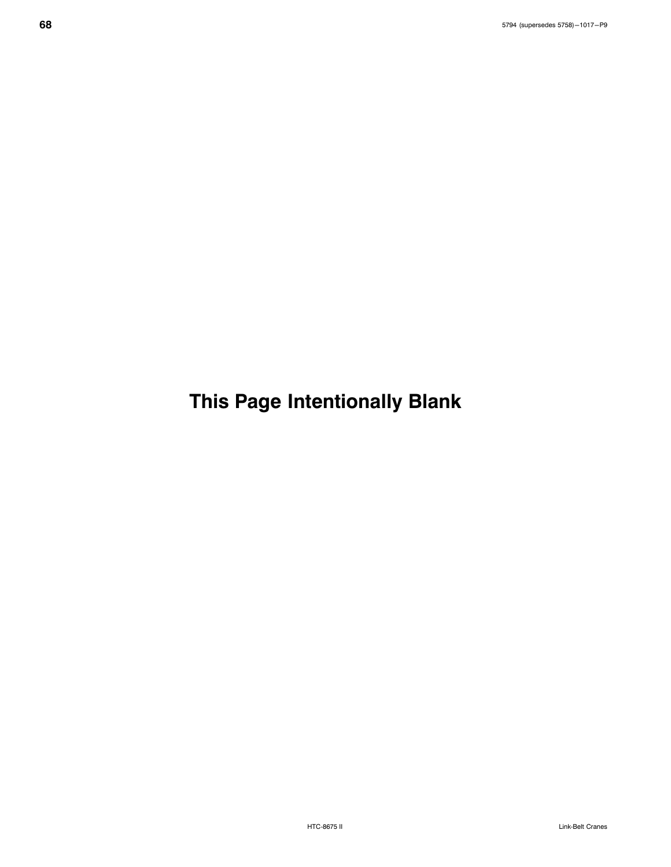**This Page Intentionally Blank**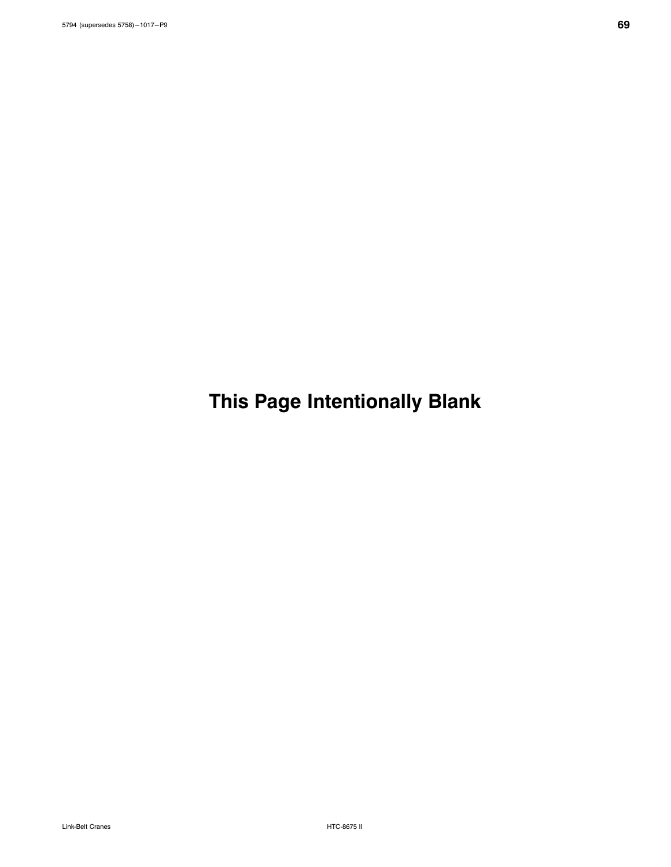**This Page Intentionally Blank**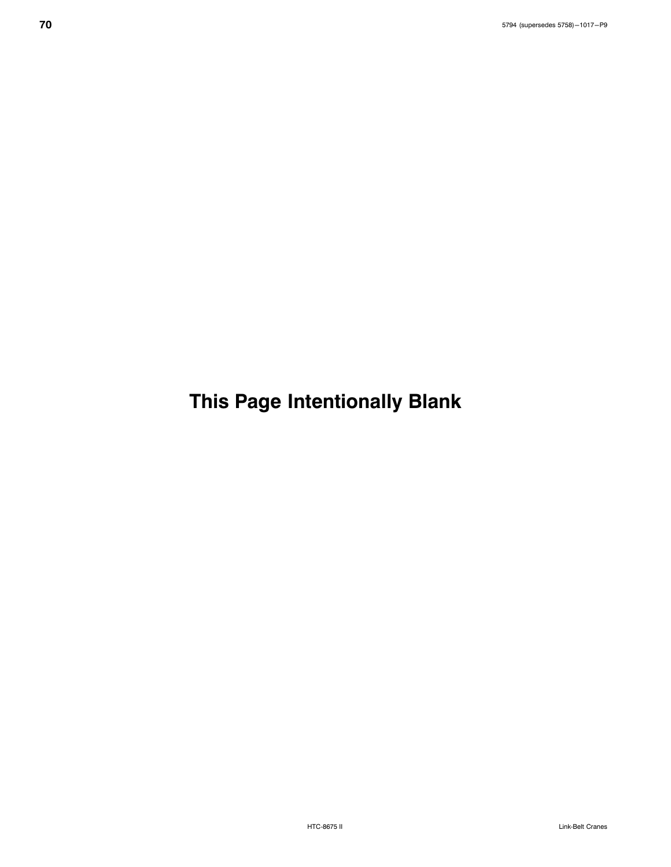**This Page Intentionally Blank**